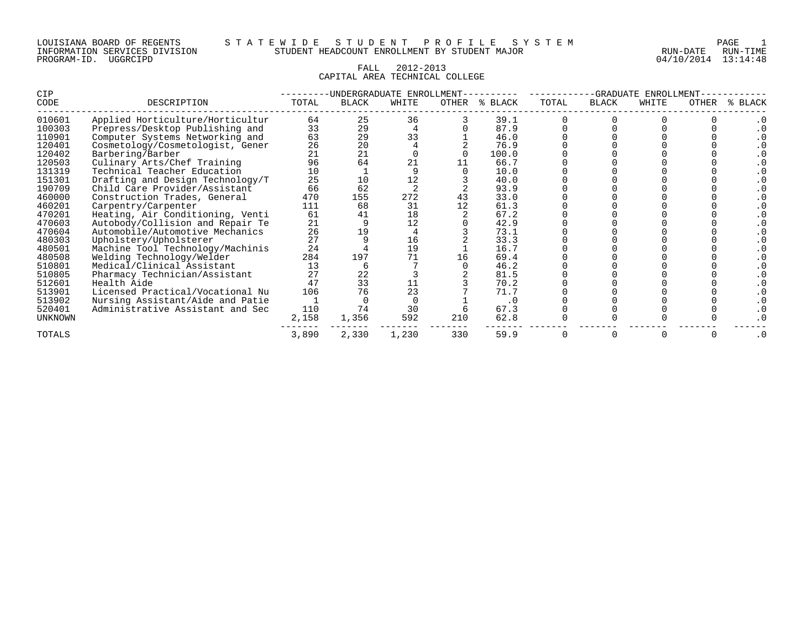# FALL 2012-2013 CAPITAL AREA TECHNICAL COLLEGE

| CIP            |                                  |       |              | UNDERGRADUATE ENROLLMENT |       |         |       | -GRADUATE    | ENROLLMENT |       |              |
|----------------|----------------------------------|-------|--------------|--------------------------|-------|---------|-------|--------------|------------|-------|--------------|
| CODE           | DESCRIPTION                      | TOTAL | <b>BLACK</b> | WHITE                    | OTHER | % BLACK | TOTAL | <b>BLACK</b> | WHITE      | OTHER | <b>BLACK</b> |
| 010601         | Applied Horticulture/Horticultur | 64    | 25           | 36                       |       | 39.1    |       |              |            |       |              |
| 100303         | Prepress/Desktop Publishing and  | 33    | 29           |                          |       | 87.9    |       |              |            |       |              |
| 110901         | Computer Systems Networking and  | 63    | 29           | 33                       |       | 46.0    |       |              |            |       |              |
| 120401         | Cosmetology/Cosmetologist, Gener | 26    | 20           |                          |       | 76.9    |       |              |            |       |              |
| 120402         | Barbering/Barber                 | 21    | 21           |                          |       | 100.0   |       |              |            |       |              |
| 120503         | Culinary Arts/Chef Training      | 96    | 64           | 21                       |       | 66.7    |       |              |            |       |              |
| 131319         | Technical Teacher Education      | 10    |              |                          |       | 10.0    |       |              |            |       |              |
| 151301         | Drafting and Design Technology/T | 25    | 10           | 12                       |       | 40.0    |       |              |            |       |              |
| 190709         | Child Care Provider/Assistant    | 66    | 62           |                          |       | 93.9    |       |              |            |       |              |
| 460000         | Construction Trades, General     | 470   | 155          | 272                      |       | 33.0    |       |              |            |       |              |
| 460201         | Carpentry/Carpenter              | 111   | 68           | 31                       | 12    | 61.3    |       |              |            |       |              |
| 470201         | Heating, Air Conditioning, Venti | 61    | 41           | 18                       |       | 67.2    |       |              |            |       |              |
| 470603         | Autobody/Collision and Repair Te | 21    |              | 12                       |       | 42.9    |       |              |            |       |              |
| 470604         | Automobile/Automotive Mechanics  | 26    | 19           |                          |       | 73.1    |       |              |            |       |              |
| 480303         | Upholstery/Upholsterer           | 27    |              | 16                       |       | 33.3    |       |              |            |       |              |
| 480501         | Machine Tool Technology/Machinis | 24    |              | 19                       |       | 16.7    |       |              |            |       |              |
| 480508         | Welding Technology/Welder        | 284   | 197          | 71                       | 16    | 69.4    |       |              |            |       |              |
| 510801         | Medical/Clinical Assistant       | 13    |              |                          |       | 46.2    |       |              |            |       |              |
| 510805         | Pharmacy Technician/Assistant    | 27    | 22           |                          |       | 81.5    |       |              |            |       |              |
| 512601         | Health Aide                      | 47    | 33           | 11                       |       | 70.2    |       |              |            |       |              |
| 513901         | Licensed Practical/Vocational Nu | 106   | 76           | 23                       |       | 71.7    |       |              |            |       |              |
| 513902         | Nursing Assistant/Aide and Patie |       |              |                          |       | . 0     |       |              |            |       |              |
| 520401         | Administrative Assistant and Sec | 110   | 74           | 30                       |       | 67.3    |       |              |            |       |              |
| <b>UNKNOWN</b> |                                  | 2,158 | 1,356        | 592                      | 210   | 62.8    |       |              |            |       |              |
| TOTALS         |                                  | 3,890 | 2,330        | 1,230                    | 330   | 59.9    |       |              |            |       | $\cdot$ 0    |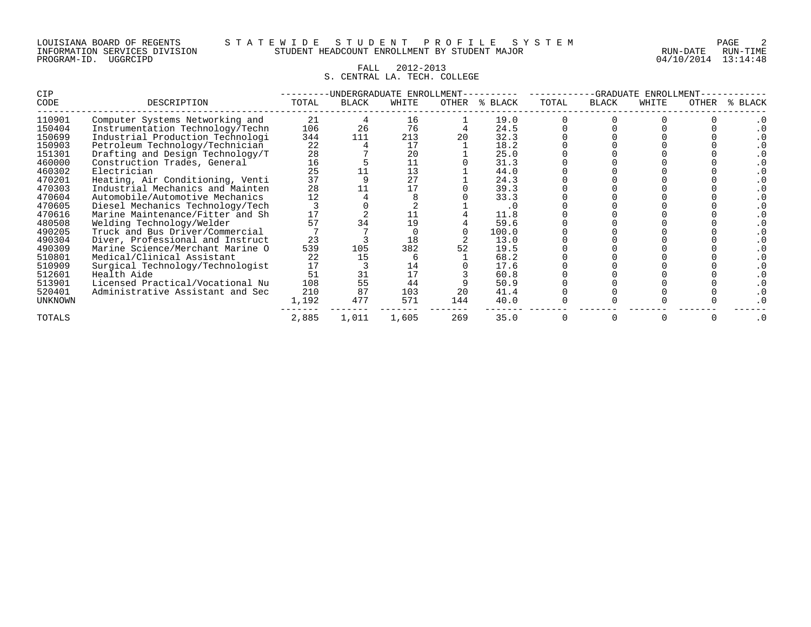#### LOUISIANA BOARD OF REGENTS S T A T E W I D E S T U D E N T P R O F I L E S Y S T E M PAGE 2 INFORMATION SERVICES DIVISION STUDENT HEADCOUNT ENROLLMENT BY STUDENT MAJOR RUN-DATE RUN-TIME

# FALL 2012-2013 S. CENTRAL LA. TECH. COLLEGE

| CIP     |                                  |       |       | -UNDERGRADUATE ENROLLMENT |       |         | -GRADUATE<br>ENROLLMENT |              |       |       |             |
|---------|----------------------------------|-------|-------|---------------------------|-------|---------|-------------------------|--------------|-------|-------|-------------|
| CODE    | DESCRIPTION                      | TOTAL | BLACK | WHITE                     | OTHER | % BLACK | TOTAL                   | <b>BLACK</b> | WHITE | OTHER | BLACK<br>°≈ |
| 110901  | Computer Systems Networking and  | 21    |       | 16                        |       | 19.0    |                         |              |       |       |             |
| 150404  | Instrumentation Technology/Techn | 106   | 26    | 76                        |       | 24.5    |                         |              |       |       |             |
| 150699  | Industrial Production Technologi | 344   | 111   | 213                       |       | 32.3    |                         |              |       |       |             |
| 150903  | Petroleum Technology/Technician  | 22    |       | 17                        |       | 18.2    |                         |              |       |       |             |
| 151301  | Drafting and Design Technology/T | 28    |       | 20                        |       | 25.0    |                         |              |       |       |             |
| 460000  | Construction Trades, General     | 16    |       | 11                        |       | 31.3    |                         |              |       |       |             |
| 460302  | Electrician                      | 25    |       | 13                        |       | 44.0    |                         |              |       |       |             |
| 470201  | Heating, Air Conditioning, Venti | 37    |       | 27                        |       | 24.3    |                         |              |       |       |             |
| 470303  | Industrial Mechanics and Mainten | 28    |       | 17                        |       | 39.3    |                         |              |       |       |             |
| 470604  | Automobile/Automotive Mechanics  | 12    |       |                           |       | 33.3    |                         |              |       |       |             |
| 470605  | Diesel Mechanics Technology/Tech |       |       |                           |       | . 0     |                         |              |       |       |             |
| 470616  | Marine Maintenance/Fitter and Sh | 17    |       | 11                        |       | 11.8    |                         |              |       |       |             |
| 480508  | Welding Technology/Welder        | 57    |       | 19                        |       | 59.6    |                         |              |       |       |             |
| 490205  | Truck and Bus Driver/Commercial  |       |       |                           |       | 100.0   |                         |              |       |       |             |
| 490304  | Diver, Professional and Instruct | 23    |       | 18                        |       | 13.0    |                         |              |       |       |             |
| 490309  | Marine Science/Merchant Marine O | 539   | 105   | 382                       |       | 19.5    |                         |              |       |       |             |
| 510801  | Medical/Clinical Assistant       | 22    | 15    |                           |       | 68.2    |                         |              |       |       |             |
| 510909  | Surgical Technology/Technologist | 17    |       | 14                        |       | 17.6    |                         |              |       |       |             |
| 512601  | Health Aide                      | 51    | 31    | 17                        |       | 60.8    |                         |              |       |       |             |
| 513901  | Licensed Practical/Vocational Nu | 108   | 55    | 44                        |       | 50.9    |                         |              |       |       |             |
| 520401  | Administrative Assistant and Sec | 210   | 87    | 103                       | 20    | 41.4    |                         |              |       |       |             |
| UNKNOWN |                                  | 1,192 | 477   | 571                       | 144   | 40.0    |                         |              |       |       |             |
| TOTALS  |                                  | 2,885 | 1,011 | 1,605                     | 35.0  |         |                         |              |       | . 0   |             |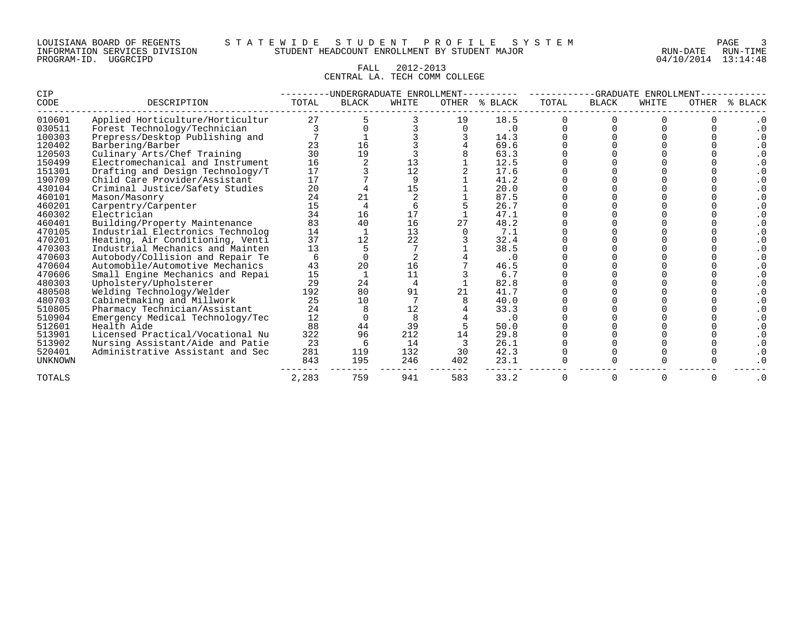#### LOUISIANA BOARD OF REGENTS S T A T E W I D E S T U D E N T P R O F I L E S Y S T E M PAGE 3 INFORMATION SERVICES DIVISION STUDENT HEADCOUNT ENROLLMENT BY STUDENT MAJOR RUN-DATE RUN-TIME

#### FALL 2012-2013 CENTRAL LA. TECH COMM COLLEGE

| CIP            |                                  | -UNDERGRADUATE ENROLLMENT |              |       |       |           |       | -GRADUATE<br>ENROLLMENT |       |              |         |  |  |
|----------------|----------------------------------|---------------------------|--------------|-------|-------|-----------|-------|-------------------------|-------|--------------|---------|--|--|
| CODE           | DESCRIPTION                      | TOTAL                     | <b>BLACK</b> | WHITE | OTHER | % BLACK   | TOTAL | <b>BLACK</b>            | WHITE | <b>OTHER</b> | % BLACK |  |  |
| 010601         | Applied Horticulture/Horticultur | 27                        |              |       | 19    | 18.5      |       |                         |       |              |         |  |  |
| 030511         | Forest Technology/Technician     |                           |              |       |       | $\cdot$ 0 |       |                         |       |              |         |  |  |
| 100303         | Prepress/Desktop Publishing and  |                           |              |       |       | 14.3      |       |                         |       |              |         |  |  |
| 120402         | Barbering/Barber                 | 23                        | 16           |       |       | 69.6      |       |                         |       |              |         |  |  |
| 120503         | Culinary Arts/Chef Training      | 30                        | 19           |       |       | 63.3      |       |                         |       |              |         |  |  |
| 150499         | Electromechanical and Instrument | 16                        |              | 13    |       | 12.5      |       |                         |       |              |         |  |  |
| 151301         | Drafting and Design Technology/T | 17                        |              | 12    |       | 17.6      |       |                         |       |              |         |  |  |
| 190709         | Child Care Provider/Assistant    | 17                        |              |       |       | 41.2      |       |                         |       |              |         |  |  |
| 430104         | Criminal Justice/Safety Studies  | 20                        |              | 15    |       | 20.0      |       |                         |       |              |         |  |  |
| 460101         | Mason/Masonry                    | 24                        |              |       |       | 87.5      |       |                         |       |              |         |  |  |
| 460201         | Carpentry/Carpenter              | 15                        |              |       |       | 26.7      |       |                         |       |              |         |  |  |
| 460302         | Electrician                      | 34                        | 16           | 17    |       | 47.1      |       |                         |       |              |         |  |  |
| 460401         | Building/Property Maintenance    | 83                        | 40           | 16    |       | 48.2      |       |                         |       |              |         |  |  |
| 470105         | Industrial Electronics Technolog | 14                        |              | 13    |       | 7.1       |       |                         |       |              |         |  |  |
| 470201         | Heating, Air Conditioning, Venti | 37                        | 12           | 22    |       | 32.4      |       |                         |       |              |         |  |  |
| 470303         | Industrial Mechanics and Mainten | 13                        |              |       |       | 38.5      |       |                         |       |              |         |  |  |
| 470603         | Autobody/Collision and Repair Te |                           |              |       |       | $\cdot$ 0 |       |                         |       |              |         |  |  |
| 470604         | Automobile/Automotive Mechanics  | 43                        | 20           | 16    |       | 46.5      |       |                         |       |              |         |  |  |
| 470606         | Small Engine Mechanics and Repai | 15                        |              | 11    |       | 6.7       |       |                         |       |              |         |  |  |
| 480303         | Upholstery/Upholsterer           | 29                        | 24           |       |       | 82.8      |       |                         |       |              |         |  |  |
| 480508         | Welding Technology/Welder        | 192                       | 80           | 91    |       | 41.7      |       |                         |       |              |         |  |  |
| 480703         | Cabinetmaking and Millwork       | 25                        | 10           |       |       | 40.0      |       |                         |       |              |         |  |  |
| 510805         | Pharmacy Technician/Assistant    | 24                        |              | 12    |       | 33.3      |       |                         |       |              |         |  |  |
| 510904         | Emergency Medical Technology/Tec | 12                        |              |       |       | . 0       |       |                         |       |              |         |  |  |
| 512601         | Health Aide                      | 88                        | 44           | 39    |       | 50.0      |       |                         |       |              |         |  |  |
| 513901         | Licensed Practical/Vocational Nu | 322                       | 96           | 212   | 14    | 29.8      |       |                         |       |              |         |  |  |
| 513902         | Nursing Assistant/Aide and Patie | 23                        |              | 14    |       | 26.1      |       |                         |       |              |         |  |  |
| 520401         | Administrative Assistant and Sec | 281                       | 119          | 132   | 30    | 42.3      |       |                         |       |              |         |  |  |
| <b>UNKNOWN</b> |                                  | 843                       | 195          | 246   | 402   | 23.1      |       |                         |       |              |         |  |  |
| <b>TOTALS</b>  |                                  | 2,283                     | 759          | 941   | 583   | 33.2      |       |                         | 0     | 0            |         |  |  |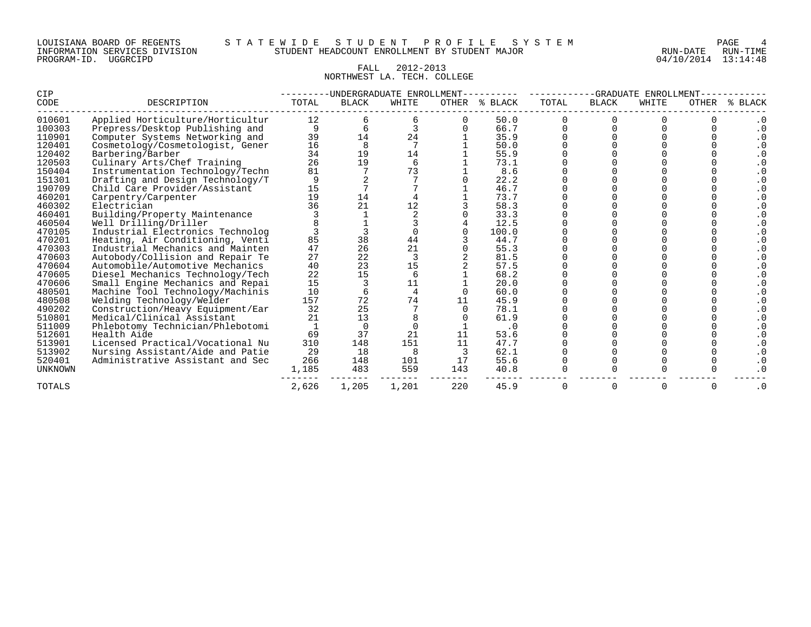#### LOUISIANA BOARD OF REGENTS S T A T E W I D E S T U D E N T P R O F I L E S Y S T E M PAGE 4 INFORMATION SERVICES DIVISION STUDENT HEADCOUNT ENROLLMENT BY STUDENT MAJOR RUN-DATE RUN-TIME

# FALL 2012-2013 NORTHWEST LA. TECH. COLLEGE

| CIP            |                                  |       |              | -UNDERGRADUATE ENROLLMENT- |     |               | -GRADUATE<br>ENROLLMENT |              |       |       |                        |
|----------------|----------------------------------|-------|--------------|----------------------------|-----|---------------|-------------------------|--------------|-------|-------|------------------------|
| CODE           | DESCRIPTION                      | TOTAL | <b>BLACK</b> | WHITE                      |     | OTHER % BLACK | TOTAL                   | <b>BLACK</b> | WHITE | OTHER | % BLACK                |
| 010601         | Applied Horticulture/Horticultur | 12    |              |                            |     | 50.0          |                         |              |       |       |                        |
| 100303         | Prepress/Desktop Publishing and  | 9     |              |                            |     | 66.7          |                         |              |       |       | $\cdot$ 0              |
| 110901         | Computer Systems Networking and  | 39    | 14           | 24                         |     | 35.9          |                         |              |       |       |                        |
| 120401         | Cosmetology/Cosmetologist, Gener | 16    |              |                            |     | 50.0          |                         |              |       |       |                        |
| 120402         | Barbering/Barber                 | 34    | 19           | 14                         |     | 55.9          |                         |              |       |       |                        |
| 120503         | Culinary Arts/Chef Training      | 26    | 19           | 6                          |     | 73.1          |                         |              |       |       |                        |
| 150404         | Instrumentation Technology/Techn | 81    |              | 73                         |     | 8.6           |                         |              |       |       |                        |
| 151301         | Drafting and Design Technology/T |       |              |                            |     | 22.2          |                         |              |       |       |                        |
| 190709         | Child Care Provider/Assistant    | 15    |              |                            |     | 46.7          |                         |              |       |       |                        |
| 460201         | Carpentry/Carpenter              | 19    | 14           |                            |     | 73.7          |                         |              |       |       |                        |
| 460302         | Electrician                      | 36    | 21           | 12                         |     | 58.3          |                         |              |       |       |                        |
| 460401         | Building/Property Maintenance    |       |              |                            |     | 33.3          |                         |              |       |       |                        |
| 460504         | Well Drilling/Driller            |       |              |                            |     | 12.5          |                         |              |       |       |                        |
| 470105         | Industrial Electronics Technolog |       |              |                            |     | 100.0         |                         |              |       |       |                        |
| 470201         | Heating, Air Conditioning, Venti | 85    | 38           | 44                         |     | 44.7          |                         |              |       |       |                        |
| 470303         | Industrial Mechanics and Mainten | 47    | 26           | 21                         |     | 55.3          |                         |              |       |       |                        |
| 470603         | Autobody/Collision and Repair Te | 27    | 22           |                            |     | 81.5          |                         |              |       |       |                        |
| 470604         | Automobile/Automotive Mechanics  | 40    | 23           | 15                         |     | 57.5          |                         |              |       |       |                        |
| 470605         | Diesel Mechanics Technology/Tech | 22    | 15           | 6                          |     | 68.2          |                         |              |       |       |                        |
| 470606         | Small Engine Mechanics and Repai | 15    |              | 11                         |     | 20.0          |                         |              |       |       |                        |
| 480501         | Machine Tool Technology/Machinis | 10    |              |                            |     | 60.0          |                         |              |       |       |                        |
| 480508         | Welding Technology/Welder        | 157   | 72           | 74                         | 11  | 45.9          |                         |              |       |       |                        |
| 490202         | Construction/Heavy Equipment/Ear | 32    | 25           |                            |     | 78.1          |                         |              |       |       |                        |
| 510801         | Medical/Clinical Assistant       | 21    | 13           |                            |     | 61.9          |                         |              |       |       |                        |
| 511009         | Phlebotomy Technician/Phlebotomi |       |              |                            |     | $\cdot$ 0     |                         |              |       |       |                        |
| 512601         | Health Aide                      | 69    | 37           | 21                         |     | 53.6          |                         |              |       |       |                        |
| 513901         | Licensed Practical/Vocational Nu | 310   | 148          | 151                        | 11  | 47.7          |                         |              |       |       |                        |
| 513902         | Nursing Assistant/Aide and Patie | 29    | 18           | 8                          |     | 62.1          |                         |              |       |       |                        |
| 520401         | Administrative Assistant and Sec | 266   | 148          | 101                        | 17  | 55.6          |                         |              |       |       |                        |
| <b>UNKNOWN</b> |                                  | 1,185 | 483          | 559                        | 143 | 40.8          |                         |              |       |       |                        |
| TOTALS         |                                  | 2,626 | 1,205        | 1,201                      | 220 | 45.9          | 0                       | 0            | 0     | 0     | $\boldsymbol{\cdot}$ 0 |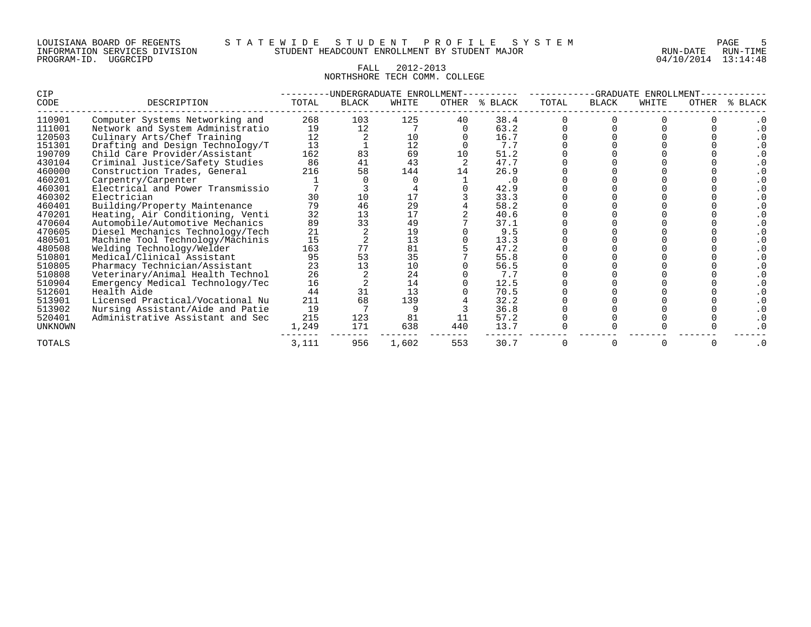#### FALL 2012-2013 NORTHSHORE TECH COMM. COLLEGE

| <b>CIP</b>     |                                  | -UNDERGRADUATE ENROLLMENT |              |       |       |         | -GRADUATE<br><b>ENROLLMENT</b> |              |       |       |              |  |
|----------------|----------------------------------|---------------------------|--------------|-------|-------|---------|--------------------------------|--------------|-------|-------|--------------|--|
| CODE           | DESCRIPTION                      | TOTAL                     | <b>BLACK</b> | WHITE | OTHER | % BLACK | TOTAL                          | <b>BLACK</b> | WHITE | OTHER | <b>BLACK</b> |  |
| 110901         | Computer Systems Networking and  | 268                       | 103          | 125   | 40    | 38.4    |                                |              |       |       |              |  |
| 111001         | Network and System Administratio | 19                        | 12           |       |       | 63.2    |                                |              |       |       |              |  |
| 120503         | Culinary Arts/Chef Training      | 12                        |              | 10    |       | 16.7    |                                |              |       |       |              |  |
| 151301         | Drafting and Design Technology/T | 13                        |              | 12    |       | 7.7     |                                |              |       |       |              |  |
| 190709         | Child Care Provider/Assistant    | 162                       | 83           | 69    | 10    | 51.2    |                                |              |       |       |              |  |
| 430104         | Criminal Justice/Safety Studies  | 86                        | 41           | 43    |       | 47.7    |                                |              |       |       |              |  |
| 460000         | Construction Trades, General     | 216                       | 58           | 144   | 14    | 26.9    |                                |              |       |       |              |  |
| 460201         | Carpentry/Carpenter              |                           |              |       |       | . 0     |                                |              |       |       |              |  |
| 460301         | Electrical and Power Transmissio |                           |              |       |       | 42.9    |                                |              |       |       |              |  |
| 460302         | Electrician                      | 30                        | 10           | 17    |       | 33.3    |                                |              |       |       |              |  |
| 460401         | Building/Property Maintenance    | 79                        | 46           | 29    |       | 58.2    |                                |              |       |       |              |  |
| 470201         | Heating, Air Conditioning, Venti | 32                        | 13           | 17    |       | 40.6    |                                |              |       |       |              |  |
| 470604         | Automobile/Automotive Mechanics  | 89                        | 33           | 49    |       | 37.1    |                                |              |       |       |              |  |
| 470605         | Diesel Mechanics Technology/Tech | 21                        |              | 19    |       | 9.5     |                                |              |       |       |              |  |
| 480501         | Machine Tool Technology/Machinis | 15                        |              | 13    |       | 13.3    |                                |              |       |       |              |  |
| 480508         | Welding Technology/Welder        | 163                       | 77           | 81    |       | 47.2    |                                |              |       |       |              |  |
| 510801         | Medical/Clinical Assistant       | 95                        | 53           | 35    |       | 55.8    |                                |              |       |       |              |  |
| 510805         | Pharmacy Technician/Assistant    | 23                        | 13           | 10    |       | 56.5    |                                |              |       |       |              |  |
| 510808         | Veterinary/Animal Health Technol | 26                        |              | 24    |       | 7.7     |                                |              |       |       |              |  |
| 510904         | Emergency Medical Technology/Tec | 16                        |              | 14    |       | 12.5    |                                |              |       |       |              |  |
| 512601         | Health Aide                      | 44                        | 31           | 13    |       | 70.5    |                                |              |       |       |              |  |
| 513901         | Licensed Practical/Vocational Nu | 211                       | 68           | 139   |       | 32.2    |                                |              |       |       |              |  |
| 513902         | Nursing Assistant/Aide and Patie | 19                        |              |       |       | 36.8    |                                |              |       |       |              |  |
| 520401         | Administrative Assistant and Sec | 215                       | 123          | 81    |       | 57.2    |                                |              |       |       |              |  |
| <b>UNKNOWN</b> |                                  | 1,249                     | 171          | 638   | 440   | 13.7    |                                |              |       |       |              |  |
| TOTALS         |                                  | 3,111                     | 956          | 1,602 | 553   | 30.7    |                                |              |       |       |              |  |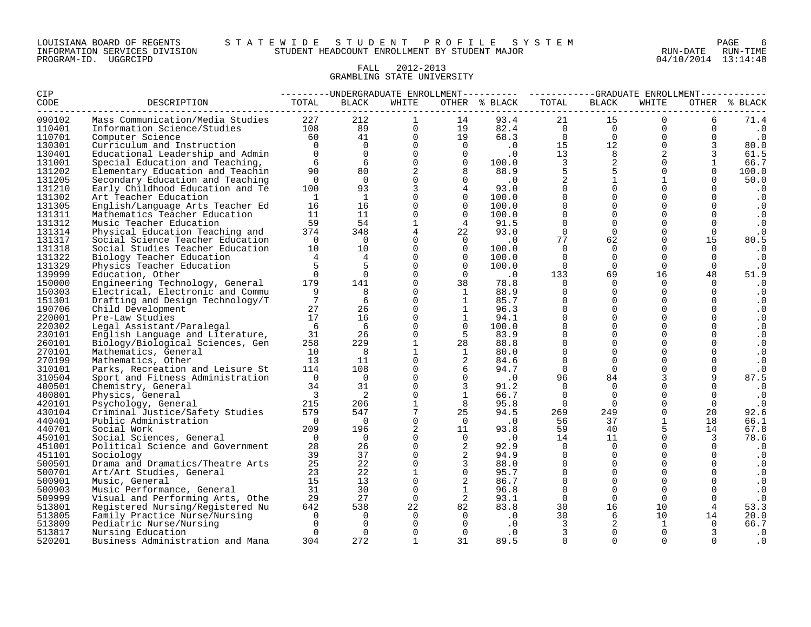#### FALL 2012-2013 GRAMBLING STATE UNIVERSITY

| CIP    |                                  | ---------UNDERGRADUATE ENROLLMENT---------- ----------GRADUATE ENROLLMENT---------- |                |                |                |                                       |                               |                     |                |                |               |  |
|--------|----------------------------------|-------------------------------------------------------------------------------------|----------------|----------------|----------------|---------------------------------------|-------------------------------|---------------------|----------------|----------------|---------------|--|
| CODE   | DESCRIPTION                      | TOTAL                                                                               | BLACK          | WHITE          |                | OTHER % BLACK                         | TOTAL                         | BLACK               | WHITE          |                | OTHER % BLACK |  |
| 090102 | Mass Communication/Media Studies | 227                                                                                 | 212            | $\mathbf{1}$   | 14             | 93.4                                  | 21                            | 15                  | $\Omega$       | 6              | 71.4          |  |
| 110401 | Information Science/Studies      | 108                                                                                 | 89             | $\overline{0}$ | 19             | 82.4                                  | $\overline{a}$ $\overline{a}$ | $\overline{0}$      | $\overline{0}$ | 0              | $\cdot$ 0     |  |
| 110701 | Computer Science                 | 60                                                                                  | 41             | $\overline{0}$ | 19             | 68.3                                  | $\Omega$                      | $\overline{0}$      | $\Omega$       | $\Omega$       | $\cdot$ 0     |  |
| 130301 | Curriculum and Instruction       | $\overline{0}$                                                                      | $\Omega$       | $\Omega$       | $\overline{0}$ | $\begin{array}{c} 0 \\ 0 \end{array}$ | 15                            | 12                  | $\Omega$       | 3              | 80.0          |  |
| 130401 | Educational Leadership and Admin | $\Omega$                                                                            | $\Omega$       | $\Omega$       | $\Omega$       |                                       | 13                            | 8                   | 2              | 3              | 61.5          |  |
| 131001 | Special Education and Teaching,  | 6                                                                                   | 6              | $\overline{0}$ | $\Omega$       | 100.0                                 | 3                             | $\overline{a}$      | $\Omega$       | $\mathbf{1}$   | 66.7          |  |
| 131202 | Elementary Education and Teachin | 90                                                                                  | 80             | $\overline{2}$ | 8              | 88.9                                  | 5                             | 5                   | $\Omega$       | $\Omega$       | 100.0         |  |
| 131205 | Secondary Education and Teaching | $\overline{0}$                                                                      | $\Omega$       | $\Omega$       | $\Omega$       | $\overline{\phantom{0}}$ .0           | $\overline{2}$                | $\overline{1}$      | 1              |                | 50.0          |  |
| 131210 | Early Childhood Education and Te | 100                                                                                 | 93             | 3              | $\overline{4}$ | 93.0                                  | $\Omega$                      | $\mathsf{O}$        | $\Omega$       | $\Omega$       | $\cdot$ 0     |  |
| 131302 | Art Teacher Education            | $\overline{1}$                                                                      | $\mathbf{1}$   | $\Omega$       | $\Omega$       | 100.0                                 | $\Omega$                      | $\mathsf{O}\xspace$ | $\Omega$       | $\Omega$       | $\cdot$ 0     |  |
| 131305 | English/Language Arts Teacher Ed | 16                                                                                  | 16             | $\overline{0}$ | $\Omega$       | 100.0                                 | $\mathbf 0$                   | $\mathsf{O}$        | $\Omega$       | $\mathbf 0$    | $\cdot$ 0     |  |
| 131311 | Mathematics Teacher Education    | 11                                                                                  | 11             | $\Omega$       | $\Omega$       | 100.0                                 | $\Omega$                      | $\Omega$            | $\Omega$       | $\Omega$       | $\cdot$ 0     |  |
| 131312 | Music Teacher Education          | 59                                                                                  | 54             | $\mathbf{1}$   | $\overline{4}$ | 91.5                                  | $\Omega$                      | $\Omega$            | $\Omega$       | $\Omega$       | $\cdot$ 0     |  |
| 131314 | Physical Education Teaching and  | 374                                                                                 | 348            | $\overline{4}$ | 22             | 93.0                                  | $\mathbf 0$                   | $\mathbf 0$         | $\Omega$       | $\mathbf 0$    | $\cdot$ 0     |  |
| 131317 | Social Science Teacher Education | $\overline{0}$                                                                      | $\overline{0}$ | $\Omega$       | $\bigcirc$     | $\overline{\phantom{0}}$ .0           | 77                            | 62                  | $\Omega$       | 15             | 80.5          |  |
| 131318 | Social Studies Teacher Education | 10                                                                                  | 10             | $\mathbf 0$    | $\Omega$       | 100.0                                 | $\Omega$                      | $\mathbf 0$         | 0              | $\overline{0}$ | $\cdot$ 0     |  |
| 131322 | Biology Teacher Education        | 4                                                                                   | $\overline{4}$ | $\Omega$       | $\Omega$       | 100.0                                 | $\Omega$                      | $\Omega$            | $\Omega$       | $\Omega$       | $\cdot$ 0     |  |
| 131329 | Physics Teacher Education        | 5                                                                                   | 5              | $\Omega$       | $\Omega$       | 100.0                                 | $\Omega$                      | $\Omega$            | $\Omega$       | $\mathbf 0$    | $\cdot$ 0     |  |
| 139999 | Education, Other                 | $\Omega$                                                                            | $\Omega$       | $\Omega$       | $\Omega$       | $\cdot$ 0                             | 133                           | 69                  | 16             | 48             | 51.9          |  |
| 150000 | Engineering Technology, General  | 179                                                                                 | 141            | $\mathbf{0}$   | 38             | 78.8                                  | $\Omega$                      | $\mathbf 0$         | $\Omega$       | $\Omega$       | $\cdot$ 0     |  |
| 150303 | Electrical, Electronic and Commu | 9                                                                                   | 8              | $\Omega$       | -1             | 88.9                                  | $\Omega$                      | $\overline{0}$      | $\Omega$       | $\mathbf{0}$   | $\cdot$ 0     |  |
| 151301 | Drafting and Design Technology/T | 7                                                                                   | 6              | $\Omega$       | $\mathbf{1}$   | 85.7                                  | $\Omega$                      | $\Omega$            | $\cap$         | $\Omega$       | $\cdot$ 0     |  |
| 190706 | Child Development                | 27                                                                                  | 26             | $\mathbf{0}$   | $\mathbf{1}$   | 96.3                                  | $\Omega$                      | $\mathsf{O}$        | $\Omega$       | $\mathbf 0$    | $\cdot$ 0     |  |
| 220001 | Pre-Law Studies                  | 17                                                                                  | 16             | $\Omega$       | $\mathbf{1}$   | 94.1                                  | $\Omega$                      | $\Omega$            | $\Omega$       | $\Omega$       | $\cdot$ 0     |  |
| 220302 | Legal Assistant/Paralegal        | 6                                                                                   | 6              | $\Omega$       | $\Omega$       | 100.0                                 | $\Omega$                      | $\mathbf{0}$        | $\Omega$       | $\Omega$       | $\cdot$ 0     |  |
| 230101 | English Language and Literature, | 31                                                                                  | 26             | $\mathbf 0$    | 5              | 83.9                                  | $\Omega$                      | $\mathbf 0$         | $\Omega$       | $\mathbf 0$    | $\cdot$ 0     |  |
| 260101 | Biology/Biological Sciences, Gen | 258                                                                                 | 229            | $\mathbf{1}$   | 28             | 88.8                                  | $\Omega$                      | $\mathbf 0$         | $\Omega$       | $\Omega$       | $\cdot$ 0     |  |
| 270101 | Mathematics, General             | 10                                                                                  | 8              | $\mathbf{1}$   | $\overline{1}$ | 80.0                                  | $\Omega$                      | $\mathbf{0}$        | $\Omega$       | $\mathbf 0$    | $\cdot$ 0     |  |
| 270199 | Mathematics, Other               | 13                                                                                  | 11             | $\Omega$       | 2              | 84.6                                  | $\Omega$                      | $\Omega$            | $\Omega$       |                | $\cdot$ 0     |  |
| 310101 | Parks, Recreation and Leisure St | 114                                                                                 | 108            | $\Omega$       | 6              | 94.7                                  | $\Omega$                      | $\mathbf 0$         | $\Omega$       | $\mathbf 0$    | $\cdot$ 0     |  |
| 310504 | Sport and Fitness Administration | $\bigcirc$                                                                          | $\overline{0}$ | $\Omega$       | $\Omega$       | $\cdot$ 0                             | 96                            | 84                  |                | 9              | 87.5          |  |
| 400501 | Chemistry, General               | 34                                                                                  | 31             | $\Omega$       | $\overline{3}$ | 91.2                                  | $\Omega$                      | $\mathbf 0$         | $\Omega$       |                | $\cdot$ 0     |  |
| 400801 | Physics, General                 | $\overline{\phantom{a}}$                                                            | 2              | $\Omega$       | $\mathbf{1}$   | 66.7                                  | $\Omega$                      | $\Omega$            | $\Omega$       | $\Omega$       | $\cdot$ 0     |  |
| 420101 | Psychology, General              | 215                                                                                 | 206            | $\mathbf{1}$   | 8              | 95.8                                  | $\Omega$                      | $\overline{0}$      | $\Omega$       | $\Omega$       | $\cdot$ 0     |  |
| 430104 | Criminal Justice/Safety Studies  | 579                                                                                 | 547            | $7\phantom{.}$ | 25             | 94.5                                  | 269                           | 249                 | $\Omega$       | 20             | 92.6          |  |
| 440401 | Public Administration            | $\bigcap$                                                                           | $\overline{0}$ | $\Omega$       | $\bigcap$      | $\cdot$ 0                             | 56                            | 37                  | $\mathbf{1}$   | 18             | 66.1          |  |
| 440701 | Social Work                      | 209                                                                                 | 196            | $\overline{a}$ | 11             | 93.8                                  | 59                            | 40                  |                | 14             | 67.8          |  |
| 450101 | Social Sciences, General         | $\overline{0}$                                                                      | $\overline{0}$ | $\Omega$       | $\Omega$       | $\cdot$ 0                             | 14                            | 11                  | $\Omega$       | 3              | 78.6          |  |
| 451001 | Political Science and Government | 28                                                                                  | 26             | $\Omega$       | 2              | 92.9                                  | $\Omega$                      | $\overline{0}$      | $\Omega$       | $\Omega$       | $\cdot$ 0     |  |
| 451101 | Sociology                        | 39                                                                                  | 37             | $\mathbf{0}$   | 2              | 94.9                                  | $\mathbf 0$                   | $\mathbf 0$         | 0              | $\mathbf 0$    | $\cdot$ 0     |  |
| 500501 | Drama and Dramatics/Theatre Arts | 25                                                                                  | 22             | $\Omega$       | 3              | 88.0                                  | $\Omega$                      | $\Omega$            | $\cap$         | $\Omega$       | $\cdot$ 0     |  |
| 500701 | Art/Art Studies, General         | 23                                                                                  | 22             | $\mathbf{1}$   | $\Omega$       | 95.7                                  | $\Omega$                      | $\mathbf{0}$        | $\Omega$       | $\Omega$       | $\cdot$ 0     |  |
| 500901 | Music, General                   | 15                                                                                  | 13             | $\overline{0}$ | 2              | 86.7                                  | $\Omega$                      | $\mathbf 0$         | $\Omega$       | $\Omega$       | $\cdot$ 0     |  |
| 500903 | Music Performance, General       | 31                                                                                  | 30             | $\Omega$       | 1              | 96.8                                  | $\mathbf 0$                   | $\mathsf{O}$        | $\Omega$       | $\Omega$       | $\cdot$ 0     |  |
| 509999 | Visual and Performing Arts, Othe | 29                                                                                  | 27             | $\overline{0}$ | 2              | 93.1                                  | $\mathbf 0$                   | $\overline{0}$      | 0              | $\mathbf{0}$   | $\cdot$ 0     |  |
| 513801 | Registered Nursing/Registered Nu | 642                                                                                 | 538            | 22             | 82             | 83.8                                  | 30                            | 16                  | 10             | 4              | 53.3          |  |
| 513805 | Family Practice Nurse/Nursing    | $\Omega$                                                                            | $\Omega$       | $\Omega$       | $\Omega$       | $\cdot$ 0                             | 30                            | 6                   | 10             | 14             | 20.0          |  |
| 513809 | Pediatric Nurse/Nursing          | $\Omega$                                                                            | $\Omega$       | $\Omega$       | $\Omega$       | $\cdot$ 0                             | 3                             | 2                   | 1              | $\Omega$       | 66.7          |  |
| 513817 | Nursing Education                | $\Omega$                                                                            | $\Omega$       | $\Omega$       | $\Omega$       | $\cdot$ 0                             | 3                             | $\mathbf 0$         | $\Omega$       | 3              | $\cdot$ 0     |  |
| 520201 |                                  | 304                                                                                 | 272            | 1              | 31             | 89.5                                  | $\Omega$                      | $\Omega$            | $\Omega$       | $\Omega$       |               |  |
|        | Business Administration and Mana |                                                                                     |                |                |                |                                       |                               |                     |                |                | $\cdot$ 0     |  |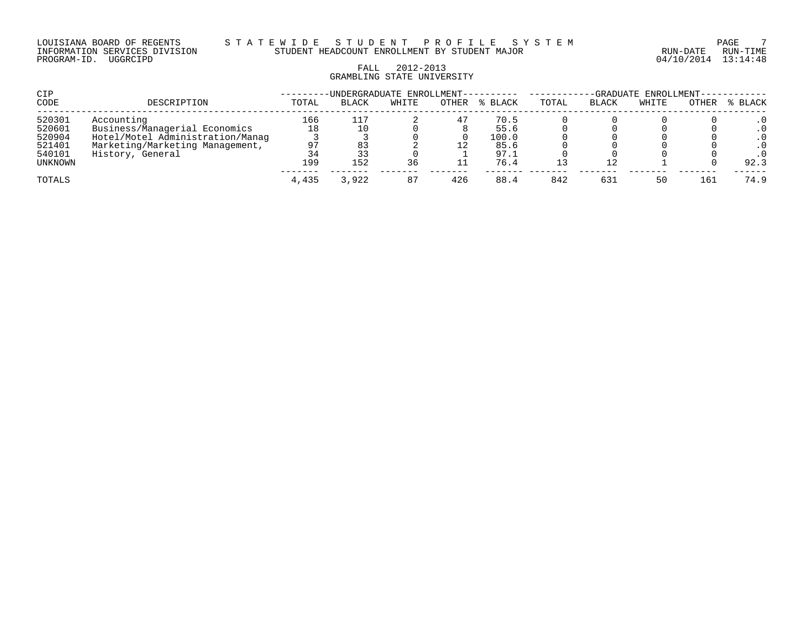# FALL 2012-2013 GRAMBLING STATE UNIVERSITY

| CIP     |                                  |       | -UNDERGRADUATE ENROLLMENT---------- |       |       |         | -GRADUATE ENROLLMENT----- |       |       |       |           |  |
|---------|----------------------------------|-------|-------------------------------------|-------|-------|---------|---------------------------|-------|-------|-------|-----------|--|
| CODE    | DESCRIPTION                      | TOTAL | <b>BLACK</b>                        | WHITE | OTHER | % BLACK | TOTAL                     | BLACK | WHITE | OTHER | % BLACK   |  |
| 520301  | Accounting                       | 166   | 117                                 |       | 47    | 70.5    |                           |       |       |       |           |  |
| 520601  | Business/Managerial Economics    | 18    |                                     |       |       | 55.6    |                           |       |       |       | $\cdot$ 0 |  |
| 520904  | Hotel/Motel Administration/Manag |       |                                     |       |       | 100.0   |                           |       |       |       | . 0       |  |
| 521401  | Marketing/Marketing Management,  | 97    |                                     |       |       | 85.6    |                           |       |       |       |           |  |
| 540101  | History, General                 | 34    | 33                                  |       |       | 97.1    |                           |       |       |       |           |  |
| UNKNOWN |                                  | 199   | 152                                 | 36    |       | 76.4    |                           |       |       |       | 92.3      |  |
| TOTALS  |                                  | 4,435 | 3,922                               | 87    | 426   | 88.4    | 842                       | 63.   | 50    | 16.7  | 74.9      |  |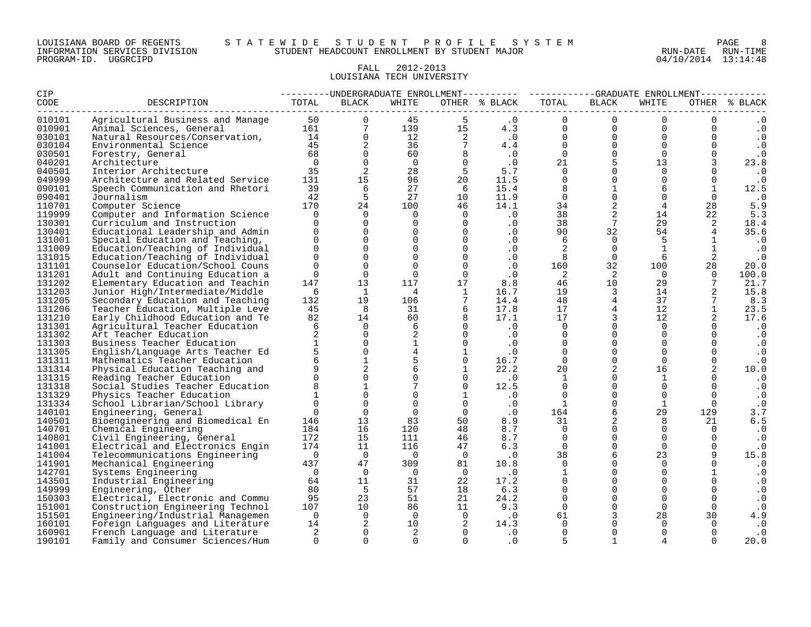#### LOUISIANA BOARD OF REGENTS S T A T E W I D E S T U D E N T P R O F I L E S Y S T E M PAGE 8 INFORMATION SERVICES DIVISION STUDENT HEADCOUNT ENROLLMENT BY STUDENT MAJOR RUN-DATE RUN-TIME

#### FALL 2012-2013 LOUISIANA TECH UNIVERSITY

| CIP              |                                                                   | ---------UNDERGRADUATE ENROLLMENT--------- ----------GRADUATE ENROLLMENT----------- |                     |                                  |                                                                                 |                                                                                                                                                     |                                                              |                                  |                                                         |                      |                        |  |  |
|------------------|-------------------------------------------------------------------|-------------------------------------------------------------------------------------|---------------------|----------------------------------|---------------------------------------------------------------------------------|-----------------------------------------------------------------------------------------------------------------------------------------------------|--------------------------------------------------------------|----------------------------------|---------------------------------------------------------|----------------------|------------------------|--|--|
| <b>CODE</b>      | DESCRIPTION                                                       | TOTAL                                                                               | BLACK               | WHITE                            |                                                                                 | OTHER % BLACK                                                                                                                                       | TOTAL                                                        | <b>BLACK</b>                     | WHITE                                                   |                      | OTHER % BLACK          |  |  |
| 010101           |                                                                   |                                                                                     |                     | 45                               |                                                                                 | $\cdot$ 0                                                                                                                                           | $\Omega$                                                     | $\mathbf{0}$                     | $\Omega$                                                | $\overline{0}$       |                        |  |  |
| 010901           |                                                                   |                                                                                     |                     |                                  |                                                                                 | $\begin{array}{cccc} 139 & & 15 & & 4.3 \\ 12 & & 2 & & 0 \\ 36 & & 7 & & 4.4 \\ 60 & & 8 & & .0 \\ 0 & & 0 & & .0 \\ 28 & & 5 & & 5.7 \end{array}$ | 4.3<br>0<br>$\begin{matrix} 1.3 \\ .0 \\ 4.4 \end{matrix}$ 0 |                                  | $\overline{0}$<br>$0 \qquad \qquad$                     | $\overline{0}$       | $\boldsymbol{\cdot}$ 0 |  |  |
| 030101           |                                                                   |                                                                                     |                     |                                  |                                                                                 |                                                                                                                                                     |                                                              |                                  | $\Omega$<br>$\begin{bmatrix} 0 \\ 0 \\ 0 \end{bmatrix}$ | $\Omega$             | $\cdot$ 0              |  |  |
| 030104           |                                                                   |                                                                                     |                     |                                  |                                                                                 |                                                                                                                                                     |                                                              |                                  | $\overline{0}$                                          | $\overline{0}$       | $\cdot$ 0              |  |  |
| 030501           | Forestry, General                                                 | $\begin{array}{c} 68 \\ 0 \end{array}$                                              | $\mathsf{O}\xspace$ |                                  |                                                                                 |                                                                                                                                                     |                                                              |                                  | $\Omega$                                                | $\overline{0}$       | $\cdot$ 0              |  |  |
| 040201           | Architecture                                                      |                                                                                     | $\overline{0}$      |                                  |                                                                                 |                                                                                                                                                     |                                                              |                                  | 13                                                      | $\overline{3}$       | 23.8                   |  |  |
| 040501           | Interior Architecture                                             | 35                                                                                  | $\overline{2}$      |                                  |                                                                                 |                                                                                                                                                     |                                                              | $\overline{0}$                   | $\Omega$                                                | $\Omega$             | $\cdot$ 0              |  |  |
| 049999           | Architecture and Related Service                                  | 131                                                                                 | 15                  | 96 —                             | 20                                                                              | 11.5                                                                                                                                                |                                                              | $\overline{0}$                   | $\Omega$                                                | $\Omega$             | $\cdot$ 0              |  |  |
| 090101           | Speech Communication and Rhetori                                  | 39                                                                                  | 6                   | 27                               | 6                                                                               | 15.4                                                                                                                                                | $\overline{\phantom{0}}$                                     | 1                                | 6                                                       | $\mathbf{1}$         | 12.5                   |  |  |
| 090401           | Journalism                                                        | 42                                                                                  | $\overline{5}$      | 27                               | 10                                                                              | 11.9                                                                                                                                                | $\Omega$                                                     | $\overline{0}$                   | $\mathbf 0$                                             | $\Omega$             | $\cdot$ 0              |  |  |
| 110701           | Computer Science                                                  | 170                                                                                 | 24                  | 100                              | 46                                                                              | 14.1                                                                                                                                                | 34                                                           | $\overline{2}$                   | $4\overline{ }$                                         | 28                   | 5.9                    |  |  |
| 119999           | Computer and Information Science                                  | $\Omega$                                                                            | $\overline{0}$      | $\bigcirc$                       | $\overline{0}$                                                                  | $\overline{\phantom{a}}$ .0                                                                                                                         | 38                                                           | $\overline{a}$                   | 14                                                      | 22                   | 5.3                    |  |  |
| 130301           | Curriculum and Instruction                                        | $\Omega$                                                                            | $\overline{0}$      | $\overline{0}$                   | $\overline{0}$                                                                  | .0                                                                                                                                                  | 38                                                           | $7\overline{ }$                  | 29                                                      | 2                    | 18.4                   |  |  |
| 130401           | Educational Leadership and Admin                                  | $\Omega$                                                                            | $\Omega$            | $\Omega$                         | $\overline{0}$                                                                  | $\cdot$ 0                                                                                                                                           | 90                                                           | 32                               | 54                                                      | $\overline{4}$       | 35.6                   |  |  |
| 131001           | Special Education and Teaching,                                   | $\Omega$                                                                            | $\Omega$            | $\overline{0}$                   |                                                                                 | $\cdot$ 0                                                                                                                                           | 6                                                            | $\overline{0}$                   | 5                                                       | $\mathbf{1}$         | $\cdot$ 0              |  |  |
| 131009           | Education/Teaching of Individual                                  | $\Omega$                                                                            | $\mathsf{O}$        | $\overline{0}$                   | $\begin{bmatrix} 0 \\ 0 \\ 0 \end{bmatrix}$                                     | $\cdot$ 0                                                                                                                                           | 2                                                            | $\overline{0}$                   | $\mathbf{1}$                                            | $\mathbf{1}$         | $\cdot$ 0              |  |  |
| 131015           | Education/Teaching of Individual                                  | $\Omega$                                                                            | $\mathbf 0$         | $\overline{0}$                   |                                                                                 | .0                                                                                                                                                  | $_{\rm 8}$                                                   | $\overline{0}$                   | 6                                                       | 2                    | $\cdot$ 0              |  |  |
| 131101           | Counselor Education/School Couns                                  | $\mathbf{0}$                                                                        | $\mathbf 0$         | $0 \qquad \qquad$                | $\overline{0}$                                                                  | $\cdot$ 0                                                                                                                                           | 160                                                          | 32                               | 100                                                     | 28                   | 20.0                   |  |  |
| 131201           | Adult and Continuing Education a                                  | $\Omega$                                                                            | $\overline{0}$      | $\Omega$                         | $\overline{0}$                                                                  | $\cdot$ 0                                                                                                                                           | $\overline{2}$                                               | 2                                | $\overline{0}$                                          | $\Omega$             | 100.0                  |  |  |
| 131202           | Elementary Education and Teachin                                  | 147                                                                                 | 13                  | 117                              | 17                                                                              | 8.8                                                                                                                                                 | 46                                                           | 10                               | 29                                                      | $7\overline{ }$      | 21.7                   |  |  |
| 131203           | Junior High/Intermediate/Middle                                   | 6                                                                                   | $\mathbf{1}$        |                                  | $\frac{1}{7}$                                                                   | 16.7                                                                                                                                                | 19                                                           | $\overline{\mathbf{3}}$          | 14                                                      | $\overline{2}$       | 15.8                   |  |  |
| 131205           | Secondary Education and Teaching                                  | 132                                                                                 | 19                  | 106                              |                                                                                 | 14.4                                                                                                                                                | 48                                                           | $\overline{4}$                   | 37                                                      | $7\phantom{.0}$      | 8.3                    |  |  |
| 131206           | Teacher Education, Multiple Leve                                  | 45                                                                                  | 8                   |                                  | $\begin{array}{ccc} 31 & \phantom{00} & 6 \\ 60 & \phantom{00} & 8 \end{array}$ | 17.8<br>17.1                                                                                                                                        | 17                                                           | $4\overline{4}$                  | 12                                                      | $\mathbf{1}$         | 23.5                   |  |  |
| 131210           | Early Childhood Education and Te                                  | 82                                                                                  | 14<br>$\Omega$      |                                  |                                                                                 |                                                                                                                                                     | 17                                                           | $\overline{3}$<br>$\overline{0}$ | 12                                                      | 2                    | 17.6                   |  |  |
| 131301           | Agricultural Teacher Education                                    | 6<br>2                                                                              | $\overline{0}$      | $6\overline{}$                   | $\begin{matrix} 0 \\ 0 \\ 0 \end{matrix}$                                       | $\cdot$ 0                                                                                                                                           | $\Omega$<br>$\Omega$                                         | $\overline{0}$                   | $\Omega$<br>$\Omega$                                    | $\Omega$<br>$\Omega$ | $\cdot$ 0              |  |  |
| 131302           | Art Teacher Education                                             | $\mathbf{1}$                                                                        | $\mathbf 0$         | $\overline{2}$<br>$\overline{1}$ |                                                                                 | $\overline{\phantom{a}}$ .0                                                                                                                         | $\overline{0}$                                               | $\overline{0}$                   | $\Omega$                                                | $\overline{0}$       | $\cdot$ 0              |  |  |
| 131303           | Business Teacher Education                                        |                                                                                     | $\mathsf{O}$        | $4\overline{ }$                  |                                                                                 | $\cdot$ 0<br>$\overline{\phantom{a}}$ .0                                                                                                            | $\Omega$                                                     | $\overline{0}$                   | $\Omega$                                                | $\overline{0}$       | $\cdot$ 0              |  |  |
| 131305<br>131311 | English/Language Arts Teacher Ed<br>Mathematics Teacher Education | 6                                                                                   | $\mathbf{1}$        | 5                                | $\frac{1}{0}$                                                                   | $\overline{0}$<br>16.7                                                                                                                              | $\overline{0}$                                               | $\overline{0}$                   | $\Omega$                                                | $\Omega$             | $\cdot$ 0              |  |  |
| 131314           |                                                                   | 9                                                                                   |                     | $6\overline{6}$                  | $\mathbf{1}$                                                                    | 22.2                                                                                                                                                | 20                                                           | $\overline{a}$                   | 16                                                      | 2                    | $\cdot$ 0              |  |  |
| 131315           | Physical Education Teaching and<br>Reading Teacher Education      | $\Omega$                                                                            | $_{\rm 0}^2$        | $\Omega$                         | $\overline{0}$                                                                  | $\overline{\phantom{0}}$ .0                                                                                                                         | $\mathbf{1}$                                                 | $\Omega$                         | 1                                                       | $\Omega$             | 10.0<br>$\cdot$ 0      |  |  |
| 131318           | Social Studies Teacher Education                                  | 8                                                                                   | $\mathbf{1}$        | $7\overline{ }$                  | $\overline{0}$                                                                  | 12.5                                                                                                                                                | $\overline{0}$                                               | $\overline{0}$                   | $\mathbf{0}$                                            | $\Omega$             | $\cdot$ 0              |  |  |
| 131329           | Physics Teacher Education                                         | $1 \quad$                                                                           | $\overline{0}$      | $\Omega$                         | 1                                                                               | $\cdot$ 0                                                                                                                                           | $\overline{0}$                                               | $\mathbb O$                      | $\Omega$                                                | $\Omega$             | $\cdot$ 0              |  |  |
| 131334           | School Librarian/School Library                                   | $\overline{0}$                                                                      | $\overline{0}$      | $\Omega$                         | $\overline{0}$                                                                  | $\cdot$ 0                                                                                                                                           | $\mathbf{1}$                                                 | $\overline{0}$                   | $\mathbf{1}$                                            | $\overline{0}$       | $\cdot$ 0              |  |  |
| 140101           | Engineering, General                                              | $\overline{0}$                                                                      | $\overline{0}$      | $\Omega$                         | $\overline{0}$                                                                  | $\cdot$ 0                                                                                                                                           | 164                                                          | 6                                | 29                                                      | 129                  | 3.7                    |  |  |
| 140501           | Bioengineering and Biomedical En                                  | 146                                                                                 | 13                  | 83                               |                                                                                 | 50<br>8.9                                                                                                                                           | 31                                                           | $\overline{a}$                   | 8                                                       | 21                   | 6.5                    |  |  |
| 140701           | Chemical Engineering                                              | 184                                                                                 | 16                  | 120                              | 48                                                                              | 8.7                                                                                                                                                 | $\overline{0}$                                               | $\Omega$                         | $\Omega$                                                | $\overline{0}$       | $\cdot$ 0              |  |  |
| 140801           | Civil Engineering, General                                        | 172                                                                                 | 15                  | 111                              | 46                                                                              | 8.7                                                                                                                                                 | $\overline{0}$                                               | $\mathsf{O}$                     | $\Omega$                                                | $\mathbf 0$          | $\cdot$ 0              |  |  |
| 141001           | Electrical and Electronics Engin                                  | 174                                                                                 | 11                  | 116                              | 47                                                                              | 6.3                                                                                                                                                 | $\overline{0}$                                               | $\mathsf{O}$                     | $\Omega$                                                | $\overline{0}$       | $\cdot$ 0              |  |  |
| 141004           | Telecommunications Engineering                                    | $\overline{0}$                                                                      | $\overline{0}$      | $\overline{0}$                   | $\overline{0}$                                                                  | $\cdot$ 0                                                                                                                                           | 38                                                           | 6                                | 23                                                      | 9                    | 15.8                   |  |  |
| 141901           | Mechanical Engineering                                            | 437                                                                                 | 47                  | 309                              | 81                                                                              | 10.8                                                                                                                                                | $\Omega$                                                     | $\Omega$                         | $\Omega$                                                | $\Omega$             | $\cdot$ 0              |  |  |
| 142701           | Systems Engineering                                               | $\overline{0}$                                                                      | $\Omega$            | $\overline{0}$                   | $\overline{0}$                                                                  | $\cdot$ 0                                                                                                                                           | $\mathbf{1}$                                                 | $\Omega$                         | $\Omega$                                                | $\mathbf{1}$         | $\cdot$ 0              |  |  |
| 143501           | Industrial Engineering                                            | 64                                                                                  | 11                  | 31                               | 22                                                                              | 17.2                                                                                                                                                | $\Omega$                                                     | $\overline{0}$                   | $\Omega$                                                | $\Omega$             | $\cdot$ 0              |  |  |
| 149999           | Engineering, Other                                                | 80                                                                                  | $5^{\circ}$         | 57                               |                                                                                 | 18 6.3                                                                                                                                              | $\overline{0}$                                               | $\overline{0}$                   | $\overline{0}$                                          | $\overline{0}$       | $\cdot$ 0              |  |  |
| 150303           | Electrical, Electronic and Commu                                  | 95                                                                                  | 23                  |                                  | 21                                                                              | 24.2                                                                                                                                                | $\Omega$                                                     | $\overline{0}$                   | $\Omega$                                                | $\Omega$             | $\cdot$ 0              |  |  |
| 151001           | Construction Engineering Technol                                  | 107                                                                                 | 10                  | 51<br>86                         | 11                                                                              | 9.3                                                                                                                                                 | $\Omega$                                                     | $\overline{0}$                   | $\Omega$                                                | $\Omega$             | $\cdot$ 0              |  |  |
| 151501           | Engineering/Industrial Managemen                                  | $\bigcap$                                                                           | $\overline{0}$      | $\overline{0}$                   | $\overline{0}$                                                                  | $\overline{0}$                                                                                                                                      | 61                                                           | $\overline{3}$                   | 28                                                      | 30                   | 4.9                    |  |  |
| 160101           | Foreign Languages and Literature                                  | 14                                                                                  | $\overline{a}$      | 10                               | $\overline{\phantom{a}}$                                                        | 14.3                                                                                                                                                | $\Omega$                                                     | $\Omega$                         | $\Omega$                                                | $\Omega$             | $\cdot$ 0              |  |  |
| 160901           | French Language and Literature                                    | 2                                                                                   | $\overline{0}$      | 2                                | $\overline{0}$                                                                  | $\cdot$ 0                                                                                                                                           | $\Omega$                                                     | $\mathbf 0$                      | $\Omega$                                                | $\Omega$             | $\cdot$ 0              |  |  |
| 190101           | Family and Consumer Sciences/Hum                                  | $\Omega$                                                                            | $\Omega$            | $\Omega$                         | $\Omega$                                                                        | $\cdot$ 0                                                                                                                                           | 5                                                            | $\mathbf{1}$                     | 4                                                       | $\Omega$             | 20.0                   |  |  |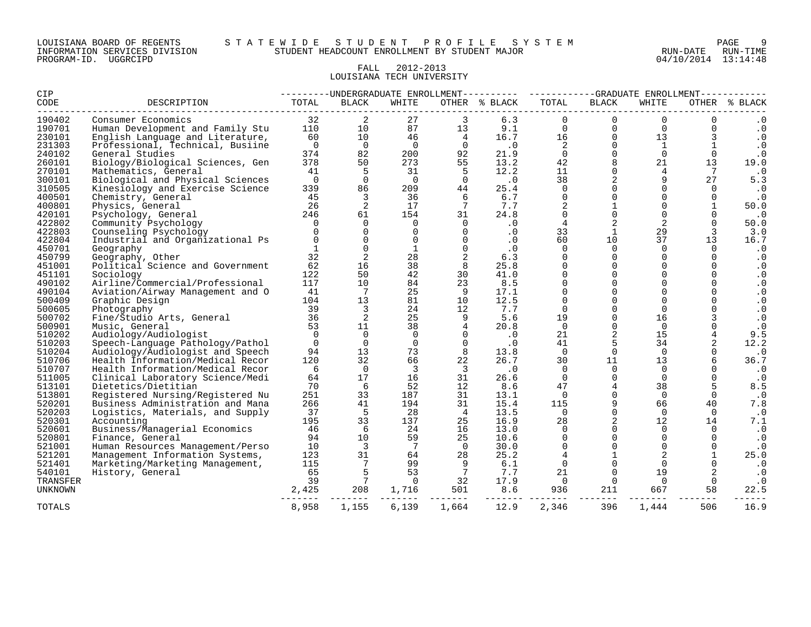#### LOUISIANA BOARD OF REGENTS S T A T E W I D E S T U D E N T P R O F I L E S Y S T E M PAGE 9 INFORMATION SERVICES DIVISION STUDENT HEADCOUNT ENROLLMENT BY STUDENT MAJOR RUN-DATE RUN-TIME

#### FALL 2012-2013 LOUISIANA TECH UNIVERSITY

| CIP              |                                                    | --------DNDERGRADUATE ENROLLMENT---------- ----------GRADUATE ENROLLMENT---------- |                         |                |                         |               |                      |                         |                   |                      |                        |  |
|------------------|----------------------------------------------------|------------------------------------------------------------------------------------|-------------------------|----------------|-------------------------|---------------|----------------------|-------------------------|-------------------|----------------------|------------------------|--|
| CODE             | DESCRIPTION                                        | TOTAL                                                                              | <b>BLACK</b>            | WHITE          |                         | OTHER % BLACK | TOTAL                | <b>BLACK</b>            | WHITE             |                      | OTHER % BLACK          |  |
| 190402           | Consumer Economics                                 | 32                                                                                 | 2                       | 27             | 3                       | 6.3           | $\mathbf 0$          | $\overline{0}$          | $\mathbf 0$       | 0                    | . 0                    |  |
| 190701           | Human Development and Family Stu                   | 110                                                                                | 10                      | 87             | 13                      | 9.1           | $\Omega$             | $\mathbf{0}$            | $\Omega$          | $\Omega$             | $\cdot$ 0              |  |
| 230101           | English Language and Literature,                   | 60                                                                                 | 10                      | 46             | $\overline{4}$          | 16.7          | 16                   | $\Omega$                | 13                | 3                    | $\cdot$ 0              |  |
| 231303           | Professional, Technical, Busiine                   | $\overline{0}$                                                                     | $\overline{0}$          | $\overline{0}$ | $\overline{0}$          | $\cdot$ 0     | 2                    | $\Omega$                | <sup>1</sup>      |                      | $\cdot$ 0              |  |
| 240102           | General Studies                                    | 374                                                                                | 82                      | 200            | 92                      | 21.9          | $\Omega$             | $\Omega$                | $\Omega$          | $\Omega$             | $\cdot$ 0              |  |
| 260101           | Biology/Biological Sciences, Gen                   | 378                                                                                | 50                      | 273            | 55                      | 13.2          | 42                   | 8                       | 21                | 13                   | 19.0                   |  |
| 270101           | Mathematics, General                               | 41                                                                                 | 5                       | 31             | -5                      | 12.2          | 11                   | $\Omega$                | 4                 | 7                    | $\cdot$ 0              |  |
| 300101           | Biological and Physical Sciences                   | $\overline{0}$                                                                     | $\mathbf 0$             | $\overline{0}$ | $\overline{0}$          | .0            | 38                   | $\overline{a}$          | 9                 | 27                   | 5.3                    |  |
| 310505           | Kinesiology and Exercise Science                   | 339                                                                                | 86                      | 209            | 44                      | 25.4          | $\mathbf 0$          | $\mathbf 0$             | $\Omega$          | $\Omega$             | $\cdot$ 0              |  |
| 400501           | Chemistry, General                                 | 45                                                                                 | 3                       | 36             | 6                       | 6.7           | $\mathbf 0$          | $\mathbf 0$             | $\Omega$          | $\mathbf 0$          | $\cdot$ 0              |  |
| 400801           | Physics, General                                   | 26                                                                                 | 2                       | 17             | 7                       | 7.7           | 2                    | $\mathbf{1}$            | $\Omega$          |                      | 50.0                   |  |
| 420101           | Psychology, General                                | 246                                                                                | 61                      | 154            | 31                      | 24.8          | $\Omega$             | $\mathbf 0$             | $\Omega$          |                      | $\cdot$ 0              |  |
| 422802           | Community Psychology                               | $\Omega$                                                                           | $\Omega$                | $\Omega$       | $\Omega$                | $\cdot$ 0     | 4                    | 2                       | 2                 |                      | 50.0                   |  |
| 422803           | Counseling Psychology                              | $\Omega$                                                                           | $\Omega$                | $\overline{0}$ | $\Omega$                | $\cdot$ 0     | 33                   | $\mathbf{1}$            | 29                | 3                    | 3.0                    |  |
| 422804           | Industrial and Organizational Ps                   | $\Omega$                                                                           | $\Omega$                | $\Omega$       | $\Omega$                | .0            | 60                   | 10 <sup>°</sup>         | 37                | 13                   | 16.7                   |  |
| 450701           | Geography                                          | $\mathbf{1}$                                                                       | $\Omega$                | 1              | $\Omega$                | $\cdot$ 0     | $\Omega$             | $\Omega$                | $\Omega$          | $\Omega$             | $\cdot$ 0              |  |
| 450799           | Geography, Other                                   | 32                                                                                 | 2                       | 28             |                         | 6.3           | $\Omega$<br>$\Omega$ | $\mathbf 0$             | $\Omega$          | $\Omega$             | $\cdot$ 0              |  |
| 451001           | Political Science and Government                   | 62                                                                                 | 16<br>50                | 38<br>42       | 8<br>30                 | 25.8          | $\Omega$             | $\Omega$<br>$\mathbf 0$ | <sup>n</sup><br>0 | $\Omega$<br>$\Omega$ | $\cdot$ 0              |  |
| 451101           | Sociology                                          | 122<br>117                                                                         |                         | 84             |                         | 41.0<br>8.5   | $\Omega$             | $\Omega$                | 0                 | $\Omega$             | $\cdot$ 0              |  |
| 490102<br>490104 | Airline/Commercial/Professional                    | 41                                                                                 | 10<br>7                 | 25             | 23<br>9                 | 17.1          | $\Omega$             | $\Omega$                | 0                 |                      | $\cdot$ 0<br>$\cdot$ 0 |  |
| 500409           | Aviation/Airway Management and O<br>Graphic Design | 104                                                                                | 13                      | 81             | 10                      | 12.5          | $\Omega$             | $\Omega$                | $\Omega$          | $\Omega$             | $\cdot$ 0              |  |
| 500605           | Photography                                        | 39                                                                                 | 3                       | 24             | 12                      | 7.7           | $\Omega$             | $\mathsf{O}$            | $\Omega$          | 0                    | $\cdot$ 0              |  |
| 500702           | Fine/Studio Arts, General                          | 36                                                                                 | 2                       | 25             | 9                       | 5.6           | 19                   | $\Omega$                | 16                | 3                    | $\cdot$ 0              |  |
| 500901           | Music, General                                     | 53                                                                                 | 11                      | 38             | $\overline{4}$          | 20.8          | $\Omega$             | $\mathbf 0$             | $\Omega$          | 0                    | $\cdot$ 0              |  |
| 510202           | Audiology/Audiologist                              | $\Omega$                                                                           | $\Omega$                | $\Omega$       |                         | $\cdot$ 0     | 21                   | 2                       | 15                | 4                    | 9.5                    |  |
| 510203           | Speech-Language Pathology/Pathol                   | $\overline{0}$                                                                     | $\overline{0}$          | $\overline{0}$ | $\Omega$                | $\cdot$ 0     | 41                   | 5                       | 34                | 2                    | 12.2                   |  |
| 510204           | Audiology/Audiologist and Speech                   | 94                                                                                 | 13                      | 73             | 8                       | 13.8          | $\Omega$             | $\mathbf 0$             | $\Omega$          |                      | $\cdot$ 0              |  |
| 510706           | Health Information/Medical Recor                   | 120                                                                                | 32                      | 66             | 22                      | 26.7          | 30                   | 11                      | 13                | 6                    | 36.7                   |  |
| 510707           | Health Information/Medical Recor                   | 6                                                                                  | $\Omega$                | $\overline{3}$ | $\overline{\mathbf{3}}$ | $\cdot$ 0     | $\Omega$             | $\mathbf 0$             | $\Omega$          |                      | $\cdot$ 0              |  |
| 511005           | Clinical Laboratory Science/Medi                   | 64                                                                                 | 17                      | 16             | 31                      | 26.6          | $\Omega$             | $\Omega$                | $\Omega$          | $\Omega$             | $\cdot$ 0              |  |
| 513101           | Dietetics/Dietitian                                | 70                                                                                 | 6                       | 52             | 12                      | 8.6           | 47                   | $\overline{4}$          | 38                |                      | 8.5                    |  |
| 513801           | Registered Nursing/Registered Nu                   | 251                                                                                | 33                      | 187            | 31                      | 13.1          | $\Omega$             | $\Omega$                | $\Omega$          | $\Omega$             | $\cdot$ 0              |  |
| 520201           | Business Administration and Mana                   | 266                                                                                | 41                      | 194            | 31                      | 15.4          | 115                  | 9                       | 66                | 40                   | 7.8                    |  |
| 520203           | Logistics, Materials, and Supply                   | 37                                                                                 | 5                       | 28             | $\overline{4}$          | 13.5          | $\Omega$             | $\Omega$                | $\Omega$          | $\Omega$             | $\cdot$ 0              |  |
| 520301           | Accounting                                         | 195                                                                                | 33                      | 137            | 25                      | 16.9          | 28                   | 2                       | 12                | 14                   | 7.1                    |  |
| 520601           | Business/Managerial Economics                      | 46                                                                                 | -6                      | 24             | 16                      | 13.0          | $\Omega$             | $\Omega$                | $\Omega$          | $\Omega$             | $\cdot$ 0              |  |
| 520801           | Finance, General                                   | 94                                                                                 | 10                      | 59             | 25                      | 10.6          | $\Omega$             | $\mathbf 0$             | $\Omega$          | $\Omega$             | $\cdot$ 0              |  |
| 521001           | Human Resources Management/Perso                   | 10                                                                                 | $\overline{\mathbf{3}}$ | 7              | $\overline{0}$          | 30.0          | $\Omega$             | $\Omega$                | $\Omega$          | $\Omega$             | $\cdot$ 0              |  |
| 521201           | Management Information Systems,                    | 123                                                                                | 31                      | 64             | 28                      | 25.2          | $\overline{4}$       | $\mathbf{1}$            | 2                 |                      | 25.0                   |  |
| 521401           | Marketing/Marketing Management,                    | 115                                                                                | 7                       | 99             | 9                       | 6.1           | $\Omega$             | $\Omega$                | $\Omega$          |                      | $\cdot$ 0              |  |
| 540101           | History, General                                   | 65                                                                                 | 5                       | 53             | $\overline{7}$          | 7.7           | 21                   | $\Omega$                | 19                |                      | $\cdot$ 0              |  |
| TRANSFER         |                                                    | 39                                                                                 | 7                       | $\Omega$       | 32                      | 17.9          | $\overline{0}$       | $\Omega$                | $\Omega$          | $\Omega$             | $\cdot$ 0              |  |
| <b>UNKNOWN</b>   |                                                    | 2,425                                                                              | 208                     | 1,716          | 501                     | 8.6           | 936                  | 211                     | 667               | 58                   | 22.5                   |  |
| <b>TOTALS</b>    |                                                    | 8,958                                                                              | 1,155                   | 6,139          | 1,664                   | 12.9          | 2,346                | 396                     | 1,444             | 506                  | 16.9                   |  |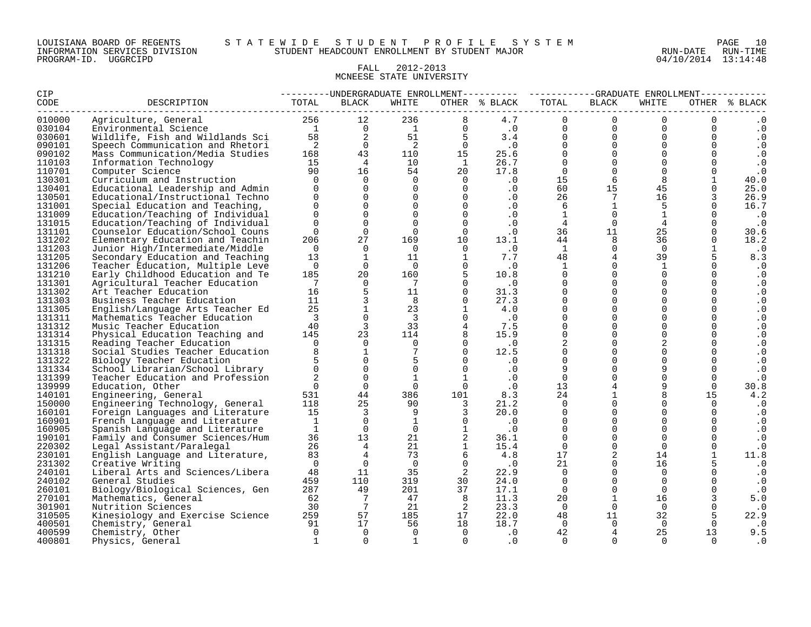#### FALL 2012-2013 MCNEESE STATE UNIVERSITY

| <b>CIP</b>       |                                                              |                         |                         |                         |                                                                                | ---------UNDERGRADUATE ENROLLMENT---------- ----------GRADUATE ENROLLMENT----------- |                      |                          |                                                  |                                  |                        |
|------------------|--------------------------------------------------------------|-------------------------|-------------------------|-------------------------|--------------------------------------------------------------------------------|--------------------------------------------------------------------------------------|----------------------|--------------------------|--------------------------------------------------|----------------------------------|------------------------|
| CODE             | DESCRIPTION                                                  | TOTAL                   | BLACK                   | WHITE                   |                                                                                | OTHER % BLACK                                                                        | TOTAL                | BLACK                    | WHITE                                            |                                  | OTHER % BLACK          |
| 010000           |                                                              |                         |                         |                         |                                                                                |                                                                                      |                      | $\overline{0}$           | $\Omega$                                         | $\Omega$                         | $\cdot$ 0              |
| 030104           |                                                              |                         |                         |                         |                                                                                |                                                                                      |                      | $\overline{0}$           | $\begin{bmatrix} 0 \\ 0 \\ 0 \\ 0 \end{bmatrix}$ | $\overline{0}$<br>$\overline{0}$ | $\cdot$ 0              |
| 030601           |                                                              |                         |                         |                         |                                                                                |                                                                                      |                      |                          | $\overline{0}$                                   | $\overline{0}$                   | $\cdot$ 0              |
| 090101           |                                                              |                         |                         |                         |                                                                                |                                                                                      | $\overline{0}$       |                          | $\Omega$                                         | $\Omega$                         | $\cdot$ 0              |
| 090102           | Mass Communication/Media Studies                             | 168                     | 43                      |                         |                                                                                | 25.6                                                                                 |                      |                          | $\Omega$                                         | $\Omega$                         | $\cdot$ 0              |
| 110103           | Information Technology                                       | 15                      | $\overline{4}$          |                         | $\begin{array}{cccc}\n & 2 & & & 0 \\ 110 & & & 15 \\  & & & & 1\n\end{array}$ | 26.7                                                                                 | $\Omega$             | $\overline{0}$           | $\Omega$                                         | $\mathbf 0$                      | $\cdot$ 0              |
| 110701           | Computer Science                                             | 90                      | 16                      | 54                      | 20                                                                             | 17.8                                                                                 | $\overline{0}$       | $\overline{0}$           | $\Omega$                                         | $\Omega$                         | $\cdot$ 0              |
| 130301           | Curriculum and Instruction                                   | $\Omega$                | $\Omega$                | $\overline{0}$          | $\Omega$                                                                       | $\overline{\phantom{0}}$ .                                                           | 15                   | 6                        | 8                                                | $\mathbf{1}$                     | 40.0                   |
| 130401           | Educational Leadership and Admin                             | $\Omega$                | $\Omega$                | $\overline{0}$          | $\overline{0}$                                                                 | $\cdot$ 0                                                                            | 60                   | 15                       | 45                                               | $\mathbf 0$                      | 25.0                   |
| 130501           | Educational/Instructional Techno                             | $\Omega$                | $\Omega$                | $\overline{0}$          | $\overline{0}$                                                                 | $\cdot$ 0                                                                            | 26                   | $7\overline{ }$          | 16                                               | 3                                | 26.9                   |
| 131001           | Special Education and Teaching,                              | $\Omega$                | $\Omega$                | $\Omega$                | $\Omega$                                                                       | $\cdot$ 0                                                                            | -6                   | $\mathbf{1}$             | -5                                               | $\Omega$                         | 16.7                   |
| 131009           | Education/Teaching of Individual                             | $\Omega$                | $\Omega$                | $\Omega$                | $\Omega$                                                                       | $\cdot$ 0                                                                            | $\mathbf{1}$         | $\overline{0}$           | 1                                                | $\Omega$                         | $\cdot$ 0              |
| 131015           | Education/Teaching of Individual                             | $\Omega$                | $\Omega$                | $\Omega$                | $\Omega$                                                                       | $\cdot$ 0                                                                            | $\overline{4}$       | $\overline{0}$           | $4\overline{ }$                                  | $\mathbf 0$                      | $\cdot$ 0              |
| 131101           | Counselor Education/School Couns                             | $\Omega$                | $\Omega$                | $\Omega$                | $\Omega$                                                                       | $\cdot$ 0                                                                            | 36                   | 11                       | 25                                               | $\Omega$                         | 30.6                   |
| 131202           | Elementary Education and Teachin                             | 206                     | 27                      | 169                     | 10                                                                             | 13.1                                                                                 | 44                   | 8                        | 36                                               | $\Omega$                         | 18.2                   |
| 131203           | Junior High/Intermediate/Middle                              | $\overline{0}$          | $\overline{0}$          | $\overline{0}$          | $\Omega$                                                                       | $\cdot$ 0                                                                            | $\mathbf{1}$         | $\overline{0}$           | $\Omega$                                         |                                  | $\cdot$ 0              |
| 131205           | Secondary Education and Teaching                             | 13                      | $\mathbf{1}$            | 11                      | $\overline{1}$                                                                 | 7.7                                                                                  | 48                   | $\overline{4}$           | 39                                               |                                  | 8.3                    |
| 131206           | Teacher Education, Multiple Leve                             | $\overline{0}$          | $\Omega$                | $\Omega$                | $\overline{0}$                                                                 | $\cdot$ 0                                                                            | $\mathbf{1}$         | $\mathbf 0$              | $\mathbf{1}$                                     | $\mathbf 0$                      | $\cdot$ 0              |
| 131210           | Early Childhood Education and Te                             | 185                     | 20                      | 160                     |                                                                                | 10.8                                                                                 | $\Omega$             | $\Omega$                 | $\Omega$                                         | $\Omega$                         | $\cdot$ 0              |
| 131301           | Agricultural Teacher Education                               | $\overline{7}$          | $\Omega$                | $7\overline{ }$         | $\Omega$                                                                       | $\cdot$ 0                                                                            | $\Omega$             | $\Omega$                 | $\Omega$                                         | $\Omega$                         | $\cdot$ 0              |
| 131302           | Art Teacher Education                                        | 16                      | 5                       | 11                      | $\overline{0}$                                                                 | 31.3                                                                                 | $\Omega$             | $\mathbf 0$              | $\Omega$                                         | $\mathbf 0$                      | $\cdot$ 0              |
| 131303           | Business Teacher Education                                   | 11                      |                         | 8 <sup>8</sup>          | $\Omega$                                                                       | 27.3                                                                                 | $\Omega$             | $\mathbf{0}$             | $\Omega$                                         | $\mathbf 0$                      | $\cdot$ 0              |
| 131305           | English/Language Arts Teacher Ed                             | 25                      | $\mathbf{1}$            | 23                      | $\mathbf{1}$                                                                   | 4.0                                                                                  | $\Omega$             | $\mathbf 0$              | $\Omega$                                         | $\mathbf 0$                      | $\cdot$ 0              |
| 131311           | Mathematics Teacher Education                                | $\overline{\mathbf{3}}$ | $\Omega$                | $\overline{\mathbf{3}}$ | $\Omega$                                                                       | $\overline{\phantom{0}}$ .0                                                          | $\Omega$<br>$\Omega$ | $\Omega$                 | $\cap$                                           | $\Omega$                         | $\cdot$ 0              |
| 131312           | Music Teacher Education                                      | 40                      | $\overline{3}$<br>23    | 33                      | $\overline{4}$                                                                 | 7.5                                                                                  | $\Omega$             | $\mathbf{0}$<br>$\Omega$ | $\Omega$                                         | $\mathbf 0$<br>$\Omega$          | $\cdot$ 0              |
| 131314           | Physical Education Teaching and                              | 145<br>$\overline{0}$   | $\Omega$                | 114<br>$\overline{0}$   | 8<br>$\Omega$                                                                  | 15.9                                                                                 | 2                    | $\mathbf 0$              | $\Omega$                                         | $\mathbf 0$                      | $\cdot$ 0              |
| 131315<br>131318 | Reading Teacher Education                                    | 8                       | $\mathbf{1}$            | $\overline{7}$          | $\Omega$                                                                       | $\cdot$ 0<br>12.5                                                                    | $\Omega$             | $\mathsf{O}$             | $\Omega$                                         | $\mathbf 0$                      | $\cdot$ 0              |
| 131322           | Social Studies Teacher Education                             |                         | $\Omega$                | 5                       | $\Omega$                                                                       | $\overline{\phantom{0}}$ .0                                                          | $\Omega$             | $\mathbf 0$              | $\Omega$                                         | $\mathbf 0$                      | $\cdot$ 0              |
| 131334           | Biology Teacher Education<br>School Librarian/School Library | $\Omega$                | $\Omega$                | $\mathbf 0$             | $\Omega$                                                                       | $\cdot$ 0                                                                            | 9                    | $\mathsf{O}$             | 9                                                | $\mathbf 0$                      | $\cdot$ 0              |
| 131399           | Teacher Education and Profession                             | 2                       | $\Omega$                | $\mathbf{1}$            | $\sim$ 1                                                                       |                                                                                      | $\Omega$             | $\Omega$                 | $\Omega$                                         | $\Omega$                         | $\cdot$ 0<br>$\cdot$ 0 |
| 139999           | Education, Other                                             | $\overline{0}$          | $\Omega$                | $\Omega$                | $\overline{0}$                                                                 | $\ddotsc 0$<br>$\ddotsc 0$                                                           | 13                   | $\overline{4}$           | 9                                                | $\Omega$                         | 30.8                   |
| 140101           | Engineering, General                                         | 531                     | 44                      | 386                     | 101                                                                            | 8.3                                                                                  | 24                   | $\mathbf{1}$             | 8                                                | 15                               | 4.2                    |
| 150000           | Engineering Technology, General                              | 118                     | 25                      | 90                      | $\overline{\mathbf{3}}$                                                        | 21.2                                                                                 | $\Omega$             | $\Omega$                 | $\Omega$                                         | $\Omega$                         | $\cdot$ 0              |
| 160101           | Foreign Languages and Literature                             | 15                      | $\overline{\mathbf{3}}$ | 9                       | $\mathbf{3}$                                                                   | 20.0                                                                                 | $\mathbf 0$          | $\mathsf{O}$             | $\Omega$                                         | $\mathbf 0$                      | $\cdot$ 0              |
| 160901           | French Language and Literature                               | $\mathbf{1}$            | $\overline{0}$          | $\overline{1}$          | $\bigcap$                                                                      | $\overline{0}$ .                                                                     | $\Omega$             | $\mathbf 0$              | $\Omega$                                         | $\Omega$                         | $\cdot$ 0              |
| 160905           | Spanish Language and Literature                              | 1                       | $\Omega$                | $\Omega$                | $\overline{1}$                                                                 | $\cdot$ 0                                                                            | $\Omega$             | $\Omega$                 | $\Omega$                                         | $\Omega$                         | $\cdot$ 0              |
| 190101           | Family and Consumer Sciences/Hum                             | 36                      | 13                      | 21                      | 2                                                                              | 36.1                                                                                 | $\Omega$             | $\overline{0}$           | $\Omega$                                         | $\mathbf 0$                      | $\cdot$ 0              |
| 220302           | Legal Assistant/Paralegal                                    | 26                      | $\overline{4}$          | 21                      |                                                                                | 15.4                                                                                 | $\Omega$             | $\overline{0}$           | $\Omega$                                         | $\mathbf 0$                      | $\cdot$ 0              |
| 230101           | English Language and Literature,                             | 83                      | $\overline{4}$          | 73                      | 6                                                                              | 4.8                                                                                  | 17                   | 2                        | 14                                               | $\mathbf{1}$                     | 11.8                   |
| 231302           | Creative Writing                                             | $\Omega$                | $\Omega$                | $\overline{0}$          | $\Omega$                                                                       | $\cdot$ 0                                                                            | 21                   | $\Omega$                 | 16                                               |                                  | $\cdot$ 0              |
| 240101           | Liberal Arts and Sciences/Libera                             | - 48                    | 11                      | 35                      | $\overline{\phantom{0}}^2$                                                     | 22.9                                                                                 | $\overline{0}$       | $\mathbf 0$              | $\Omega$                                         |                                  | $\cdot$ 0              |
| 240102           | General Studies                                              | 459                     | 110                     | 319                     | 30                                                                             | 24.0                                                                                 | $\overline{0}$       | $\overline{0}$           | $\overline{0}$                                   | $\Omega$                         | $\cdot$ 0              |
| 260101           | Biology/Biological Sciences, Gen                             | 287                     | 49                      | 201                     | 37                                                                             | 17.1                                                                                 | $\Omega$             | $\overline{0}$           | $\Omega$                                         | $\Omega$                         | $\cdot$ 0              |
| 270101           | Mathematics, General                                         | 62                      | $\overline{7}$          | 47                      | 8                                                                              | 11.3                                                                                 | 20                   | $\mathbf 1$              | 16                                               | 3                                | 5.0                    |
| 301901           | Nutrition Sciences                                           | 30                      | $\overline{7}$          | 21                      | $\overline{2}$                                                                 | 23.3                                                                                 | $\bigcap$            | $\Omega$                 | $\Omega$                                         | $\Omega$                         | $\cdot$ 0              |
| 310505           | Kinesiology and Exercise Science                             | 259                     | 57                      | 185                     | 17                                                                             | 22.0                                                                                 | 48                   | 11                       | 32                                               | 5                                | 22.9                   |
| 400501           | Chemistry, General                                           | 91                      | 17                      | 56                      | 18                                                                             | 18.7                                                                                 | $\overline{0}$       | $\Omega$                 | $\Omega$                                         | $\Omega$                         | .0                     |
| 400599           | Chemistry, Other                                             | $\overline{0}$          | $\Omega$                | $\overline{0}$          | $\overline{0}$                                                                 | $\cdot$ 0                                                                            | 42                   | $\overline{4}$           | 25                                               | 13                               | 9.5                    |
| 400801           | Physics, General                                             | $\mathbf{1}$            | $\Omega$                | 1                       | $\Omega$                                                                       | $\cdot$ 0                                                                            | $\Omega$             | $\Omega$                 | $\Omega$                                         | $\Omega$                         | . 0                    |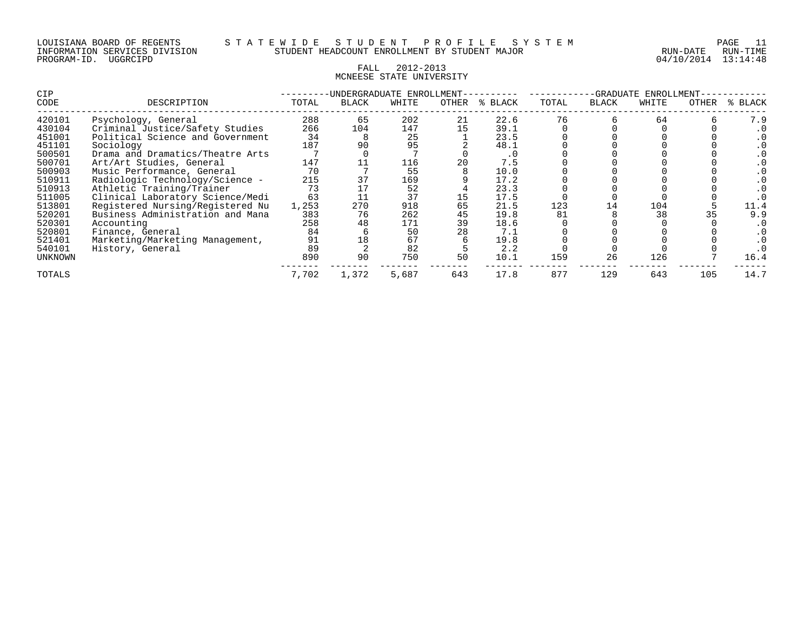#### FALL 2012-2013 MCNEESE STATE UNIVERSITY

| <b>CIP</b> |                                  |       | UNDERGRADUATE ENROLLMENT- |       |       |         |                          | -GRADUATE    | ENROLLMENT |       |         |
|------------|----------------------------------|-------|---------------------------|-------|-------|---------|--------------------------|--------------|------------|-------|---------|
| CODE       | DESCRIPTION                      | TOTAL | <b>BLACK</b>              | WHITE | OTHER | % BLACK | TOTAL                    | <b>BLACK</b> | WHITE      | OTHER | % BLACK |
| 420101     | Psychology, General              | 288   | 65                        | 202   | 21    | 22.6    | 76                       |              | 64         |       | 7.9     |
| 430104     | Criminal Justice/Safety Studies  | 266   | 104                       | 147   |       | 39.1    |                          |              |            |       |         |
| 451001     | Political Science and Government | 34    |                           | 25    |       | 23.5    |                          |              |            |       |         |
| 451101     | Sociology                        | 187   | 90                        | 95    |       | 48.1    |                          |              |            |       |         |
| 500501     | Drama and Dramatics/Theatre Arts |       |                           |       |       | . 0     |                          |              |            |       |         |
| 500701     | Art/Art Studies, General         | 147   |                           | 116   | 20    | 7.5     |                          |              |            |       |         |
| 500903     | Music Performance, General       | 70    |                           | 55    |       | 10.0    |                          |              |            |       |         |
| 510911     | Radiologic Technology/Science -  | 215   | 37                        | 169   |       | 17.2    |                          |              |            |       |         |
| 510913     | Athletic Training/Trainer        | 73    |                           | 52    |       | 23.3    |                          |              |            |       |         |
| 511005     | Clinical Laboratory Science/Medi | 63    |                           | 37    |       | 17.5    |                          |              |            |       |         |
| 513801     | Registered Nursing/Registered Nu | 1,253 | 270                       | 918   | 65    | 21.5    | 123                      | 14           | 104        |       | 11.4    |
| 520201     | Business Administration and Mana | 383   | 76                        | 262   | 45    | 19.8    | 81                       |              | 38         |       | 9.9     |
| 520301     | Accounting                       | 258   | 48                        | 171   | 39    | 18.6    |                          |              |            |       |         |
| 520801     | Finance, General                 | 84    |                           | 50    |       | 7.1     |                          |              |            |       |         |
| 521401     | Marketing/Marketing Management,  | 91    | 18                        | 67    |       | 19.8    |                          |              |            |       |         |
| 540101     | History, General                 | 89    |                           | 82    |       | 2.2     |                          |              |            |       |         |
| UNKNOWN    |                                  | 890   | 90                        | 750   | 50    | 10.1    | 159                      | 26           | 126        |       | 16.4    |
| TOTALS     |                                  | 7,702 | 1,372                     | 5,687 | 643   | 17.8    | 877<br>643<br>129<br>105 |              |            |       | 14.7    |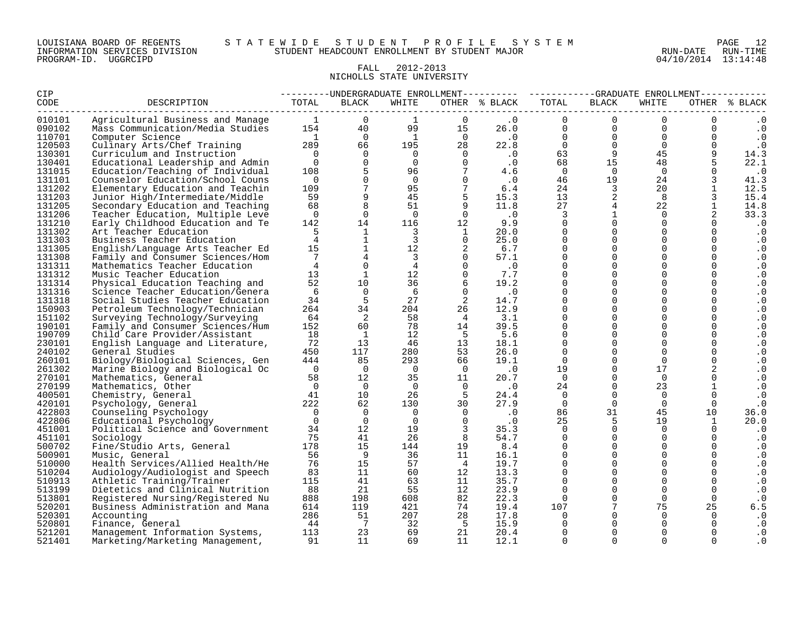#### FALL 2012-2013 NICHOLLS STATE UNIVERSITY

| CIP    |                                  |                                        |                                                           |                         |                            | ---------UNDERGRADUATE ENROLLMENT---------- ----------GRADUATE ENROLLMENT----------- |                |                         |                |                |               |
|--------|----------------------------------|----------------------------------------|-----------------------------------------------------------|-------------------------|----------------------------|--------------------------------------------------------------------------------------|----------------|-------------------------|----------------|----------------|---------------|
| CODE   | DESCRIPTION                      | TOTAL                                  | <b>BLACK</b>                                              | WHITE                   |                            | OTHER % BLACK                                                                        | TOTAL          | <b>BLACK</b>            | WHITE          |                | OTHER % BLACK |
| 010101 | Agricultural Business and Manage | $\sim$ 1                               | $\Omega$                                                  | 1                       | $\Omega$                   | $\cdot$ 0                                                                            | $\Omega$       | $\Omega$                | $\Omega$       | $\Omega$       | $\cdot$ 0     |
| 090102 | Mass Communication/Media Studies | 154                                    | 40                                                        | 99                      | 15                         | 26.0                                                                                 | $\mathbf{0}$   | $\mathbf 0$             | $\overline{0}$ | 0              | $\cdot$ 0     |
| 110701 | Computer Science                 |                                        | $\overline{0}$<br>$\begin{array}{c} 1 \\ 289 \end{array}$ | 1                       | $\sim$ 0                   | $\overline{\phantom{0}}$ .0                                                          | $\overline{0}$ | $\mathbf 0$             | $\overline{0}$ | $\mathbf 0$    | $\cdot$ 0     |
| 120503 | Culinary Arts/Chef Training      |                                        | 66                                                        | 195                     | $2\overline{8}$            | 22.8                                                                                 | $\overline{0}$ | $\overline{0}$          | $\Omega$       | $\overline{0}$ | $\cdot$ 0     |
| 130301 | Curriculum and Instruction       | $\overline{0}$                         | $\Omega$                                                  | $\overline{0}$          | $\overline{0}$             | $\overline{\phantom{0}}$ .0                                                          | 63             | 9 <sup>°</sup>          | 45             | 9              | 14.3          |
| 130401 | Educational Leadership and Admin | $\overline{0}$                         | $\mathbf 0$                                               | $\overline{0}$          | $\Omega$                   | $\cdot$ 0                                                                            | 68             | 15                      | 48             |                | 22.1          |
| 131015 | Education/Teaching of Individual | 108                                    | 5                                                         | 96                      | $7\overline{ }$            | 4.6                                                                                  | $\overline{0}$ | $\Omega$                | $\overline{0}$ | $\Omega$       | $\cdot$ 0     |
| 131101 | Counselor Education/School Couns | $\overline{0}$                         | $\mathbf 0$                                               | $\overline{0}$          | $\Omega$                   | $\cdot$ 0                                                                            | 46             | 19                      | 24             |                | 41.3          |
| 131202 | Elementary Education and Teachin | 109                                    | $7\phantom{.0}$                                           | 95                      | $\overline{7}$             | 6.4                                                                                  | 24             | $\overline{\mathbf{3}}$ | 20             | $\mathbf{1}$   | 12.5          |
| 131203 | Junior High/Intermediate/Middle  | 59                                     | 9                                                         | 45                      |                            | 15.3                                                                                 | 13             | $\mathbf{2}$            | 8              |                | 15.4          |
| 131205 | Secondary Education and Teaching | 68                                     | 8                                                         | 51                      | 9                          | 11.8                                                                                 | 27             | $4\overline{ }$         | 22             | $\mathbf{1}$   | 14.8          |
| 131206 | Teacher Education, Multiple Leve | $\Omega$                               | $\Omega$                                                  | $\Omega$                | $\Omega$                   | $\overline{\phantom{0}}$ .0                                                          | 3              | $\mathbf{1}$            | $\Omega$       | $\overline{2}$ | 33.3          |
| 131210 | Early Childhood Education and Te | 142                                    | 14                                                        | 116                     | 12                         | 9.9                                                                                  | $\Omega$       | $\Omega$                | $\Omega$       |                | $\cdot$ 0     |
| 131302 | Art Teacher Education            |                                        | 1                                                         | $\overline{3}$          | $\mathbf{1}$               | 20.0                                                                                 | $\Omega$       | $\Omega$                | $\Omega$       | $\mathbf 0$    | $\cdot$ 0     |
| 131303 | Business Teacher Education       | $\overline{4}$                         | $\mathbf{1}$                                              | $\mathbf{3}$            | $\overline{0}$             | 25.0                                                                                 | $\Omega$       | $\mathbf 0$             | $\Omega$       | $\Omega$       | $\cdot$ 0     |
| 131305 | English/Language Arts Teacher Ed | 15                                     | $\mathbf{1}$                                              | 12                      | 2                          | 6.7                                                                                  | $\mathbf 0$    | $\mathbf 0$             | $\Omega$       | $\mathbf 0$    | $\cdot$ 0     |
| 131308 | Family and Consumer Sciences/Hom | 7                                      | $\overline{4}$                                            | $\overline{\mathbf{3}}$ | $\Omega$                   | 57.1                                                                                 | $\Omega$       | $\mathbf 0$             | $\Omega$       | $\mathbf 0$    | $\cdot$ 0     |
| 131311 | Mathematics Teacher Education    | $\overline{4}$                         | $\Omega$                                                  | $\overline{4}$          | $\Omega$                   | $\cdot$ 0                                                                            | $\Omega$       | $\Omega$                | $\Omega$       | $\Omega$       | $\cdot$ 0     |
| 131312 | Music Teacher Education          | 13                                     | $\mathbf{1}$                                              | 12 <sup>°</sup>         | $\Omega$                   | 7.7                                                                                  | $\Omega$       | $\Omega$                | $\Omega$       | $\Omega$       | $\cdot$ 0     |
| 131314 | Physical Education Teaching and  | 52                                     | 10                                                        | 36                      | 6                          | 19.2                                                                                 | $\mathbf 0$    | $\Omega$                | $\Omega$       |                | $\cdot$ 0     |
| 131316 | Science Teacher Education/Genera | 6                                      | $\overline{0}$                                            | - 6                     | $\Omega$                   | $\cdot$ 0                                                                            | $\Omega$       | $\Omega$                | $\Omega$       | $\mathbf 0$    | $\cdot$ 0     |
| 131318 | Social Studies Teacher Education | 34                                     | 5                                                         | 27                      | $\overline{\phantom{a}}^2$ | 14.7                                                                                 | $\Omega$       | $\mathbf 0$             | $\Omega$       | $\mathbf 0$    | $\cdot$ 0     |
| 150903 | Petroleum Technology/Technician  | 264                                    | 34                                                        | 204                     | 26                         | 12.9                                                                                 | $\Omega$       | $\mathbf 0$             | $\Omega$       | $\mathbf 0$    | $\cdot$ 0     |
| 151102 | Surveying Technology/Surveying   | 64                                     | $\overline{2}$                                            | 58                      | $\frac{4}{3}$              | 3.1                                                                                  | $\Omega$       | $\Omega$                | $\Omega$       | $\Omega$       | $\cdot$ 0     |
| 190101 | Family and Consumer Sciences/Hum | 152                                    | 60                                                        | 78                      | 14                         | 39.5                                                                                 | $\Omega$       | $\Omega$                | $\Omega$       | $\Omega$       | $\cdot$ 0     |
| 190709 | Child Care Provider/Assistant    | 18                                     | $\overline{1}$                                            | 12                      | $-5$                       | 5.6                                                                                  | $\Omega$       | $\Omega$                | $\Omega$       | $\mathbf 0$    | $\cdot$ 0     |
| 230101 | English Language and Literature, | 72                                     | 13                                                        | 46                      | 13                         | 18.1                                                                                 | $\Omega$       | $\Omega$                | $\Omega$       | $\Omega$       | $\cdot$ 0     |
| 240102 | General Studies                  | 450                                    | 117                                                       | 280                     | 53                         | 26.0                                                                                 | $\overline{0}$ | $\mathsf{O}$            | $\Omega$       | $\mathbf 0$    | $\cdot$ 0     |
| 260101 | Biology/Biological Sciences, Gen | 444                                    | 85                                                        | 293                     | 66                         | 19.1                                                                                 | $\Omega$       | $\Omega$                | $\Omega$       | $\mathbf 0$    | $\cdot$ 0     |
| 261302 | Marine Biology and Biological Oc | $\overline{0}$                         | $\overline{0}$                                            | $\overline{0}$          | $\overline{0}$             | $\cdot$ 0                                                                            | 19             | $\mathbf 0$             | 17             |                | $\cdot$ 0     |
| 270101 | Mathematics, General             | $\begin{array}{c} 58 \\ 0 \end{array}$ | 12 <sup>°</sup>                                           | 35                      | 11                         | 20.7                                                                                 | $\Omega$       | $\Omega$                | $\Omega$       | $\Omega$       | $\cdot$ 0     |
| 270199 | Mathematics, Other               |                                        | $\overline{0}$                                            | $\Omega$                | $\bigcap$                  | $\cdot$ 0                                                                            | 24             | $\Omega$                | 23             |                | $\cdot$ 0     |
| 400501 | Chemistry, General               | 41                                     | 10                                                        | 26                      | $-5$                       | 24.4                                                                                 | $\overline{0}$ | $\Omega$                | $\overline{0}$ | $\Omega$       | $\cdot$ 0     |
| 420101 | Psychology, General              | 222                                    | 62                                                        | 130                     | 30                         | 27.9                                                                                 | $\Omega$       | $\Omega$                | $\Omega$       | $\Omega$       | $\cdot$ 0     |
| 422803 | Counseling Psychology            | $\overline{0}$                         | $\overline{0}$                                            | $\Omega$                | $\Omega$                   | $\cdot$ 0                                                                            | 86             | 31                      | 45             | 10             | 36.0          |
| 422806 | Educational Psychology           | $\overline{0}$                         | $\overline{0}$                                            | $\overline{0}$          | $\Omega$                   | $\cdot$ 0                                                                            | 25             | 5                       | 19             | 1              | 20.0          |
| 451001 | Political Science and Government | 34                                     | 12                                                        | 19                      | $\overline{3}$             | 35.3                                                                                 | $\mathbf 0$    | $\Omega$                | $\Omega$       | $\Omega$       | $\cdot$ 0     |
| 451101 | Sociology                        | 75                                     | 41                                                        | 26                      | 8                          | 54.7                                                                                 | $\Omega$       | $\Omega$                | $\Omega$       | $\Omega$       | $\cdot$ 0     |
| 500702 | Fine/Studio Arts, General        | 178                                    | 15                                                        | 144                     | 19                         | 8.4                                                                                  | $\Omega$       | $\Omega$                | $\Omega$       | $\Omega$       | $\cdot$ 0     |
| 500901 | Music, General                   | 56                                     | 9                                                         | 36                      | 11                         | 16.1                                                                                 | $\Omega$       | $\Omega$                | $\Omega$       | $\Omega$       | $\cdot$ 0     |
| 510000 | Health Services/Allied Health/He | 76                                     | 15                                                        | 57                      | $\overline{4}$             | 19.7                                                                                 | $\Omega$       | $\Omega$                | $\Omega$       | $\Omega$       | $\cdot$ 0     |
| 510204 | Audiology/Audiologist and Speech | 83                                     | 11                                                        | 60                      | 12                         | 13.3                                                                                 | $\mathbf 0$    | $\mathbf 0$             | $\mathbf 0$    |                | $\cdot$ 0     |
| 510913 | Athletic Training/Trainer        | 115                                    | 41                                                        | 63                      | 11                         | 35.7                                                                                 | $\Omega$       | $\mathbf 0$             | $\Omega$       | $\mathbf 0$    | $\cdot$ 0     |
| 513199 | Dietetics and Clinical Nutrition | 88                                     | 21                                                        | 55                      | 12 <sup>°</sup>            | 23.9                                                                                 | $\Omega$       | $\Omega$                | $\Omega$       | $\Omega$       | $\cdot$ 0     |
| 513801 | Registered Nursing/Registered Nu | 888                                    | 198                                                       | 608                     | 82                         | 22.3                                                                                 | $\Omega$       | $\mathbf 0$             | $\Omega$       | $\mathbf 0$    | $\cdot$ 0     |
| 520201 | Business Administration and Mana | 614                                    | 119                                                       | 421                     | 74                         | 19.4                                                                                 | 107            | $7\phantom{.0}$         | 75             | 25             | 6.5           |
| 520301 | Accounting                       | 286                                    | 51                                                        | 207                     | 28                         | 17.8                                                                                 | $\Omega$       | $\Omega$                | $\Omega$       | $\Omega$       | $\cdot$ 0     |
| 520801 | Finance, General                 | 44                                     | $\overline{7}$                                            | 32                      | $-5$                       | 15.9                                                                                 | $\Omega$       | $\Omega$                | $\Omega$       | $\Omega$       | $\cdot$ 0     |
| 521201 | Management Information Systems,  | 113                                    | 23                                                        | 69                      | 21                         | 20.4                                                                                 | $\Omega$       | $\Omega$                |                | $\Omega$       | $\cdot$ 0     |
| 521401 | Marketing/Marketing Management,  | 91                                     | 11                                                        | 69                      | 11                         | 12.1                                                                                 | $\Omega$       | $\Omega$                | $\Omega$       | $\Omega$       | . 0           |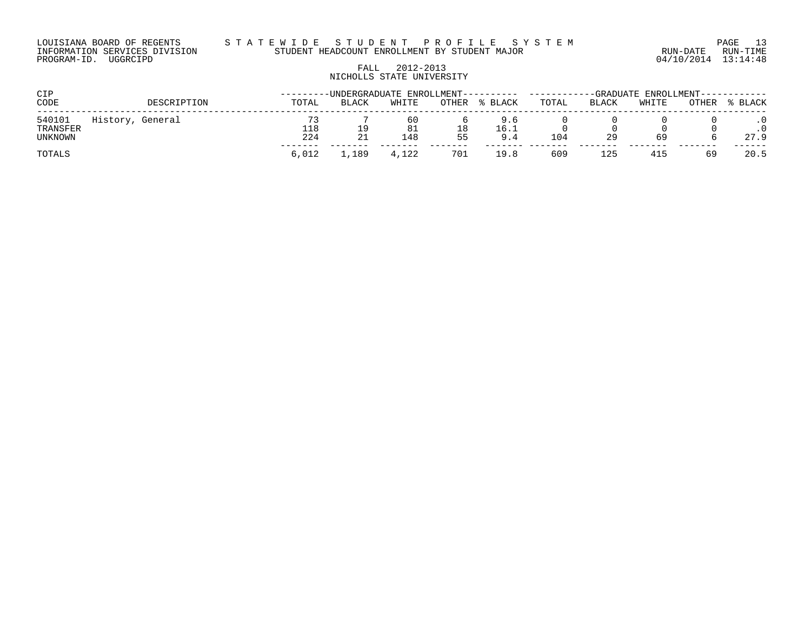# FALL 2012-2013 NICHOLLS STATE UNIVERSITY

| CIP                           |                  |            | --------UNDERGRADUATE ENROLLMENT---------- |                 |              |                    |       |       | -GRADUATE ENROLLMENT------ |       |         |  |  |
|-------------------------------|------------------|------------|--------------------------------------------|-----------------|--------------|--------------------|-------|-------|----------------------------|-------|---------|--|--|
| CODE                          | DESCRIPTION      | TOTAL      | <b>BLACK</b>                               | WHITE           | <b>OTHER</b> | % BLACK            | TOTAL | BLACK | WHITE                      | OTHER | % BLACK |  |  |
| 540101<br>TRANSFER<br>UNKNOWN | History, General | 118<br>224 |                                            | 60<br>81<br>148 | 18<br>55     | 9.6<br>16.1<br>9.4 | 104   | 29    | 69                         |       | 27.9    |  |  |
| TOTALS                        |                  | 6,012      | ,189                                       | 4,122           | 701          | 19.8               | 609   | 125   | 415                        | 69    | 20.5    |  |  |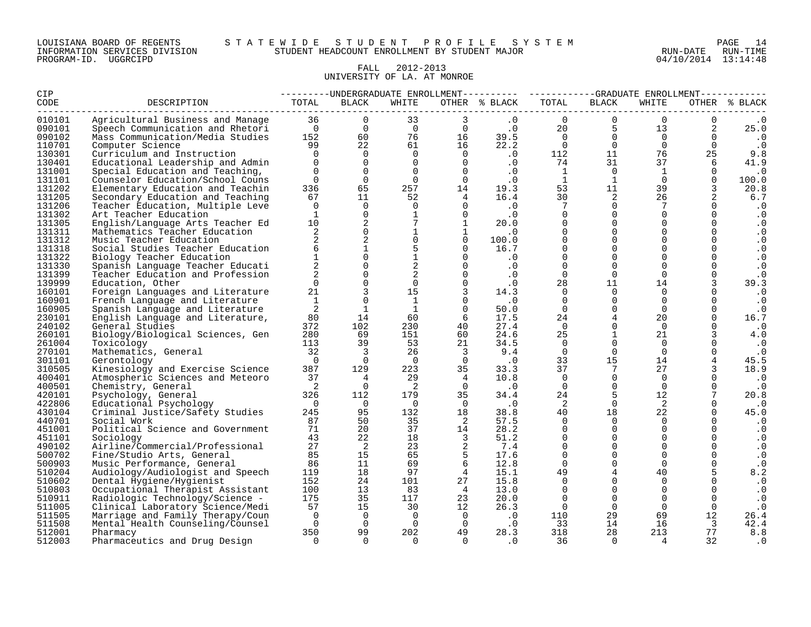#### LOUISIANA BOARD OF REGENTS S T A T E W I D E S T U D E N T P R O F I L E S Y S T E M PAGE 14 INFORMATION SERVICES DIVISION STUDENT HEADCOUNT ENROLLMENT BY STUDENT MAJOR RUN-DATE RUN-TIME

# FALL 2012-2013 UNIVERSITY OF LA. AT MONROE

| CIP    |                                  |                |                                |                 |                                              |                      | ---------UNDERGRADUATE ENROLLMENT---------- ----------GRADUATE ENROLLMENT----------- |                 |                   |                         |               |
|--------|----------------------------------|----------------|--------------------------------|-----------------|----------------------------------------------|----------------------|--------------------------------------------------------------------------------------|-----------------|-------------------|-------------------------|---------------|
| CODE   | DESCRIPTION                      | TOTAL          | BLACK                          | WHITE           |                                              | OTHER % BLACK        | TOTAL                                                                                | BLACK           | WHITE             |                         | OTHER % BLACK |
| 010101 | Agricultural Business and Manage |                | 36 36<br>$\Omega$              | 33              | $\mathbf{3}$                                 | .0                   | $\Omega$                                                                             | $\mathbf 0$     | $\Omega$          | $\mathbf 0$             | $\cdot$ 0     |
| 090101 | Speech Communication and Rhetori | $\overline{0}$ | $\overline{0}$                 | $\overline{0}$  | $\overline{0}$                               | $\cdot$ 0            | 20                                                                                   | -5              | 13                | 2                       | 25.0          |
| 090102 | Mass Communication/Media Studies |                | 60 0<br>152 and $\overline{a}$ | 76              | $\begin{array}{c} 0 \\ 16 \\ 16 \end{array}$ | 39.5                 | $\overline{0}$                                                                       | $\Omega$        | $\overline{0}$    | $\Omega$                | $\cdot$ 0     |
| 110701 | Computer Science                 | 99             | 22                             | 61 61           |                                              | 22.2                 | $\Omega$                                                                             | $\overline{0}$  | $\Omega$          | $\mathbf 0$             | $\cdot$ 0     |
| 130301 | Curriculum and Instruction       | $\overline{0}$ | $\Omega$                       | $\overline{0}$  |                                              | $0 \qquad \qquad .0$ | 112                                                                                  | 11              | 76                | 25                      | 9.8           |
| 130401 | Educational Leadership and Admin | $\Omega$       | $\Omega$                       | $\Omega$        | $\overline{0}$                               | $\cdot$ 0            | 74                                                                                   | 31              | 37                | 6                       | 41.9          |
| 131001 | Special Education and Teaching,  | $\Omega$       | $\Omega$                       | $\Omega$        | $\bigcap$                                    | $\cdot$ 0            | 1                                                                                    | $\Omega$        | 1                 | $\Omega$                | $\cdot$ 0     |
| 131101 | Counselor Education/School Couns | $\Omega$       | $\Omega$                       | $\Omega$        | $\overline{0}$                               | .0                   | $\overline{1}$                                                                       | $\mathbf{1}$    | $\Omega$          | $\Omega$                | 100.0         |
| 131202 | Elementary Education and Teachin | 336            | 65                             | 257             | 14                                           | 19.3                 | 53                                                                                   | 11              | 39                | 3                       | 20.8          |
| 131205 | Secondary Education and Teaching | 67             | 11                             | 52              | $4\phantom{.00000000000000000000}$           | 16.4                 | 30                                                                                   | 2               | 26                | 2                       | 6.7           |
| 131206 | Teacher Education, Multiple Leve | $\Omega$       | $\Omega$                       | $\Omega$        | $\Omega$                                     | $\cdot$ 0            | $7\overline{ }$                                                                      | $\Omega$        |                   | $\Omega$                | . 0           |
| 131302 | Art Teacher Education            |                | $\Omega$                       | $\mathbf{1}$    | $\Omega$                                     | $\cdot$ 0            | $\Omega$                                                                             | $\Omega$        | $\Omega$          | $\Omega$                | $\cdot$ 0     |
| 131305 | English/Language Arts Teacher Ed | 10             | 2                              | $7\phantom{.0}$ | $\mathbf{1}$                                 | 20.0                 | $\Omega$                                                                             | $\Omega$        | $\Omega$          | $\mathbf 0$             | . 0           |
| 131311 | Mathematics Teacher Education    | 2              | $\Omega$                       | $\mathbf{1}$    | $\mathbf{1}$                                 | $\cdot$ 0            | $\Omega$                                                                             | $\Omega$        | $\Omega$          | $\mathbf 0$             | . 0           |
| 131312 | Music Teacher Education          | 2              |                                | $\Omega$        | $\Omega$                                     | 100.0                | $\Omega$                                                                             | $\Omega$        | $\Omega$          | $\Omega$                | $\cdot$ 0     |
| 131318 | Social Studies Teacher Education | $6^{\circ}$    | $\mathbf{1}$                   | 5               | $\Omega$                                     | 16.7                 | $\Omega$                                                                             | $\Omega$        | $\Omega$          | $\mathbf 0$             | . 0           |
| 131322 | Biology Teacher Education        |                | $\Omega$                       | $\mathbf{1}$    | $\Omega$                                     | $\cdot$ 0            | $\Omega$                                                                             | $\Omega$        | $\Omega$          | $\Omega$                | $\cdot$ 0     |
| 131330 | Spanish Language Teacher Educati | $\overline{2}$ | $\Omega$                       | $\overline{a}$  | $\Omega$                                     | $\cdot$ 0            | $\mathbf 0$                                                                          | $\overline{0}$  | $\mathbf 0$       | $\mathbf 0$             | $\cdot$ 0     |
| 131399 | Teacher Education and Profession | 2              | $\Omega$                       | 2               | $\Omega$                                     | $\cdot$ 0            | $\Omega$                                                                             | $\Omega$        | $\Omega$          | $\Omega$                | $\cdot$ 0     |
| 139999 | Education, Other                 | $\Omega$       | $\Omega$                       | $\Omega$        | $\overline{0}$                               | .0                   | 28                                                                                   | 11              | 14                | 3                       | 39.3          |
| 160101 | Foreign Languages and Literature | 21             |                                | 15              | $\overline{3}$                               | 14.3                 | $\Omega$                                                                             | $\Omega$        | $\Omega$          | $\Omega$                | $\cdot$ 0     |
| 160901 | French Language and Literature   | 1              | $\Omega$                       | $\mathbf{1}$    | $\Omega$                                     | $\cdot$ 0            | $\mathbf 0$                                                                          | $\Omega$        | $\Omega$          | $\Omega$                | $\cdot$ 0     |
| 160905 | Spanish Language and Literature  | 2              | 1                              | $\mathbf{1}$    | $\overline{0}$                               | 50.0                 | $\Omega$                                                                             | $\overline{0}$  | $\mathbf 0$       | $\mathbf 0$             | . 0           |
| 230101 | English Language and Literature, | 80             | 14                             | 60              | - 6                                          | 17.5                 | 24                                                                                   | $4\overline{ }$ | 20                | $\Omega$                | 16.7          |
| 240102 | General Studies                  | 372            | 102                            | 230             | 40                                           | 27.4                 | $\Omega$                                                                             | $\mathbf 0$     | $\Omega$          | $\Omega$                | $\cdot$ 0     |
| 260101 | Biology/Biological Sciences, Gen | 280            | 69                             | 151             | 60                                           | 24.6                 | 25                                                                                   | $\mathbf{1}$    | 21                | 3                       | 4.0           |
| 261004 | Toxicology                       | 113            | 39                             | 53              | 21                                           | 34.5                 | 0                                                                                    | $\Omega$        | $\Omega$          | $\Omega$                | $\cdot$ 0     |
| 270101 | Mathematics, General             | 32             | $\overline{\mathbf{3}}$        | 26              | $\overline{\mathbf{3}}$                      | 9.4                  | $\Omega$                                                                             | $\overline{0}$  | $\Omega$          | 0                       | $\cdot$ 0     |
| 301101 | Gerontology                      | $\overline{0}$ | $\overline{0}$                 | $\Omega$        | $\overline{0}$                               | $\cdot$ 0            | 33                                                                                   | 15              | 14                | 4                       | 45.5          |
| 310505 | Kinesiology and Exercise Science | 387            | 129                            | 223             | 35                                           | 33.3                 | 37                                                                                   | $7\overline{ }$ | 27                | 3                       | 18.9          |
| 400401 | Atmospheric Sciences and Meteoro | 37             | $\overline{4}$                 | 29              | $\overline{4}$                               | 10.8                 | $\Omega$                                                                             | $\Omega$        | $\Omega$          | $\Omega$                | $\cdot$ 0     |
| 400501 | Chemistry, General               | $\overline{2}$ | $\overline{0}$                 | $\overline{2}$  | $\overline{0}$                               | $\cdot$ 0            | $\mathbf 0$                                                                          | $\overline{0}$  | $\mathbf{0}$      | $\mathbf 0$             | $\cdot$ 0     |
| 420101 | Psychology, General              | 326            | 112                            | 179             | 35                                           | 34.4                 | 24                                                                                   | 5               | $12 \overline{ }$ | 7                       | 20.8          |
| 422806 | Educational Psychology           | $\overline{0}$ | $\bigcirc$                     | $\Omega$        | $\overline{0}$                               | $\cdot$ 0            | 2                                                                                    | $\Omega$        | 2                 | $\Omega$                | $\cdot$ 0     |
| 430104 | Criminal Justice/Safety Studies  | 245            | 95                             | 132             | 18                                           | 38.8                 | 40                                                                                   | 18              | 22                | $\mathbf 0$             | 45.0          |
| 440701 | Social Work                      | 87             | 50                             | 35              | $\overline{\phantom{a}}$                     | 57.5                 | $\Omega$                                                                             | $\Omega$        | $\Omega$          | $\Omega$                | $\cdot$ 0     |
| 451001 | Political Science and Government | 71             | 20                             | 37              | 14                                           | 28.2                 | $\Omega$                                                                             | $\Omega$        | $\Omega$          | $\Omega$                | . 0           |
| 451101 | Sociology                        | 43             | 22                             | 18              | $\overline{\mathbf{3}}$                      | 51.2                 | $\Omega$                                                                             | $\Omega$        | $\Omega$          | $\Omega$                | $\cdot$ 0     |
| 490102 | Airline/Commercial/Professional  | 27             | $\overline{2}$                 | 23              | $\overline{\phantom{0}}^2$                   | 7.4                  | $\Omega$                                                                             | $\Omega$        | $\Omega$          | $\Omega$                | $\cdot$ 0     |
| 500702 | Fine/Studio Arts, General        | 85             | 15                             | 65              | $5^{\circ}$                                  | 17.6                 | $\Omega$                                                                             | $\Omega$        | $\Omega$          | $\mathbf 0$             | . 0           |
| 500903 | Music Performance, General       | 86             | 11                             | 69              | 6                                            | 12.8                 | $\Omega$                                                                             | $\Omega$        | $\Omega$          | $\mathbf 0$             | . 0           |
| 510204 | Audiology/Audiologist and Speech | 119            | 18                             | 97              | $\overline{4}$                               | 15.1                 | 49                                                                                   | 4               | 40                | 5                       | 8.2           |
| 510602 | Dental Hygiene/Hygienist         | 152            | 24                             | 101             | 27                                           | 15.8                 | $\Omega$                                                                             | $\Omega$        | $\Omega$          | $\Omega$                | $\cdot$ 0     |
| 510803 | Occupational Therapist Assistant | 100            | 13                             | 83              | $\overline{4}$                               | 13.0                 | $\Omega$                                                                             | $\Omega$        | $\Omega$          | $\mathbf 0$             | $\cdot$ 0     |
| 510911 | Radiologic Technology/Science -  | 175            | 35                             | 117             | 23                                           | 20.0                 | $\Omega$                                                                             | $\overline{0}$  | $\Omega$          | $\mathbf 0$             | $\cdot$ 0     |
| 511005 | Clinical Laboratory Science/Medi | 57             | 15                             | 30              | 12                                           | 26.3                 | $\overline{0}$                                                                       | $\Omega$        | $\Omega$          | $\Omega$                | $\cdot$ 0     |
| 511505 | Marriage and Family Therapy/Coun | $\Omega$       | $\Omega$                       | $\Omega$        | $\overline{0}$                               | $\cdot$ 0            | 110                                                                                  | 29              | 69                | 12                      | 26.4          |
| 511508 | Mental Health Counseling/Counsel | $\Omega$       | $\Omega$                       | $\Omega$        | $\overline{0}$                               | $\cdot$ 0            | 33                                                                                   | 14              | 16                | $\overline{\mathbf{3}}$ | 42.4          |
| 512001 | Pharmacy                         | 350            | 99                             | 202             | 49                                           | 28.3                 | 318                                                                                  | 28              | 213               | 77                      | 8.8           |
| 512003 | Pharmaceutics and Drug Design    | $\Omega$       | $\cap$                         | $\Omega$        | $\Omega$                                     | $\cdot$ 0            | 36                                                                                   | $\Omega$        | 4                 | 32                      | $\cdot$ 0     |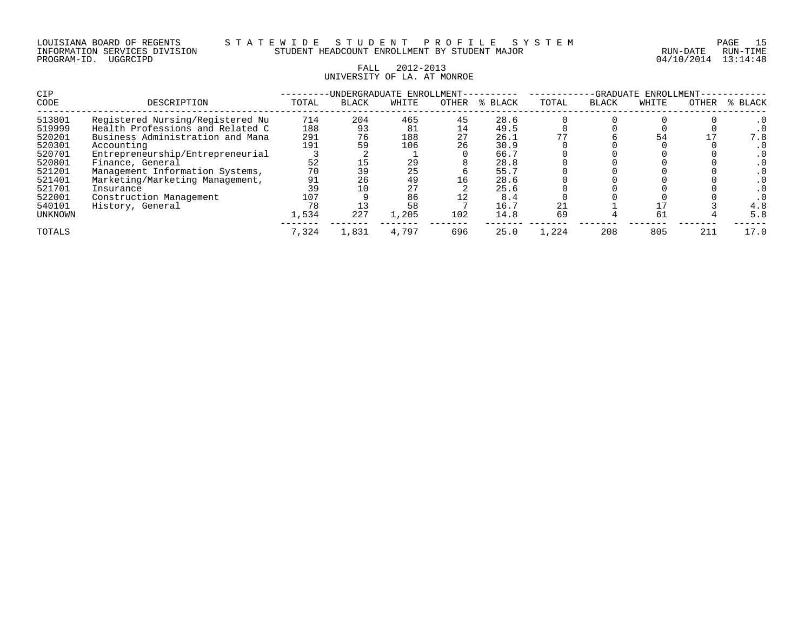| LOUISIANA BOARD OF REGENTS    |          |  |
|-------------------------------|----------|--|
| INFORMATION SERVICES DIVISION |          |  |
| PROGRAM-ID.                   | UGGRCIPD |  |

04/10/2014 13:14:48

# FALL 2012-2013 UNIVERSITY OF LA. AT MONROE

| <b>CIP</b> |                                  |       | -UNDERGRADUATE ENROLLMENT- |       | -GRADUATE<br>ENROLLMENT |         |       |              |       |       |         |
|------------|----------------------------------|-------|----------------------------|-------|-------------------------|---------|-------|--------------|-------|-------|---------|
| CODE       | DESCRIPTION                      | TOTAL | <b>BLACK</b>               | WHITE | OTHER                   | % BLACK | TOTAL | <b>BLACK</b> | WHITE | OTHER | % BLACK |
| 513801     | Registered Nursing/Registered Nu | 714   | 204                        | 465   | 45                      | 28.6    |       |              |       |       |         |
| 519999     | Health Professions and Related C | 188   | 93                         | 81    | 14                      | 49.5    |       |              |       |       |         |
| 520201     | Business Administration and Mana | 291   | 76                         | 188   | 27                      | 26.1    |       |              | 54    |       | 7.8     |
| 520301     | Accounting                       | 191   | 59                         | 106   | 26                      | 30.9    |       |              |       |       |         |
| 520701     | Entrepreneurship/Entrepreneurial |       |                            |       |                         | 66.7    |       |              |       |       |         |
| 520801     | Finance, General                 | 52    | 15                         | 29    |                         | 28.8    |       |              |       |       |         |
| 521201     | Management Information Systems,  | 70    | 39                         | 25    |                         | 55.7    |       |              |       |       |         |
| 521401     | Marketing/Marketing Management,  | 91    | 26                         | 49    | 16                      | 28.6    |       |              |       |       |         |
| 521701     | Insurance                        | 39    |                            | 27    |                         | 25.6    |       |              |       |       |         |
| 522001     | Construction Management          | 107   |                            | 86    |                         | 8.4     |       |              |       |       |         |
| 540101     | History, General                 | 78    |                            | 58    |                         | 16.7    | 21    |              |       |       | 4.8     |
| UNKNOWN    |                                  | 1,534 | 227                        | 1,205 | 102                     | 14.8    | 69    |              | 61    |       | 5.8     |
| TOTALS     |                                  | 7.324 | 1,831                      | 4,797 | 696                     | 25.0    | 1,224 | 208          | 805   | 211   | 17.0    |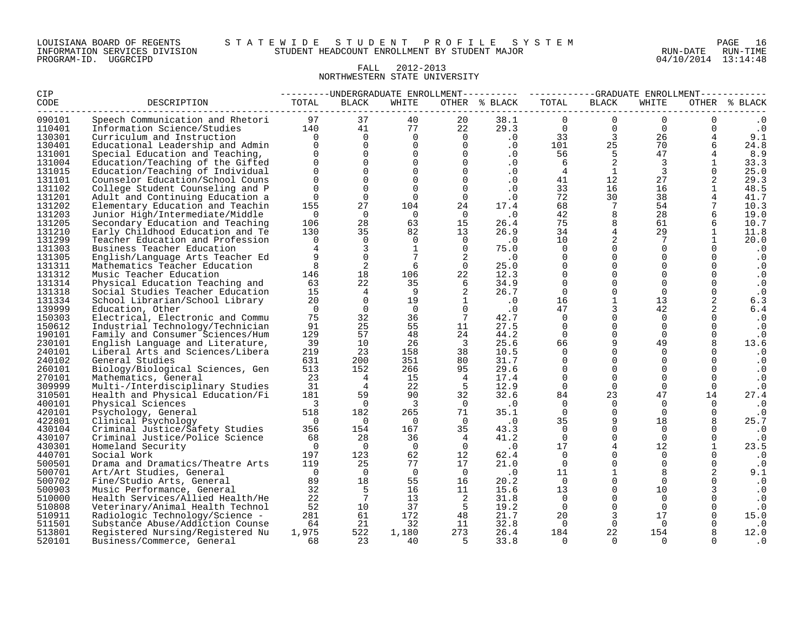#### FALL 2012-2013 NORTHWESTERN STATE UNIVERSITY

| OTHER % BLACK<br>OTHER % BLACK<br>WHITE<br>WHITE<br>$\Omega$<br>Speech Communication and Rhetori<br>97<br>37<br>40<br>20<br>38.1<br>$\mathbf{0}$<br>$\Omega$<br>0<br>$\cdot$ 0<br>77<br>$\overline{0}$<br>$\mathbf{0}$<br>140<br>22<br>29.3<br>$\overline{0}$<br>$\cdot$ 0<br>Information Science/Studies<br>41<br>0<br>$\Omega$<br>$\cdot$ 0<br>33<br>$\overline{\mathbf{3}}$<br>9.1<br>$\overline{0}$<br>$\Omega$<br>26<br>$4^{\circ}$<br>Curriculum and Instruction<br>$\Omega$<br>$\overline{0}$<br>$\overline{0}$<br>25<br>130401<br>$\Omega$<br>$\Omega$<br>.0<br>101<br>70<br>6<br>24.8<br>Educational Leadership and Admin<br>$\mathbf 0$<br>5<br>$\Omega$<br>$\overline{0}$<br>47<br>$\Omega$<br>.0<br>56<br>8.9<br>Special Education and Teaching,<br>$\overline{2}$<br>$\mathbf 0$<br>$\overline{0}$<br>$\overline{3}$<br>33.3<br>Education/Teaching of the Gifted<br>$\Omega$<br>$\Omega$<br>$\cdot$ 0<br>6<br>$\mathbf{1}$<br>$\mathbf{0}$<br>$\mathbf{3}$<br>$\Omega$<br>25.0<br>131015<br>$\Omega$<br>$\Omega$<br>$\Omega$<br>.0<br>$\overline{4}$<br>$\mathbf{1}$<br>Education/Teaching of Individual<br>$\mathsf{O}$<br>$\Omega$<br>12<br>2<br>131101<br>0<br>$\overline{0}$<br>$\cdot$ 0<br>41<br>27<br>29.3<br>Counselor Education/School Couns<br>$\Omega$<br>48.5<br>131102<br>$\Omega$<br>$\Omega$<br>33<br>16<br>16<br>$\mathbf{1}$<br>College Student Counseling and P<br>$\Omega$<br>$\cdot$ 0<br>$\Omega$<br>72<br>30<br>131201<br>$\Omega$<br>$\overline{0}$<br>$\cdot$ 0<br>38<br>41.7<br>Adult and Continuing Education a<br>$\Omega$<br>155<br>27<br>68<br>$7\overline{ }$<br>54<br>131202<br>Elementary Education and Teachin<br>104<br>24<br>17.4<br>7<br>10.3<br>8<br>42<br>19.0<br>131203<br>$\Omega$<br>$\overline{0}$<br>$\overline{0}$<br>$\overline{0}$<br>$\cdot$ 0<br>28<br>Junior High/Intermediate/Middle<br>$\,8\,$<br>28<br>26.4<br>75<br>131205<br>106<br>63<br>15<br>61<br>6<br>10.7<br>Secondary Education and Teaching<br>$\overline{4}$<br>35<br>131210<br>130<br>13<br>26.9<br>34<br>29<br>$\mathbf{1}$<br>11.8<br>Early Childhood Education and Te<br>82<br>2<br>$\Omega$<br>131299<br>Teacher Education and Profession<br>$\Omega$<br>$\Omega$<br>$\Omega$<br>$\cdot$ 0<br>10<br>7<br>$\mathbf{1}$<br>20.0<br>$\overline{3}$<br>$\Omega$<br>75.0<br>$\Omega$<br>131303<br>Business Teacher Education<br>1<br>$\cap$<br>$\Omega$<br>$\Omega$<br>$\cdot$ 0<br>$\mathbf 0$<br>$7\overline{ }$<br>$\Omega$<br>$\mathbf{0}$<br>$\Omega$<br>131305<br>9<br>2<br>$\cdot$ 0<br>$\cdot$ 0<br>English/Language Arts Teacher Ed<br>$\Omega$<br>2<br>$\Omega$<br>$\mathbf{0}$<br>131311<br>Mathematics Teacher Education<br>8<br>6<br>$\overline{0}$<br>25.0<br>$\Omega$<br>$\mathbf{0}$<br>$\cdot$ 0<br>$\Omega$<br>$\mathbf 0$<br>131312<br>Music Teacher Education<br>146<br>18<br>106<br>22<br>$\Omega$<br>$\Omega$<br>$\cdot$ 0<br>12.3<br>63<br>22<br>35<br>34.9<br>$\Omega$<br>$\mathbf 0$<br>131314<br>6<br>$\mathbf 0$<br>0<br>$\cdot$ 0<br>Physical Education Teaching and<br>$\Omega$<br>131318<br>15<br>$\overline{4}$<br>26.7<br>$\Omega$<br>$\Omega$<br>Social Studies Teacher Education<br>- 9<br>$\Omega$<br>$\cdot$ 0<br>$\mathbf{1}$<br>2<br>$\overline{0}$<br>$\overline{1}$<br>16<br>131334<br>20<br>19<br>$\cdot$ 0<br>13<br>6.3<br>School Librarian/School Library<br>139999<br>$\Omega$<br>$\overline{0}$<br>$\overline{0}$<br>$\Omega$<br>47<br>3<br>42<br>2<br>$\cdot$ 0<br>6.4<br>Education, Other<br>75<br>32<br>$\Omega$<br>150303<br>Electrical, Electronic and Commu<br>36<br>7<br>42.7<br>$\Omega$<br>$\cdot$ 0<br>$\Omega$<br>25<br>$\mathbf 0$<br>27.5<br>$\Omega$<br>$\mathbf 0$<br>150612<br>Industrial Technology/Technician<br>91<br>55<br>11<br>$\Omega$<br>$\cdot$ 0<br>57<br>$\mathbf 0$<br>190101<br>Family and Consumer Sciences/Hum<br>129<br>24<br>44.2<br>$\Omega$<br>$\Omega$<br>48<br>0<br>$\cdot$ 0<br>9<br>39<br>10<br>$\overline{\phantom{a}}$<br>25.6<br>66<br>230101<br>26<br>49<br>13.6<br>English Language and Literature,<br>23<br>$\Omega$<br>219<br>10.5<br>$\Omega$<br>240101<br>Liberal Arts and Sciences/Libera<br>158<br>38<br>$\Omega$<br>$\Omega$<br>$\cdot$ 0<br>240102<br>631<br>200<br>351<br>80<br>31.7<br>$\Omega$<br>$\Omega$<br>General Studies<br>$\Omega$<br>$\Omega$<br>$\cdot$ 0<br>513<br>152<br>266<br>95<br>29.6<br>$\Omega$<br>$\mathbf 0$<br>260101<br>Biology/Biological Sciences, Gen<br>$\overline{0}$<br>$\Omega$<br>$\cdot$ 0<br>270101<br>$\Omega$<br>23<br>$\overline{4}$<br>15<br>17.4<br>$\Omega$<br>$\Omega$<br>$\Omega$<br>Mathematics, General<br>$\overline{4}$<br>$\cdot$ 0<br>$\overline{4}$<br>309999<br>31<br>22<br>5<br>12.9<br>$\overline{0}$<br>$\mathbf 0$<br>$\mathbf 0$<br>Multi-/Interdisciplinary Studies<br>$\Omega$<br>$\cdot$ 0<br>32.6<br>181<br>59<br>90<br>84<br>23<br>47<br>14<br>27.4<br>310501<br>Health and Physical Education/Fi<br>32<br>400101<br>$\overline{0}$<br>$\Omega$<br>$\cdot$ 0<br>$\overline{\phantom{a}}$<br>$\overline{\mathbf{3}}$<br>$\overline{0}$<br>$\cdot$ 0<br>$\Omega$<br>$\Omega$<br>$\Omega$<br>Physical Sciences<br>$\mathbf 0$<br>420101<br>518<br>182<br>265<br>71<br>$\Omega$<br>Psychology, General<br>35.1<br>$\Omega$<br>$\mathbf 0$<br>$\cdot$ 0<br>9<br>25.7<br>422801<br>$\cdot$ 0<br>35<br>18<br>8<br>Clinical Psychology<br>$\overline{0}$<br>$\overline{0}$<br>$\bigcirc$<br>$\overline{0}$<br>$\Omega$<br>430104<br>Criminal Justice/Safety Studies<br>356<br>154<br>167<br>35<br>43.3<br>$\Omega$<br>$\Omega$<br>$\cdot$ 0<br>41.2<br>$\Omega$<br>430107<br>Criminal Justice/Police Science<br>68<br>28<br>36<br>$\Omega$<br>$\Omega$<br>$\Omega$<br>$\overline{4}$<br>$\cdot$ 0<br>$\overline{4}$<br>430301<br>$\overline{0}$<br>$\cdot$ 0<br>17<br>12<br>$\mathbf{1}$<br>23.5<br>$\overline{0}$<br>$\Omega$<br>$\overline{0}$<br>Homeland Security<br>440701<br>197<br>123<br>62<br>12<br>$\Omega$<br>$\Omega$<br>Social Work<br>62.4<br>$\Omega$<br>$\cdot$ 0<br>25<br>$\Omega$<br>$\Omega$<br>$\Omega$<br>500501<br>Drama and Dramatics/Theatre Arts<br>119<br>77<br>17<br>21.0<br>$\Omega$<br>$\cdot$ 0<br>$\overline{0}$<br>$\overline{0}$<br>$\mathbf{1}$<br>2<br>500701<br>$\Omega$<br>$\overline{0}$<br>$\cdot$ 0<br>11<br>8<br>9.1<br>Art/Art Studies, General<br>18<br>$\Omega$<br>500702<br>89<br>55<br>16<br>20.2<br>$\overline{0}$<br>$\Omega$<br>$\cdot$ 0<br>Fine/Studio Arts, General<br>5<br>$\mathbf 0$<br>32<br>11<br>13<br>500903<br>Music Performance, General<br>16<br>15.6<br>10<br>$\cdot$ 0<br>$\overline{7}$<br>22<br>13<br>31.8<br>$\Omega$<br>510000<br>Health Services/Allied Health/He<br>$\overline{2}$<br>$\Omega$<br>$\Omega$<br>$\Omega$<br>$\cdot$ 0<br>$\Omega$<br>510808<br>52<br>10<br>37<br>$-5$<br>Veterinary/Animal Health Technol<br>19.2<br>$\Omega$<br>$\Omega$<br>$\cdot$ 0<br>61<br>21.7<br>20<br>3<br>17<br>510911<br>281<br>172<br>48<br>15.0<br>Radiologic Technology/Science -<br>511501<br>21<br>32<br>32.8<br>$\Omega$<br>64<br>11<br>Substance Abuse/Addiction Counse<br>$\bigcirc$<br>$\Omega$<br>. 0<br>513801<br>1,975<br>522<br>1,180<br>273<br>26.4<br>22<br>154<br>12.0<br>Registered Nursing/Registered Nu<br>184<br>520101<br>23<br>- 5<br>Business/Commerce, General<br>68<br>40<br>33.8<br>$\Omega$<br>$\cap$<br>$\Omega$<br>. 0 | CIP    |             |       |              |  | ---------UNDERGRADUATE ENROLLMENT--------- ----------GRADUATE ENROLLMENT---------- |              |  |  |  |
|-----------------------------------------------------------------------------------------------------------------------------------------------------------------------------------------------------------------------------------------------------------------------------------------------------------------------------------------------------------------------------------------------------------------------------------------------------------------------------------------------------------------------------------------------------------------------------------------------------------------------------------------------------------------------------------------------------------------------------------------------------------------------------------------------------------------------------------------------------------------------------------------------------------------------------------------------------------------------------------------------------------------------------------------------------------------------------------------------------------------------------------------------------------------------------------------------------------------------------------------------------------------------------------------------------------------------------------------------------------------------------------------------------------------------------------------------------------------------------------------------------------------------------------------------------------------------------------------------------------------------------------------------------------------------------------------------------------------------------------------------------------------------------------------------------------------------------------------------------------------------------------------------------------------------------------------------------------------------------------------------------------------------------------------------------------------------------------------------------------------------------------------------------------------------------------------------------------------------------------------------------------------------------------------------------------------------------------------------------------------------------------------------------------------------------------------------------------------------------------------------------------------------------------------------------------------------------------------------------------------------------------------------------------------------------------------------------------------------------------------------------------------------------------------------------------------------------------------------------------------------------------------------------------------------------------------------------------------------------------------------------------------------------------------------------------------------------------------------------------------------------------------------------------------------------------------------------------------------------------------------------------------------------------------------------------------------------------------------------------------------------------------------------------------------------------------------------------------------------------------------------------------------------------------------------------------------------------------------------------------------------------------------------------------------------------------------------------------------------------------------------------------------------------------------------------------------------------------------------------------------------------------------------------------------------------------------------------------------------------------------------------------------------------------------------------------------------------------------------------------------------------------------------------------------------------------------------------------------------------------------------------------------------------------------------------------------------------------------------------------------------------------------------------------------------------------------------------------------------------------------------------------------------------------------------------------------------------------------------------------------------------------------------------------------------------------------------------------------------------------------------------------------------------------------------------------------------------------------------------------------------------------------------------------------------------------------------------------------------------------------------------------------------------------------------------------------------------------------------------------------------------------------------------------------------------------------------------------------------------------------------------------------------------------------------------------------------------------------------------------------------------------------------------------------------------------------------------------------------------------------------------------------------------------------------------------------------------------------------------------------------------------------------------------------------------------------------------------------------------------------------------------------------------------------------------------------------------------------------------------------------------------------------------------------------------------------------------------------------------------------------------------------------------------------------------------------------------------------------------------------------------------------------------------------------------------------------------------------------------------------------------------------------------------------------------------------------------------------------------------------------------------------------------------------------------------------------------------------------------------------------------------------------------------------------------------------------------------------------------------------------------------------------------------------------------------------------------------------------------------------------------------------------------------------------------------------------------------------------------------------------------------------------------------------------------------------------------------------------------------------------------------------------------------------------------------------------------------------------------------------------------------------------------------------------------------------------------------------------------------------------------------------------------------------------|--------|-------------|-------|--------------|--|------------------------------------------------------------------------------------|--------------|--|--|--|
|                                                                                                                                                                                                                                                                                                                                                                                                                                                                                                                                                                                                                                                                                                                                                                                                                                                                                                                                                                                                                                                                                                                                                                                                                                                                                                                                                                                                                                                                                                                                                                                                                                                                                                                                                                                                                                                                                                                                                                                                                                                                                                                                                                                                                                                                                                                                                                                                                                                                                                                                                                                                                                                                                                                                                                                                                                                                                                                                                                                                                                                                                                                                                                                                                                                                                                                                                                                                                                                                                                                                                                                                                                                                                                                                                                                                                                                                                                                                                                                                                                                                                                                                                                                                                                                                                                                                                                                                                                                                                                                                                                                                                                                                                                                                                                                                                                                                                                                                                                                                                                                                                                                                                                                                                                                                                                                                                                                                                                                                                                                                                                                                                                                                                                                                                                                                                                                                                                                                                                                                                                                                                                                                                                                                                                                                                                                                                                                                                                                                                                                                                                                                                                                                                                                                                                                                                                                                                                                                                                                                                                                                                                                                                                                                                                                                                                     | CODE   | DESCRIPTION | TOTAL | <b>BLACK</b> |  | TOTAL                                                                              | <b>BLACK</b> |  |  |  |
|                                                                                                                                                                                                                                                                                                                                                                                                                                                                                                                                                                                                                                                                                                                                                                                                                                                                                                                                                                                                                                                                                                                                                                                                                                                                                                                                                                                                                                                                                                                                                                                                                                                                                                                                                                                                                                                                                                                                                                                                                                                                                                                                                                                                                                                                                                                                                                                                                                                                                                                                                                                                                                                                                                                                                                                                                                                                                                                                                                                                                                                                                                                                                                                                                                                                                                                                                                                                                                                                                                                                                                                                                                                                                                                                                                                                                                                                                                                                                                                                                                                                                                                                                                                                                                                                                                                                                                                                                                                                                                                                                                                                                                                                                                                                                                                                                                                                                                                                                                                                                                                                                                                                                                                                                                                                                                                                                                                                                                                                                                                                                                                                                                                                                                                                                                                                                                                                                                                                                                                                                                                                                                                                                                                                                                                                                                                                                                                                                                                                                                                                                                                                                                                                                                                                                                                                                                                                                                                                                                                                                                                                                                                                                                                                                                                                                                     | 090101 |             |       |              |  |                                                                                    |              |  |  |  |
|                                                                                                                                                                                                                                                                                                                                                                                                                                                                                                                                                                                                                                                                                                                                                                                                                                                                                                                                                                                                                                                                                                                                                                                                                                                                                                                                                                                                                                                                                                                                                                                                                                                                                                                                                                                                                                                                                                                                                                                                                                                                                                                                                                                                                                                                                                                                                                                                                                                                                                                                                                                                                                                                                                                                                                                                                                                                                                                                                                                                                                                                                                                                                                                                                                                                                                                                                                                                                                                                                                                                                                                                                                                                                                                                                                                                                                                                                                                                                                                                                                                                                                                                                                                                                                                                                                                                                                                                                                                                                                                                                                                                                                                                                                                                                                                                                                                                                                                                                                                                                                                                                                                                                                                                                                                                                                                                                                                                                                                                                                                                                                                                                                                                                                                                                                                                                                                                                                                                                                                                                                                                                                                                                                                                                                                                                                                                                                                                                                                                                                                                                                                                                                                                                                                                                                                                                                                                                                                                                                                                                                                                                                                                                                                                                                                                                                     | 110401 |             |       |              |  |                                                                                    |              |  |  |  |
|                                                                                                                                                                                                                                                                                                                                                                                                                                                                                                                                                                                                                                                                                                                                                                                                                                                                                                                                                                                                                                                                                                                                                                                                                                                                                                                                                                                                                                                                                                                                                                                                                                                                                                                                                                                                                                                                                                                                                                                                                                                                                                                                                                                                                                                                                                                                                                                                                                                                                                                                                                                                                                                                                                                                                                                                                                                                                                                                                                                                                                                                                                                                                                                                                                                                                                                                                                                                                                                                                                                                                                                                                                                                                                                                                                                                                                                                                                                                                                                                                                                                                                                                                                                                                                                                                                                                                                                                                                                                                                                                                                                                                                                                                                                                                                                                                                                                                                                                                                                                                                                                                                                                                                                                                                                                                                                                                                                                                                                                                                                                                                                                                                                                                                                                                                                                                                                                                                                                                                                                                                                                                                                                                                                                                                                                                                                                                                                                                                                                                                                                                                                                                                                                                                                                                                                                                                                                                                                                                                                                                                                                                                                                                                                                                                                                                                     | 130301 |             |       |              |  |                                                                                    |              |  |  |  |
|                                                                                                                                                                                                                                                                                                                                                                                                                                                                                                                                                                                                                                                                                                                                                                                                                                                                                                                                                                                                                                                                                                                                                                                                                                                                                                                                                                                                                                                                                                                                                                                                                                                                                                                                                                                                                                                                                                                                                                                                                                                                                                                                                                                                                                                                                                                                                                                                                                                                                                                                                                                                                                                                                                                                                                                                                                                                                                                                                                                                                                                                                                                                                                                                                                                                                                                                                                                                                                                                                                                                                                                                                                                                                                                                                                                                                                                                                                                                                                                                                                                                                                                                                                                                                                                                                                                                                                                                                                                                                                                                                                                                                                                                                                                                                                                                                                                                                                                                                                                                                                                                                                                                                                                                                                                                                                                                                                                                                                                                                                                                                                                                                                                                                                                                                                                                                                                                                                                                                                                                                                                                                                                                                                                                                                                                                                                                                                                                                                                                                                                                                                                                                                                                                                                                                                                                                                                                                                                                                                                                                                                                                                                                                                                                                                                                                                     |        |             |       |              |  |                                                                                    |              |  |  |  |
|                                                                                                                                                                                                                                                                                                                                                                                                                                                                                                                                                                                                                                                                                                                                                                                                                                                                                                                                                                                                                                                                                                                                                                                                                                                                                                                                                                                                                                                                                                                                                                                                                                                                                                                                                                                                                                                                                                                                                                                                                                                                                                                                                                                                                                                                                                                                                                                                                                                                                                                                                                                                                                                                                                                                                                                                                                                                                                                                                                                                                                                                                                                                                                                                                                                                                                                                                                                                                                                                                                                                                                                                                                                                                                                                                                                                                                                                                                                                                                                                                                                                                                                                                                                                                                                                                                                                                                                                                                                                                                                                                                                                                                                                                                                                                                                                                                                                                                                                                                                                                                                                                                                                                                                                                                                                                                                                                                                                                                                                                                                                                                                                                                                                                                                                                                                                                                                                                                                                                                                                                                                                                                                                                                                                                                                                                                                                                                                                                                                                                                                                                                                                                                                                                                                                                                                                                                                                                                                                                                                                                                                                                                                                                                                                                                                                                                     | 131001 |             |       |              |  |                                                                                    |              |  |  |  |
|                                                                                                                                                                                                                                                                                                                                                                                                                                                                                                                                                                                                                                                                                                                                                                                                                                                                                                                                                                                                                                                                                                                                                                                                                                                                                                                                                                                                                                                                                                                                                                                                                                                                                                                                                                                                                                                                                                                                                                                                                                                                                                                                                                                                                                                                                                                                                                                                                                                                                                                                                                                                                                                                                                                                                                                                                                                                                                                                                                                                                                                                                                                                                                                                                                                                                                                                                                                                                                                                                                                                                                                                                                                                                                                                                                                                                                                                                                                                                                                                                                                                                                                                                                                                                                                                                                                                                                                                                                                                                                                                                                                                                                                                                                                                                                                                                                                                                                                                                                                                                                                                                                                                                                                                                                                                                                                                                                                                                                                                                                                                                                                                                                                                                                                                                                                                                                                                                                                                                                                                                                                                                                                                                                                                                                                                                                                                                                                                                                                                                                                                                                                                                                                                                                                                                                                                                                                                                                                                                                                                                                                                                                                                                                                                                                                                                                     | 131004 |             |       |              |  |                                                                                    |              |  |  |  |
|                                                                                                                                                                                                                                                                                                                                                                                                                                                                                                                                                                                                                                                                                                                                                                                                                                                                                                                                                                                                                                                                                                                                                                                                                                                                                                                                                                                                                                                                                                                                                                                                                                                                                                                                                                                                                                                                                                                                                                                                                                                                                                                                                                                                                                                                                                                                                                                                                                                                                                                                                                                                                                                                                                                                                                                                                                                                                                                                                                                                                                                                                                                                                                                                                                                                                                                                                                                                                                                                                                                                                                                                                                                                                                                                                                                                                                                                                                                                                                                                                                                                                                                                                                                                                                                                                                                                                                                                                                                                                                                                                                                                                                                                                                                                                                                                                                                                                                                                                                                                                                                                                                                                                                                                                                                                                                                                                                                                                                                                                                                                                                                                                                                                                                                                                                                                                                                                                                                                                                                                                                                                                                                                                                                                                                                                                                                                                                                                                                                                                                                                                                                                                                                                                                                                                                                                                                                                                                                                                                                                                                                                                                                                                                                                                                                                                                     |        |             |       |              |  |                                                                                    |              |  |  |  |
|                                                                                                                                                                                                                                                                                                                                                                                                                                                                                                                                                                                                                                                                                                                                                                                                                                                                                                                                                                                                                                                                                                                                                                                                                                                                                                                                                                                                                                                                                                                                                                                                                                                                                                                                                                                                                                                                                                                                                                                                                                                                                                                                                                                                                                                                                                                                                                                                                                                                                                                                                                                                                                                                                                                                                                                                                                                                                                                                                                                                                                                                                                                                                                                                                                                                                                                                                                                                                                                                                                                                                                                                                                                                                                                                                                                                                                                                                                                                                                                                                                                                                                                                                                                                                                                                                                                                                                                                                                                                                                                                                                                                                                                                                                                                                                                                                                                                                                                                                                                                                                                                                                                                                                                                                                                                                                                                                                                                                                                                                                                                                                                                                                                                                                                                                                                                                                                                                                                                                                                                                                                                                                                                                                                                                                                                                                                                                                                                                                                                                                                                                                                                                                                                                                                                                                                                                                                                                                                                                                                                                                                                                                                                                                                                                                                                                                     |        |             |       |              |  |                                                                                    |              |  |  |  |
|                                                                                                                                                                                                                                                                                                                                                                                                                                                                                                                                                                                                                                                                                                                                                                                                                                                                                                                                                                                                                                                                                                                                                                                                                                                                                                                                                                                                                                                                                                                                                                                                                                                                                                                                                                                                                                                                                                                                                                                                                                                                                                                                                                                                                                                                                                                                                                                                                                                                                                                                                                                                                                                                                                                                                                                                                                                                                                                                                                                                                                                                                                                                                                                                                                                                                                                                                                                                                                                                                                                                                                                                                                                                                                                                                                                                                                                                                                                                                                                                                                                                                                                                                                                                                                                                                                                                                                                                                                                                                                                                                                                                                                                                                                                                                                                                                                                                                                                                                                                                                                                                                                                                                                                                                                                                                                                                                                                                                                                                                                                                                                                                                                                                                                                                                                                                                                                                                                                                                                                                                                                                                                                                                                                                                                                                                                                                                                                                                                                                                                                                                                                                                                                                                                                                                                                                                                                                                                                                                                                                                                                                                                                                                                                                                                                                                                     |        |             |       |              |  |                                                                                    |              |  |  |  |
|                                                                                                                                                                                                                                                                                                                                                                                                                                                                                                                                                                                                                                                                                                                                                                                                                                                                                                                                                                                                                                                                                                                                                                                                                                                                                                                                                                                                                                                                                                                                                                                                                                                                                                                                                                                                                                                                                                                                                                                                                                                                                                                                                                                                                                                                                                                                                                                                                                                                                                                                                                                                                                                                                                                                                                                                                                                                                                                                                                                                                                                                                                                                                                                                                                                                                                                                                                                                                                                                                                                                                                                                                                                                                                                                                                                                                                                                                                                                                                                                                                                                                                                                                                                                                                                                                                                                                                                                                                                                                                                                                                                                                                                                                                                                                                                                                                                                                                                                                                                                                                                                                                                                                                                                                                                                                                                                                                                                                                                                                                                                                                                                                                                                                                                                                                                                                                                                                                                                                                                                                                                                                                                                                                                                                                                                                                                                                                                                                                                                                                                                                                                                                                                                                                                                                                                                                                                                                                                                                                                                                                                                                                                                                                                                                                                                                                     |        |             |       |              |  |                                                                                    |              |  |  |  |
|                                                                                                                                                                                                                                                                                                                                                                                                                                                                                                                                                                                                                                                                                                                                                                                                                                                                                                                                                                                                                                                                                                                                                                                                                                                                                                                                                                                                                                                                                                                                                                                                                                                                                                                                                                                                                                                                                                                                                                                                                                                                                                                                                                                                                                                                                                                                                                                                                                                                                                                                                                                                                                                                                                                                                                                                                                                                                                                                                                                                                                                                                                                                                                                                                                                                                                                                                                                                                                                                                                                                                                                                                                                                                                                                                                                                                                                                                                                                                                                                                                                                                                                                                                                                                                                                                                                                                                                                                                                                                                                                                                                                                                                                                                                                                                                                                                                                                                                                                                                                                                                                                                                                                                                                                                                                                                                                                                                                                                                                                                                                                                                                                                                                                                                                                                                                                                                                                                                                                                                                                                                                                                                                                                                                                                                                                                                                                                                                                                                                                                                                                                                                                                                                                                                                                                                                                                                                                                                                                                                                                                                                                                                                                                                                                                                                                                     |        |             |       |              |  |                                                                                    |              |  |  |  |
|                                                                                                                                                                                                                                                                                                                                                                                                                                                                                                                                                                                                                                                                                                                                                                                                                                                                                                                                                                                                                                                                                                                                                                                                                                                                                                                                                                                                                                                                                                                                                                                                                                                                                                                                                                                                                                                                                                                                                                                                                                                                                                                                                                                                                                                                                                                                                                                                                                                                                                                                                                                                                                                                                                                                                                                                                                                                                                                                                                                                                                                                                                                                                                                                                                                                                                                                                                                                                                                                                                                                                                                                                                                                                                                                                                                                                                                                                                                                                                                                                                                                                                                                                                                                                                                                                                                                                                                                                                                                                                                                                                                                                                                                                                                                                                                                                                                                                                                                                                                                                                                                                                                                                                                                                                                                                                                                                                                                                                                                                                                                                                                                                                                                                                                                                                                                                                                                                                                                                                                                                                                                                                                                                                                                                                                                                                                                                                                                                                                                                                                                                                                                                                                                                                                                                                                                                                                                                                                                                                                                                                                                                                                                                                                                                                                                                                     |        |             |       |              |  |                                                                                    |              |  |  |  |
|                                                                                                                                                                                                                                                                                                                                                                                                                                                                                                                                                                                                                                                                                                                                                                                                                                                                                                                                                                                                                                                                                                                                                                                                                                                                                                                                                                                                                                                                                                                                                                                                                                                                                                                                                                                                                                                                                                                                                                                                                                                                                                                                                                                                                                                                                                                                                                                                                                                                                                                                                                                                                                                                                                                                                                                                                                                                                                                                                                                                                                                                                                                                                                                                                                                                                                                                                                                                                                                                                                                                                                                                                                                                                                                                                                                                                                                                                                                                                                                                                                                                                                                                                                                                                                                                                                                                                                                                                                                                                                                                                                                                                                                                                                                                                                                                                                                                                                                                                                                                                                                                                                                                                                                                                                                                                                                                                                                                                                                                                                                                                                                                                                                                                                                                                                                                                                                                                                                                                                                                                                                                                                                                                                                                                                                                                                                                                                                                                                                                                                                                                                                                                                                                                                                                                                                                                                                                                                                                                                                                                                                                                                                                                                                                                                                                                                     |        |             |       |              |  |                                                                                    |              |  |  |  |
|                                                                                                                                                                                                                                                                                                                                                                                                                                                                                                                                                                                                                                                                                                                                                                                                                                                                                                                                                                                                                                                                                                                                                                                                                                                                                                                                                                                                                                                                                                                                                                                                                                                                                                                                                                                                                                                                                                                                                                                                                                                                                                                                                                                                                                                                                                                                                                                                                                                                                                                                                                                                                                                                                                                                                                                                                                                                                                                                                                                                                                                                                                                                                                                                                                                                                                                                                                                                                                                                                                                                                                                                                                                                                                                                                                                                                                                                                                                                                                                                                                                                                                                                                                                                                                                                                                                                                                                                                                                                                                                                                                                                                                                                                                                                                                                                                                                                                                                                                                                                                                                                                                                                                                                                                                                                                                                                                                                                                                                                                                                                                                                                                                                                                                                                                                                                                                                                                                                                                                                                                                                                                                                                                                                                                                                                                                                                                                                                                                                                                                                                                                                                                                                                                                                                                                                                                                                                                                                                                                                                                                                                                                                                                                                                                                                                                                     |        |             |       |              |  |                                                                                    |              |  |  |  |
|                                                                                                                                                                                                                                                                                                                                                                                                                                                                                                                                                                                                                                                                                                                                                                                                                                                                                                                                                                                                                                                                                                                                                                                                                                                                                                                                                                                                                                                                                                                                                                                                                                                                                                                                                                                                                                                                                                                                                                                                                                                                                                                                                                                                                                                                                                                                                                                                                                                                                                                                                                                                                                                                                                                                                                                                                                                                                                                                                                                                                                                                                                                                                                                                                                                                                                                                                                                                                                                                                                                                                                                                                                                                                                                                                                                                                                                                                                                                                                                                                                                                                                                                                                                                                                                                                                                                                                                                                                                                                                                                                                                                                                                                                                                                                                                                                                                                                                                                                                                                                                                                                                                                                                                                                                                                                                                                                                                                                                                                                                                                                                                                                                                                                                                                                                                                                                                                                                                                                                                                                                                                                                                                                                                                                                                                                                                                                                                                                                                                                                                                                                                                                                                                                                                                                                                                                                                                                                                                                                                                                                                                                                                                                                                                                                                                                                     |        |             |       |              |  |                                                                                    |              |  |  |  |
|                                                                                                                                                                                                                                                                                                                                                                                                                                                                                                                                                                                                                                                                                                                                                                                                                                                                                                                                                                                                                                                                                                                                                                                                                                                                                                                                                                                                                                                                                                                                                                                                                                                                                                                                                                                                                                                                                                                                                                                                                                                                                                                                                                                                                                                                                                                                                                                                                                                                                                                                                                                                                                                                                                                                                                                                                                                                                                                                                                                                                                                                                                                                                                                                                                                                                                                                                                                                                                                                                                                                                                                                                                                                                                                                                                                                                                                                                                                                                                                                                                                                                                                                                                                                                                                                                                                                                                                                                                                                                                                                                                                                                                                                                                                                                                                                                                                                                                                                                                                                                                                                                                                                                                                                                                                                                                                                                                                                                                                                                                                                                                                                                                                                                                                                                                                                                                                                                                                                                                                                                                                                                                                                                                                                                                                                                                                                                                                                                                                                                                                                                                                                                                                                                                                                                                                                                                                                                                                                                                                                                                                                                                                                                                                                                                                                                                     |        |             |       |              |  |                                                                                    |              |  |  |  |
|                                                                                                                                                                                                                                                                                                                                                                                                                                                                                                                                                                                                                                                                                                                                                                                                                                                                                                                                                                                                                                                                                                                                                                                                                                                                                                                                                                                                                                                                                                                                                                                                                                                                                                                                                                                                                                                                                                                                                                                                                                                                                                                                                                                                                                                                                                                                                                                                                                                                                                                                                                                                                                                                                                                                                                                                                                                                                                                                                                                                                                                                                                                                                                                                                                                                                                                                                                                                                                                                                                                                                                                                                                                                                                                                                                                                                                                                                                                                                                                                                                                                                                                                                                                                                                                                                                                                                                                                                                                                                                                                                                                                                                                                                                                                                                                                                                                                                                                                                                                                                                                                                                                                                                                                                                                                                                                                                                                                                                                                                                                                                                                                                                                                                                                                                                                                                                                                                                                                                                                                                                                                                                                                                                                                                                                                                                                                                                                                                                                                                                                                                                                                                                                                                                                                                                                                                                                                                                                                                                                                                                                                                                                                                                                                                                                                                                     |        |             |       |              |  |                                                                                    |              |  |  |  |
|                                                                                                                                                                                                                                                                                                                                                                                                                                                                                                                                                                                                                                                                                                                                                                                                                                                                                                                                                                                                                                                                                                                                                                                                                                                                                                                                                                                                                                                                                                                                                                                                                                                                                                                                                                                                                                                                                                                                                                                                                                                                                                                                                                                                                                                                                                                                                                                                                                                                                                                                                                                                                                                                                                                                                                                                                                                                                                                                                                                                                                                                                                                                                                                                                                                                                                                                                                                                                                                                                                                                                                                                                                                                                                                                                                                                                                                                                                                                                                                                                                                                                                                                                                                                                                                                                                                                                                                                                                                                                                                                                                                                                                                                                                                                                                                                                                                                                                                                                                                                                                                                                                                                                                                                                                                                                                                                                                                                                                                                                                                                                                                                                                                                                                                                                                                                                                                                                                                                                                                                                                                                                                                                                                                                                                                                                                                                                                                                                                                                                                                                                                                                                                                                                                                                                                                                                                                                                                                                                                                                                                                                                                                                                                                                                                                                                                     |        |             |       |              |  |                                                                                    |              |  |  |  |
|                                                                                                                                                                                                                                                                                                                                                                                                                                                                                                                                                                                                                                                                                                                                                                                                                                                                                                                                                                                                                                                                                                                                                                                                                                                                                                                                                                                                                                                                                                                                                                                                                                                                                                                                                                                                                                                                                                                                                                                                                                                                                                                                                                                                                                                                                                                                                                                                                                                                                                                                                                                                                                                                                                                                                                                                                                                                                                                                                                                                                                                                                                                                                                                                                                                                                                                                                                                                                                                                                                                                                                                                                                                                                                                                                                                                                                                                                                                                                                                                                                                                                                                                                                                                                                                                                                                                                                                                                                                                                                                                                                                                                                                                                                                                                                                                                                                                                                                                                                                                                                                                                                                                                                                                                                                                                                                                                                                                                                                                                                                                                                                                                                                                                                                                                                                                                                                                                                                                                                                                                                                                                                                                                                                                                                                                                                                                                                                                                                                                                                                                                                                                                                                                                                                                                                                                                                                                                                                                                                                                                                                                                                                                                                                                                                                                                                     |        |             |       |              |  |                                                                                    |              |  |  |  |
|                                                                                                                                                                                                                                                                                                                                                                                                                                                                                                                                                                                                                                                                                                                                                                                                                                                                                                                                                                                                                                                                                                                                                                                                                                                                                                                                                                                                                                                                                                                                                                                                                                                                                                                                                                                                                                                                                                                                                                                                                                                                                                                                                                                                                                                                                                                                                                                                                                                                                                                                                                                                                                                                                                                                                                                                                                                                                                                                                                                                                                                                                                                                                                                                                                                                                                                                                                                                                                                                                                                                                                                                                                                                                                                                                                                                                                                                                                                                                                                                                                                                                                                                                                                                                                                                                                                                                                                                                                                                                                                                                                                                                                                                                                                                                                                                                                                                                                                                                                                                                                                                                                                                                                                                                                                                                                                                                                                                                                                                                                                                                                                                                                                                                                                                                                                                                                                                                                                                                                                                                                                                                                                                                                                                                                                                                                                                                                                                                                                                                                                                                                                                                                                                                                                                                                                                                                                                                                                                                                                                                                                                                                                                                                                                                                                                                                     |        |             |       |              |  |                                                                                    |              |  |  |  |
|                                                                                                                                                                                                                                                                                                                                                                                                                                                                                                                                                                                                                                                                                                                                                                                                                                                                                                                                                                                                                                                                                                                                                                                                                                                                                                                                                                                                                                                                                                                                                                                                                                                                                                                                                                                                                                                                                                                                                                                                                                                                                                                                                                                                                                                                                                                                                                                                                                                                                                                                                                                                                                                                                                                                                                                                                                                                                                                                                                                                                                                                                                                                                                                                                                                                                                                                                                                                                                                                                                                                                                                                                                                                                                                                                                                                                                                                                                                                                                                                                                                                                                                                                                                                                                                                                                                                                                                                                                                                                                                                                                                                                                                                                                                                                                                                                                                                                                                                                                                                                                                                                                                                                                                                                                                                                                                                                                                                                                                                                                                                                                                                                                                                                                                                                                                                                                                                                                                                                                                                                                                                                                                                                                                                                                                                                                                                                                                                                                                                                                                                                                                                                                                                                                                                                                                                                                                                                                                                                                                                                                                                                                                                                                                                                                                                                                     |        |             |       |              |  |                                                                                    |              |  |  |  |
|                                                                                                                                                                                                                                                                                                                                                                                                                                                                                                                                                                                                                                                                                                                                                                                                                                                                                                                                                                                                                                                                                                                                                                                                                                                                                                                                                                                                                                                                                                                                                                                                                                                                                                                                                                                                                                                                                                                                                                                                                                                                                                                                                                                                                                                                                                                                                                                                                                                                                                                                                                                                                                                                                                                                                                                                                                                                                                                                                                                                                                                                                                                                                                                                                                                                                                                                                                                                                                                                                                                                                                                                                                                                                                                                                                                                                                                                                                                                                                                                                                                                                                                                                                                                                                                                                                                                                                                                                                                                                                                                                                                                                                                                                                                                                                                                                                                                                                                                                                                                                                                                                                                                                                                                                                                                                                                                                                                                                                                                                                                                                                                                                                                                                                                                                                                                                                                                                                                                                                                                                                                                                                                                                                                                                                                                                                                                                                                                                                                                                                                                                                                                                                                                                                                                                                                                                                                                                                                                                                                                                                                                                                                                                                                                                                                                                                     |        |             |       |              |  |                                                                                    |              |  |  |  |
|                                                                                                                                                                                                                                                                                                                                                                                                                                                                                                                                                                                                                                                                                                                                                                                                                                                                                                                                                                                                                                                                                                                                                                                                                                                                                                                                                                                                                                                                                                                                                                                                                                                                                                                                                                                                                                                                                                                                                                                                                                                                                                                                                                                                                                                                                                                                                                                                                                                                                                                                                                                                                                                                                                                                                                                                                                                                                                                                                                                                                                                                                                                                                                                                                                                                                                                                                                                                                                                                                                                                                                                                                                                                                                                                                                                                                                                                                                                                                                                                                                                                                                                                                                                                                                                                                                                                                                                                                                                                                                                                                                                                                                                                                                                                                                                                                                                                                                                                                                                                                                                                                                                                                                                                                                                                                                                                                                                                                                                                                                                                                                                                                                                                                                                                                                                                                                                                                                                                                                                                                                                                                                                                                                                                                                                                                                                                                                                                                                                                                                                                                                                                                                                                                                                                                                                                                                                                                                                                                                                                                                                                                                                                                                                                                                                                                                     |        |             |       |              |  |                                                                                    |              |  |  |  |
|                                                                                                                                                                                                                                                                                                                                                                                                                                                                                                                                                                                                                                                                                                                                                                                                                                                                                                                                                                                                                                                                                                                                                                                                                                                                                                                                                                                                                                                                                                                                                                                                                                                                                                                                                                                                                                                                                                                                                                                                                                                                                                                                                                                                                                                                                                                                                                                                                                                                                                                                                                                                                                                                                                                                                                                                                                                                                                                                                                                                                                                                                                                                                                                                                                                                                                                                                                                                                                                                                                                                                                                                                                                                                                                                                                                                                                                                                                                                                                                                                                                                                                                                                                                                                                                                                                                                                                                                                                                                                                                                                                                                                                                                                                                                                                                                                                                                                                                                                                                                                                                                                                                                                                                                                                                                                                                                                                                                                                                                                                                                                                                                                                                                                                                                                                                                                                                                                                                                                                                                                                                                                                                                                                                                                                                                                                                                                                                                                                                                                                                                                                                                                                                                                                                                                                                                                                                                                                                                                                                                                                                                                                                                                                                                                                                                                                     |        |             |       |              |  |                                                                                    |              |  |  |  |
|                                                                                                                                                                                                                                                                                                                                                                                                                                                                                                                                                                                                                                                                                                                                                                                                                                                                                                                                                                                                                                                                                                                                                                                                                                                                                                                                                                                                                                                                                                                                                                                                                                                                                                                                                                                                                                                                                                                                                                                                                                                                                                                                                                                                                                                                                                                                                                                                                                                                                                                                                                                                                                                                                                                                                                                                                                                                                                                                                                                                                                                                                                                                                                                                                                                                                                                                                                                                                                                                                                                                                                                                                                                                                                                                                                                                                                                                                                                                                                                                                                                                                                                                                                                                                                                                                                                                                                                                                                                                                                                                                                                                                                                                                                                                                                                                                                                                                                                                                                                                                                                                                                                                                                                                                                                                                                                                                                                                                                                                                                                                                                                                                                                                                                                                                                                                                                                                                                                                                                                                                                                                                                                                                                                                                                                                                                                                                                                                                                                                                                                                                                                                                                                                                                                                                                                                                                                                                                                                                                                                                                                                                                                                                                                                                                                                                                     |        |             |       |              |  |                                                                                    |              |  |  |  |
|                                                                                                                                                                                                                                                                                                                                                                                                                                                                                                                                                                                                                                                                                                                                                                                                                                                                                                                                                                                                                                                                                                                                                                                                                                                                                                                                                                                                                                                                                                                                                                                                                                                                                                                                                                                                                                                                                                                                                                                                                                                                                                                                                                                                                                                                                                                                                                                                                                                                                                                                                                                                                                                                                                                                                                                                                                                                                                                                                                                                                                                                                                                                                                                                                                                                                                                                                                                                                                                                                                                                                                                                                                                                                                                                                                                                                                                                                                                                                                                                                                                                                                                                                                                                                                                                                                                                                                                                                                                                                                                                                                                                                                                                                                                                                                                                                                                                                                                                                                                                                                                                                                                                                                                                                                                                                                                                                                                                                                                                                                                                                                                                                                                                                                                                                                                                                                                                                                                                                                                                                                                                                                                                                                                                                                                                                                                                                                                                                                                                                                                                                                                                                                                                                                                                                                                                                                                                                                                                                                                                                                                                                                                                                                                                                                                                                                     |        |             |       |              |  |                                                                                    |              |  |  |  |
|                                                                                                                                                                                                                                                                                                                                                                                                                                                                                                                                                                                                                                                                                                                                                                                                                                                                                                                                                                                                                                                                                                                                                                                                                                                                                                                                                                                                                                                                                                                                                                                                                                                                                                                                                                                                                                                                                                                                                                                                                                                                                                                                                                                                                                                                                                                                                                                                                                                                                                                                                                                                                                                                                                                                                                                                                                                                                                                                                                                                                                                                                                                                                                                                                                                                                                                                                                                                                                                                                                                                                                                                                                                                                                                                                                                                                                                                                                                                                                                                                                                                                                                                                                                                                                                                                                                                                                                                                                                                                                                                                                                                                                                                                                                                                                                                                                                                                                                                                                                                                                                                                                                                                                                                                                                                                                                                                                                                                                                                                                                                                                                                                                                                                                                                                                                                                                                                                                                                                                                                                                                                                                                                                                                                                                                                                                                                                                                                                                                                                                                                                                                                                                                                                                                                                                                                                                                                                                                                                                                                                                                                                                                                                                                                                                                                                                     |        |             |       |              |  |                                                                                    |              |  |  |  |
|                                                                                                                                                                                                                                                                                                                                                                                                                                                                                                                                                                                                                                                                                                                                                                                                                                                                                                                                                                                                                                                                                                                                                                                                                                                                                                                                                                                                                                                                                                                                                                                                                                                                                                                                                                                                                                                                                                                                                                                                                                                                                                                                                                                                                                                                                                                                                                                                                                                                                                                                                                                                                                                                                                                                                                                                                                                                                                                                                                                                                                                                                                                                                                                                                                                                                                                                                                                                                                                                                                                                                                                                                                                                                                                                                                                                                                                                                                                                                                                                                                                                                                                                                                                                                                                                                                                                                                                                                                                                                                                                                                                                                                                                                                                                                                                                                                                                                                                                                                                                                                                                                                                                                                                                                                                                                                                                                                                                                                                                                                                                                                                                                                                                                                                                                                                                                                                                                                                                                                                                                                                                                                                                                                                                                                                                                                                                                                                                                                                                                                                                                                                                                                                                                                                                                                                                                                                                                                                                                                                                                                                                                                                                                                                                                                                                                                     |        |             |       |              |  |                                                                                    |              |  |  |  |
|                                                                                                                                                                                                                                                                                                                                                                                                                                                                                                                                                                                                                                                                                                                                                                                                                                                                                                                                                                                                                                                                                                                                                                                                                                                                                                                                                                                                                                                                                                                                                                                                                                                                                                                                                                                                                                                                                                                                                                                                                                                                                                                                                                                                                                                                                                                                                                                                                                                                                                                                                                                                                                                                                                                                                                                                                                                                                                                                                                                                                                                                                                                                                                                                                                                                                                                                                                                                                                                                                                                                                                                                                                                                                                                                                                                                                                                                                                                                                                                                                                                                                                                                                                                                                                                                                                                                                                                                                                                                                                                                                                                                                                                                                                                                                                                                                                                                                                                                                                                                                                                                                                                                                                                                                                                                                                                                                                                                                                                                                                                                                                                                                                                                                                                                                                                                                                                                                                                                                                                                                                                                                                                                                                                                                                                                                                                                                                                                                                                                                                                                                                                                                                                                                                                                                                                                                                                                                                                                                                                                                                                                                                                                                                                                                                                                                                     |        |             |       |              |  |                                                                                    |              |  |  |  |
|                                                                                                                                                                                                                                                                                                                                                                                                                                                                                                                                                                                                                                                                                                                                                                                                                                                                                                                                                                                                                                                                                                                                                                                                                                                                                                                                                                                                                                                                                                                                                                                                                                                                                                                                                                                                                                                                                                                                                                                                                                                                                                                                                                                                                                                                                                                                                                                                                                                                                                                                                                                                                                                                                                                                                                                                                                                                                                                                                                                                                                                                                                                                                                                                                                                                                                                                                                                                                                                                                                                                                                                                                                                                                                                                                                                                                                                                                                                                                                                                                                                                                                                                                                                                                                                                                                                                                                                                                                                                                                                                                                                                                                                                                                                                                                                                                                                                                                                                                                                                                                                                                                                                                                                                                                                                                                                                                                                                                                                                                                                                                                                                                                                                                                                                                                                                                                                                                                                                                                                                                                                                                                                                                                                                                                                                                                                                                                                                                                                                                                                                                                                                                                                                                                                                                                                                                                                                                                                                                                                                                                                                                                                                                                                                                                                                                                     |        |             |       |              |  |                                                                                    |              |  |  |  |
|                                                                                                                                                                                                                                                                                                                                                                                                                                                                                                                                                                                                                                                                                                                                                                                                                                                                                                                                                                                                                                                                                                                                                                                                                                                                                                                                                                                                                                                                                                                                                                                                                                                                                                                                                                                                                                                                                                                                                                                                                                                                                                                                                                                                                                                                                                                                                                                                                                                                                                                                                                                                                                                                                                                                                                                                                                                                                                                                                                                                                                                                                                                                                                                                                                                                                                                                                                                                                                                                                                                                                                                                                                                                                                                                                                                                                                                                                                                                                                                                                                                                                                                                                                                                                                                                                                                                                                                                                                                                                                                                                                                                                                                                                                                                                                                                                                                                                                                                                                                                                                                                                                                                                                                                                                                                                                                                                                                                                                                                                                                                                                                                                                                                                                                                                                                                                                                                                                                                                                                                                                                                                                                                                                                                                                                                                                                                                                                                                                                                                                                                                                                                                                                                                                                                                                                                                                                                                                                                                                                                                                                                                                                                                                                                                                                                                                     |        |             |       |              |  |                                                                                    |              |  |  |  |
|                                                                                                                                                                                                                                                                                                                                                                                                                                                                                                                                                                                                                                                                                                                                                                                                                                                                                                                                                                                                                                                                                                                                                                                                                                                                                                                                                                                                                                                                                                                                                                                                                                                                                                                                                                                                                                                                                                                                                                                                                                                                                                                                                                                                                                                                                                                                                                                                                                                                                                                                                                                                                                                                                                                                                                                                                                                                                                                                                                                                                                                                                                                                                                                                                                                                                                                                                                                                                                                                                                                                                                                                                                                                                                                                                                                                                                                                                                                                                                                                                                                                                                                                                                                                                                                                                                                                                                                                                                                                                                                                                                                                                                                                                                                                                                                                                                                                                                                                                                                                                                                                                                                                                                                                                                                                                                                                                                                                                                                                                                                                                                                                                                                                                                                                                                                                                                                                                                                                                                                                                                                                                                                                                                                                                                                                                                                                                                                                                                                                                                                                                                                                                                                                                                                                                                                                                                                                                                                                                                                                                                                                                                                                                                                                                                                                                                     |        |             |       |              |  |                                                                                    |              |  |  |  |
|                                                                                                                                                                                                                                                                                                                                                                                                                                                                                                                                                                                                                                                                                                                                                                                                                                                                                                                                                                                                                                                                                                                                                                                                                                                                                                                                                                                                                                                                                                                                                                                                                                                                                                                                                                                                                                                                                                                                                                                                                                                                                                                                                                                                                                                                                                                                                                                                                                                                                                                                                                                                                                                                                                                                                                                                                                                                                                                                                                                                                                                                                                                                                                                                                                                                                                                                                                                                                                                                                                                                                                                                                                                                                                                                                                                                                                                                                                                                                                                                                                                                                                                                                                                                                                                                                                                                                                                                                                                                                                                                                                                                                                                                                                                                                                                                                                                                                                                                                                                                                                                                                                                                                                                                                                                                                                                                                                                                                                                                                                                                                                                                                                                                                                                                                                                                                                                                                                                                                                                                                                                                                                                                                                                                                                                                                                                                                                                                                                                                                                                                                                                                                                                                                                                                                                                                                                                                                                                                                                                                                                                                                                                                                                                                                                                                                                     |        |             |       |              |  |                                                                                    |              |  |  |  |
|                                                                                                                                                                                                                                                                                                                                                                                                                                                                                                                                                                                                                                                                                                                                                                                                                                                                                                                                                                                                                                                                                                                                                                                                                                                                                                                                                                                                                                                                                                                                                                                                                                                                                                                                                                                                                                                                                                                                                                                                                                                                                                                                                                                                                                                                                                                                                                                                                                                                                                                                                                                                                                                                                                                                                                                                                                                                                                                                                                                                                                                                                                                                                                                                                                                                                                                                                                                                                                                                                                                                                                                                                                                                                                                                                                                                                                                                                                                                                                                                                                                                                                                                                                                                                                                                                                                                                                                                                                                                                                                                                                                                                                                                                                                                                                                                                                                                                                                                                                                                                                                                                                                                                                                                                                                                                                                                                                                                                                                                                                                                                                                                                                                                                                                                                                                                                                                                                                                                                                                                                                                                                                                                                                                                                                                                                                                                                                                                                                                                                                                                                                                                                                                                                                                                                                                                                                                                                                                                                                                                                                                                                                                                                                                                                                                                                                     |        |             |       |              |  |                                                                                    |              |  |  |  |
|                                                                                                                                                                                                                                                                                                                                                                                                                                                                                                                                                                                                                                                                                                                                                                                                                                                                                                                                                                                                                                                                                                                                                                                                                                                                                                                                                                                                                                                                                                                                                                                                                                                                                                                                                                                                                                                                                                                                                                                                                                                                                                                                                                                                                                                                                                                                                                                                                                                                                                                                                                                                                                                                                                                                                                                                                                                                                                                                                                                                                                                                                                                                                                                                                                                                                                                                                                                                                                                                                                                                                                                                                                                                                                                                                                                                                                                                                                                                                                                                                                                                                                                                                                                                                                                                                                                                                                                                                                                                                                                                                                                                                                                                                                                                                                                                                                                                                                                                                                                                                                                                                                                                                                                                                                                                                                                                                                                                                                                                                                                                                                                                                                                                                                                                                                                                                                                                                                                                                                                                                                                                                                                                                                                                                                                                                                                                                                                                                                                                                                                                                                                                                                                                                                                                                                                                                                                                                                                                                                                                                                                                                                                                                                                                                                                                                                     |        |             |       |              |  |                                                                                    |              |  |  |  |
|                                                                                                                                                                                                                                                                                                                                                                                                                                                                                                                                                                                                                                                                                                                                                                                                                                                                                                                                                                                                                                                                                                                                                                                                                                                                                                                                                                                                                                                                                                                                                                                                                                                                                                                                                                                                                                                                                                                                                                                                                                                                                                                                                                                                                                                                                                                                                                                                                                                                                                                                                                                                                                                                                                                                                                                                                                                                                                                                                                                                                                                                                                                                                                                                                                                                                                                                                                                                                                                                                                                                                                                                                                                                                                                                                                                                                                                                                                                                                                                                                                                                                                                                                                                                                                                                                                                                                                                                                                                                                                                                                                                                                                                                                                                                                                                                                                                                                                                                                                                                                                                                                                                                                                                                                                                                                                                                                                                                                                                                                                                                                                                                                                                                                                                                                                                                                                                                                                                                                                                                                                                                                                                                                                                                                                                                                                                                                                                                                                                                                                                                                                                                                                                                                                                                                                                                                                                                                                                                                                                                                                                                                                                                                                                                                                                                                                     |        |             |       |              |  |                                                                                    |              |  |  |  |
|                                                                                                                                                                                                                                                                                                                                                                                                                                                                                                                                                                                                                                                                                                                                                                                                                                                                                                                                                                                                                                                                                                                                                                                                                                                                                                                                                                                                                                                                                                                                                                                                                                                                                                                                                                                                                                                                                                                                                                                                                                                                                                                                                                                                                                                                                                                                                                                                                                                                                                                                                                                                                                                                                                                                                                                                                                                                                                                                                                                                                                                                                                                                                                                                                                                                                                                                                                                                                                                                                                                                                                                                                                                                                                                                                                                                                                                                                                                                                                                                                                                                                                                                                                                                                                                                                                                                                                                                                                                                                                                                                                                                                                                                                                                                                                                                                                                                                                                                                                                                                                                                                                                                                                                                                                                                                                                                                                                                                                                                                                                                                                                                                                                                                                                                                                                                                                                                                                                                                                                                                                                                                                                                                                                                                                                                                                                                                                                                                                                                                                                                                                                                                                                                                                                                                                                                                                                                                                                                                                                                                                                                                                                                                                                                                                                                                                     |        |             |       |              |  |                                                                                    |              |  |  |  |
|                                                                                                                                                                                                                                                                                                                                                                                                                                                                                                                                                                                                                                                                                                                                                                                                                                                                                                                                                                                                                                                                                                                                                                                                                                                                                                                                                                                                                                                                                                                                                                                                                                                                                                                                                                                                                                                                                                                                                                                                                                                                                                                                                                                                                                                                                                                                                                                                                                                                                                                                                                                                                                                                                                                                                                                                                                                                                                                                                                                                                                                                                                                                                                                                                                                                                                                                                                                                                                                                                                                                                                                                                                                                                                                                                                                                                                                                                                                                                                                                                                                                                                                                                                                                                                                                                                                                                                                                                                                                                                                                                                                                                                                                                                                                                                                                                                                                                                                                                                                                                                                                                                                                                                                                                                                                                                                                                                                                                                                                                                                                                                                                                                                                                                                                                                                                                                                                                                                                                                                                                                                                                                                                                                                                                                                                                                                                                                                                                                                                                                                                                                                                                                                                                                                                                                                                                                                                                                                                                                                                                                                                                                                                                                                                                                                                                                     |        |             |       |              |  |                                                                                    |              |  |  |  |
|                                                                                                                                                                                                                                                                                                                                                                                                                                                                                                                                                                                                                                                                                                                                                                                                                                                                                                                                                                                                                                                                                                                                                                                                                                                                                                                                                                                                                                                                                                                                                                                                                                                                                                                                                                                                                                                                                                                                                                                                                                                                                                                                                                                                                                                                                                                                                                                                                                                                                                                                                                                                                                                                                                                                                                                                                                                                                                                                                                                                                                                                                                                                                                                                                                                                                                                                                                                                                                                                                                                                                                                                                                                                                                                                                                                                                                                                                                                                                                                                                                                                                                                                                                                                                                                                                                                                                                                                                                                                                                                                                                                                                                                                                                                                                                                                                                                                                                                                                                                                                                                                                                                                                                                                                                                                                                                                                                                                                                                                                                                                                                                                                                                                                                                                                                                                                                                                                                                                                                                                                                                                                                                                                                                                                                                                                                                                                                                                                                                                                                                                                                                                                                                                                                                                                                                                                                                                                                                                                                                                                                                                                                                                                                                                                                                                                                     |        |             |       |              |  |                                                                                    |              |  |  |  |
|                                                                                                                                                                                                                                                                                                                                                                                                                                                                                                                                                                                                                                                                                                                                                                                                                                                                                                                                                                                                                                                                                                                                                                                                                                                                                                                                                                                                                                                                                                                                                                                                                                                                                                                                                                                                                                                                                                                                                                                                                                                                                                                                                                                                                                                                                                                                                                                                                                                                                                                                                                                                                                                                                                                                                                                                                                                                                                                                                                                                                                                                                                                                                                                                                                                                                                                                                                                                                                                                                                                                                                                                                                                                                                                                                                                                                                                                                                                                                                                                                                                                                                                                                                                                                                                                                                                                                                                                                                                                                                                                                                                                                                                                                                                                                                                                                                                                                                                                                                                                                                                                                                                                                                                                                                                                                                                                                                                                                                                                                                                                                                                                                                                                                                                                                                                                                                                                                                                                                                                                                                                                                                                                                                                                                                                                                                                                                                                                                                                                                                                                                                                                                                                                                                                                                                                                                                                                                                                                                                                                                                                                                                                                                                                                                                                                                                     |        |             |       |              |  |                                                                                    |              |  |  |  |
|                                                                                                                                                                                                                                                                                                                                                                                                                                                                                                                                                                                                                                                                                                                                                                                                                                                                                                                                                                                                                                                                                                                                                                                                                                                                                                                                                                                                                                                                                                                                                                                                                                                                                                                                                                                                                                                                                                                                                                                                                                                                                                                                                                                                                                                                                                                                                                                                                                                                                                                                                                                                                                                                                                                                                                                                                                                                                                                                                                                                                                                                                                                                                                                                                                                                                                                                                                                                                                                                                                                                                                                                                                                                                                                                                                                                                                                                                                                                                                                                                                                                                                                                                                                                                                                                                                                                                                                                                                                                                                                                                                                                                                                                                                                                                                                                                                                                                                                                                                                                                                                                                                                                                                                                                                                                                                                                                                                                                                                                                                                                                                                                                                                                                                                                                                                                                                                                                                                                                                                                                                                                                                                                                                                                                                                                                                                                                                                                                                                                                                                                                                                                                                                                                                                                                                                                                                                                                                                                                                                                                                                                                                                                                                                                                                                                                                     |        |             |       |              |  |                                                                                    |              |  |  |  |
|                                                                                                                                                                                                                                                                                                                                                                                                                                                                                                                                                                                                                                                                                                                                                                                                                                                                                                                                                                                                                                                                                                                                                                                                                                                                                                                                                                                                                                                                                                                                                                                                                                                                                                                                                                                                                                                                                                                                                                                                                                                                                                                                                                                                                                                                                                                                                                                                                                                                                                                                                                                                                                                                                                                                                                                                                                                                                                                                                                                                                                                                                                                                                                                                                                                                                                                                                                                                                                                                                                                                                                                                                                                                                                                                                                                                                                                                                                                                                                                                                                                                                                                                                                                                                                                                                                                                                                                                                                                                                                                                                                                                                                                                                                                                                                                                                                                                                                                                                                                                                                                                                                                                                                                                                                                                                                                                                                                                                                                                                                                                                                                                                                                                                                                                                                                                                                                                                                                                                                                                                                                                                                                                                                                                                                                                                                                                                                                                                                                                                                                                                                                                                                                                                                                                                                                                                                                                                                                                                                                                                                                                                                                                                                                                                                                                                                     |        |             |       |              |  |                                                                                    |              |  |  |  |
|                                                                                                                                                                                                                                                                                                                                                                                                                                                                                                                                                                                                                                                                                                                                                                                                                                                                                                                                                                                                                                                                                                                                                                                                                                                                                                                                                                                                                                                                                                                                                                                                                                                                                                                                                                                                                                                                                                                                                                                                                                                                                                                                                                                                                                                                                                                                                                                                                                                                                                                                                                                                                                                                                                                                                                                                                                                                                                                                                                                                                                                                                                                                                                                                                                                                                                                                                                                                                                                                                                                                                                                                                                                                                                                                                                                                                                                                                                                                                                                                                                                                                                                                                                                                                                                                                                                                                                                                                                                                                                                                                                                                                                                                                                                                                                                                                                                                                                                                                                                                                                                                                                                                                                                                                                                                                                                                                                                                                                                                                                                                                                                                                                                                                                                                                                                                                                                                                                                                                                                                                                                                                                                                                                                                                                                                                                                                                                                                                                                                                                                                                                                                                                                                                                                                                                                                                                                                                                                                                                                                                                                                                                                                                                                                                                                                                                     |        |             |       |              |  |                                                                                    |              |  |  |  |
|                                                                                                                                                                                                                                                                                                                                                                                                                                                                                                                                                                                                                                                                                                                                                                                                                                                                                                                                                                                                                                                                                                                                                                                                                                                                                                                                                                                                                                                                                                                                                                                                                                                                                                                                                                                                                                                                                                                                                                                                                                                                                                                                                                                                                                                                                                                                                                                                                                                                                                                                                                                                                                                                                                                                                                                                                                                                                                                                                                                                                                                                                                                                                                                                                                                                                                                                                                                                                                                                                                                                                                                                                                                                                                                                                                                                                                                                                                                                                                                                                                                                                                                                                                                                                                                                                                                                                                                                                                                                                                                                                                                                                                                                                                                                                                                                                                                                                                                                                                                                                                                                                                                                                                                                                                                                                                                                                                                                                                                                                                                                                                                                                                                                                                                                                                                                                                                                                                                                                                                                                                                                                                                                                                                                                                                                                                                                                                                                                                                                                                                                                                                                                                                                                                                                                                                                                                                                                                                                                                                                                                                                                                                                                                                                                                                                                                     |        |             |       |              |  |                                                                                    |              |  |  |  |
|                                                                                                                                                                                                                                                                                                                                                                                                                                                                                                                                                                                                                                                                                                                                                                                                                                                                                                                                                                                                                                                                                                                                                                                                                                                                                                                                                                                                                                                                                                                                                                                                                                                                                                                                                                                                                                                                                                                                                                                                                                                                                                                                                                                                                                                                                                                                                                                                                                                                                                                                                                                                                                                                                                                                                                                                                                                                                                                                                                                                                                                                                                                                                                                                                                                                                                                                                                                                                                                                                                                                                                                                                                                                                                                                                                                                                                                                                                                                                                                                                                                                                                                                                                                                                                                                                                                                                                                                                                                                                                                                                                                                                                                                                                                                                                                                                                                                                                                                                                                                                                                                                                                                                                                                                                                                                                                                                                                                                                                                                                                                                                                                                                                                                                                                                                                                                                                                                                                                                                                                                                                                                                                                                                                                                                                                                                                                                                                                                                                                                                                                                                                                                                                                                                                                                                                                                                                                                                                                                                                                                                                                                                                                                                                                                                                                                                     |        |             |       |              |  |                                                                                    |              |  |  |  |
|                                                                                                                                                                                                                                                                                                                                                                                                                                                                                                                                                                                                                                                                                                                                                                                                                                                                                                                                                                                                                                                                                                                                                                                                                                                                                                                                                                                                                                                                                                                                                                                                                                                                                                                                                                                                                                                                                                                                                                                                                                                                                                                                                                                                                                                                                                                                                                                                                                                                                                                                                                                                                                                                                                                                                                                                                                                                                                                                                                                                                                                                                                                                                                                                                                                                                                                                                                                                                                                                                                                                                                                                                                                                                                                                                                                                                                                                                                                                                                                                                                                                                                                                                                                                                                                                                                                                                                                                                                                                                                                                                                                                                                                                                                                                                                                                                                                                                                                                                                                                                                                                                                                                                                                                                                                                                                                                                                                                                                                                                                                                                                                                                                                                                                                                                                                                                                                                                                                                                                                                                                                                                                                                                                                                                                                                                                                                                                                                                                                                                                                                                                                                                                                                                                                                                                                                                                                                                                                                                                                                                                                                                                                                                                                                                                                                                                     |        |             |       |              |  |                                                                                    |              |  |  |  |
|                                                                                                                                                                                                                                                                                                                                                                                                                                                                                                                                                                                                                                                                                                                                                                                                                                                                                                                                                                                                                                                                                                                                                                                                                                                                                                                                                                                                                                                                                                                                                                                                                                                                                                                                                                                                                                                                                                                                                                                                                                                                                                                                                                                                                                                                                                                                                                                                                                                                                                                                                                                                                                                                                                                                                                                                                                                                                                                                                                                                                                                                                                                                                                                                                                                                                                                                                                                                                                                                                                                                                                                                                                                                                                                                                                                                                                                                                                                                                                                                                                                                                                                                                                                                                                                                                                                                                                                                                                                                                                                                                                                                                                                                                                                                                                                                                                                                                                                                                                                                                                                                                                                                                                                                                                                                                                                                                                                                                                                                                                                                                                                                                                                                                                                                                                                                                                                                                                                                                                                                                                                                                                                                                                                                                                                                                                                                                                                                                                                                                                                                                                                                                                                                                                                                                                                                                                                                                                                                                                                                                                                                                                                                                                                                                                                                                                     |        |             |       |              |  |                                                                                    |              |  |  |  |
|                                                                                                                                                                                                                                                                                                                                                                                                                                                                                                                                                                                                                                                                                                                                                                                                                                                                                                                                                                                                                                                                                                                                                                                                                                                                                                                                                                                                                                                                                                                                                                                                                                                                                                                                                                                                                                                                                                                                                                                                                                                                                                                                                                                                                                                                                                                                                                                                                                                                                                                                                                                                                                                                                                                                                                                                                                                                                                                                                                                                                                                                                                                                                                                                                                                                                                                                                                                                                                                                                                                                                                                                                                                                                                                                                                                                                                                                                                                                                                                                                                                                                                                                                                                                                                                                                                                                                                                                                                                                                                                                                                                                                                                                                                                                                                                                                                                                                                                                                                                                                                                                                                                                                                                                                                                                                                                                                                                                                                                                                                                                                                                                                                                                                                                                                                                                                                                                                                                                                                                                                                                                                                                                                                                                                                                                                                                                                                                                                                                                                                                                                                                                                                                                                                                                                                                                                                                                                                                                                                                                                                                                                                                                                                                                                                                                                                     |        |             |       |              |  |                                                                                    |              |  |  |  |
|                                                                                                                                                                                                                                                                                                                                                                                                                                                                                                                                                                                                                                                                                                                                                                                                                                                                                                                                                                                                                                                                                                                                                                                                                                                                                                                                                                                                                                                                                                                                                                                                                                                                                                                                                                                                                                                                                                                                                                                                                                                                                                                                                                                                                                                                                                                                                                                                                                                                                                                                                                                                                                                                                                                                                                                                                                                                                                                                                                                                                                                                                                                                                                                                                                                                                                                                                                                                                                                                                                                                                                                                                                                                                                                                                                                                                                                                                                                                                                                                                                                                                                                                                                                                                                                                                                                                                                                                                                                                                                                                                                                                                                                                                                                                                                                                                                                                                                                                                                                                                                                                                                                                                                                                                                                                                                                                                                                                                                                                                                                                                                                                                                                                                                                                                                                                                                                                                                                                                                                                                                                                                                                                                                                                                                                                                                                                                                                                                                                                                                                                                                                                                                                                                                                                                                                                                                                                                                                                                                                                                                                                                                                                                                                                                                                                                                     |        |             |       |              |  |                                                                                    |              |  |  |  |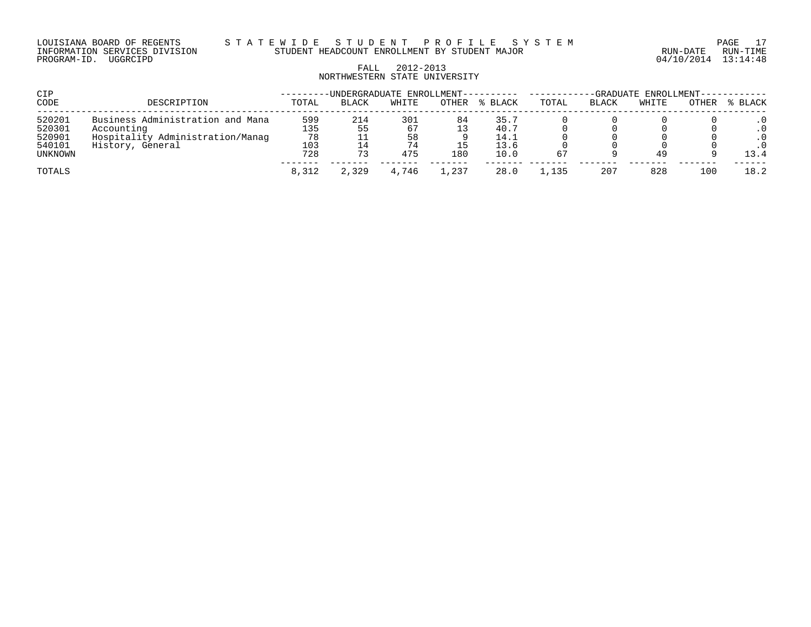LOUISIANA BOARD OF REGENTS S T A T E W I D E S T U D E N T P R O F I L E S Y S T E M PAGE 17 INFORMATION SERVICES DIVISION STUDENT HEADCOUNT ENROLLMENT BY STUDENT MAJOR RUN-DATE RUN-TIME

# FALL 2012-2013 NORTHWESTERN STATE UNIVERSITY

| CIP                         |                                                      |                  | -UNDERGRADUATE ENROLLMENT---------- |                 |          |                      | -GRADUATE ENROLLMENT------ |       |       |       |                          |
|-----------------------------|------------------------------------------------------|------------------|-------------------------------------|-----------------|----------|----------------------|----------------------------|-------|-------|-------|--------------------------|
| CODE                        | DESCRIPTION                                          | TOTAL            | <b>BLACK</b>                        | WHITE           | OTHER    | % BLACK              | TOTAL                      | BLACK | WHITE | OTHER | % BLACK                  |
| 520201<br>520301            | Business Administration and Mana<br>Accounting       | 599<br>135       | 214<br>55                           | 301<br>67       | 84<br>13 | 35.7<br>40.7         |                            |       |       |       | . 0                      |
| 520901<br>540101<br>UNKNOWN | Hospitality Administration/Manaq<br>History, General | 78<br>103<br>728 | 73                                  | 58<br>74<br>475 | 180      | 14.1<br>13.6<br>10.0 | 67                         |       | 49    |       | $\cdot$ 0<br>. 0<br>13.4 |
| TOTALS                      |                                                      | 8,312            | 2,329                               | 4,746           | . . 237  | 28.0                 | 1,135                      | 207   | 828   | 100   | 18.2                     |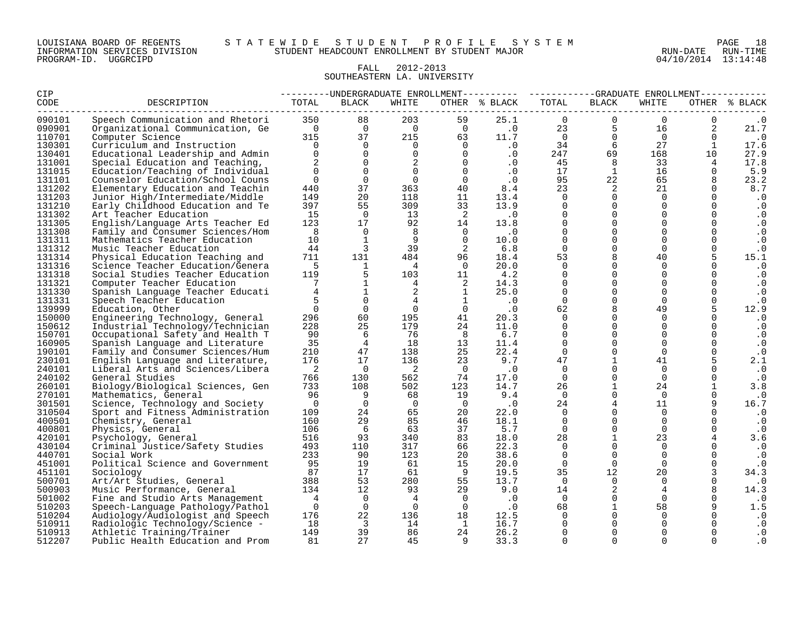# FALL 2012-2013 SOUTHEASTERN LA. UNIVERSITY

| CIP    |                                  |                |                         |                | ---------UNDERGRADUATE ENROLLMENT--------- ----------GRADUATE ENROLLMENT---------- |               |                |              |                |          |               |
|--------|----------------------------------|----------------|-------------------------|----------------|------------------------------------------------------------------------------------|---------------|----------------|--------------|----------------|----------|---------------|
| CODE   | DESCRIPTION                      | TOTAL          | BLACK                   | WHITE          |                                                                                    | OTHER % BLACK | TOTAL          | <b>BLACK</b> | WHITE          |          | OTHER % BLACK |
| 090101 | Speech Communication and Rhetori | 350            | 88                      | 203            | 59                                                                                 | 25.1          | $\mathbf 0$    | $\mathbf 0$  | $\mathbf 0$    | 0        | $\cdot$ 0     |
| 090901 | Organizational Communication, Ge | $\overline{0}$ | $\overline{0}$          | $\overline{0}$ | $\overline{0}$                                                                     | $\cdot$ 0     | 23             | 5            | 16             | 2        | 21.7          |
| 110701 | Computer Science                 | 315            | 37                      | 215            | 63                                                                                 | 11.7          | $\overline{0}$ | $\Omega$     | $\Omega$       | $\Omega$ | $\cdot$ 0     |
| 130301 | Curriculum and Instruction       | $\cap$         | $\Omega$                | 0              | $\mathbf 0$                                                                        | .0            | 34             | 6            | 27             | 1        | 17.6          |
| 130401 | Educational Leadership and Admin | $\Omega$       | $\Omega$                | $\Omega$       | $\Omega$                                                                           | .0            | 247            | 69           | 168            | 10       | 27.9          |
| 131001 | Special Education and Teaching,  | 2              | $\overline{0}$          | 2              | $\overline{0}$                                                                     | .0            | 45             | 8            | 33             | 4        | 17.8          |
| 131015 | Education/Teaching of Individual | $\Omega$       | $\Omega$                | $\Omega$       | $\overline{0}$                                                                     | $\cdot$ 0     | 17             | $\mathbf{1}$ | 16             | $\Omega$ | 5.9           |
| 131101 | Counselor Education/School Couns | $\Omega$       | $\Omega$                | $\Omega$       | $\Omega$                                                                           | $\cdot$ 0     | 95             | 22           | 65             | 8        | 23.2          |
| 131202 | Elementary Education and Teachin | 440            | 37                      | 363            | 40                                                                                 | 8.4           | 23             | 2            | 21             | $\Omega$ | 8.7           |
| 131203 | Junior High/Intermediate/Middle  | 149            | 20                      | 118            | 11                                                                                 | 13.4          | $\mathbf 0$    | $\Omega$     | $\overline{0}$ |          | $\cdot$ 0     |
| 131210 | Early Childhood Education and Te | 397            | 55                      | 309            | 33                                                                                 | 13.9          | $\mathbf 0$    | $\Omega$     | $\Omega$       | $\Omega$ | $\cdot$ 0     |
| 131302 | Art Teacher Education            | 15             | $\overline{0}$          | 13             | $\overline{2}$                                                                     | $\cdot$ 0     | $\Omega$       | $\Omega$     | $\Omega$       | $\Omega$ | $\cdot$ 0     |
| 131305 | English/Language Arts Teacher Ed | 123            | 17                      | 92             | 14                                                                                 | 13.8          | $\mathbf 0$    | $\mathbf 0$  | 0              | 0        | $\cdot$ 0     |
| 131308 | Family and Consumer Sciences/Hom | - 8            | $\Omega$                | 8              | $\Omega$                                                                           | $\cdot$ 0     | $\Omega$       | $\Omega$     | $\Omega$       | $\Omega$ | $\cdot$ 0     |
| 131311 | Mathematics Teacher Education    | 10             | $\mathbf{1}$            | 9              | $\Omega$                                                                           | 10.0          | $\overline{0}$ | $\Omega$     | $\Omega$       | $\Omega$ | $\cdot$ 0     |
| 131312 | Music Teacher Education          | 44             | $\overline{3}$          | 39             | $\overline{2}$                                                                     | 6.8           | $\Omega$       | $\mathbf 0$  | $\Omega$       | 0        | $\cdot$ 0     |
| 131314 | Physical Education Teaching and  | 711            | 131                     | 484            | 96                                                                                 | 18.4          | 53             | 8            | 40             | 5        | 15.1          |
| 131316 | Science Teacher Education/Genera | 5              | 1                       | 4              | $\overline{0}$                                                                     | 20.0          | $\mathbf 0$    | $\mathbf 0$  | $\mathbf 0$    | $\Omega$ | $\cdot$ 0     |
| 131318 | Social Studies Teacher Education | 119            | 5                       | 103            | 11                                                                                 | 4.2           | $\Omega$       | $\Omega$     | $\Omega$       | $\Omega$ | $\cdot$ 0     |
| 131321 | Computer Teacher Education       | 7              | $\mathbf{1}$            | $\overline{4}$ | 2                                                                                  | 14.3          | $\Omega$       | $\Omega$     | $\Omega$       | $\Omega$ | $\cdot$ 0     |
| 131330 | Spanish Language Teacher Educati |                | $\mathbf{1}$            | 2              | $\mathbf{1}$                                                                       | 25.0          | $\Omega$       | $\Omega$     | $\mathbf 0$    | $\Omega$ | $\cdot$ 0     |
| 131331 | Speech Teacher Education         |                | $\Omega$                | 4              | <sup>1</sup>                                                                       | $\cdot$ 0     | $\Omega$       | $\mathbf 0$  | $\Omega$       | $\Omega$ | $\cdot$ 0     |
| 139999 | Education, Other                 | $\Omega$       | $\overline{0}$          | $\Omega$       | $\overline{0}$                                                                     | $\cdot$ 0     | 62             | 8            | 49             |          | 12.9          |
| 150000 | Engineering Technology, General  | 296            | 60                      | 195            | 41                                                                                 | 20.3          | $\Omega$       | $\Omega$     | $\Omega$       |          | $\cdot$ 0     |
| 150612 | Industrial Technology/Technician | 228            | 25                      | 179            | 24                                                                                 | 11.0          | $\Omega$       | $\Omega$     | $\Omega$       | $\Omega$ | $\cdot$ 0     |
| 150701 | Occupational Safety and Health T | 90             | 6                       | 76             | - 8                                                                                | 6.7           | $\Omega$       | $\Omega$     | $\Omega$       | $\Omega$ | $\cdot$ 0     |
| 160905 | Spanish Language and Literature  | 35             | $\overline{4}$          | 18             | 13                                                                                 | 11.4          | $\Omega$       | $\mathbf 0$  | $\Omega$       |          | $\cdot$ 0     |
| 190101 | Family and Consumer Sciences/Hum | 210            | 47                      | 138            | 25                                                                                 | 22.4          | $\mathbf 0$    | $\mathbf 0$  | $\Omega$       | 0        | $\cdot$ 0     |
| 230101 | English Language and Literature, | 176            | 17                      | 136            | 23                                                                                 | 9.7           | 47             | $\mathbf{1}$ | 41             | 5        | 2.1           |
| 240101 | Liberal Arts and Sciences/Libera | 2              | $\overline{0}$          | 2              | $\overline{0}$                                                                     | $\cdot$ 0     | $\Omega$       | $\Omega$     | $\Omega$       |          | $\cdot$ 0     |
| 240102 | General Studies                  | 766            | 130                     | 562            | 74                                                                                 | 17.0          | $\Omega$       | $\Omega$     | $\Omega$       | $\Omega$ | $\cdot$ 0     |
| 260101 | Biology/Biological Sciences, Gen | 733            | 108                     | 502            | 123                                                                                | 14.7          | 26             | $\mathbf{1}$ | 24             |          | 3.8           |
| 270101 | Mathematics, General             | 96             | 9                       | 68             | 19                                                                                 | 9.4           | $\Omega$       | $\mathbf 0$  | $\overline{0}$ | $\Omega$ | $\cdot$ 0     |
| 301501 | Science, Technology and Society  | $\overline{0}$ | $\overline{0}$          | $\overline{0}$ | $\overline{0}$                                                                     | $\cdot$ 0     | 24             | 4            | 11             | 9        | 16.7          |
| 310504 | Sport and Fitness Administration | 109            | 24                      | 65             | 20                                                                                 | 22.0          | $\mathbf 0$    | $\Omega$     | $\mathbf 0$    |          | $\cdot$ 0     |
| 400501 | Chemistry, General               | 160            | 29                      | 85             | 46                                                                                 | 18.1          | $\Omega$       | $\Omega$     | $\Omega$       | 0        | $\cdot$ 0     |
| 400801 | Physics, General                 | 106            | 6                       | 63             | 37                                                                                 | 5.7           | $\Omega$       | $\mathbf 0$  | $\Omega$       | $\Omega$ | $\cdot$ 0     |
| 420101 | Psychology, General              | 516            | 93                      | 340            | 83                                                                                 | 18.0          | 28             | $\mathbf{1}$ | 23             | 4        | 3.6           |
| 430104 | Criminal Justice/Safety Studies  | 493            | 110                     | 317            | 66                                                                                 | 22.3          | $\mathbf 0$    | $\Omega$     | $\Omega$       |          | $\cdot$ 0     |
| 440701 | Social Work                      | 233            | 90                      | 123            | 20                                                                                 | 38.6          | $\Omega$       | $\Omega$     | $\Omega$       | $\Omega$ | $\cdot$ 0     |
| 451001 | Political Science and Government | 95             | 19                      | 61             | 15                                                                                 | 20.0          | $\Omega$       | $\Omega$     | $\Omega$       | $\Omega$ | $\cdot$ 0     |
| 451101 | Sociology                        | 87             | 17                      | 61             | - 9                                                                                | 19.5          | 35             | 12           | 20             | 3        | 34.3          |
| 500701 | Art/Art Studies, General         | 388            | 53                      | 280            | 55                                                                                 | 13.7          | $\Omega$       | $\Omega$     | $\Omega$       | $\Omega$ | $\cdot$ 0     |
| 500903 | Music Performance, General       | 134            | 12                      | 93             | 29                                                                                 | 9.0           | 14             | 2            | 4              |          | 14.3          |
| 501002 | Fine and Studio Arts Management  | $\overline{4}$ | $\Omega$                | 4              | $\overline{0}$                                                                     | $\cdot$ 0     | $\Omega$       | $\mathbf 0$  | $\Omega$       | 0        | . 0           |
| 510203 | Speech-Language Pathology/Pathol | $\Omega$       | $\Omega$                | $\Omega$       | $\cap$                                                                             | $\cdot$ 0     | 68             | $\mathbf{1}$ | 58             | 9        | 1.5           |
| 510204 | Audiology/Audiologist and Speech | 176            | 22                      | 136            | 18                                                                                 | 12.5          | $\Omega$       | $\Omega$     | $\Omega$       |          | . 0           |
| 510911 | Radiologic Technology/Science -  | 18             | $\overline{\mathbf{3}}$ | 14             | $\mathbf{1}$                                                                       | 16.7          | $\Omega$       | $\Omega$     |                | 0        | . 0           |
| 510913 | Athletic Training/Trainer        | 149            | 39                      | 86             | 24                                                                                 | 26.2          | $\mathbf 0$    | $\mathbf 0$  |                | $\Omega$ | . 0           |
| 512207 | Public Health Education and Prom | 81             | 27                      | 45             | 9                                                                                  | 33.3          | $\Omega$       | $\Omega$     | $\Omega$       | $\Omega$ | . 0           |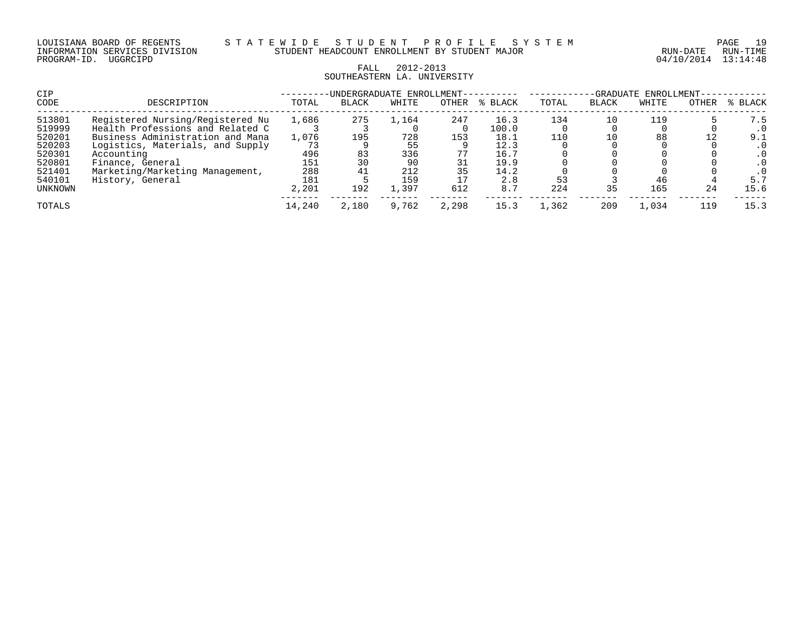# FALL 2012-2013 SOUTHEASTERN LA. UNIVERSITY

| CIP     |                                  |        | -UNDERGRADUATE ENROLLMENT- |       |       |             | -GRADUATE ENROLLMENT- |              |       |       |           |
|---------|----------------------------------|--------|----------------------------|-------|-------|-------------|-----------------------|--------------|-------|-------|-----------|
| CODE    | DESCRIPTION                      | TOTAL  | <b>BLACK</b>               | WHITE | OTHER | BLACK<br>°≈ | TOTAL                 | <b>BLACK</b> | WHITE | OTHER | % BLACK   |
| 513801  | Registered Nursing/Registered Nu | 1,686  | 275                        | L.164 | 247   | 16.3        | 134                   |              | 119   |       | 7.5       |
| 519999  | Health Professions and Related C |        |                            |       |       | 100.0       |                       |              |       |       |           |
| 520201  | Business Administration and Mana | 1,076  | 195                        | 728   | 153   | 18.1        | 110                   |              | 88    |       | 9.1       |
| 520203  | Logistics, Materials, and Supply | 73     |                            | 55    |       | 12.3        |                       |              |       |       |           |
| 520301  | Accounting                       | 496    | 83                         | 336   |       | 16.7        |                       |              |       |       | $\cdot$ 0 |
| 520801  | Finance, General                 | 151    | 30                         | 90    |       | 19.9        |                       |              |       |       |           |
| 521401  | Marketing/Marketing Management,  | 288    | 41                         | 212   | 35    | 14.2        |                       |              |       |       |           |
| 540101  | History, General                 | 181    |                            | 159   |       | 2.8         |                       |              | 46    |       | 5.7       |
| UNKNOWN |                                  | 2,201  | 192                        | 1,397 | 612   | 8.7         | 224                   | 35           | 165   | 24    | 15.6      |
| TOTALS  |                                  | 14,240 | 2,180                      | 9,762 | 2,298 | 15.3        | 1,362                 | 209          | 1,034 | 119   | 15.3      |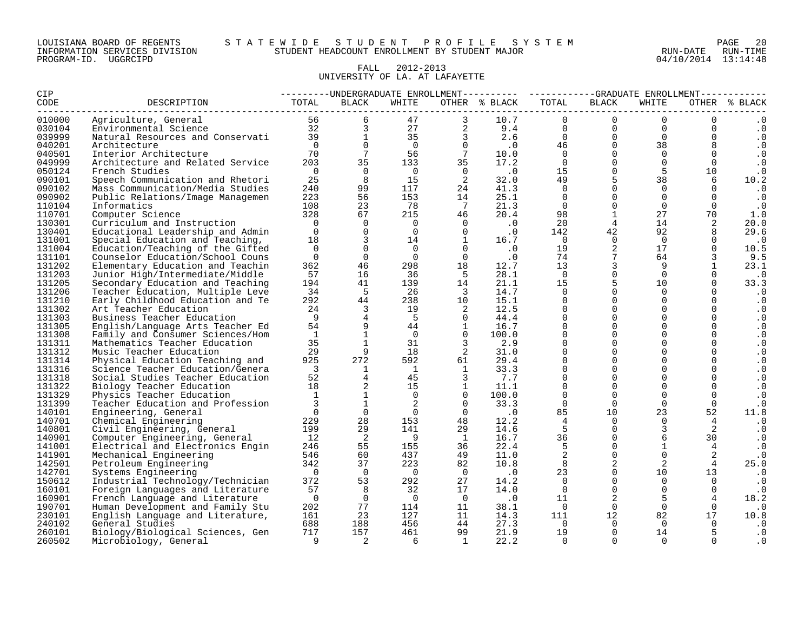| LOUISIANA BOARD OF REGENTS    |  |  |
|-------------------------------|--|--|
| INFORMATION SERVICES DIVISION |  |  |
| PROGRAM-ID. UGGRCIPD          |  |  |

#### LOUISIANA BOARD OF REGENTS S T A T E W I D E S T U D E N T P R O F I L E S Y S T E M PAGE 20 INFORMATION SERVICES DIVISION STUDENT HEADCOUNT ENROLLMENT BY STUDENT MAJOR RUN-DATE RUN-TIME

04/10/2014 13:14:48

# FALL 2012-2013 UNIVERSITY OF LA. AT LAFAYETTE

| CIP              |                                                                                                            |                         |                               |                       |                         |                             | ---------UNDERGRADUATE ENROLLMENT--------- ----------GRADUATE ENROLLMENT---------- |                      |                                     |                      |                        |
|------------------|------------------------------------------------------------------------------------------------------------|-------------------------|-------------------------------|-----------------------|-------------------------|-----------------------------|------------------------------------------------------------------------------------|----------------------|-------------------------------------|----------------------|------------------------|
| CODE             | DESCRIPTION                                                                                                | TOTAL                   | <b>BLACK</b>                  | WHITE                 |                         | OTHER % BLACK               | TOTAL                                                                              | <b>BLACK</b>         | WHITE                               |                      | OTHER % BLACK          |
| 010000           | Agriculture, General 56<br>Environmental Science 32<br>Natural Resources and Conservati 39<br>Architecture |                         |                               |                       | 47                      | 10.7                        | $\Omega$                                                                           | $\Omega$             | $\Omega$                            | $\overline{0}$       |                        |
| 030104           |                                                                                                            |                         | 3 <sup>7</sup>                | $\frac{1}{27}$        |                         | 2 9.4                       | $0 \qquad \qquad$                                                                  |                      | $0 \qquad \qquad$<br>$\overline{0}$ | $\overline{0}$       | $\cdot$ 0              |
| 039999           |                                                                                                            |                         | 1                             | 35                    | $\overline{\mathbf{3}}$ | $2.6$<br>.0                 | $\overline{0}$                                                                     | $\overline{0}$       | $\overline{0}$                      | $\Omega$             | $\cdot$ 0              |
| 040201           | Architecture                                                                                               | $\overline{0}$          | $\Omega$                      | $\overline{0}$        | $\Omega$                |                             | 46                                                                                 | $\overline{0}$       | 38                                  | 8                    | $\cdot$ 0              |
| 040501           | Interior Architecture                                                                                      | 70                      | $7\overline{ }$               | 56                    | $7\overline{ }$         | 10.0                        | $\overline{0}$                                                                     | $\overline{0}$       | $\overline{0}$                      | $\Omega$             | $\cdot$ 0              |
| 049999           | Architecture and Related Service                                                                           | 203                     | 35                            | 133                   | 35                      | 17.2                        | $\overline{0}$                                                                     | $\overline{0}$       | $\overline{0}$                      | $\overline{0}$       | $\cdot$ 0              |
| 050124           | French Studies                                                                                             | $\overline{0}$          | $\Omega$                      | $\overline{0}$        | $\overline{0}$          | $\cdot$ 0                   | 15                                                                                 | $\overline{0}$       | 5                                   | 10                   | $\cdot$ 0              |
| 090101           | Speech Communication and Rhetori                                                                           | 25                      | 8                             | 15                    | $\overline{2}$          | 32.0                        | 49                                                                                 | 5                    | 38                                  | 6                    | 10.2                   |
| 090102           | Mass Communication/Media Studies                                                                           | 240                     | 99                            | 117                   | 24                      | 41.3                        | $\Omega$                                                                           | $\Omega$             | $\Omega$                            | $\Omega$             | $\cdot$ 0              |
| 090902           | Public Relations/Image Managemen                                                                           | 223                     | 56                            | 153                   | 14                      | 25.1                        | $\overline{0}$                                                                     | $\Omega$             | $\Omega$                            | $\Omega$             | $\cdot$ 0              |
| 110104           | Informatics                                                                                                | 108                     | 23                            | 78                    | $\overline{7}$          | 21.3                        | $\overline{0}$                                                                     | $\overline{0}$       | $\Omega$                            | $\Omega$             | $\cdot$ 0              |
| 110701           | Computer Science                                                                                           | 328                     | 67                            | 215                   | 46                      | 20.4                        | 98                                                                                 | $\mathbf{1}$         | 27                                  | 70                   | 1.0                    |
| 130301           | Curriculum and Instruction                                                                                 | $\overline{0}$          | $\mathbf 0$                   | $\overline{0}$        | $\overline{0}$          | $\cdot$ 0                   | 20                                                                                 | 4                    | 14                                  | 2                    | 20.0                   |
| 130401           | Educational Leadership and Admin                                                                           | $\Omega$                | $\Omega$                      | $\overline{0}$        | $\Omega$                | $\cdot$ 0                   | 142                                                                                | 42                   | 92                                  | 8                    | 29.6                   |
| 131001           | Special Education and Teaching,                                                                            | 18                      | 3                             | 14                    | $\overline{1}$          | 16.7                        | $\overline{0}$                                                                     | $\Omega$             | $\Omega$                            | $\Omega$             | $\cdot$ 0              |
| 131004           | Education/Teaching of the Gifted                                                                           | $\Omega$                | $\Omega$                      | $\Omega$              | $\Omega$                | $\cdot$ 0                   | 19                                                                                 | $\overline{2}$       | 17                                  | $\Omega$             | 10.5                   |
| 131101           | Counselor Education/School Couns                                                                           | $\overline{0}$          | $\Omega$                      | $\overline{0}$        | $\Omega$                | $\cdot$ 0                   | 74                                                                                 | $7\phantom{.0}$      | 64                                  |                      | 9.5                    |
| 131202           | Elementary Education and Teachin                                                                           | 362                     | 46                            | 298                   | 18                      | 12.7                        | 13                                                                                 | $\overline{3}$       | 9                                   | $\mathbf{1}$         | 23.1                   |
| 131203           | Junior High/Intermediate/Middle                                                                            | 57                      | 16                            | 36                    | $-5$                    | 28.1                        | $\overline{0}$                                                                     | $\mathbf 0$          | $\Omega$                            | $\Omega$             | $\cdot$ 0              |
| 131205           | Secondary Education and Teaching                                                                           | 194                     | 41                            | 139                   | 14                      | 21.1                        | 15                                                                                 | 5                    | 10 <sup>°</sup>                     | $\Omega$             | 33.3                   |
| 131206           | Teacher Education, Multiple Leve                                                                           | 34                      | 5                             | - 26                  | $\overline{\mathbf{3}}$ | 14.7                        | $\Omega$                                                                           | $\Omega$             | $\Omega$                            | $\Omega$             | $\cdot$ 0              |
| 131210           | Early Childhood Education and Te                                                                           | 292                     | 44                            | 238                   | 10                      | 15.1                        | $\Omega$                                                                           | $\Omega$             | $\Omega$                            | $\Omega$             | $\cdot$ 0              |
| 131302           | Art Teacher Education                                                                                      | 24                      | $\mathbf{3}$                  | 19                    | 2                       | 12.5                        | $\Omega$                                                                           | $\mathbf 0$          | $\Omega$                            | $\Omega$             | $\cdot$ 0              |
| 131303           | Business Teacher Education                                                                                 | - 9                     | $\overline{4}$                | $-5$                  | $\overline{0}$          | 44.4                        | $\Omega$                                                                           | $\mathbf 0$          | $\Omega$                            | $\Omega$             | $\cdot$ 0              |
| 131305           | English/Language Arts Teacher Ed                                                                           | 54                      | 9                             | 44                    | $\mathbf{1}$            | 16.7                        | $\Omega$                                                                           | $\mathbf 0$          | $\Omega$                            | $\mathbf 0$          | $\cdot$ 0              |
| 131308           | Family and Consumer Sciences/Hom                                                                           | $\mathbf{1}$            | $\overline{1}$                | $\overline{0}$        | $\overline{0}$          | 100.0                       | $\Omega$                                                                           | $\Omega$             | $\Omega$                            | $\Omega$             | $\cdot$ 0              |
| 131311           | Mathematics Teacher Education                                                                              | 35                      | $\mathbf{1}$                  | 31                    | $\overline{3}$          | 2.9                         | $\Omega$                                                                           | $\Omega$             | $\Omega$                            | $\Omega$             | $\cdot$ 0              |
| 131312           | Music Teacher Education                                                                                    | 29                      | 9                             | 18                    | 2                       | 31.0                        | $\Omega$                                                                           | $\mathbf 0$          | $\Omega$                            | $\Omega$             | $\cdot$ 0              |
| 131314           | Physical Education Teaching and                                                                            | 925                     | 272                           | 592                   | 61                      | 29.4                        | $\Omega$                                                                           | $\Omega$             | $\Omega$                            | $\Omega$             | $\cdot$ 0              |
| 131316           | Science Teacher Education/Genera                                                                           | $\overline{\mathbf{3}}$ | $\mathbf{1}$                  | $\mathbf{1}$          | $\mathbf{1}$            | 33.3                        | $\mathbf 0$                                                                        | $\mathbf{0}$         | $\Omega$                            | $\mathbf 0$          | $\cdot$ 0              |
| 131318           | Social Studies Teacher Education                                                                           | 52                      | $\overline{4}$                | 45                    | $\overline{3}$          | 7.7                         | $\Omega$                                                                           | $\Omega$             | $\Omega$                            | $\Omega$             | $\cdot$ 0              |
| 131322           | Biology Teacher Education                                                                                  | 18                      | $\overline{a}$                | 15                    | $\mathbf{1}$            | 11.1                        | $\mathbf 0$                                                                        | $\overline{0}$       | $\mathbf 0$                         | $\mathbf 0$          | $\cdot$ 0              |
| 131329           | Physics Teacher Education                                                                                  | $\overline{1}$          | $\mathbf{1}$                  | $\Omega$              | $\Omega$                | 100.0                       | $\Omega$                                                                           | $\Omega$             | $\Omega$                            | $\Omega$             | $\cdot$ 0              |
| 131399           | Teacher Education and Profession                                                                           | $\overline{3}$          | $\mathbf{1}$                  | 2                     | $\overline{0}$          | 33.3                        | $\Omega$                                                                           | $\Omega$             | $\Omega$                            | $\Omega$             | $\cdot$ 0              |
| 140101           | Engineering, General                                                                                       | $\overline{0}$          | $\overline{0}$                | $\overline{0}$        | $\overline{0}$          | $\overline{\phantom{0}}$ .0 | 85                                                                                 | 10                   | 23<br>$\Omega$                      | 52                   | 11.8                   |
| 140701           | Chemical Engineering                                                                                       | 229<br>199              | 28<br>29                      | 153<br>141            | 48<br>29                | 12.2                        | $\overline{4}$<br>5                                                                | $\Omega$<br>$\Omega$ | 3                                   | $4\overline{ }$<br>2 | $\cdot$ 0              |
| 140801           | Civil Engineering, General                                                                                 | 12                      |                               |                       |                         | 14.6                        | 36                                                                                 | $\mathbf 0$          | 6                                   | 30                   | $\cdot$ 0              |
| 140901           | Computer Engineering, General                                                                              | 246                     | $\overline{\mathbf{2}}$<br>55 | $\overline{9}$<br>155 | $\mathbf{1}$<br>36      | 16.7<br>22.4                | 5                                                                                  | $\Omega$             | $\mathbf 1$                         | $\overline{4}$       | $\cdot$ 0              |
| 141001<br>141901 | Electrical and Electronics Engin                                                                           | 546                     | 60                            | 437                   | 49                      | 11.0                        | 2                                                                                  | $\mathbf{0}$         | $\Omega$                            |                      | $\cdot$ 0              |
| 142501           | Mechanical Engineering                                                                                     | 342                     | 37                            | 223                   | 82                      | 10.8                        | 8                                                                                  | 2                    | $\overline{2}$                      | 2<br>$\overline{4}$  | $\cdot$ 0<br>25.0      |
| 142701           | Petroleum Engineering                                                                                      | $\overline{0}$          | $\Omega$                      | $\overline{0}$        | $\overline{0}$          | $\cdot$ 0                   | 23                                                                                 | $\Omega$             | 10 <sup>°</sup>                     | 13                   | $\cdot$ 0              |
| 150612           | Systems Engineering                                                                                        | 372                     | 53                            | 292                   | 27                      | 14.2                        | $\overline{0}$                                                                     | $\mathbf 0$          | $\Omega$                            | $\Omega$             |                        |
| 160101           | Industrial Technology/Technician<br>Foreign Languages and Literature                                       | 57                      | 8                             | 32                    | 17                      | 14.0                        | $\overline{0}$                                                                     | $\overline{0}$       | $\overline{0}$                      | $\overline{0}$       | $\cdot$ 0<br>$\cdot$ 0 |
| 160901           | French Language and Literature                                                                             | $\overline{0}$          | $\Omega$                      | $\overline{0}$        | $\overline{0}$          | $\cdot$ 0                   | 11                                                                                 | 2                    | 5                                   | $\overline{4}$       | 18.2                   |
| 190701           | Human Development and Family Stu                                                                           | 202                     | 77                            | 114                   | 11                      | 38.1                        | $\overline{0}$                                                                     | $\Omega$             | $\Omega$                            | $\Omega$             | $\cdot$ 0              |
| 230101           | English Language and Literature,                                                                           | 161                     | 23                            | 127                   | 11                      | 14.3                        | 111                                                                                | 12                   | 82                                  | 17                   | 10.8                   |
| 240102           | General Studies                                                                                            | 688                     | 188                           | 456                   | 44                      | 27.3                        | $\overline{0}$                                                                     | $\Omega$             | $\Omega$                            | $\Omega$             | $\cdot$ 0              |
| 260101           | Biology/Biological Sciences, Gen                                                                           | 717                     | 157                           | 461                   | 99                      | 21.9                        | 19                                                                                 | $\mathbf 0$          | 14                                  | 5                    | $\cdot$ 0              |
| 260502           | Microbiology, General                                                                                      | $\overline{9}$          | $\overline{2}$                | -6                    | $\overline{1}$          | 22.2                        | $\Omega$                                                                           | $\Omega$             | $\Omega$                            | $\Omega$             | $\cdot$ 0              |
|                  |                                                                                                            |                         |                               |                       |                         |                             |                                                                                    |                      |                                     |                      |                        |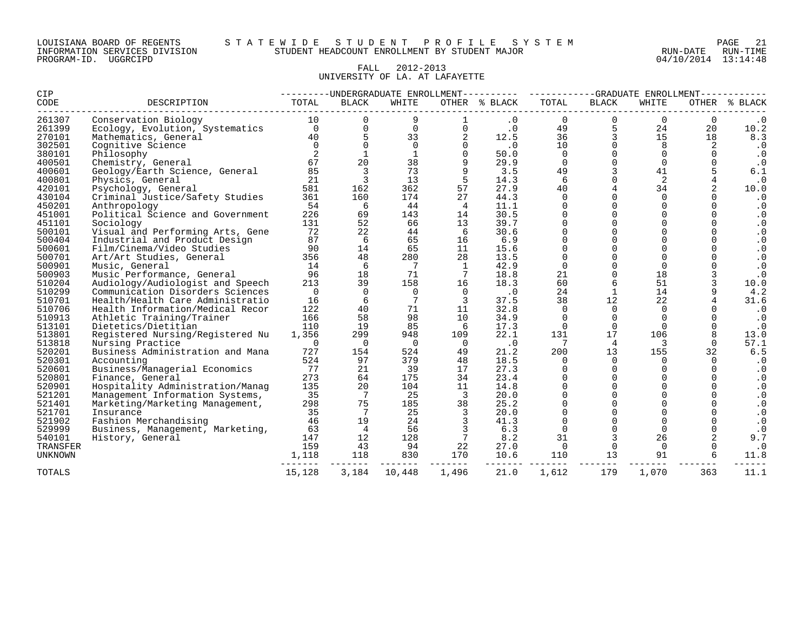| LOUISIANA BOARD OF REGENTS    |          |  |
|-------------------------------|----------|--|
| INFORMATION SERVICES DIVISION |          |  |
| PROGRAM-ID.                   | UGGRCIPD |  |

#### LOUISIANA BOARD OF REGENTS S T A T E W I D E S T U D E N T P R O F I L E S Y S T E M PAGE 21 INFORMATION SERVICES DIVISION STUDENT HEADCOUNT ENROLLMENT BY STUDENT MAJOR RUN-DATE RUN-TIME

04/10/2014 13:14:48

# FALL 2012-2013 UNIVERSITY OF LA. AT LAFAYETTE

| CIP            |                                  |             |                | ---------UNDERGRADUATE ENROLLMENT---------- |                 |               | --GRADUATE ENROLLMENT----<br>---------- |                         |                |             |                  |
|----------------|----------------------------------|-------------|----------------|---------------------------------------------|-----------------|---------------|-----------------------------------------|-------------------------|----------------|-------------|------------------|
| CODE           | DESCRIPTION                      | TOTAL       | <b>BLACK</b>   | WHITE                                       |                 | OTHER % BLACK | TOTAL                                   | <b>BLACK</b>            | WHITE          | OTHER       | % BLACK          |
| 261307         | Conservation Biology             | 10          |                | 9                                           |                 | $\cdot$ 0     | 0                                       | 0                       | $\mathbf 0$    | $\mathbf 0$ | $\cdot$ 0        |
| 261399         | Ecology, Evolution, Systematics  | $\Omega$    | $\Omega$       | $\overline{0}$                              | $\Omega$        | $\cdot$ 0     | 49                                      | 5                       | 24             | 20          | 10.2             |
| 270101         | Mathematics, General             | 40          |                | 33                                          |                 | 12.5          | 36                                      | 3                       | 15             | 18          | 8.3              |
| 302501         | Cognitive Science                | $\Omega$    | $\Omega$       | $\mathbf 0$                                 |                 | .0            | 10                                      | $\mathbf 0$             | 8              | 2           | $\cdot$ 0        |
| 380101         | Philosophy                       |             |                | 1                                           |                 | 50.0          | $\mathbf 0$                             | $\mathbf 0$             | $\mathbf 0$    | $\Omega$    | $\cdot$ 0        |
| 400501         | Chemistry, General               | 67          | 20             | 38                                          |                 | 29.9          | $\Omega$                                | $\Omega$                | $\Omega$       | $\Omega$    | $\cdot$ 0        |
| 400601         | Geology/Earth Science, General   | 85          | 3              | 73                                          |                 | 3.5           | 49                                      | 3                       | 41             |             | 6.1              |
| 400801         | Physics, General                 | 21          | $\overline{3}$ | 13                                          | 5               | 14.3          | 6                                       | $\Omega$                | 2              |             | $\cdot$ 0        |
| 420101         | Psychology, General              | 581         | 162            | 362                                         | 57              | 27.9          | 40                                      | $\overline{4}$          | 34             |             | 10.0             |
| 430104         | Criminal Justice/Safety Studies  | 361         | 160            | 174                                         | 27              | 44.3          | $\Omega$                                | $\Omega$                | $\Omega$       |             | $\cdot$ 0        |
| 450201         | Anthropology                     | 54          | 6              | 44                                          | 4               | 11.1          | $\Omega$                                | $\Omega$                | $\Omega$       | $\Omega$    | $\cdot$ 0        |
| 451001         | Political Science and Government | 226         | 69             | 143                                         | 14              | 30.5          | $\Omega$                                | $\Omega$                | $\Omega$       | $\Omega$    | $\cdot$ 0        |
| 451101         | Sociology                        | 131         | 52             | 66                                          | 13              | 39.7          | $\Omega$                                | $\Omega$                | $\cap$         | $\Omega$    | . 0              |
| 500101         | Visual and Performing Arts, Gene | 72          | 22             | 44                                          | 6               | 30.6          | $\Omega$                                | $\Omega$                | $\cap$         | 0           | $\cdot$ 0        |
| 500404         | Industrial and Product Design    | 87          | 6              | 65                                          | 16              | 6.9           | $\Omega$                                | $\Omega$                |                |             | . 0              |
| 500601         | Film/Cinema/Video Studies        | 90          | 14             | 65                                          | 11              | 15.6          | 0                                       | $\Omega$                | $\Omega$       |             | . 0              |
| 500701         | Art/Art Studies, General         | 356         | 48             | 280                                         | 28              | 13.5          | $\Omega$                                | $\Omega$                | $\Omega$       | $\Omega$    | $\cdot$ 0        |
| 500901         | Music, General                   | 14          | 6              | 7                                           | <sup>1</sup>    | 42.9          | $\mathbf 0$                             | $\Omega$                | $\Omega$       |             | $\cdot$ 0        |
| 500903         | Music Performance, General       | 96          | 18             | 71                                          | $7\phantom{.0}$ | 18.8          | 21                                      | $\Omega$                | 18             |             | $\cdot$ 0        |
| 510204         | Audiology/Audiologist and Speech | 213         | 39             | 158                                         | 16              | 18.3          | 60                                      | 6                       | 51             |             | 10.0             |
| 510299         | Communication Disorders Sciences | 0           | $\Omega$       | $\overline{0}$                              | $\Omega$        | $\cdot$ 0     | 24                                      | $\mathbf 1$             | 14             |             | 4.2              |
| 510701         | Health/Health Care Administratio | 16          | 6              | 7                                           | 3               | 37.5          | 38                                      | 12                      | 22             |             | 31.6             |
| 510706         | Health Information/Medical Recor | 122         | 40             | 71                                          | 11              | 32.8          | $\Omega$                                | $\Omega$                | $\mathbf 0$    |             | $\cdot$ 0        |
| 510913         | Athletic Training/Trainer        | 166         | 58             | 98                                          | 10              | 34.9          | 0                                       | $\mathbf 0$             | $\Omega$       | $\Omega$    | $\cdot$ 0        |
| 513101         | Dietetics/Dietitian              | 110         | 19             | 85                                          | 6               | 17.3          | $\Omega$                                | $\Omega$                | $\Omega$       | $\Omega$    | $\cdot$ 0        |
| 513801         | Registered Nursing/Registered Nu | 1,356       | 299            | 948                                         | 109             | 22.1          | 131                                     | 17                      | 106            |             | 13.0             |
| 513818         | Nursing Practice                 | $\mathbf 0$ | $\Omega$       | $\Omega$                                    | $\Omega$        | $\cdot$ 0     | 7                                       | 4                       | 3              | $\Omega$    | 57.1             |
| 520201         | Business Administration and Mana | 727         | 154            | 524                                         | 49              | 21.2          | 200                                     | 13                      | 155            | 32          | 6.5              |
| 520301         | Accounting                       | 524         | 97             | 379                                         | 48              | 18.5          | 0                                       | $\Omega$                | $\Omega$       | $\Omega$    | $\cdot$ 0        |
| 520601         | Business/Managerial Economics    | 77          | 21             | 39                                          | 17              | 27.3          | $\Omega$                                | $\mathbf 0$             | $\Omega$       | $\Omega$    | $\cdot$ 0        |
| 520801         | Finance, General                 | 273         | 64             | 175                                         | 34              | 23.4          |                                         | $\Omega$                |                |             | $\cdot$ 0        |
| 520901         | Hospitality Administration/Manaq | 135         | 20             | 104                                         | 11              | 14.8          | 0                                       | $\Omega$                |                | $\Omega$    | $\cdot$ 0        |
| 521201         | Management Information Systems,  | 35          | 7              | 25                                          | 3               | 20.0          | 0                                       | 0                       |                |             | $\cdot$ 0        |
| 521401         | Marketing/Marketing Management,  | 298         | 75             | 185                                         | 38              | 25.2          | $\Omega$                                | $\Omega$                |                |             | $\cdot$ 0        |
| 521701         | Insurance                        | 35          | 7              | 25                                          | 3               | 20.0          | $\Omega$                                | $\Omega$                | $\Omega$       | $\Omega$    | $\cdot$ 0        |
| 521902         | Fashion Merchandising            | 46          | 19             | 24                                          |                 | 41.3          | $\Omega$<br>$\Omega$                    | $\mathbf 0$<br>$\Omega$ | $\Omega$       |             | $\cdot$ 0        |
| 529999         | Business, Management, Marketing, | 63          | $\overline{4}$ | 56                                          |                 | 6.3           |                                         |                         | $\Omega$       |             |                  |
| 540101         | History, General                 | 147<br>159  | 12             | 128                                         |                 | 8.2           | 31                                      | 3                       | 26<br>$\Omega$ |             | 9.7<br>$\cdot$ 0 |
| TRANSFER       |                                  |             | 43             | 94                                          | 22              | 27.0          | $\mathbf{0}$                            | $\mathbf 0$<br>13       |                |             |                  |
| <b>UNKNOWN</b> |                                  | 1,118       | 118            | 830                                         | 170             | 10.6          | 110                                     |                         | 91             |             | 11.8             |
| TOTALS         |                                  | 15,128      | 3,184          | 10,448                                      | 1,496           | 21.0          | 1,612                                   | 179                     | 1,070          | 363         | 11.1             |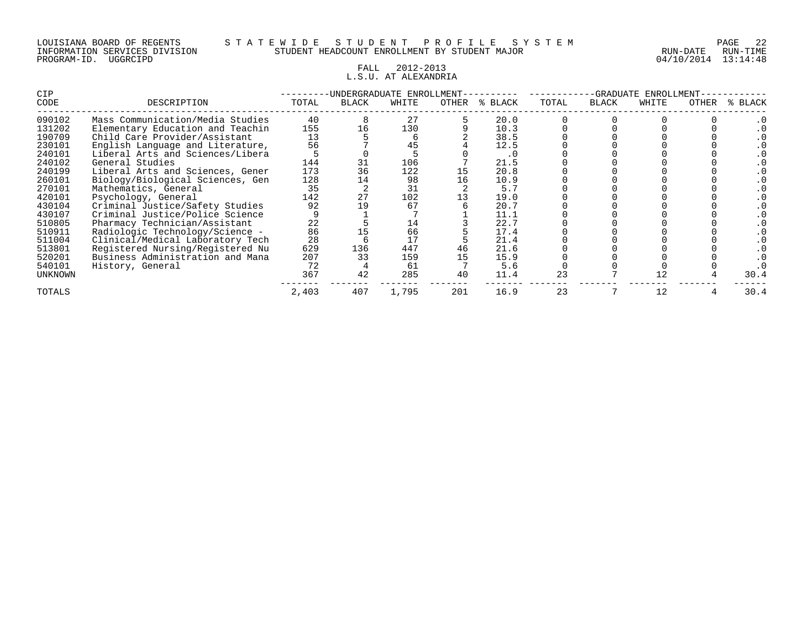# FALL 2012-2013 L.S.U. AT ALEXANDRIA

| CIP            |                                  | -UNDERGRADUATE ENROLLMENT |              |       |       |           |       | -GRADUATE<br>ENROLLMENT |       |       |              |  |
|----------------|----------------------------------|---------------------------|--------------|-------|-------|-----------|-------|-------------------------|-------|-------|--------------|--|
| CODE           | DESCRIPTION                      | TOTAL                     | <b>BLACK</b> | WHITE | OTHER | % BLACK   | TOTAL | <b>BLACK</b>            | WHITE | OTHER | <b>BLACK</b> |  |
| 090102         | Mass Communication/Media Studies | 40                        |              | 27    |       | 20.0      |       |                         |       |       |              |  |
| 131202         | Elementary Education and Teachin | 155                       | 16           | 130   |       | 10.3      |       |                         |       |       |              |  |
| 190709         | Child Care Provider/Assistant    | 13                        |              |       |       | 38.5      |       |                         |       |       |              |  |
| 230101         | English Language and Literature, | 56                        |              |       |       | 12.5      |       |                         |       |       |              |  |
| 240101         | Liberal Arts and Sciences/Libera |                           |              |       |       | $\cdot$ 0 |       |                         |       |       |              |  |
| 240102         | General Studies                  | 144                       |              | 106   |       | 21.5      |       |                         |       |       |              |  |
| 240199         | Liberal Arts and Sciences, Gener | 173                       | 36           | 122   |       | 20.8      |       |                         |       |       |              |  |
| 260101         | Biology/Biological Sciences, Gen | 128                       |              | 98    | 16    | 10.9      |       |                         |       |       |              |  |
| 270101         | Mathematics, General             | 35                        |              | 31    |       | 5.7       |       |                         |       |       |              |  |
| 420101         | Psychology, General              | 142                       | 27           | 102   |       | 19.0      |       |                         |       |       |              |  |
| 430104         | Criminal Justice/Safety Studies  | 92                        |              | 67    |       | 20.7      |       |                         |       |       |              |  |
| 430107         | Criminal Justice/Police Science  |                           |              |       |       | 11.1      |       |                         |       |       |              |  |
| 510805         | Pharmacy Technician/Assistant    | 22                        |              | 14    |       | 22.7      |       |                         |       |       |              |  |
| 510911         | Radiologic Technology/Science -  | 86                        |              | 66    |       | 17.4      |       |                         |       |       |              |  |
| 511004         | Clinical/Medical Laboratory Tech | 28                        |              | 17    |       | 21.4      |       |                         |       |       |              |  |
| 513801         | Registered Nursing/Registered Nu | 629                       | 136          | 447   | 46    | 21.6      |       |                         |       |       |              |  |
| 520201         | Business Administration and Mana | 207                       | 33           | 159   |       | 15.9      |       |                         |       |       |              |  |
| 540101         | History, General                 | 72                        |              | 61    |       | 5.6       |       |                         |       |       |              |  |
| <b>UNKNOWN</b> |                                  | 367                       | 42           | 285   | 40    | 11.4      | 23    |                         |       |       | 30.4         |  |
| TOTALS         |                                  | 2,403                     | 407          | 1,795 | 201   | 16.9      | 23    |                         | 12    |       | 30.4         |  |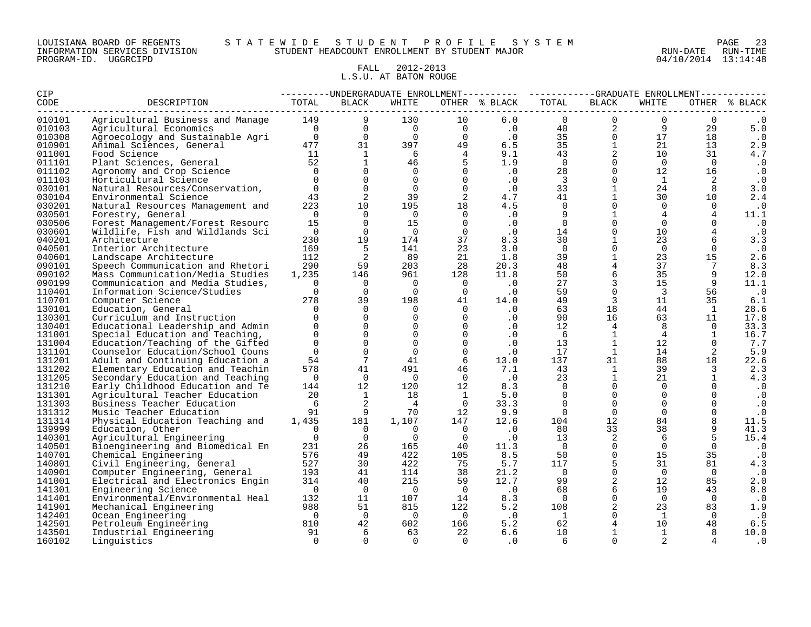#### LOUISIANA BOARD OF REGENTS S T A T E W I D E S T U D E N T P R O F I L E S Y S T E M PAGE 23 INFORMATION SERVICES DIVISION STUDENT HEADCOUNT ENROLLMENT BY STUDENT MAJOR RUN-DATE RUN-TIME

# FALL 2012-2013 L.S.U. AT BATON ROUGE

| CIP              |                                                                      | ---------UNDERGRADUATE ENROLLMENT---------- ----------GRADUATE ENROLLMENT--------<br>OTHER % BLACK |                      |                      |                      |            |                         |                   |                |                          |               |
|------------------|----------------------------------------------------------------------|----------------------------------------------------------------------------------------------------|----------------------|----------------------|----------------------|------------|-------------------------|-------------------|----------------|--------------------------|---------------|
| CODE             | DESCRIPTION                                                          | TOTAL                                                                                              | <b>BLACK</b>         | WHITE                |                      |            | TOTAL                   | BLACK             | WHITE          |                          | OTHER % BLACK |
| 010101           | Agricultural Business and Manage                                     | 149                                                                                                | 9                    | 130                  | 10                   | 6.0        | $\Omega$                | $\Omega$          | $\Omega$       | $\Omega$                 |               |
| 010103           | Agricultural Economics                                               | $\overline{0}$                                                                                     | $\Omega$             | $\overline{0}$       | $\overline{0}$       | $\cdot$ 0  | 40                      | 2                 | 9              | 29                       | 5.0           |
| 010308           | Agroecology and Sustainable Agri                                     | $\begin{array}{c}\n\downarrow \\ 0 \\ 47\n\end{array}$                                             | $\mathbf 0$          | $\Omega$             | $\overline{0}$       | $\cdot$ 0  | 35                      | $\Omega$          | 17             | 18                       | $\cdot$ 0     |
| 010901           | Animal Sciences, General                                             | 477                                                                                                | 31                   | 397                  | 49                   | 6.5        | 35                      | $\mathbf{1}$      | 21             | 13                       | 2.9           |
| 011001           | Food Science                                                         | $\begin{array}{c} 11 \\ 52 \end{array}$                                                            | $\mathbf{1}$         | - 6                  | $\overline{4}$       | 9.1        | 43                      | 2                 | 10             | 31                       | 4.7           |
| 011101           | Plant Sciences, General                                              |                                                                                                    | $\mathbf{1}$         | 46                   | 5                    | 1.9        | $\overline{0}$          | $\mathbf 0$       | $\overline{0}$ | $\overline{0}$           | $\cdot$ 0     |
| 011102           | Agronomy and Crop Science                                            | $\bigcap$                                                                                          | $\Omega$             | $\Omega$             | $\Omega$             | .0         | 28                      | $\Omega$          | 12             | 16                       | $\cdot$ 0     |
| 011103           | Horticultural Science                                                | $\Omega$                                                                                           | $\Omega$             | $\Omega$             | $\Omega$             | .0         | $\overline{\mathbf{3}}$ | $\overline{0}$    | $\mathbf{1}$   | 2                        | $\cdot$ 0     |
| 030101           | Natural Resources/Conservation,                                      | $\Omega$                                                                                           | $\mathbf 0$          | $\Omega$             | $\mathbf 0$          | $\cdot$ 0  | 33                      | $\mathbf{1}$      | 24             | 8                        | 3.0           |
| 030104           | Environmental Science                                                | 43                                                                                                 | 2                    | 39                   | 2                    | 4.7        | 41                      | $\mathbf{1}$      | 30             | 10                       | 2.4           |
| 030201           | Natural Resources Management and                                     | 223                                                                                                | 10                   | 195                  | 18                   | 4.5        | $\Omega$                | $\mathbf 0$       | $\Omega$       | $\overline{0}$           | $\cdot$ 0     |
| 030501           | Forestry, General                                                    | $\cap$                                                                                             | $\Omega$             | $\Omega$             | $\Omega$             | $\cdot$ 0  | 9                       | $\mathbf{1}$      | $\overline{4}$ | $\overline{4}$           | 11.1          |
| 030506           | Forest Management/Forest Resourc                                     | 15                                                                                                 | $\Omega$             | 15                   | $\Omega$             | $\cdot$ 0  | $\Omega$                | $\Omega$          | $\Omega$       | $\Omega$                 | $\cdot$ 0     |
| 030601           | Wildlife, Fish and Wildlands Sci                                     | $\overline{0}$                                                                                     | $\overline{0}$       | $\overline{0}$       | $\Omega$             | $\cdot$ 0  | 14                      | $\mathbf 0$       | 10             |                          | $\cdot$ 0     |
| 040201           | Architecture                                                         | 230                                                                                                | 19                   | 174                  | 37                   | 8.3        | 30                      | $\mathbf{1}$      | 23             | 6                        | 3.3           |
| 040501           | Interior Architecture                                                | 169                                                                                                | 5                    | 141                  | 23                   | 3.0        | $\Omega$                | $\mathbf 0$       | $\Omega$       | $\mathbf 0$              | $\cdot$ 0     |
| 040601           | Landscape Architecture                                               | 112                                                                                                | 2                    | 89                   | 21                   | 1.8        | 39                      | $\mathbf{1}$      | 23             | 15                       | 2.6           |
| 090101           | Speech Communication and Rhetori                                     | 290                                                                                                | 59                   | 203                  | 28                   | 20.3       | 48                      | $\overline{4}$    | 37             | $7\phantom{.0}$          | 8.3           |
| 090102           | Mass Communication/Media Studies                                     | 1,235                                                                                              | 146                  | 961                  | 128                  | 11.8       | 50                      | 6                 | 35             | 9                        | 12.0          |
| 090199           | Communication and Media Studies,                                     | $\Omega$                                                                                           | $\Omega$             | $\Omega$             | $\overline{0}$       | $\cdot$ 0  | 27                      | $\overline{3}$    | 15             | 9                        | 11.1          |
| 110401           | Information Science/Studies                                          | $\Omega$                                                                                           | $\Omega$             | $\Omega$             | $\overline{0}$       | .0         | 59                      | $\Omega$          | $\overline{3}$ | 56                       | $\cdot$ 0     |
| 110701           | Computer Science                                                     | 278                                                                                                | 39                   | 198                  | 41                   | 14.0       | 49                      | 3                 | 11             | 35                       | 6.1           |
| 130101           | Education, General                                                   | $\Omega$                                                                                           | $\mathbf 0$          | $\mathbf 0$          | $\Omega$             | .0         | 63                      | 18                | 44             | $\mathbf{1}$             | 28.6          |
| 130301           | Curriculum and Instruction                                           | $\cap$                                                                                             | $\Omega$<br>$\Omega$ | $\Omega$             | $\Omega$<br>$\Omega$ | $\cdot$ 0  | 90                      | 16                | 63             | 11                       | 17.8          |
| 130401           | Educational Leadership and Admin                                     | $\Omega$<br>$\Omega$                                                                               | $\mathbf 0$          | $\Omega$<br>$\Omega$ | $\Omega$             | $\cdot$ 0  | 12                      | $\overline{4}$    | 8              | $\Omega$                 | 33.3          |
| 131001<br>131004 | Special Education and Teaching,                                      | $\Omega$                                                                                           | $\Omega$             | $\Omega$             | $\Omega$             | $\cdot$ 0  | 6<br>13                 | $\mathbf{1}$<br>1 | $\overline{4}$ | $\mathbf{1}$<br>$\Omega$ | 16.7          |
|                  | Education/Teaching of the Gifted                                     | $\Omega$                                                                                           | $\mathbf 0$          | $\Omega$             | $\mathbf 0$          | $\cdot$ 0  | 17                      | $\mathbf{1}$      | 12<br>14       |                          | 7.7           |
| 131101<br>131201 | Counselor Education/School Couns<br>Adult and Continuing Education a | 54                                                                                                 | $7\phantom{.0}$      | 41                   | 6                    | .0<br>13.0 | 137                     | 31                | 88             | 2<br>18                  | 5.9<br>22.6   |
| 131202           | Elementary Education and Teachin                                     | 578                                                                                                | 41                   | 491                  | 46                   | 7.1        | 43                      | 1                 | 39             | $\overline{3}$           | 2.3           |
| 131205           | Secondary Education and Teaching                                     | $\Omega$                                                                                           | $\overline{0}$       | $\overline{0}$       | $\overline{0}$       | $\cdot$ 0  | 23                      | $\mathbf{1}$      | 21             | $\mathbf{1}$             | 4.3           |
| 131210           | Early Childhood Education and Te                                     | 144                                                                                                | 12                   | 120                  | 12                   | 8.3        | $\overline{0}$          | $\Omega$          | $\mathbf 0$    |                          | $\cdot$ 0     |
| 131301           | Agricultural Teacher Education                                       | 20                                                                                                 | 1                    | 18                   | $\mathbf{1}$         | 5.0        | $\Omega$                | $\mathbf 0$       | $\Omega$       | $\Omega$                 | $\cdot$ 0     |
| 131303           | Business Teacher Education                                           | 6                                                                                                  | 2                    | $\overline{4}$       | $\overline{0}$       | 33.3       | $\Omega$                | $\Omega$          | $\Omega$       |                          | $\cdot$ 0     |
| 131312           | Music Teacher Education                                              | 91                                                                                                 | 9                    | 70                   | 12                   | 9.9        | $\overline{0}$          | $\overline{0}$    | $\Omega$       | $\mathbf 0$              | $\cdot$ 0     |
| 131314           | Physical Education Teaching and                                      | 1,435                                                                                              | 181                  | 1,107                | 147                  | 12.6       | 104                     | 12                | 84             | 8                        | 11.5          |
| 139999           | Education, Other                                                     | $\Omega$                                                                                           | $\Omega$             | $\Omega$             | $\overline{0}$       | $\cdot$ 0  | 80                      | 33                | 38             | 9                        | 41.3          |
| 140301           | Agricultural Engineering                                             | $\Omega$                                                                                           | $\Omega$             | $\Omega$             | $\overline{0}$       | .0         | 13                      | 2                 | 6              | 5                        | 15.4          |
| 140501           | Bioengineering and Biomedical En                                     | 231                                                                                                | 26                   | 165                  | 40                   | 11.3       | $\overline{0}$          | $\Omega$          | $\Omega$       | $\Omega$                 | $\cdot$ 0     |
| 140701           | Chemical Engineering                                                 | 576                                                                                                | 49                   | 422                  | 105                  | 8.5        | 50                      | $\mathbf{0}$      | 15             | 35                       | $\cdot$ 0     |
| 140801           | Civil Engineering, General                                           | 527                                                                                                | 30                   | 422                  | 75                   | 5.7        | 117                     | 5                 | 31             | 81                       | 4.3           |
| 140901           | Computer Engineering, General                                        | 193                                                                                                | 41                   | 114                  | 38                   | 21.2       | $\overline{0}$          | $\Omega$          | $\Omega$       | $\Omega$                 | $\cdot$ 0     |
| 141001           | Electrical and Electronics Engin                                     | 314                                                                                                | 40                   | 215                  | 59                   | 12.7       | 99                      | $\overline{a}$    | 12             | 85                       | 2.0           |
| 141301           | Engineering Science                                                  | $\overline{\phantom{0}}$                                                                           | $\overline{0}$       | $\overline{0}$       | $\overline{0}$       | $\cdot$ 0  | 68                      | $6\,$             | 19             | 43                       | 8.8           |
| 141401           | Environmental/Environmental Heal                                     | 132                                                                                                | 11                   | 107                  | 14                   | 8.3        | $\bigcirc$              | $\mathsf{O}$      | $\Omega$       | $\Omega$                 | $\cdot$ 0     |
| 141901           | Mechanical Engineering                                               | 988                                                                                                | 51                   | 815                  | 122                  | 5.2        | 108                     | 2                 | 23             | 83                       | 1.9           |
| 142401           | Ocean Engineering                                                    | $\bigcap$                                                                                          | $\overline{0}$       | $\Omega$             | $\overline{0}$       | $\cdot$ 0  | $\mathbf{1}$            | $\Omega$          | 1              | $\Omega$                 | $\cdot$ 0     |
| 142501           | Petroleum Engineering                                                | 810                                                                                                | 42                   | 602                  | 166                  | 5.2        | 62                      | $\overline{4}$    | 10             | 48                       | 6.5           |
| 143501           | Industrial Engineering                                               | 91                                                                                                 | 6                    | 63                   | 22                   | 6.6        | 10                      | $\mathbf{1}$      | $\mathbf{1}$   | 8                        | 10.0          |
| 160102           | Linguistics                                                          | $\Omega$                                                                                           | $\Omega$             | $\Omega$             | $\cap$               | $\cdot$ 0  | 6                       | $\Omega$          | 2              |                          | . 0           |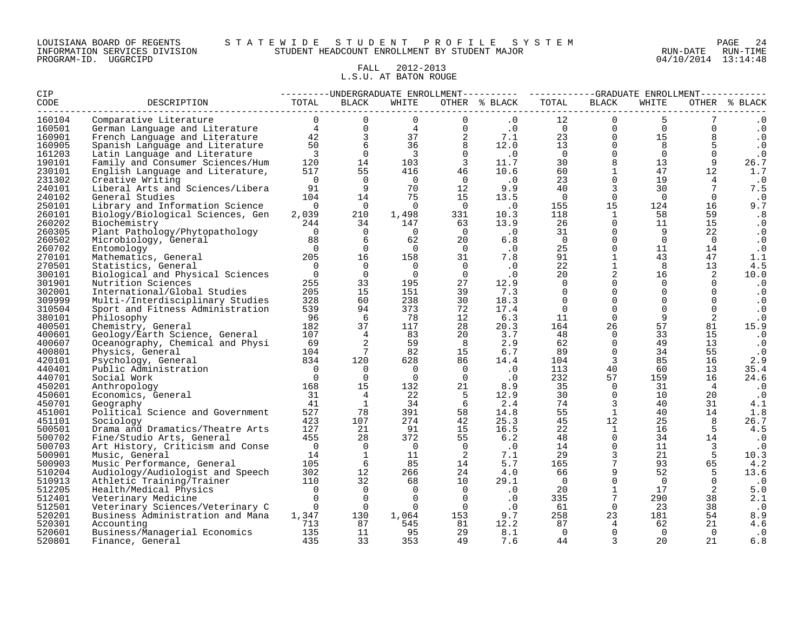#### LOUISIANA BOARD OF REGENTS S T A T E W I D E S T U D E N T P R O F I L E S Y S T E M PAGE 24 INFORMATION SERVICES DIVISION STUDENT HEADCOUNT ENROLLMENT BY STUDENT MAJOR RUN-DATE RUN-TIME

# FALL 2012-2013 L.S.U. AT BATON ROUGE

| CIP    |                                                               |                                           |                |                |                                        | ---------UNDERGRADUATE ENROLLMENT---------- ----------GRADUATE ENROLLMENT----------- |                |                         |                                                                          |                         |               |
|--------|---------------------------------------------------------------|-------------------------------------------|----------------|----------------|----------------------------------------|--------------------------------------------------------------------------------------|----------------|-------------------------|--------------------------------------------------------------------------|-------------------------|---------------|
| CODE   | DESCRIPTION                                                   | TOTAL                                     | BLACK          | WHITE          |                                        | OTHER % BLACK                                                                        | TOTAL          | BLACK                   | WHITE                                                                    |                         | OTHER % BLACK |
| 160104 |                                                               |                                           |                |                |                                        |                                                                                      | 12             | $\overline{0}$          |                                                                          |                         |               |
| 160501 |                                                               |                                           |                |                |                                        |                                                                                      |                |                         | $\begin{matrix} 0 & 0 \\ 0 & 15 \\ 0 & 8 \end{matrix}$<br>$\overline{0}$ | $\Omega$                | $\cdot$ 0     |
| 160901 |                                                               |                                           |                |                |                                        |                                                                                      |                |                         |                                                                          |                         | $\cdot$ 0     |
| 160905 |                                                               |                                           |                |                |                                        |                                                                                      |                | $\overline{0}$          | 8                                                                        | 5                       | $\cdot$ 0     |
| 161203 |                                                               |                                           |                |                |                                        |                                                                                      |                | $\overline{0}$          | $\Omega$                                                                 | $\mathbf 0$             | $\cdot$ 0     |
| 190101 |                                                               |                                           |                |                |                                        |                                                                                      |                | 8                       | 13                                                                       | 9                       | 26.7          |
| 230101 |                                                               |                                           |                |                |                                        |                                                                                      |                | $\overline{1}$          | 47                                                                       | 12                      | 1.7           |
| 231302 | Creative Writing                                              | $\bigcap$                                 | $\overline{0}$ | $\overline{0}$ | $\overline{0}$                         | $\cdot$ 0                                                                            | 23             | $\mathsf{O}$            | 19                                                                       | $\overline{4}$          | $\cdot$ 0     |
| 240101 | Liberal Arts and Sciences/Libera                              | 91                                        | $\overline{9}$ | 70             | 12                                     | 9.9                                                                                  | 40             | $\overline{3}$          | 30                                                                       | 7                       | 7.5           |
| 240102 | General Studies                                               | 104                                       | 14             | 75             | 15                                     | 13.5                                                                                 | $\overline{0}$ | $\overline{0}$          | $\overline{0}$                                                           | $\overline{0}$          | $\cdot$ 0     |
| 250101 | Library and Information Science                               | $\bigcap$                                 | $\overline{0}$ | $\bigcap$      | $\overline{0}$                         | $\cdot$ 0                                                                            | 155            | 15                      | 124                                                                      | 16                      | 9.7           |
| 260101 | Biology/Biological Sciences, Gen                              | 2,039                                     | 210            | 1,498          |                                        | 331 10.3                                                                             | 118            | $\mathbf{1}$            | 58                                                                       | 59                      | .8            |
| 260202 | Biochemistry                                                  | 244                                       | 34             | 147            | 63 — 10                                | 13.9                                                                                 | 26             | $\overline{0}$          | 11                                                                       | 15                      | $\cdot$ 0     |
| 260305 | Plant Pathology/Phytopathology                                | $\overline{0}$                            | $\overline{0}$ | $\overline{0}$ |                                        | $\begin{matrix} 0 & 0 \\ 0 & 0 \\ 0 & 0 \end{matrix}$                                | 31             | $\overline{0}$          | 9                                                                        | 22                      | $\cdot$ 0     |
| 260502 | Microbiology, General                                         | 88                                        | 6              | 62             |                                        | 6.8                                                                                  | $\overline{0}$ | $\overline{0}$          | $\Omega$                                                                 | $\Omega$                | $\cdot$ 0     |
| 260702 | Entomology                                                    | $\bigcap$                                 | $\overline{0}$ | $\overline{0}$ | $\begin{array}{c} 20 \\ 0 \end{array}$ | $\cdot$ 0                                                                            | 25             | $\overline{0}$          | 11                                                                       | 14                      | $\cdot$ 0     |
| 270101 | $20\overline{5}$<br>Mathematics, General                      |                                           | 16             | 158            |                                        | $31 \t 7.8$                                                                          | 91             | $\mathbf{1}$            | 43                                                                       | 47                      | 1.1           |
| 270501 | Statistics, General                                           | $\overline{0}$                            | $\overline{0}$ | $\overline{0}$ | $\overline{0}$                         | $\ddotsc 0$                                                                          | 22             | $\mathbf{1}$            | 8                                                                        | 13                      | 4.5           |
| 300101 | Biological and Physical Sciences                              | $\overline{0}$                            | $\overline{0}$ | $\overline{0}$ | $\overline{0}$                         | $\cdot$ 0                                                                            | 20             | $\overline{a}$          | 16                                                                       | 2                       | 10.0          |
| 301901 | Nutrition Sciences                                            | 255                                       | 33             | 195            | 27                                     | 12.9                                                                                 | $\Omega$       | $\Omega$                | $\Omega$                                                                 | $\Omega$                | $\cdot$ 0     |
| 302001 | International/Global Studies                                  | 205                                       | 15             | 151            | 39                                     | 7.3                                                                                  | $\Omega$       | $\overline{0}$          | $\Omega$                                                                 | $\Omega$                | $\cdot$ 0     |
| 309999 | Multi-/Interdisciplinary Studies                              | 328                                       | 60             | 238            | 30                                     | 18.3                                                                                 | $\overline{0}$ | $\mathsf{O}$            | $\Omega$                                                                 |                         | $\cdot$ 0     |
| 310504 | Sport and Fitness Administration                              | 539                                       | 94             | 373            | 72                                     | 17.4                                                                                 | $\Omega$       | $\overline{0}$          | $\Omega$                                                                 | $\mathbf{0}$            | $\cdot$ 0     |
| 380101 | Philosophy                                                    | 96                                        | 6              | 78             | 12                                     | 6.3                                                                                  | 11             | $\ddot{\mathbf{0}}$     | 9                                                                        | 2                       | $\cdot$ 0     |
| 400501 | Chemistry, General                                            | 182                                       | 37             | 117            | 28                                     | 20.3                                                                                 | 164            | 26                      | 57                                                                       | 81                      | 15.9          |
| 400601 | Geology/Earth Science, General                                | 107                                       | $\overline{4}$ | 83             | 20                                     | 3.7                                                                                  | 48             | $\Omega$                | 33                                                                       | 15                      | $\cdot$ 0     |
| 400607 | Oceanography, Chemical and Physi                              | 69                                        | 2              | 59             | $_{\rm 8}$                             | 2.9                                                                                  | 62             | $\overline{0}$          | 49                                                                       | 13                      | $\cdot$ 0     |
| 400801 | Physics, General                                              | 104                                       | $\overline{7}$ | 82             | 15                                     | 6.7                                                                                  | 89             | $\overline{0}$          | 34                                                                       | 55                      | $\cdot$ 0     |
| 420101 | Psychology, General                                           | $\frac{101}{834}$                         | 120            | 628            | 86 —                                   | 14.4                                                                                 | 104            | $\overline{3}$          | 85                                                                       | 16                      | 2.9           |
| 440401 | Public Administration                                         | $\overline{0}$                            | $\overline{0}$ | $\Omega$       | $\overline{0}$                         | $\cdot$ 0                                                                            | 113            | 40                      | 60                                                                       | 13                      | 35.4          |
| 440701 | Social Work                                                   | $\bigcap$                                 | $\overline{0}$ | $\Omega$       | $\overline{0}$                         | $\cdot$ 0                                                                            | 232            | 57                      | 159                                                                      | 16                      | 24.6          |
| 450201 | 168<br>Anthropology                                           |                                           | 15             | 132            | 21                                     | 8.9                                                                                  | 35             | $\overline{0}$          | 31                                                                       | $\overline{4}$          | $\cdot$ 0     |
| 450601 | Economics, General                                            | 31                                        | $\overline{4}$ | 22             | 5 <sub>5</sub>                         | 12.9                                                                                 | 30             | $\overline{0}$          | 10 <sup>°</sup>                                                          | 20                      | $\cdot$ .0    |
| 450701 | Geography                                                     | 41                                        | $\mathbf{1}$   | 34             | 6                                      | 2.4                                                                                  | 74             | $\overline{\mathbf{3}}$ | 40                                                                       | 31                      | 4.1           |
| 451001 | Political Science and Government                              | 527                                       | 78             | 391            | 58                                     | 14.8                                                                                 | 55             | $\mathbf{1}$            | 40                                                                       | 14                      | 1.8           |
| 451101 | Sociology                                                     | 423                                       | 107            | 274            | 42                                     | 25.3                                                                                 | 45             | 12                      | 25                                                                       | 8 <sup>8</sup>          | 26.7          |
| 500501 | Drama and Dramatics/Theatre Arts                              | 127                                       | 21             | 91             | 15                                     | 16.5                                                                                 | 22             | 1                       | 16                                                                       | 5                       | 4.5           |
| 500702 | Fine/Studio Arts, General                                     | 455                                       | 28             | 372            | 55                                     | 6.2                                                                                  | 48             | $\Omega$                | 34                                                                       | 14                      | $\cdot$ .0    |
| 500703 | Art History, Criticism and Conse                              | $\overline{0}$                            | $\overline{0}$ | $\overline{0}$ | $\overline{0}$                         | $\cdot$ 0                                                                            | 14             | $\overline{0}$          | 11                                                                       | $\overline{\mathbf{3}}$ | $\cdot$ 0     |
| 500901 | Music, General                                                | 14                                        | 1              | 11             | $\overline{\mathbf{2}}$                | 7.1                                                                                  | 29             | $\mathbf{3}$            | 21                                                                       | 5                       | 10.3          |
| 500903 | Music Performance, General                                    | 105                                       | 6              | 85             | 14                                     | 5.7                                                                                  | 165            | $7\overline{ }$         | 93                                                                       | 65                      | 4.2           |
| 510204 | Audiology/Audiologist and Speech<br>Athletic Training/Trainer | 302                                       | 12             | 266            | 24                                     | 4.0                                                                                  | 66             | 9                       | 52                                                                       | 5                       | 13.6          |
| 510913 |                                                               | 110                                       | 32             | 68             | 10                                     | 29.1                                                                                 | $\bigcap$      | $\Omega$                | $\cap$                                                                   | $\Omega$                | $\cdot$ 0     |
| 512205 | Health/Medical Physics                                        | $\overline{0}$                            | $\Omega$       | $\Omega$       | $\overline{0}$                         | $\cdot$ 0                                                                            | 20             | $\mathbf{1}$            | 17                                                                       | 2                       | 5.0           |
| 512401 | Veterinary Medicine                                           | $\Omega$                                  | $\overline{0}$ | $\overline{0}$ | $\overline{0}$                         | $\begin{array}{c} . & 0 \\ . & 0 \end{array}$                                        | 335            | $7\overline{ }$         | 290                                                                      | 38                      | 2.1           |
| 512501 | Veterinary Sciences/Veterinary C                              | $\overline{0}$                            | $\overline{0}$ | $\cap$         | $\overline{0}$                         |                                                                                      | 61             | $\overline{0}$          | 23                                                                       | 38                      | $\cdot$ 0     |
| 520201 | Business Administration and Mana                              | 1,347                                     | 130            | 1,064          |                                        | 153 9.7                                                                              | 258            | 23                      | 181                                                                      | 54                      | 8.9           |
| 520301 | Accounting                                                    | $\begin{array}{c} 713 \\ 135 \end{array}$ | 87             | 545            | 81                                     | 12.2                                                                                 | 87             | $4\overline{ }$         | 62                                                                       | 21                      | 4.6           |
| 520601 | Business/Managerial Economics                                 |                                           | 11             | 95             | 29                                     | 8.1                                                                                  | $\overline{0}$ | $\mathbf 0$             | $\overline{0}$                                                           | $\overline{0}$          | $\cdot$ 0     |
| 520801 | Finance, General                                              | 435                                       | 33             | 353            | 49                                     | 7.6                                                                                  | 44             | 3                       | 20                                                                       | 21                      | 6.8           |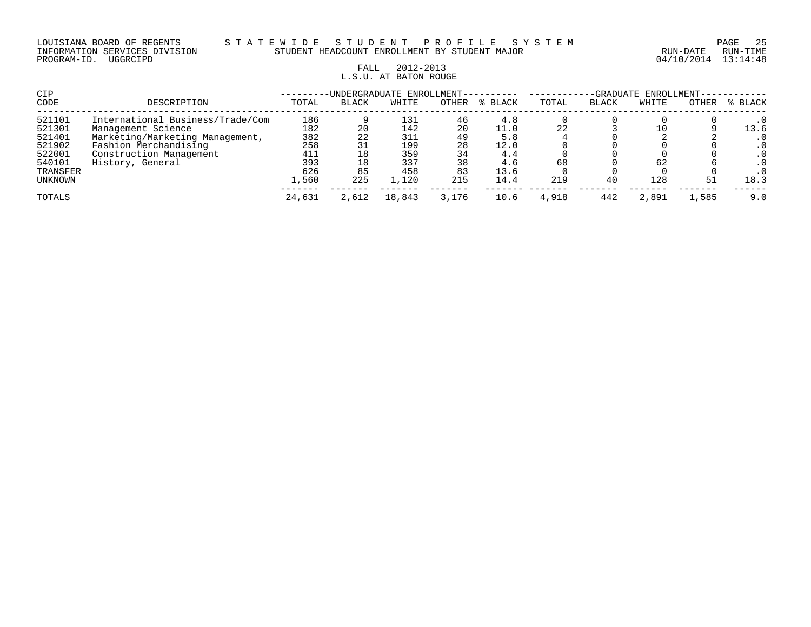#### LOUISIANA BOARD OF REGENTS S T A T E W I D E S T U D E N T P R O F I L E S Y S T E M PAGE 25 INFORMATION SERVICES DIVISION STUDENT HEADCOUNT ENROLLMENT BY STUDENT MAJOR RUN-DATE RUN-TIME

# FALL 2012-2013 L.S.U. AT BATON ROUGE

| CIP      |                                  |        |              | -UNDERGRADUATE ENROLLMENT- |       |         | -GRADUATE ENROLLMENT- |              |       |       |           |
|----------|----------------------------------|--------|--------------|----------------------------|-------|---------|-----------------------|--------------|-------|-------|-----------|
| CODE     | DESCRIPTION                      | TOTAL  | <b>BLACK</b> | WHITE                      | OTHER | % BLACK | TOTAL                 | <b>BLACK</b> | WHITE | OTHER | % BLACK   |
| 521101   | International Business/Trade/Com | 186    |              | 131                        | 46    | 4.8     |                       |              |       |       | $\cdot$ 0 |
| 521301   | Management Science               | 182    | 20           | 142                        | 20    | 11.0    | 22                    |              |       |       | 13.6      |
| 521401   | Marketing/Marketing Management,  | 382    | 22           | 311                        | 49    | 5.8     |                       |              |       |       | $\cdot$ 0 |
| 521902   | Fashion Merchandising            | 258    | 31           | 199                        | 28    | 12.0    |                       |              |       |       |           |
| 522001   | Construction Management          | 411    | 18           | 359                        | 34    | 4.4     |                       |              |       |       | $\cdot$ 0 |
| 540101   | History, General                 | 393    | 18           | 337                        | 38    | 4.6     | 68                    |              | 62    |       | . 0       |
| TRANSFER |                                  | 626    | 85           | 458                        | 83    | 13.6    |                       |              |       |       |           |
| UNKNOWN  |                                  | 1,560  | 225          | 1,120                      | 215   | 14.4    | 219                   | 40           | 128   |       | 18.3      |
| TOTALS   |                                  | 24,631 | 2,612        | 18,843                     | 3,176 | 10.6    | 4,918                 | 442          | 2,891 | 1,585 | 9.0       |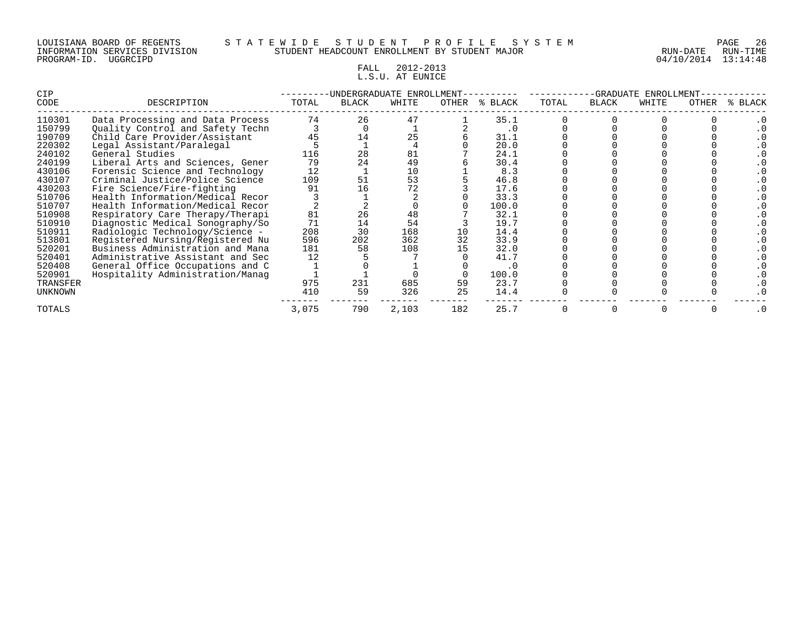#### LOUISIANA BOARD OF REGENTS S T A T E W I D E S T U D E N T P R O F I L E S Y S T E M PAGE 26 INFORMATION SERVICES DIVISION STUDENT HEADCOUNT ENROLLMENT BY STUDENT MAJOR RUN-DATE RUN-TIME

# FALL 2012-2013 L.S.U. AT EUNICE

| <b>CIP</b>     |                                  | -UNDERGRADUATE ENROLLMENT |              |       |       |           | -GRADUATE<br>ENROLLMENT |              |       |       |         |
|----------------|----------------------------------|---------------------------|--------------|-------|-------|-----------|-------------------------|--------------|-------|-------|---------|
| CODE           | DESCRIPTION                      | TOTAL                     | <b>BLACK</b> | WHITE | OTHER | % BLACK   | TOTAL                   | <b>BLACK</b> | WHITE | OTHER | % BLACK |
| 110301         | Data Processing and Data Process | 74                        | 26           | 47    |       | 35.1      |                         |              |       |       |         |
| 150799         | Quality Control and Safety Techn |                           |              |       |       | $\cdot$ 0 |                         |              |       |       |         |
| 190709         | Child Care Provider/Assistant    | 45                        | 14           | 25    |       | 31.1      |                         |              |       |       |         |
| 220302         | Legal Assistant/Paralegal        |                           |              |       |       | 20.0      |                         |              |       |       |         |
| 240102         | General Studies                  | 116                       | 28           | 81    |       | 24.1      |                         |              |       |       |         |
| 240199         | Liberal Arts and Sciences, Gener | 79                        | 24           | 49    |       | 30.4      |                         |              |       |       |         |
| 430106         | Forensic Science and Technology  | 12                        |              | 10    |       | 8.3       |                         |              |       |       |         |
| 430107         | Criminal Justice/Police Science  | 109                       | 51           | 53    |       | 46.8      |                         |              |       |       |         |
| 430203         | Fire Science/Fire-fighting       | 91                        | Lб           |       |       | 17.6      |                         |              |       |       |         |
| 510706         | Health Information/Medical Recor |                           |              |       |       | 33.3      |                         |              |       |       |         |
| 510707         | Health Information/Medical Recor |                           |              |       |       | 100.0     |                         |              |       |       |         |
| 510908         | Respiratory Care Therapy/Therapi | 81                        | 26           | 48    |       | 32.1      |                         |              |       |       |         |
| 510910         | Diagnostic Medical Sonography/So | 71                        | 14           | 54    |       | 19.7      |                         |              |       |       |         |
| 510911         | Radiologic Technology/Science -  | 208                       | 30           | 168   |       | 14.4      |                         |              |       |       |         |
| 513801         | Registered Nursing/Registered Nu | 596                       | 202          | 362   | 32    | 33.9      |                         |              |       |       |         |
| 520201         | Business Administration and Mana | 181                       | 58           | 108   |       | 32.0      |                         |              |       |       |         |
| 520401         | Administrative Assistant and Sec | 12                        |              |       |       | 41.7      |                         |              |       |       |         |
| 520408         | General Office Occupations and C |                           |              |       |       | . 0       |                         |              |       |       |         |
| 520901         | Hospitality Administration/Manaq |                           |              |       |       | 100.0     |                         |              |       |       |         |
| TRANSFER       |                                  | 975                       | 231          | 685   | 59    | 23.7      |                         |              |       |       |         |
| <b>UNKNOWN</b> |                                  | 410                       | 59           | 326   | 25    | 14.4      |                         |              |       |       |         |
| <b>TOTALS</b>  |                                  | 3,075                     | 790          | 2,103 | 182   | 25.7      |                         |              |       |       |         |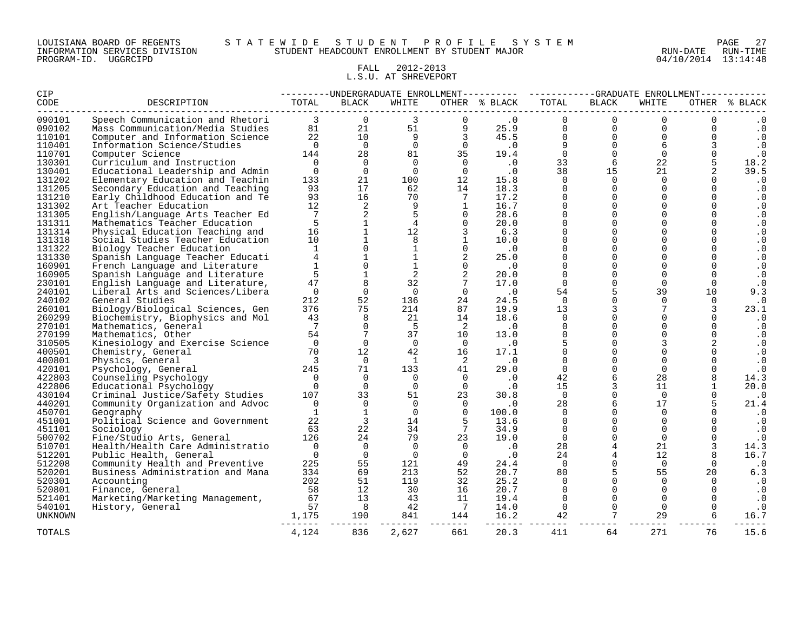#### LOUISIANA BOARD OF REGENTS S T A T E W I D E S T U D E N T P R O F I L E S Y S T E M PAGE 27 INFORMATION SERVICES DIVISION STUDENT HEADCOUNT ENROLLMENT BY STUDENT MAJOR RUN-DATE RUN-TIME

# FALL 2012-2013 L.S.U. AT SHREVEPORT

| CIP            |                                                                                                                                                                                                                                                                                 |                          | ---------UNDERGRADUATE ENROLLMENT--------- ----------GRADUATE ENROLLMENT---------- |                |                                                                                   |                                       |                |                                                        |                |              |                   |
|----------------|---------------------------------------------------------------------------------------------------------------------------------------------------------------------------------------------------------------------------------------------------------------------------------|--------------------------|------------------------------------------------------------------------------------|----------------|-----------------------------------------------------------------------------------|---------------------------------------|----------------|--------------------------------------------------------|----------------|--------------|-------------------|
| CODE           | DESCRIPTION<br>Speech Communication and Rhetori<br>Mass Communication/Media Studies<br>Computer and Information Science<br>The Computer and Information Science<br>The Computer and Information Science<br>$\begin{array}{ccccccccc}\n & & & & & & & & & & & & & & & & & & & &$ |                          |                                                                                    |                |                                                                                   |                                       |                | BLACK                                                  | WHITE          |              | OTHER % BLACK     |
| 090101         |                                                                                                                                                                                                                                                                                 |                          |                                                                                    |                |                                                                                   |                                       |                | $\overline{0}$                                         | $\Omega$       | $\Omega$     | . 0               |
| 090102         |                                                                                                                                                                                                                                                                                 |                          |                                                                                    |                |                                                                                   |                                       |                | 0                                                      | $\Omega$       | $\Omega$     | $\cdot$ 0         |
| 110101         |                                                                                                                                                                                                                                                                                 |                          |                                                                                    |                |                                                                                   |                                       |                | $\overline{0}$                                         | $\Omega$       | $\mathbf 0$  | $\cdot$ 0         |
| 110401         |                                                                                                                                                                                                                                                                                 |                          |                                                                                    |                |                                                                                   |                                       |                | $\begin{array}{c}\n0 \\ 0 \\ 6 \\ \hline\n\end{array}$ | 6              | $\mathbf{3}$ | $\cdot$ 0         |
| 110701         |                                                                                                                                                                                                                                                                                 |                          |                                                                                    |                |                                                                                   |                                       |                |                                                        | $\overline{0}$ | $\mathbf 0$  | $\cdot$ 0         |
| 130301         |                                                                                                                                                                                                                                                                                 |                          |                                                                                    |                |                                                                                   |                                       |                |                                                        | 22             | 5            | 18.2              |
| 130401         |                                                                                                                                                                                                                                                                                 |                          |                                                                                    |                |                                                                                   |                                       |                |                                                        | 21             |              | 39.5              |
| 131202         | Elementary Education and Teachin                                                                                                                                                                                                                                                | 133                      | 21                                                                                 |                | $\begin{array}{cc} 100 & \hspace{1.5cm} 12 \\ 62 & \hspace{1.5cm} 14 \end{array}$ | 15.8                                  |                | $\Omega$                                               | $\overline{0}$ | 0            | $\cdot$ 0         |
| 131205         | Secondary Education and Teaching                                                                                                                                                                                                                                                | 93                       | 17                                                                                 |                |                                                                                   | 18.3                                  | $\Omega$       | $\Omega$                                               | $\Omega$       | $\Omega$     | $\cdot$ 0         |
| 131210         | Early Childhood Education and Te                                                                                                                                                                                                                                                | 93                       | 16                                                                                 | 70             | $\overline{7}$                                                                    | 17.2                                  | $\Omega$       | $\overline{0}$                                         | $\Omega$       | $\Omega$     | $\cdot$ 0         |
| 131302         | Art Teacher Education                                                                                                                                                                                                                                                           | 12                       | $\overline{\mathbf{2}}$                                                            | - 9            | $\overline{1}$                                                                    | 16.7                                  | $\Omega$       | $\Omega$                                               | $\Omega$       | $\Omega$     | $\cdot$ 0         |
| 131305         | English/Language Arts Teacher Ed                                                                                                                                                                                                                                                | 7                        | 2                                                                                  | 5              | $\overline{0}$                                                                    | 28.6                                  | $\Omega$       | $\Omega$                                               | $\Omega$       | $\Omega$     | $\cdot$ 0         |
| 131311         | Mathematics Teacher Education                                                                                                                                                                                                                                                   | $-5$                     | $\begin{array}{c}\n\bullet \\ \uparrow \\ \downarrow\n\end{array}$                 | 4              | $\overline{0}$                                                                    | 20.0                                  | $\Omega$       | $\Omega$                                               | $\Omega$       | $\Omega$     | . 0               |
| 131314         | Physical Education Teaching and                                                                                                                                                                                                                                                 | 16                       |                                                                                    | 12             | $\overline{\mathbf{3}}$                                                           | 6.3                                   | $\overline{0}$ | $\overline{0}$                                         | $\Omega$       |              | $\cdot$ 0         |
| 131318         | Social Studies Teacher Education                                                                                                                                                                                                                                                | 10                       | $\mathbf{1}$                                                                       | 8              | $\overline{1}$                                                                    | 10.0                                  | $\Omega$       | $\overline{0}$                                         | $\Omega$       | $\Omega$     | . 0               |
| 131322         | Biology Teacher Education                                                                                                                                                                                                                                                       | $\mathbf{1}$             | $\overline{0}$                                                                     | $\mathbf{1}$   | $\overline{0}$                                                                    | $\cdot$ 0                             | $\mathbf 0$    | $\overline{0}$                                         | $\Omega$       | $\Omega$     | $\cdot$ 0         |
| 131330         | Spanish Language Teacher Educati                                                                                                                                                                                                                                                | $4 \quad$                | $\mathbf{1}$                                                                       | $\mathbf{1}$   | 2                                                                                 | 25.0                                  | $\mathbf 0$    | $\overline{0}$                                         | $\overline{0}$ | $\mathbf 0$  | $\cdot$ 0         |
| 160901         | French Language and Literature                                                                                                                                                                                                                                                  | $\mathbf{1}$             | $\overline{0}$                                                                     | $\overline{1}$ | $\bigcirc$                                                                        | $\overline{\phantom{0}}$ .0           | $\Omega$       | $\overline{0}$                                         | $\Omega$       | $\Omega$     | $\cdot$ 0         |
| 160905         | Spanish Language and Literature                                                                                                                                                                                                                                                 | 5                        | $1\,$                                                                              | $\overline{a}$ | 2                                                                                 | 20.0                                  | $\Omega$       | $\overline{0}$                                         | $\Omega$       |              | $\cdot$ 0         |
| 230101         | English Language and Literature,                                                                                                                                                                                                                                                | 47                       | 8                                                                                  | 32             | $7\overline{ }$                                                                   | 17.0                                  | $\Omega$       | $\Omega$                                               | $\Omega$       | $\Omega$     | $\cdot$ 0         |
| 240101         | Liberal Arts and Sciences/Libera                                                                                                                                                                                                                                                | $\overline{0}$           | $\Omega$                                                                           | $\overline{0}$ | $\overline{0}$                                                                    | $\overline{\phantom{0}}$ .            | 54             | 5                                                      | 39             | 10           | 9.3               |
| 240102         | General Studies                                                                                                                                                                                                                                                                 | 212                      | 52                                                                                 | 136            | 24                                                                                | 24.5                                  | $\overline{0}$ | $\mathbf 0$                                            | $\Omega$       | $\mathbf 0$  | $\cdot$ 0         |
| 260101         | Biology/Biological Sciences, Gen                                                                                                                                                                                                                                                | 376                      | 75                                                                                 | 214            | 87                                                                                | 19.9                                  | 13             |                                                        | 7              | 3            | 23.1              |
| 260299         | Biochemistry, Biophysics and Mol                                                                                                                                                                                                                                                | 43                       | 8                                                                                  | 21             | 14                                                                                | 18.6                                  | $\overline{0}$ | $\overline{0}$                                         | $\mathbf 0$    | 0            | . 0               |
| 270101         | Mathematics, General                                                                                                                                                                                                                                                            | $\overline{7}$           | $\Omega$                                                                           | $5^{\circ}$    | $\overline{\phantom{0}}^2$                                                        | $\cdot$ 0                             | $\Omega$       | $\overline{0}$                                         | $\Omega$       | $\Omega$     | $\cdot$ 0         |
| 270199         | Mathematics, Other                                                                                                                                                                                                                                                              | 54                       | 7                                                                                  | 37             | 10                                                                                | 13.0                                  | $\mathbf 0$    | $\overline{0}$                                         | $\Omega$       | $\mathbf 0$  | . 0               |
| 310505         | Kinesiology and Exercise Science                                                                                                                                                                                                                                                | $\overline{0}$           | $\Omega$                                                                           | $\Omega$       | $\overline{0}$                                                                    | $\overline{\phantom{0}}$ .0           | 5              | $\Omega$                                               | 3              | 2            | $\cdot$ 0         |
| 400501         | Chemistry, General                                                                                                                                                                                                                                                              | 70                       | 12                                                                                 | 42             | 16                                                                                | 17.1                                  | $\Omega$       | $\overline{0}$                                         | $\Omega$       |              | $\cdot$ 0         |
| 400801         | Physics, General                                                                                                                                                                                                                                                                | $\overline{\phantom{a}}$ | $\Omega$                                                                           | $\mathbf{1}$   | $\overline{2}$                                                                    | $\cdot$ 0                             | $\Omega$       | $\Omega$                                               | $\Omega$       | $\Omega$     | $\cdot$ 0         |
| 420101         | Psychology, General                                                                                                                                                                                                                                                             | 245                      | 71                                                                                 | 133            | $4\overline{1}$                                                                   | 29.0                                  | $\overline{0}$ | $\overline{0}$                                         | $\overline{0}$ |              | $\cdot$ 0         |
| 422803         | Counseling Psychology                                                                                                                                                                                                                                                           | $\overline{0}$           | $\Omega$                                                                           | $\overline{0}$ | $\overline{0}$                                                                    | $\begin{array}{c} 0 \\ 0 \end{array}$ | 42             | 6                                                      | 28             | 8            | 14.3              |
| 422806         | Educational Psychology                                                                                                                                                                                                                                                          | $\overline{0}$           | $\overline{0}$                                                                     | $\overline{0}$ | $\overline{0}$                                                                    |                                       | 15             | $\overline{3}$                                         | 11             |              | 20.0              |
| 430104         | Criminal Justice/Safety Studies                                                                                                                                                                                                                                                 | 107                      | 33                                                                                 | 51 7           | 23                                                                                | 30.8                                  | $\overline{0}$ | $\overline{0}$                                         | $\overline{0}$ | 0            | $\cdot$ 0         |
| 440201         | Community Organization and Advoc                                                                                                                                                                                                                                                | $\bigcirc$               | $\overline{0}$                                                                     | $\bigcirc$     |                                                                                   | $0 \qquad \qquad .0$                  | 28             | 6                                                      | 17             | 5            | 21.4              |
| 450701         | Geography                                                                                                                                                                                                                                                                       | $\mathbf{1}$             | $\mathbf{1}$                                                                       | $\overline{0}$ | $\overline{0}$                                                                    | 100.0                                 | $\mathbf 0$    | $\overline{0}$                                         | $\overline{0}$ |              | $\cdot$ 0         |
| 451001         | Political Science and Government                                                                                                                                                                                                                                                | 22                       | $\overline{3}$                                                                     | 14             | $\overline{5}$                                                                    | 13.6                                  | $\Omega$       | $\Omega$                                               | $\Omega$       |              | . 0               |
| 451101         | Sociology                                                                                                                                                                                                                                                                       | 63                       | 22                                                                                 | 34             | $7\phantom{0}$                                                                    | 34.9                                  | $\overline{0}$ | $\Omega$                                               | $\Omega$       |              | . 0               |
| 500702         | Fine/Studio Arts, General                                                                                                                                                                                                                                                       | 126                      | 24                                                                                 |                | 79 23                                                                             | 19.0                                  | $\overline{0}$ | $\mathbf 0$                                            | $\overline{0}$ | $\Omega$     | $\cdot$ 0         |
| 510701         | Health/Health Care Administratio                                                                                                                                                                                                                                                | $\overline{0}$           | $\overline{0}$                                                                     | $\overline{0}$ | $\overline{0}$                                                                    | $\cdot$ 0                             | 28             | $\overline{4}$                                         | 21             |              | 14.3              |
| 512201         | Public Health, General                                                                                                                                                                                                                                                          | $\bigcap$                | $\overline{0}$                                                                     | $\Omega$       | $\bigcap$                                                                         | $\ddotsc 0$                           | 24             | $\overline{4}$                                         | 12             |              | 16.7              |
| 512208         | Community Health and Preventive                                                                                                                                                                                                                                                 | 225                      | 55                                                                                 | 121            | 49                                                                                | 24.4                                  | $\overline{0}$ | $\overline{0}$                                         | $\Omega$       | $\Omega$     | $\cdot$ 0         |
| 520201         | Business Administration and Mana                                                                                                                                                                                                                                                | 334                      | 69                                                                                 | 213            | 52                                                                                | 20.7                                  | 80             | 5                                                      | 55             | 20           | 6.3               |
| 520301         | Accounting                                                                                                                                                                                                                                                                      | 202                      | 51                                                                                 | 119            | 32                                                                                | 25.2                                  | $\Omega$       | $\Omega$                                               | $\Omega$       | $\Omega$     | $\, \cdot \,$ . 0 |
| 520801         | Finance, General                                                                                                                                                                                                                                                                | 58                       | 12                                                                                 | 30             | 16                                                                                | 20.7                                  | $\overline{0}$ | $\Omega$                                               | $\Omega$       | $\Omega$     | $\cdot$ 0         |
| 521401         |                                                                                                                                                                                                                                                                                 |                          |                                                                                    |                | 11                                                                                | 19.4                                  | $\overline{0}$ | $\Omega$                                               | $\Omega$       |              | . 0               |
| 540101         | Franching Marketing Management, $\begin{array}{cccc} 67 & 12 & 43 \\ \text{Marketing/Marketing Management,} & 67 & 8 & 43 \\ \text{History, General} & 57 & 8 & 42 \\ & & 1,175 & 190 & 841 \end{array}$                                                                        |                          |                                                                                    |                | $\frac{1}{7}$                                                                     | 14.0                                  | $\overline{0}$ | $\overline{0}$                                         | $\Omega$       | $\mathbf 0$  | $\cdot$ 0         |
| <b>UNKNOWN</b> |                                                                                                                                                                                                                                                                                 |                          |                                                                                    | 841            | 144                                                                               | 16.2                                  | 42             | $7\overline{ }$                                        | 29             |              | 16.7              |
| TOTALS         |                                                                                                                                                                                                                                                                                 | 4,124                    | 836                                                                                | 2,627          | 661                                                                               | 20.3                                  | 411            | 64                                                     | 271            | 76           | 15.6              |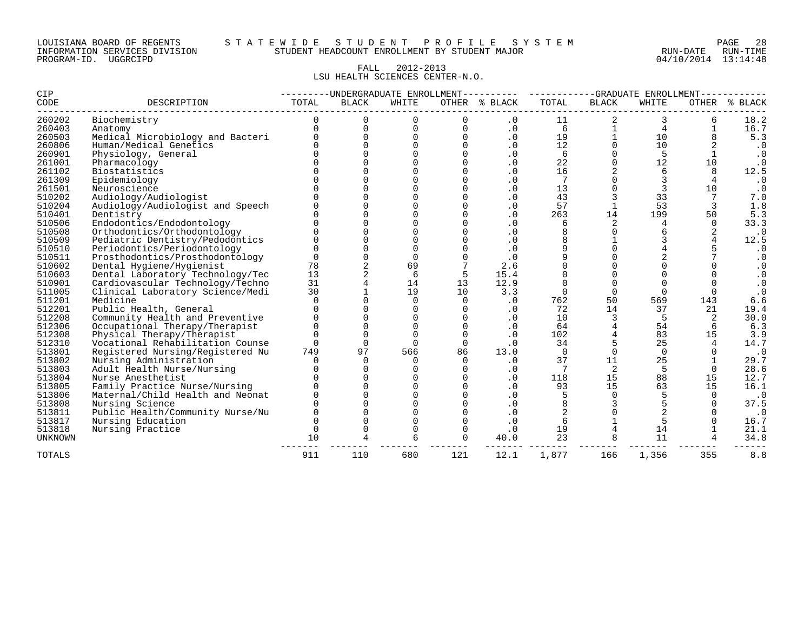#### LOUISIANA BOARD OF REGENTS S T A T E W I D E S T U D E N T P R O F I L E S Y S T E M PAGE 28 INFORMATION SERVICES DIVISION STUDENT HEADCOUNT ENROLLMENT BY STUDENT MAJOR RUN-DATE RUN-TIME

#### FALL 2012-2013 LSU HEALTH SCIENCES CENTER-N.O.

| <b>CIP</b>     |                                  | ------UNDERGRADUATE ENROLLMENT---------- |              |             |             |               |                | -GRADUATE ENROLLMENT- |          |                    |              |  |
|----------------|----------------------------------|------------------------------------------|--------------|-------------|-------------|---------------|----------------|-----------------------|----------|--------------------|--------------|--|
| CODE           | DESCRIPTION                      | TOTAL                                    | <b>BLACK</b> | WHITE       |             | OTHER % BLACK | TOTAL          | <b>BLACK</b>          | WHITE    | OTHER <sub>8</sub> | <b>BLACK</b> |  |
| 260202         | Biochemistry                     | 0                                        | $\Omega$     | $\Omega$    | 0           | $\cdot$ 0     | 11             | 2                     | 3        | 6                  | 18.2         |  |
| 260403         | Anatomy                          |                                          | 0            | $\mathbf 0$ | 0           | $\cdot$ 0     | 6              | 1                     | 4        | $\mathbf{1}$       | 16.7         |  |
| 260503         | Medical Microbiology and Bacteri |                                          | $\Omega$     | $\Omega$    | $\Omega$    | $\cdot$ 0     | 19             |                       | 10       |                    | 5.3          |  |
| 260806         | Human/Medical Genetics           |                                          |              | $\cap$      | $\Omega$    | $\cdot$ 0     | 12             | $\Omega$              | 10       |                    | $\cdot$ 0    |  |
| 260901         | Physiology, General              |                                          |              | ∩           | $\Omega$    | $\cdot$ 0     | 6              | $\Omega$              | 5        | $\mathbf{1}$       | $\cdot$ 0    |  |
| 261001         | Pharmacology                     |                                          |              |             | $\mathbf 0$ | $\cdot$ 0     | 22             | $\Omega$              | 12       | 10                 | $\cdot$ 0    |  |
| 261102         | Biostatistics                    |                                          |              |             |             | $\cdot$ 0     | 16             |                       | 6        | 8                  | 12.5         |  |
| 261309         | Epidemiology                     |                                          |              |             | $\Omega$    | $\cdot$ 0     | 7              | $\cap$                |          | 4                  | $\cdot$ 0    |  |
| 261501         | Neuroscience                     |                                          |              |             | $\Omega$    | $\cdot$ 0     | 13             | $\Omega$              | 3        | 10                 | $\cdot$ 0    |  |
| 510202         | Audiology/Audiologist            |                                          |              |             |             | $\cdot$ 0     | 43             |                       | 33       |                    | 7.0          |  |
| 510204         | Audiology/Audiologist and Speech |                                          |              |             |             | $\cdot$ 0     | 57             |                       | 53       |                    | 1.8          |  |
| 510401         | Dentistry                        |                                          |              |             |             | $\cdot$ 0     | 263            | 14                    | 199      | 50                 | 5.3          |  |
| 510506         | Endodontics/Endodontology        |                                          |              |             |             | $\cdot$ 0     | 6              | 2                     | 4        | $\Omega$           | 33.3         |  |
| 510508         | Orthodontics/Orthodontology      |                                          |              |             |             | $\cdot$ 0     | 8              | ∩                     |          |                    | $\cdot$ 0    |  |
| 510509         | Pediatric Dentistry/Pedodontics  |                                          |              |             |             | $\cdot$ 0     | 8              |                       |          |                    | 12.5         |  |
| 510510         | Periodontics/Periodontology      |                                          |              | $\Omega$    |             | $\cdot$ 0     | 9              | $\Omega$              |          |                    |              |  |
| 510511         | Prosthodontics/Prosthodontology  | U                                        |              | $\Omega$    |             | $\cdot$ 0     | 9              | $\Omega$              |          |                    | $\cdot$ 0    |  |
| 510602         | Dental Hygiene/Hygienist         | 78                                       |              | 69          |             | 2.6           |                | $\Omega$              |          |                    | $\cdot$ 0    |  |
| 510603         | Dental Laboratory Technology/Tec | 13                                       |              | 6           | 5           | 15.4          |                | $\Omega$              |          |                    | $\cdot 0$    |  |
| 510901         | Cardiovascular Technology/Techno | 31                                       |              | 14          | 13          | 12.9          | $\Omega$       | $\Omega$              | $\Omega$ |                    | $\cdot$ 0    |  |
| 511005         | Clinical Laboratory Science/Medi | 30                                       |              | 19          | 10          | 3.3           | $\Omega$       | $\Omega$              | $\Omega$ | $\Omega$           | $\cdot$ 0    |  |
| 511201         | Medicine                         |                                          |              | $\Omega$    | $\Omega$    | $\cdot$ 0     | 762            | 50                    | 569      | 143                | 6.6          |  |
| 512201         | Public Health, General           |                                          |              | $\Omega$    | $\Omega$    | $\cdot$ 0     | 72             | 14                    | 37       | 21                 | 19.4         |  |
| 512208         | Community Health and Preventive  |                                          |              | $\Omega$    | $\Omega$    | $\cdot$ 0     | 10             | 3                     | 5        | 2                  | 30.0         |  |
| 512306         | Occupational Therapy/Therapist   |                                          |              | $\Omega$    |             | $\cdot$ 0     | 64             | $\overline{4}$        | 54       | 6                  | 6.3          |  |
| 512308         | Physical Therapy/Therapist       |                                          |              | $\Omega$    |             | $\cdot$ 0     | 102            | 4                     | 83       | 15                 | 3.9          |  |
| 512310         | Vocational Rehabilitation Counse | U                                        | $\Omega$     | $\Omega$    | $\Omega$    | $\cdot$ 0     | 34             | 5                     | 25       | 4                  | 14.7         |  |
| 513801         | Registered Nursing/Registered Nu | 749                                      | 97           | 566         | 86          | 13.0          | $\Omega$       | $\Omega$              | $\Omega$ |                    | $\cdot$ 0    |  |
| 513802         | Nursing Administration           |                                          | $\cap$       | $\Omega$    | $\Omega$    | $\cdot$ 0     | 37             | 11                    | 25       |                    | 29.7         |  |
| 513803         | Adult Health Nurse/Nursing       |                                          |              |             |             | $\cdot$ 0     |                | 2                     | 5        |                    | 28.6         |  |
| 513804         | Nurse Anesthetist                |                                          |              |             |             | $\cdot$ 0     | 118            | 15                    | 88       | 15                 | 12.7         |  |
| 513805         | Family Practice Nurse/Nursing    |                                          |              |             |             | $\cdot$ 0     | 93             | 15                    | 63       | 15                 | 16.1         |  |
| 513806         | Maternal/Child Health and Neonat |                                          |              |             |             | $\cdot$ 0     | 5              | $\Omega$              |          | $\Omega$           | $\cdot$ 0    |  |
| 513808         | Nursing Science                  |                                          |              |             |             | $\cdot$ 0     | 8              |                       |          |                    | 37.5         |  |
| 513811         | Public Health/Community Nurse/Nu |                                          |              |             |             | $\cdot$ 0     | $\overline{a}$ | $\cap$                |          |                    | $\cdot$ 0    |  |
| 513817         | Nursing Education                |                                          |              | $\Omega$    | $\Omega$    | $\cdot$ 0     | 6              |                       |          |                    | 16.7         |  |
| 513818         | Nursing Practice                 | $\Omega$                                 |              | $\Omega$    | $\Omega$    | $\cdot$ 0     | 19             |                       | 14       |                    | 21.1         |  |
| <b>UNKNOWN</b> |                                  | 10                                       |              | 6           |             | 40.0          | 23             | 8                     | 11       |                    | 34.8         |  |
| <b>TOTALS</b>  |                                  | 911                                      | 110          | 680         | 121         | 12.1          | 1,877          | 166                   | 1,356    | 355                | 8.8          |  |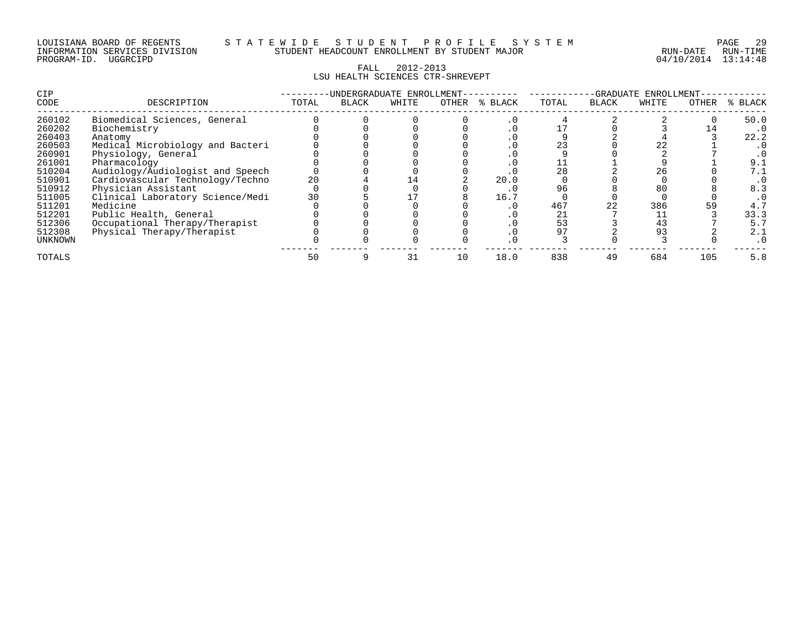| LOUISIANA BOARD OF REGENTS    |          |  |  |
|-------------------------------|----------|--|--|
| INFORMATION SERVICES DIVISION |          |  |  |
| PROGRAM-ID.                   | UGGRCIPD |  |  |

#### LOUISIANA BOARD OF REGENTS S T A T E W I D E S T U D E N T P R O F I L E S Y S T E M PAGE 29 INFORMATION SERVICES DIVISION STUDENT HEADCOUNT ENROLLMENT BY STUDENT MAJOR RUN-DATE RUN-TIME

04/10/2014 13:14:48

# FALL 2012-2013 LSU HEALTH SCIENCES CTR-SHREVEPT

| CIP            |                                  |       | UNDERGRADUATE ENROLLMENT- |       |              |             |       | -GRADUATE    | ENROLLMENT |       |         |
|----------------|----------------------------------|-------|---------------------------|-------|--------------|-------------|-------|--------------|------------|-------|---------|
| CODE           | DESCRIPTION                      | TOTAL | <b>BLACK</b>              | WHITE | <b>OTHER</b> | BLACK<br>°≈ | TOTAL | <b>BLACK</b> | WHITE      | OTHER | % BLACK |
| 260102         | Biomedical Sciences, General     |       |                           |       |              | . 0         |       |              |            |       | 50.0    |
| 260202         | Biochemistry                     |       |                           |       |              | . J         |       |              |            |       |         |
| 260403         | Anatomy                          |       |                           |       |              |             |       |              |            |       | 22.2    |
| 260503         | Medical Microbiology and Bacteri |       |                           |       |              |             |       |              |            |       |         |
| 260901         | Physiology, General              |       |                           |       |              | . U         |       |              |            |       |         |
| 261001         | Pharmacology                     |       |                           |       |              | . ເ         |       |              |            |       |         |
| 510204         | Audiology/Audiologist and Speech |       |                           |       |              |             |       |              |            |       |         |
| 510901         | Cardiovascular Technology/Techno | 20    |                           | 14    |              | 20.0        |       |              |            |       |         |
| 510912         | Physician Assistant              |       |                           |       |              | . U         | 96    |              |            |       | 8.3     |
| 511005         | Clinical Laboratory Science/Medi | 30    |                           |       |              | 16.7        |       |              |            |       |         |
| 511201         | Medicine                         |       |                           |       |              | . U         | 467   |              | 386        |       |         |
| 512201         | Public Health, General           |       |                           |       |              | . U         |       |              |            |       | 33.3    |
| 512306         | Occupational Therapy/Therapist   |       |                           |       |              | . U         | 53    |              | 43         |       | 5.'     |
| 512308         | Physical Therapy/Therapist       |       |                           |       |              | . U         |       |              | 93         |       | 2.      |
| <b>UNKNOWN</b> |                                  |       |                           |       |              | . C         |       |              |            |       |         |
| TOTALS         |                                  | 50    |                           | 31    | 10           | 18.0        | 838   | 49           | 684        | 105   | 5.8     |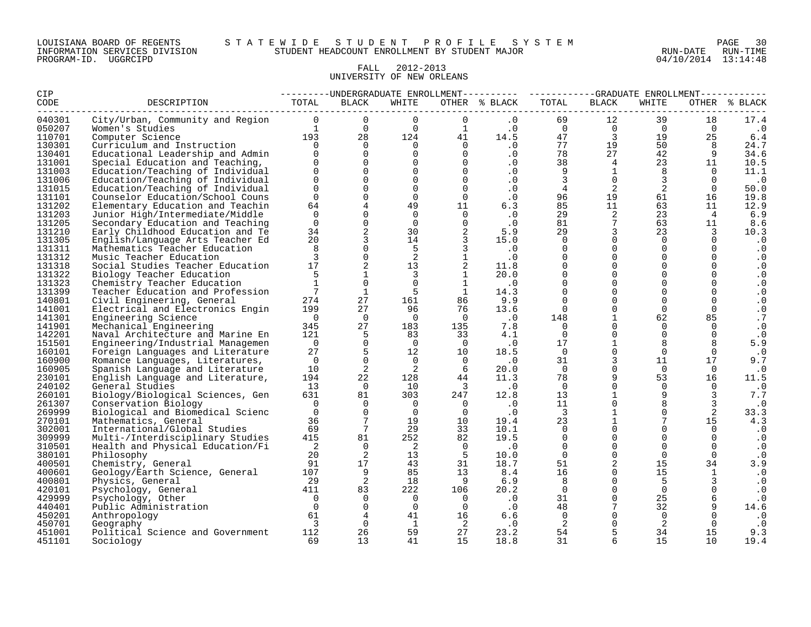#### LOUISIANA BOARD OF REGENTS S T A T E W I D E S T U D E N T P R O F I L E S Y S T E M PAGE 30 INFORMATION SERVICES DIVISION STUDENT HEADCOUNT ENROLLMENT BY STUDENT MAJOR RUN-DATE RUN-TIME

#### FALL 2012-2013 UNIVERSITY OF NEW ORLEANS

| <b>CIP</b>       |                                                      | --------UNDERGRADUATE ENROLLMENT--------- ---------GRADUATE ENROLLMENT---------- |                             |                         |                            |                                         |                         |                                                    |                             |                |                  |
|------------------|------------------------------------------------------|----------------------------------------------------------------------------------|-----------------------------|-------------------------|----------------------------|-----------------------------------------|-------------------------|----------------------------------------------------|-----------------------------|----------------|------------------|
| CODE             | DESCRIPTION                                          | TOTAL                                                                            | BLACK                       | WHITE                   |                            | OTHER % BLACK                           | TOTAL                   | BLACK                                              | WHITE                       |                | OTHER % BLACK    |
| 040301           |                                                      |                                                                                  |                             |                         |                            |                                         |                         |                                                    |                             | 18             | 17.4             |
| 050207           |                                                      |                                                                                  |                             |                         |                            |                                         |                         |                                                    |                             | $\overline{0}$ | $\cdot$ 0        |
| 110701           |                                                      |                                                                                  |                             |                         |                            |                                         | U<br>47<br>77<br>78     | $\begin{array}{c}\n 3 \\  19 \\  27\n \end{array}$ |                             | 25             | 6.4              |
| 130301           |                                                      |                                                                                  |                             |                         |                            |                                         |                         |                                                    |                             | 8 <sup>8</sup> | 24.7             |
| 130401           | Educational Leadership and Admin                     | $\Omega$                                                                         | $\mathbf 0$                 | $\overline{0}$          | $\overline{0}$             | $\cdot$ 0                               |                         |                                                    | 42                          | 9              | 34.6             |
| 131001           | Special Education and Teaching,                      | $\Omega$                                                                         | $\Omega$                    | $\Omega$                | $\overline{0}$             | $\cdot$ 0                               | 38                      | 4                                                  | 23                          | 11             | 10.5             |
| 131003           | Education/Teaching of Individual                     | $\cap$                                                                           | $\Omega$                    | $\overline{0}$          | $\bigcap$                  | $\cdot$ 0                               | $\overline{9}$          | $\mathbf{1}$                                       | 8                           | $\Omega$       | 11.1             |
| 131006           | Education/Teaching of Individual                     | $\Omega$                                                                         | $\Omega$                    | $\Omega$                | $\overline{0}$             | $\cdot$ 0                               | $\overline{\mathbf{3}}$ | $\overline{0}$                                     | $\overline{3}$              | $\Omega$       | $\cdot$ 0        |
| 131015           | Education/Teaching of Individual                     | $\Omega$                                                                         | $\Omega$                    | $\overline{0}$          | $\Omega$                   | $\cdot$ 0                               | $\overline{4}$          | 2                                                  | 2                           | $\Omega$       | 50.0             |
| 131101           | Counselor Education/School Couns                     | $\Omega$                                                                         | $\mathbf{0}$                | $\Omega$                | $\Omega$                   | $\cdot$ 0                               | 96                      | 19                                                 | 61                          | 16             | 19.8             |
| 131202           | Elementary Education and Teachin                     | 64                                                                               | $\overline{4}$              | 49                      | $11$                       | 6.3                                     | 85                      | 11                                                 | 63                          | 11             | 12.9             |
| 131203           | Junior High/Intermediate/Middle                      | $\Omega$                                                                         | $\mathbf 0$                 | $\Omega$                | $\Omega$                   | $\cdot$ 0                               | 29                      | 2                                                  | 23                          | $\overline{4}$ | 6.9              |
| 131205           | Secondary Education and Teaching                     | $\Omega$                                                                         | $\mathbf 0$                 | $\overline{0}$          | $\overline{0}$             | .0                                      | 81                      | $7\phantom{.0}$                                    | 63                          | 11             | 8.6              |
| 131210           | Early Childhood Education and Te                     | 34                                                                               | $\overline{2}$              | 30                      | $\overline{2}$             | 5.9                                     | 29                      | $\overline{\mathbf{3}}$                            | 23                          | $\overline{3}$ | 10.3             |
| 131305           | English/Language Arts Teacher Ed                     | 20                                                                               | $\overline{3}$              | 14                      | $\overline{\phantom{a}}$   | 15.0                                    | $\Omega$                | $\Omega$                                           | $\Omega$                    | $\Omega$       | $\cdot$ 0        |
| 131311           | Mathematics Teacher Education                        | 8                                                                                | $\mathbf{0}$                | 5                       | 3 <sup>7</sup>             | $\begin{array}{c} .0 \\ .0 \end{array}$ | $\Omega$                | $\overline{0}$                                     | $\Omega$                    | $\Omega$       | $\cdot$ 0        |
| 131312           | Music Teacher Education                              | 3                                                                                | $\Omega$                    | 2                       | $\mathbf{1}$               |                                         | $\Omega$                | $\Omega$                                           | $\Omega$                    | $\Omega$       | $\cdot$ 0        |
| 131318           | Social Studies Teacher Education                     | 17                                                                               | 2                           | 13                      | $\overline{a}$             | 11.8                                    | $\Omega$                | $\overline{0}$                                     | $\Omega$                    | $\mathbf 0$    | $\cdot$ 0        |
| 131322           | Biology Teacher Education                            | 5                                                                                | $\mathbf{1}$                | $\overline{3}$          | $\mathbf{1}$               | 20.0                                    | $\Omega$                | $\Omega$                                           | $\Omega$                    | $\Omega$       | $\cdot$ 0        |
| 131323           | Chemistry Teacher Education                          | $\mathbf{1}$                                                                     | $\mathbf{0}$                | $\Omega$                | $\mathbf{1}$               | $\cdot$ 0                               | $\Omega$                | $\overline{0}$                                     | $\Omega$                    | $\Omega$       | $\cdot$ 0        |
| 131399           | Teacher Education and Profession                     | $7\overline{ }$                                                                  | <sup>1</sup>                | - 5                     | 1                          | 14.3                                    | $\Omega$                | $\overline{0}$                                     | $\Omega$                    | $\overline{0}$ | $\cdot$ 0        |
| 140801           | Civil Engineering, General                           | 274                                                                              | 27                          | 161                     | 86                         | 9.9                                     | $\Omega$                | $\mathbf 0$                                        | $\Omega$                    | $\Omega$       | $\cdot$ 0        |
| 141001           | Electrical and Electronics Engin                     | 199                                                                              | 27                          | 96                      | 76                         | 13.6                                    | $\overline{0}$          | $\overline{0}$                                     | $\Omega$                    | $\overline{0}$ | $\cdot$ 0        |
| 141301           | Engineering Science                                  | $\overline{0}$                                                                   | $\bigcap$                   | $\bigcap$               | $\bigcap$                  | $\overline{\phantom{a}}$ .0             | 148                     | $\mathbf{1}$                                       | 62                          | 85             | .7               |
| 141901           | Mechanical Engineering                               | 345                                                                              | 27                          | 183                     | 135                        | 7.8                                     | $\bigcap$               | $\Omega$                                           | $\Omega$                    | $\Omega$       | $\cdot$ 0        |
| 142201           | Naval Architecture and Marine En                     | 121                                                                              | 5                           | 83                      | 33                         | 4.1                                     | $\overline{0}$          | $\mathsf{O}$                                       | $\Omega$                    | $\Omega$       | $\cdot$ 0        |
| 151501           | Engineering/Industrial Managemen                     | $\overline{0}$                                                                   | $\Omega$                    | $\overline{0}$          | $\overline{0}$             | $\cdot$ 0                               | 17                      | $\mathbf{1}$                                       | 8                           |                | 5.9              |
| 160101           | Foreign Languages and Literature                     | 27                                                                               | 5                           | 12                      | 10                         | 18.5                                    | $\overline{0}$          | $\overline{0}$                                     | $\overline{0}$              | $\overline{0}$ | $\cdot$ 0        |
| 160900           | Romance Languages, Literatures,                      | $\overline{0}$                                                                   | $\Omega$                    | $\overline{0}$          | $\overline{0}$             | $\cdot$ 0                               | 31                      | $\mathsf{3}$                                       | 11                          | 17             | 9.7              |
| 160905           | Spanish Language and Literature                      | 10                                                                               | 2                           | $\overline{2}$          | 6                          | 20.0                                    | $\overline{0}$          | $\Omega$                                           | $\overline{0}$              | $\Omega$       | $\cdot$ 0        |
| 230101           | English Language and Literature,                     | 194                                                                              | 22                          | 128                     | 44                         | 11.3                                    | 78                      | 9                                                  | 53                          | 16             | 11.5             |
| 240102           | General Studies                                      | 13                                                                               | $\overline{0}$              | 10                      | $\overline{\mathbf{3}}$    | $\cdot$ 0                               | $\overline{0}$          | $\mathbf 0$                                        | $\overline{0}$              | $\Omega$       | $\cdot$ 0        |
| 260101           | Biology/Biological Sciences, Gen                     | 631                                                                              | 81                          | 303                     | 247                        | 12.8                                    | 13                      | $\mathbf{1}$                                       | 9                           | $\overline{3}$ | 7.7              |
| 261307           | Conservation Biology                                 | $\overline{0}$                                                                   | $\Omega$                    | $\bigcirc$              | $\overline{0}$             | $\overline{\phantom{0}}$ .0             | 11                      | $\mathsf{O}$                                       | 8                           | $\overline{3}$ | $\cdot$ 0        |
| 269999           | Biological and Biomedical Scienc                     | $\overline{0}$                                                                   | $\Omega$<br>$7\overline{ }$ | $\overline{0}$          | $\overline{0}$             | $\cdot$ 0                               | $\overline{\mathbf{3}}$ | $\mathbf{1}$<br>$\mathbf{1}$                       | $\Omega$<br>$7\overline{ }$ | 2              | 33.3             |
| 270101           | Mathematics, General                                 | 36<br>69                                                                         | 7                           | 19<br>29                | 10<br>33                   | 19.4                                    | 23<br>$\Omega$          | $\overline{0}$                                     | $\Omega$                    | 15<br>$\Omega$ | 4.3              |
| 302001           | International/Global Studies                         | 415                                                                              | 81                          | 252                     | 82                         | 10.1<br>19.5                            | $\mathbf 0$             | $\overline{0}$                                     | $\Omega$                    | $\overline{0}$ | $\cdot$ 0        |
| 309999           | Multi-/Interdisciplinary Studies                     |                                                                                  | $\overline{0}$              | $\overline{\mathbf{c}}$ | $\overline{0}$             |                                         | $\overline{0}$          | $\mathbf 0$                                        | $\Omega$                    | $\Omega$       | $\cdot$ 0        |
| 310501           | Health and Physical Education/Fi                     | $\overline{\phantom{a}}$                                                         | 2                           |                         | $5^{\circ}$                | $\cdot$ 0                               | $\overline{0}$          | $\overline{0}$                                     | $\overline{0}$              | $\overline{0}$ | $\cdot$ 0        |
| 380101<br>400501 | Philosophy                                           | 20<br>91                                                                         | 17                          | 13<br>43                | 31                         | 10.0<br>18.7                            | 51                      | 2                                                  | 15                          | 34             | $\cdot$ 0<br>3.9 |
| 400601           | Chemistry, General<br>Geology/Earth Science, General | 107                                                                              | 9                           | 85                      | 13                         | 8.4                                     | 16                      | $\Omega$                                           | 15                          | <sup>1</sup>   | $\cdot$ 0        |
| 400801           | Physics, General                                     | 29                                                                               | 2                           | 18                      | 9 <sup>1</sup>             | 6.9                                     | 8                       | $\overline{0}$                                     | 5                           | 3              | $\cdot$ 0        |
| 420101           | 411<br>Psychology, General                           |                                                                                  | 83                          | 222                     | 106                        | 20.2                                    | $\overline{0}$          | $\overline{0}$                                     | $\Omega$                    | $\Omega$       | $\cdot$ 0        |
| 429999           | Psychology, Other                                    | $\overline{0}$                                                                   | $\Omega$                    | $\Omega$                | $\overline{0}$             | $\overline{0}$                          | 31                      | $\overline{0}$                                     | 25                          | 6              | $\cdot$ 0        |
| 440401           | Public Administration                                | $\bigcap$                                                                        | $\Omega$                    | $\Omega$                | $\overline{0}$             | $\ddotsc 0$                             | 48                      | $7\overline{ }$                                    | 32                          | 9              | 14.6             |
| 450201           | Anthropology                                         | 61                                                                               | $\overline{4}$              | 41                      | 16                         | 6.6                                     | $\overline{0}$          | $\overline{0}$                                     | $\overline{0}$              |                | $\cdot$ 0        |
| 450701           | Geography                                            | $\overline{3}$                                                                   | $\overline{0}$              | $\mathbf{1}$            | $\overline{\phantom{a}}$ 2 | $\cdot$ 0                               | $\overline{\mathbf{c}}$ | $\overline{0}$                                     | 2                           | $\Omega$       | $\cdot$ 0        |
| 451001           | Political Science and Government                     | 112                                                                              | 26                          | 59                      | 27                         | 23.2                                    | 54                      | 5                                                  | 34                          | 15             | 9.3              |
| 451101           | Sociology                                            | 69                                                                               | 13                          | 41                      | 15                         | 18.8                                    | 31                      | 6                                                  | 15                          | 10             | 19.4             |
|                  |                                                      |                                                                                  |                             |                         |                            |                                         |                         |                                                    |                             |                |                  |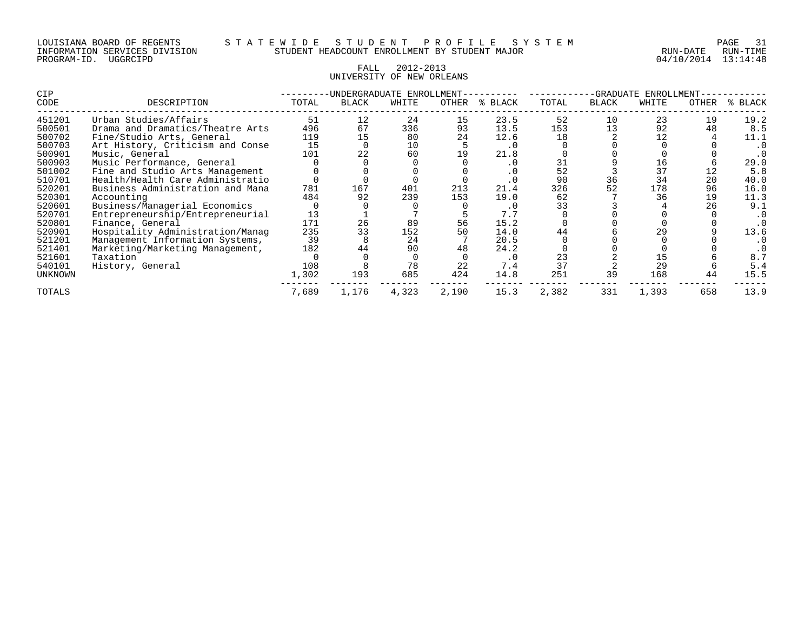#### FALL 2012-2013 UNIVERSITY OF NEW ORLEANS

| CIP            |                                  |       | UNDERGRADUATE ENROLLMENT- |       |              |            |       |              | -GRADUATE<br>ENROLLMENT |       |       |  |  |
|----------------|----------------------------------|-------|---------------------------|-------|--------------|------------|-------|--------------|-------------------------|-------|-------|--|--|
| CODE           | DESCRIPTION                      | TOTAL | <b>BLACK</b>              | WHITE | <b>OTHER</b> | ៖<br>BLACK | TOTAL | <b>BLACK</b> | WHITE                   | OTHER | BLACK |  |  |
| 451201         | Urban Studies/Affairs            | 51    | 12                        | 24    | 15           | 23.5       | 52    | 10           | 23                      | 19    | 19.2  |  |  |
| 500501         | Drama and Dramatics/Theatre Arts | 496   | 67                        | 336   | 93           | 13.5       | 153   | 13           | 92                      | 48    | 8.5   |  |  |
| 500702         | Fine/Studio Arts, General        | 119   | 15                        | 80    | 24           | 12.6       | 18    |              | 12                      |       | 11.1  |  |  |
| 500703         | Art History, Criticism and Conse | 15    |                           | 10    |              | $\cdot$ 0  |       |              |                         |       |       |  |  |
| 500901         | Music, General                   | 101   | 22                        | 60    |              | 21.8       |       |              |                         |       |       |  |  |
| 500903         | Music Performance, General       |       |                           |       |              | . 0        |       |              | 16                      |       | 29.0  |  |  |
| 501002         | Fine and Studio Arts Management  |       |                           |       |              | . 0        | 52    |              | 37                      | 12    | 5.8   |  |  |
| 510701         | Health/Health Care Administratio |       |                           |       |              | . 0        | 90    | 36           | 34                      | 20    | 40.0  |  |  |
| 520201         | Business Administration and Mana | 781   | 167                       | 401   | 213          | 21.4       | 326   | 52           | 178                     | 96    | 16.0  |  |  |
| 520301         | Accounting                       | 484   | 92                        | 239   | 153          | 19.0       | 62    |              | 36                      | 19    | 11.3  |  |  |
| 520601         | Business/Managerial Economics    |       |                           |       |              | . 0        | 33    |              |                         | 26    | 9.1   |  |  |
| 520701         | Entrepreneurship/Entrepreneurial | 13    |                           |       |              | 7.7        |       |              |                         |       |       |  |  |
| 520801         | Finance, General                 | 171   | 26                        | 89    | 56           | 15.2       |       |              |                         |       |       |  |  |
| 520901         | Hospitality Administration/Manag | 235   | 33                        | 152   | 50           | 14.0       | 44    |              | 29                      |       | 13.6  |  |  |
| 521201         | Management Information Systems,  | 39    |                           | 24    |              | 20.5       |       |              |                         |       |       |  |  |
| 521401         | Marketing/Marketing Management,  | 182   | 44                        | 90    | 48           | 24.2       |       |              |                         |       |       |  |  |
| 521601         | Taxation                         |       |                           |       |              | . 0        | 23    |              | 15                      |       | 8:    |  |  |
| 540101         | History, General                 | 108   |                           | 78    | 22           | 7.4        | 37    |              | 29                      |       | 5.4   |  |  |
| <b>UNKNOWN</b> |                                  | 1,302 | 193                       | 685   | 424          | 14.8       | 251   | 39           | 168                     | 44    | 15.5  |  |  |
| TOTALS         |                                  | 7,689 | 1,176                     | 4,323 | 2,190        | 15.3       | 2,382 | 331          | 1,393                   | 658   | 13.9  |  |  |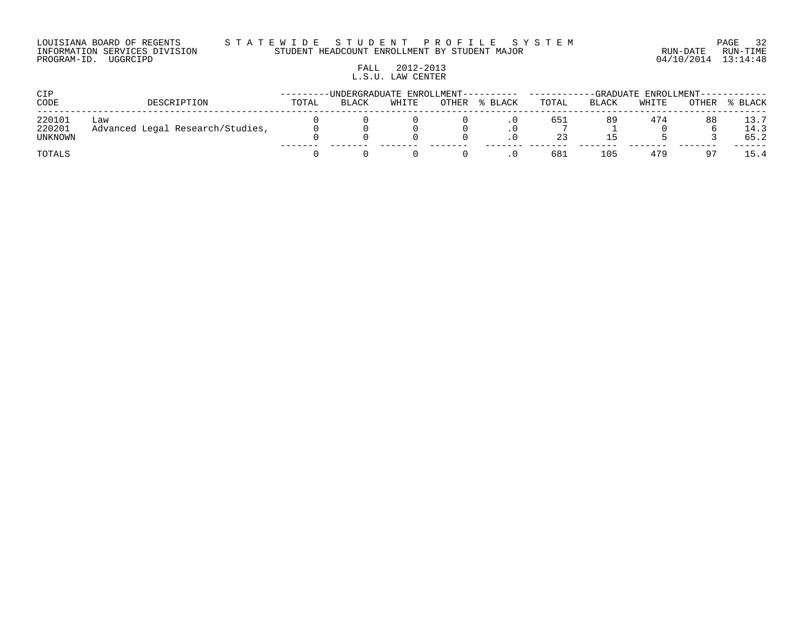#### LOUISIANA BOARD OF REGENTS S T A T E W I D E S T U D E N T P R O F I L E S Y S T E M PAGE 32 INFORMATION SERVICES DIVISION STUDENT HEADCOUNT ENROLLMENT BY STUDENT MAJOR RUN-DATE RUN-TIME

# FALL 2012-2013 L.S.U. LAW CENTER

| CIP                         |                                         |       |              |       | -UNDERGRADUATE ENROLLMENT---------- |         | -GRADUATE ENROLLMENT---- |       |       |       |                      |
|-----------------------------|-----------------------------------------|-------|--------------|-------|-------------------------------------|---------|--------------------------|-------|-------|-------|----------------------|
| CODE                        | DESCRIPTION                             | TOTAL | <b>BLACK</b> | WHITE | OTHER                               | % BLACK | TOTAL                    | BLACK | WHITE | OTHER | % BLACK              |
| 220101<br>220201<br>UNKNOWN | Law<br>Advanced Legal Research/Studies, |       |              |       |                                     |         | 651                      | 89    | 474   | 88    | 13.7<br>14.3<br>65.2 |
| TOTALS                      |                                         |       |              |       |                                     |         | 681                      | 105   | 479   |       | 15.4                 |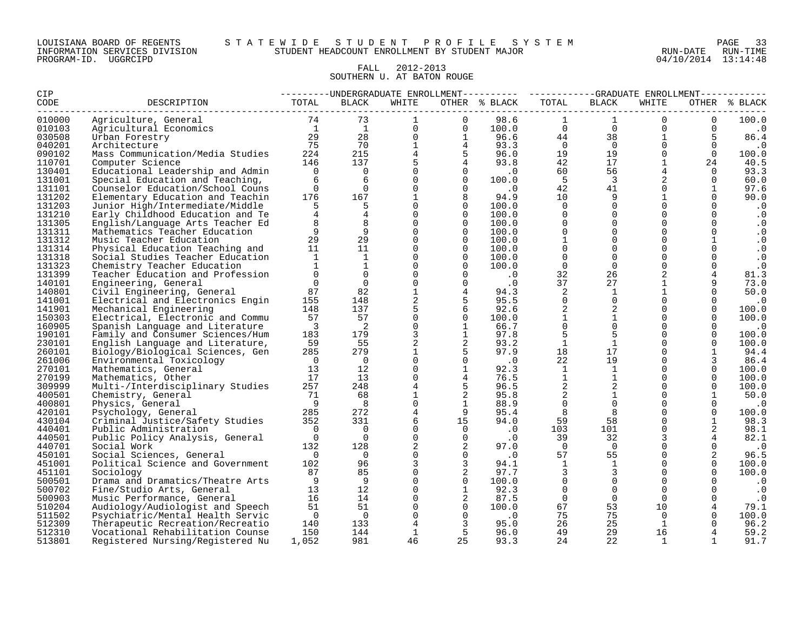#### LOUISIANA BOARD OF REGENTS S T A T E W I D E S T U D E N T P R O F I L E S Y S T E M PAGE 33 INFORMATION SERVICES DIVISION STUDENT HEADCOUNT ENROLLMENT BY STUDENT MAJOR RUN-DATE RUN-TIME

#### FALL 2012-2013 SOUTHERN U. AT BATON ROUGE

| <b>CIP</b>        |                                                              |                                              |                                   |                                                |                              |                             | --------UNDERGRADUATE ENROLLMENT--------- ---------GRADUATE ENROLLMENT----------- |                         |                      |                            |                |
|-------------------|--------------------------------------------------------------|----------------------------------------------|-----------------------------------|------------------------------------------------|------------------------------|-----------------------------|-----------------------------------------------------------------------------------|-------------------------|----------------------|----------------------------|----------------|
| CODE<br>--------- | DESCRIPTION                                                  | TOTAL                                        | <b>BLACK</b>                      | WHITE                                          |                              | OTHER % BLACK               | TOTAL                                                                             | <b>BLACK</b>            | WHITE                |                            | OTHER % BLACK  |
| 010000            | Agriculture, General                                         | $\begin{array}{c} 74 \\ 1 \\ 29 \end{array}$ | 73                                |                                                | $\Omega$                     | 98.6                        |                                                                                   |                         | $\overline{0}$       | $\mathbf{0}$               | 100.0          |
| 010103            | Agricultural Economics                                       |                                              | $\frac{1}{1}$                     | $\Omega$<br>$\frac{28}{70}$<br>$\frac{7}{5}$ 4 | $\Omega$                     | 100.0                       | $\overline{0}$                                                                    | $\overline{0}$          | $\overline{0}$       | $\overline{0}$             | $\cdot$ 0      |
| 030508            | Urban Forestry                                               |                                              |                                   | $\overline{0}$                                 | $\mathbf{1}$                 | 96.6                        | 44                                                                                | 38                      | $\mathbf{1}$         | 5                          | 86.4           |
| 040201            | Architecture                                                 | 75                                           |                                   | $1 \quad \blacksquare$                         | $\overline{4}$               | 93.3                        | $\overline{0}$                                                                    | $\Omega$                | $\Omega$             | $\Omega$                   | $\cdot$ 0      |
| 090102            | Mass Communication/Media Studies                             | 224                                          |                                   | $4\overline{ }$                                | $5^{\circ}$                  | 96.0                        | 19                                                                                | 19                      | $\overline{0}$       | $\Omega$                   | 100.0          |
| 110701            | Computer Science                                             | 146                                          |                                   | $5^{\circ}$                                    | $4\overline{ }$              | 93.8                        | 42                                                                                | 17                      | $\mathbf{1}$         | 24                         | 40.5           |
| 130401            | Educational Leadership and Admin                             | $\overline{0}$                               | $\overline{0}$                    | $\Omega$                                       | $\Omega$                     | $\cdot$ 0                   | 60                                                                                | 56                      |                      | $\Omega$                   | 93.3           |
| 131001            | Special Education and Teaching,                              | 6                                            | 6                                 | $\Omega$                                       | $\Omega$                     | 100.0                       | $5^{\circ}$                                                                       | $\overline{\mathbf{3}}$ | 2                    | $\overline{0}$             | 60.0           |
| 131101            | Counselor Education/School Couns                             | $\Omega$                                     | $\overline{0}$                    | $\Omega$                                       | $\Omega$                     | $\overline{\phantom{0}}$ .0 | 42                                                                                | 41                      | $\Omega$             | $\mathbf{1}$               | 97.6           |
| 131202            | Elementary Education and Teachin                             | 176                                          | 167                               | $\mathbf{1}$                                   | 8                            | 94.9                        | 10                                                                                | 9                       | $\mathbf{1}$         | $\Omega$                   | 90.0           |
| 131203            | Junior High/Intermediate/Middle                              |                                              | 5                                 | $\Omega$                                       | $\Omega$                     | 100.0                       | $\Omega$                                                                          | $\Omega$                | $\Omega$             | $\Omega$                   | . 0            |
| 131210            | Early Childhood Education and Te                             |                                              | $\overline{4}$                    | $\Omega$                                       | $\Omega$                     | 100.0                       | $\Omega$                                                                          | $\mathbf 0$             | $\Omega$             | $\Omega$                   | $\cdot$ 0      |
| 131305            | English/Language Arts Teacher Ed                             | 8                                            | 8                                 | $\Omega$                                       | $\overline{0}$               | 100.0                       | $\Omega$                                                                          | $\mathsf{O}$            | $\Omega$             | $\mathbf 0$                | $\cdot$ 0      |
| 131311            | Mathematics Teacher Education                                | 9                                            | 9                                 | $\Omega$                                       | $\Omega$                     | 100.0                       | $\Omega$                                                                          | $\Omega$                | $\Omega$             | $\Omega$                   | $\cdot$ 0      |
| 131312            | Music Teacher Education                                      | 29                                           | 29                                | $\Omega$                                       | $\Omega$                     | 100.0                       | $\mathbf{1}$                                                                      | $\Omega$                | $\Omega$             | $\mathbf{1}$               | $\cdot$ 0      |
| 131314            | Physical Education Teaching and                              | 11                                           | 11                                | $\mathbf 0$                                    | $\overline{0}$               | 100.0                       | $\mathbf 0$                                                                       | $\mathbf 0$             | $\Omega$             | $\mathbf{0}$               | $\cdot$ 0      |
| 131318            | Social Studies Teacher Education                             | 1                                            | 1                                 | $\Omega$                                       | $\Omega$                     | 100.0                       | $\Omega$                                                                          | $\Omega$                | $\Omega$             | $\Omega$                   | $\cdot$ 0      |
| 131323            | Chemistry Teacher Education                                  | $\mathbf{1}$                                 | $\mathbf{1}$                      | $\Omega$                                       | $\Omega$                     | 100.0                       | $\Omega$                                                                          | $\overline{0}$          | $\Omega$             | $\Omega$                   | $\cdot$ 0      |
| 131399            | Teacher Education and Profession                             | $\Omega$                                     | $\mathbf 0$                       | $\Omega$                                       | $\Omega$                     | $\cdot$ 0                   | 32                                                                                | 26                      | 2                    | 4                          | 81.3           |
| 140101            | Engineering, General                                         | $\Omega$                                     | $\Omega$                          | $\Omega$                                       | $\Omega$                     | $\cdot$ 0                   | 37                                                                                | 27                      | $\mathbf{1}$         | 9                          | 73.0           |
| 140801            | Civil Engineering, General                                   | 87                                           | 82                                | $\mathbf{1}$                                   | 4                            | 94.3                        | 2                                                                                 | 1                       | $\mathbf 1$          | $\Omega$                   | 50.0           |
| 141001            | Electrical and Electronics Engin                             | 155                                          | 148                               | 2                                              | 5                            | 95.5                        | $\mathbf 0$                                                                       | $\overline{0}$          | $\Omega$             | $\Omega$                   | $\cdot$ 0      |
| 141901            | Mechanical Engineering                                       | 148                                          | 137                               | 5<br>$\Omega$                                  | 6                            | 92.6                        | 2                                                                                 | $\overline{2}$          | $\Omega$<br>$\Omega$ | $\overline{0}$<br>$\Omega$ | 100.0          |
| 150303            | Electrical, Electronic and Commu                             | 57                                           | 57                                |                                                | $\Omega$                     | 100.0                       | $\mathbf{1}$<br>$\Omega$                                                          | 1<br>$\overline{0}$     |                      |                            | 100.0          |
| 160905<br>190101  | Spanish Language and Literature                              | $\overline{\phantom{a}}$                     | $\overline{\phantom{0}}^2$<br>179 | $\mathbf 0$<br>$\mathbf{3}$                    | $\mathbf{1}$<br>$\mathbf{1}$ | 66.7                        | 5                                                                                 | 5                       | $\Omega$<br>$\Omega$ | $\mathbf 0$<br>$\Omega$    | $\cdot$ 0      |
| 230101            | Family and Consumer Sciences/Hum                             | 183<br>59                                    | 55                                | $\overline{a}$                                 | 2                            | 97.8<br>93.2                | $\mathbf{1}$                                                                      | $\mathbf{1}$            | $\Omega$             | $\Omega$                   | 100.0<br>100.0 |
| 260101            | English Language and Literature,                             | 285                                          | 279                               | $\mathbf 1$                                    | 5                            | 97.9                        | 18                                                                                | 17                      | $\Omega$             | $\mathbf{1}$               | 94.4           |
| 261006            | Biology/Biological Sciences, Gen<br>Environmental Toxicology | $\overline{0}$                               | $\overline{0}$                    | $\Omega$                                       | $\mathbf 0$                  | $\cdot$ 0                   | 22                                                                                | 19                      | $\Omega$             |                            | 86.4           |
| 270101            | Mathematics, General                                         | 13                                           | 12                                | $\mathbf 0$                                    | $\mathbf{1}$                 | 92.3                        | $\mathbf{1}$                                                                      | $\mathbf{1}$            | $\Omega$             | $\mathbf{0}$               | 100.0          |
| 270199            | Mathematics, Other                                           | 17                                           | 13                                | $\Omega$                                       | $\overline{4}$               | 76.5                        | $\mathbf{1}$                                                                      | 1                       | $\Omega$             | $\Omega$                   | 100.0          |
| 309999            | Multi-/Interdisciplinary Studies                             | 257                                          | 248                               | $\overline{4}$                                 | 5                            | 96.5                        | 2                                                                                 | 2                       | $\Omega$             | $\Omega$                   | 100.0          |
| 400501            | Chemistry, General                                           | 71                                           | 68                                | $\mathbf{1}$                                   | 2                            | 95.8                        | 2                                                                                 | $\mathbf{1}$            | $\Omega$             | $\mathbf{1}$               | 50.0           |
| 400801            | Physics, General                                             | $\overline{9}$                               | 8                                 | $\Omega$                                       | <sup>1</sup>                 | 88.9                        | $\Omega$                                                                          | $\overline{0}$          | $\Omega$             | $\Omega$                   | $\cdot$ 0      |
| 420101            | Psychology, General                                          | 285                                          | 272                               | $4\overline{ }$                                | 9                            | 95.4                        | 8                                                                                 | 8                       | $\Omega$             | $\mathsf{O}$               | 100.0          |
| 430104            | Criminal Justice/Safety Studies                              | 352                                          | 331                               | 6                                              | 15                           | 94.0                        | 59                                                                                | 58                      | $\Omega$             | $\mathbf{1}$               | 98.3           |
| 440401            | Public Administration                                        | $\Omega$                                     | $\Omega$                          | $\Omega$                                       | $\Omega$                     | $\overline{\phantom{0}}$ .0 | 103                                                                               | 101                     | $\Omega$             |                            | 98.1           |
| 440501            | Public Policy Analysis, General                              | $\Omega$                                     | $\overline{0}$                    | $\Omega$                                       | $\Omega$                     | $\cdot$ 0                   | 39                                                                                | 32                      | 3                    | $\overline{4}$             | 82.1           |
| 440701            | Social Work                                                  | 132                                          | 128                               | $\overline{a}$                                 | 2                            | 97.0                        | $\overline{0}$                                                                    | $\overline{0}$          | $\Omega$             | $\Omega$                   | $\cdot$ 0      |
| 450101            | Social Sciences, General                                     | $\overline{0}$                               | $\overline{0}$                    | $\Omega$                                       | $\Omega$                     | $\cdot$ 0                   | 57                                                                                | 55                      | $\Omega$             | 2                          | 96.5           |
| 451001            | Political Science and Government                             | 102                                          | 96                                | 3                                              | 3                            | 94.1                        | 1                                                                                 | 1                       | $\Omega$             | $\Omega$                   | 100.0          |
| 451101            | Sociology                                                    | 87                                           | 85                                | $\Omega$                                       | 2                            | 97.7                        | 3                                                                                 | 3                       | $\Omega$             | $\Omega$                   | 100.0          |
| 500501            | Drama and Dramatics/Theatre Arts                             | - 9                                          | 9                                 | $\Omega$                                       | $\overline{0}$               | 100.0                       | $\mathbf 0$                                                                       | $\overline{0}$          | $\Omega$             | $\Omega$                   | $\cdot$ 0      |
| 500702            | Fine/Studio Arts, General                                    | 13                                           | 12                                | $\Omega$                                       | <sup>1</sup>                 | 92.3                        | $\overline{0}$                                                                    | $\overline{0}$          | $\Omega$             | $\Omega$                   | $\cdot$ 0      |
| 500903            | Music Performance, General                                   | 16                                           | 14                                | $\Omega$                                       | 2                            | 87.5                        | $\Omega$                                                                          | $\overline{0}$          | $\Omega$             | $\Omega$                   | $\cdot$ 0      |
| 510204            | Audiology/Audiologist and Speech                             | 51                                           | 51                                | $\Omega$                                       | $\Omega$                     | 100.0                       | 67                                                                                | 53                      | 10                   |                            | 79.1           |
| 511502            | Psychiatric/Mental Health Servic                             | $\overline{0}$                               | $\overline{0}$                    | $\mathbf 0$                                    | $\overline{0}$               | $\overline{\phantom{0}}$ .0 | 75                                                                                | 75                      | $\overline{0}$       | $\mathbf 0$                | 100.0          |
| 512309            | Therapeutic Recreation/Recreatio                             | 140                                          | 133                               | $\overline{4}$                                 | 3                            | 95.0                        | 26                                                                                | 25                      | $\mathbf{1}$         | $\Omega$                   | 96.2           |
| 512310            | Vocational Rehabilitation Counse                             | 150                                          | 144                               | $\mathbf{1}$                                   | 5                            | 96.0                        | 49                                                                                | 29                      | 16                   |                            | 59.2           |
| 513801            | Registered Nursing/Registered Nu                             | 1,052                                        | 981                               | 46                                             | 25                           | 93.3                        | 24                                                                                | 22                      | 1                    | $\mathbf{1}$               | 91.7           |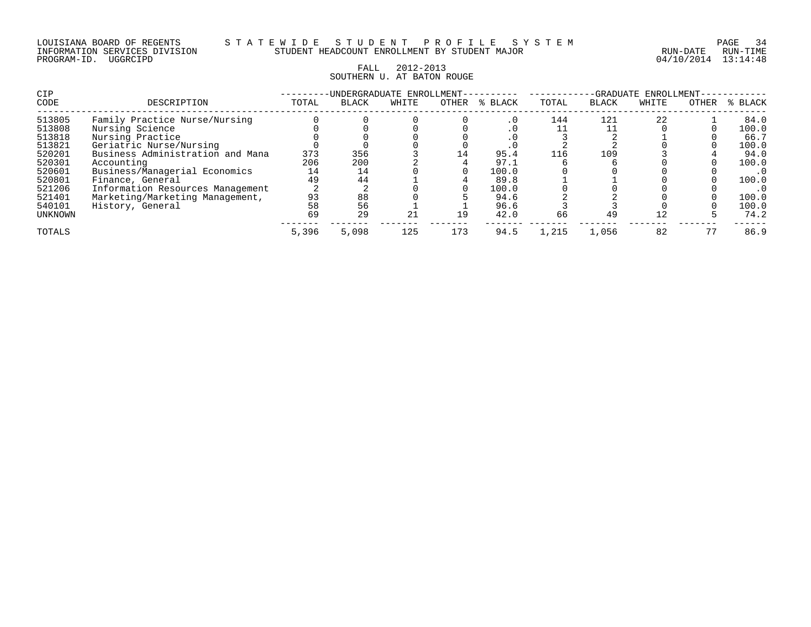#### FALL 2012-2013 SOUTHERN U. AT BATON ROUGE

| <b>CIP</b> |                                  |       | -UNDERGRADUATE ENROLLMENT- |       |       |         |       | -GRADUATE    | ENROLLMENT- |       |         |
|------------|----------------------------------|-------|----------------------------|-------|-------|---------|-------|--------------|-------------|-------|---------|
| CODE       | DESCRIPTION                      | TOTAL | <b>BLACK</b>               | WHITE | OTHER | % BLACK | TOTAL | <b>BLACK</b> | WHITE       | OTHER | % BLACK |
| 513805     | Family Practice Nurse/Nursing    |       |                            |       |       | . 0     | 144   | 121          | 22          |       | 84.0    |
| 513808     | Nursing Science                  |       |                            |       |       | . U     |       |              |             |       | 100.0   |
| 513818     | Nursing Practice                 |       |                            |       |       | . U     |       |              |             |       | 66.7    |
| 513821     | Geriatric Nurse/Nursing          |       |                            |       |       |         |       |              |             |       | 100.0   |
| 520201     | Business Administration and Mana | 373   | 356                        |       | 14    | 95.4    | 116   | 109          |             |       | 94.0    |
| 520301     | Accounting                       | 206   | 200                        |       |       | 97.1    |       |              |             |       | 100.0   |
| 520601     | Business/Managerial Economics    | 14    | 14                         |       |       | 100.0   |       |              |             |       | . 0     |
| 520801     | Finance, General                 | 49    | 44                         |       |       | 89.8    |       |              |             |       | 100.0   |
| 521206     | Information Resources Management |       |                            |       |       | 100.0   |       |              |             |       |         |
| 521401     | Marketing/Marketing Management,  | 93    | 88                         |       |       | 94.6    |       |              |             |       | 100.0   |
| 540101     | History, General                 | 58    | 56                         |       |       | 96.6    |       |              |             |       | 100.0   |
| UNKNOWN    |                                  | 69    | 29                         | 21    | 19    | 42.0    | 66    | 49           | 12          |       | 74.2    |
| TOTALS     |                                  | 5,396 | 5,098                      | 125   | 173   | 94.5    | 1,215 | 1,056        | 82          |       | 86.9    |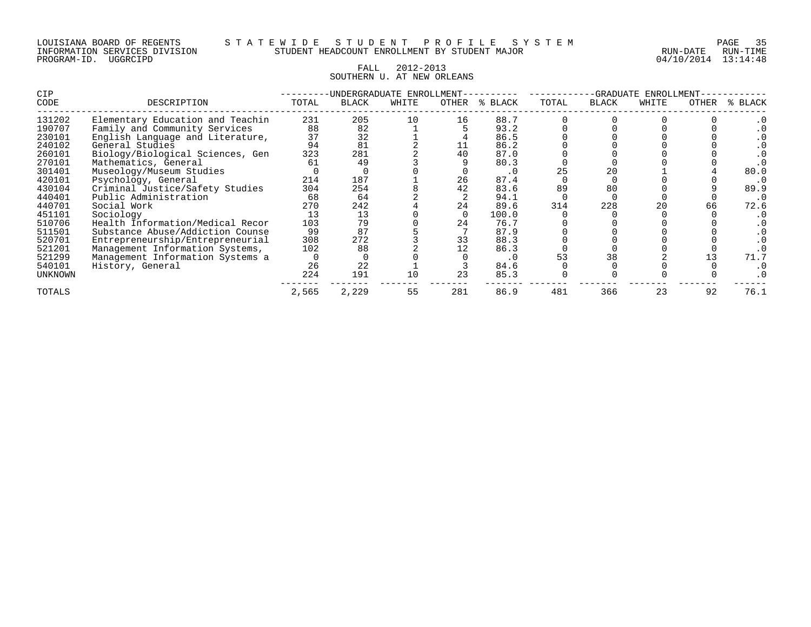#### LOUISIANA BOARD OF REGENTS S T A T E W I D E S T U D E N T P R O F I L E S Y S T E M PAGE 35 INFORMATION SERVICES DIVISION STUDENT HEADCOUNT ENROLLMENT BY STUDENT MAJOR RUN-DATE RUN-TIME

#### FALL 2012-2013 SOUTHERN U. AT NEW ORLEANS

| CIP     |                                  |       | -UNDERGRADUATE ENROLLMENT- |       |       |         |       | -GRADUATE    | ENROLLMENT |       |         |
|---------|----------------------------------|-------|----------------------------|-------|-------|---------|-------|--------------|------------|-------|---------|
| CODE    | DESCRIPTION                      | TOTAL | BLACK                      | WHITE | OTHER | % BLACK | TOTAL | <b>BLACK</b> | WHITE      | OTHER | % BLACK |
| 131202  | Elementary Education and Teachin | 231   | 205                        | 10    | 16    | 88.7    |       |              |            |       |         |
| 190707  | Family and Community Services    | 88    | 82                         |       |       | 93.2    |       |              |            |       |         |
| 230101  | English Language and Literature, | 37    | 32                         |       |       | 86.5    |       |              |            |       |         |
| 240102  | General Studies                  | 94    | 81                         |       |       | 86.2    |       |              |            |       |         |
| 260101  | Biology/Biological Sciences, Gen | 323   | 281                        |       | 40    | 87.0    |       |              |            |       |         |
| 270101  | Mathematics, General             | 61    | 49                         |       |       | 80.3    |       |              |            |       |         |
| 301401  | Museology/Museum Studies         |       |                            |       |       | . 0     | 25    | 20           |            |       | 80.0    |
| 420101  | Psychology, General              | 214   | 187                        |       | 26    | 87.4    |       |              |            |       |         |
| 430104  | Criminal Justice/Safety Studies  | 304   | 254                        |       |       | 83.6    | 89    | 80           |            |       | 89.9    |
| 440401  | Public Administration            | 68    | 64                         |       |       | 94.1    |       |              |            |       |         |
| 440701  | Social Work                      | 270   | 242                        |       |       | 89.6    | 314   | 228          | 20         | 66    | 72.6    |
| 451101  | Sociology                        | 13    | 13                         |       |       | 100.0   |       |              |            |       |         |
| 510706  | Health Information/Medical Recor | 103   | 79                         |       | 24    | 76.7    |       |              |            |       |         |
| 511501  | Substance Abuse/Addiction Counse | 99    | 87                         |       |       | 87.9    |       |              |            |       |         |
| 520701  | Entrepreneurship/Entrepreneurial | 308   | 272                        |       | 33    | 88.3    |       |              |            |       |         |
| 521201  | Management Information Systems,  | 102   | 88                         |       |       | 86.3    |       |              |            |       |         |
| 521299  | Management Information Systems a |       |                            |       |       | . 0     |       | 38           |            |       | 71.7    |
| 540101  | History, General                 | 26    | 22                         |       |       | 84.6    |       |              |            |       |         |
| UNKNOWN |                                  | 224   | 191                        | 10    | 23    | 85.3    |       |              |            |       |         |
| TOTALS  |                                  | 2,565 | 2,229                      | 55    | 281   | 86.9    | 481   | 366          | 23         | 92    | 76.1    |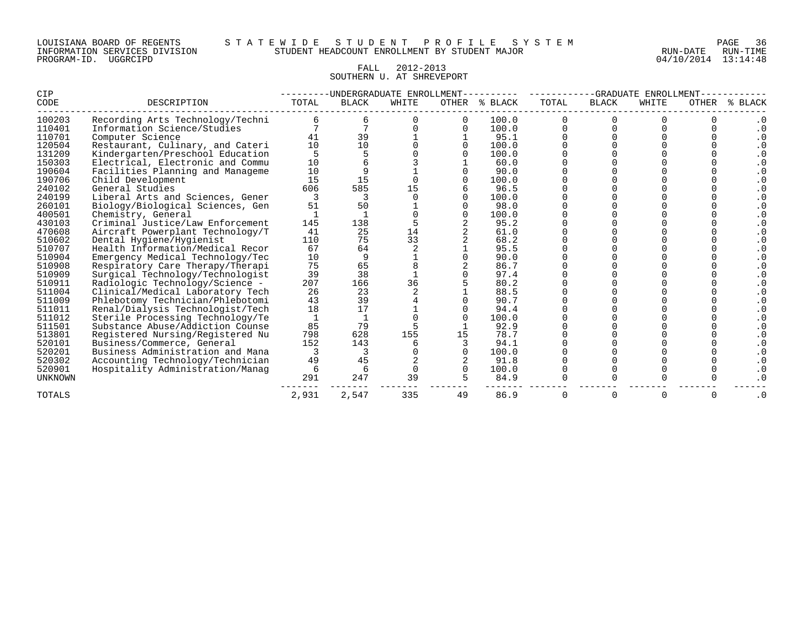#### FALL 2012-2013 SOUTHERN U. AT SHREVEPORT

| <b>CIP</b>     |                                  |       |              | -UNDERGRADUATE ENROLLMENT |    |               |       | -GRADUATE    | ENROLLMENT |       |                   |
|----------------|----------------------------------|-------|--------------|---------------------------|----|---------------|-------|--------------|------------|-------|-------------------|
| CODE           | DESCRIPTION                      | TOTAL | <b>BLACK</b> | WHITE                     |    | OTHER % BLACK | TOTAL | <b>BLACK</b> | WHITE      | OTHER | <b>BLACK</b><br>៖ |
| 100203         | Recording Arts Technology/Techni |       |              |                           |    | 100.0         |       |              |            |       |                   |
| 110401         | Information Science/Studies      |       |              |                           |    | 100.0         |       |              |            |       | $\cdot$ 0         |
| 110701         | Computer Science                 | 41    | 39           |                           |    | 95.1          |       |              |            |       | $\cdot$ 0         |
| 120504         | Restaurant, Culinary, and Cateri | 10    | 10           |                           |    | 100.0         |       |              |            |       | $\cdot$ 0         |
| 131209         | Kindergarten/Preschool Education |       |              |                           |    | 100.0         |       |              |            |       | $\cdot$ 0         |
| 150303         | Electrical, Electronic and Commu | 10    |              |                           |    | 60.0          |       |              |            |       | $\cdot$ 0         |
| 190604         | Facilities Planning and Manageme | 10    |              |                           |    | 90.0          |       |              |            |       | $\cdot$ 0         |
| 190706         | Child Development                | 15    | 15           |                           |    | 100.0         |       |              |            |       | $\cdot$ 0         |
| 240102         | General Studies                  | 606   | 585          | 15                        |    | 96.5          |       |              |            |       | . 0               |
| 240199         | Liberal Arts and Sciences, Gener |       |              |                           |    | 100.0         |       |              |            |       |                   |
| 260101         | Biology/Biological Sciences, Gen | 51    | 50           |                           |    | 98.0          |       |              |            |       |                   |
| 400501         | Chemistry, General               |       |              |                           |    | 100.0         |       |              |            |       |                   |
| 430103         | Criminal Justice/Law Enforcement | 145   | 138          |                           |    | 95.2          |       |              |            |       |                   |
| 470608         | Aircraft Powerplant Technology/T | 41    | 25           | 14                        |    | 61.0          |       |              |            |       | $\cdot$ 0         |
| 510602         | Dental Hygiene/Hygienist         | 110   | 75           | 33                        |    | 68.2          |       |              |            |       | $\cdot$ 0         |
| 510707         | Health Information/Medical Recor | 67    | 64           |                           |    | 95.5          |       |              |            |       | $\cdot$ 0         |
| 510904         | Emergency Medical Technology/Tec | 10    |              |                           |    | 90.0          |       |              |            |       | $\cdot$ 0         |
| 510908         | Respiratory Care Therapy/Therapi | 75    | 65           |                           |    | 86.7          |       |              |            |       | $\cdot$ 0         |
| 510909         | Surgical Technology/Technologist | 39    | 38           |                           |    | 97.4          |       |              |            |       | $\cdot$ 0         |
| 510911         | Radiologic Technology/Science -  | 207   | 166          | 36                        |    | 80.2          |       |              |            |       |                   |
| 511004         | Clinical/Medical Laboratory Tech | 26    | 23           |                           |    | 88.5          |       |              |            |       |                   |
| 511009         | Phlebotomy Technician/Phlebotomi | 43    | 39           |                           |    | 90.7          |       |              |            |       |                   |
| 511011         | Renal/Dialysis Technologist/Tech | 18    | 17           |                           |    | 94.4          |       |              |            |       |                   |
| 511012         | Sterile Processing Technology/Te |       |              |                           |    | 100.0         |       |              |            |       |                   |
| 511501         | Substance Abuse/Addiction Counse | 85    | 79           |                           |    | 92.9          |       |              |            |       |                   |
| 513801         | Registered Nursing/Registered Nu | 798   | 628          | 155                       |    | 78.7          |       |              |            |       |                   |
| 520101         | Business/Commerce, General       | 152   | 143          |                           |    | 94.1          |       |              |            |       | . 0               |
| 520201         | Business Administration and Mana |       |              |                           |    | 100.0         |       |              |            |       | $\cdot$ 0         |
| 520302         | Accounting Technology/Technician | 49    | 45           |                           |    | 91.8          |       |              |            |       | $\cdot$ 0         |
| 520901         | Hospitality Administration/Manaq | 6     | 6            |                           |    | 100.0         |       |              |            |       | $\cdot$ 0         |
| <b>UNKNOWN</b> |                                  | 291   | 247          | 39                        |    | 84.9          |       |              |            |       | . 0               |
| TOTALS         |                                  | 2,931 | 2,547        | 335                       | 49 | 86.9          | O     |              | $\Omega$   |       | . 0               |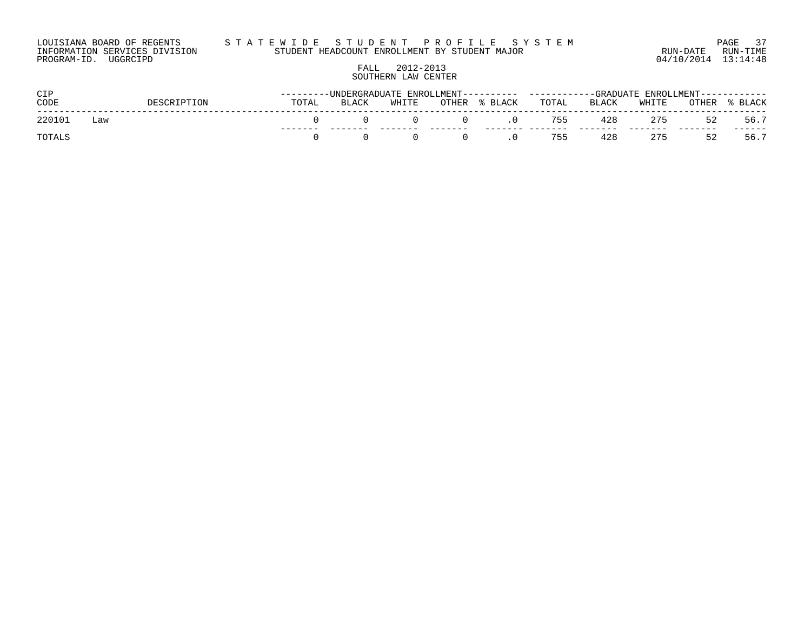#### LOUISIANA BOARD OF REGENTS S T A T E W I D E S T U D E N T P R O F I L E S Y S T E M PAGE 37 INFORMATION SERVICES DIVISION STUDENT HEADCOUNT ENROLLMENT BY STUDENT MAJOR RUN-DATE RUN-TIME

PROGRAM-ID. UGGRCIPD 04/10/2014 13:14:48

# FALL 2012-2013 SOUTHERN LAW CENTER

| CIP           |     |             |       |              |       |        |         | ------------GRADUATE ENROLLMENT------------ |       |       |       |         |  |
|---------------|-----|-------------|-------|--------------|-------|--------|---------|---------------------------------------------|-------|-------|-------|---------|--|
| CODE          |     | DESCRIPTION | TOTAL | <b>BLACK</b> | WHITE | OTHER  | % BLACK | TOTAL                                       | BLACK | WHITE | OTHER | % BLACK |  |
| 220101        | Law |             |       |              |       | $\cup$ |         | 755                                         | 428   | 275   | 52    | 56.7    |  |
| <b>TOTALS</b> |     |             |       |              |       |        |         | 755                                         | 428   | 275   | 52    | 56.7    |  |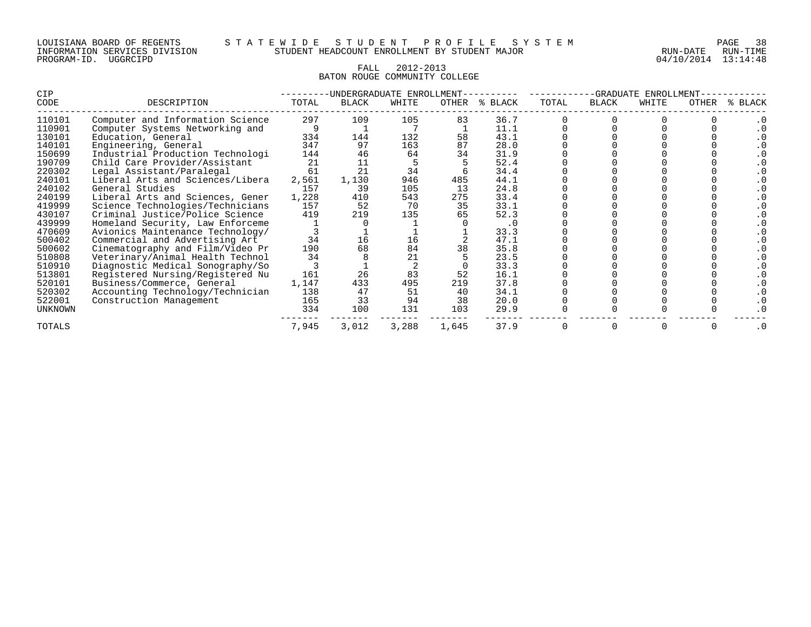# FALL 2012-2013 BATON ROUGE COMMUNITY COLLEGE

| CIP            |                                  |       |       | -UNDERGRADUATE ENROLLMENT |       |           |       | -GRADUATE    | ENROLLMENT |       |         |
|----------------|----------------------------------|-------|-------|---------------------------|-------|-----------|-------|--------------|------------|-------|---------|
| CODE           | DESCRIPTION                      | TOTAL | BLACK | WHITE                     | OTHER | % BLACK   | TOTAL | <b>BLACK</b> | WHITE      | OTHER | % BLACK |
| 110101         | Computer and Information Science | 297   | 109   | 105                       | 83    | 36.7      |       |              |            |       |         |
| 110901         | Computer Systems Networking and  |       |       |                           |       | 11.1      |       |              |            |       |         |
| 130101         | Education, General               | 334   | 144   | 132                       | 58    | 43.1      |       |              |            |       |         |
| 140101         | Engineering, General             | 347   | 97    | 163                       | 87    | 28.0      |       |              |            |       |         |
| 150699         | Industrial Production Technologi | 144   | 46    | 64                        | 34    | 31.9      |       |              |            |       |         |
| 190709         | Child Care Provider/Assistant    | 21    | 11    |                           |       | 52.4      |       |              |            |       |         |
| 220302         | Legal Assistant/Paralegal        | 61    | 21    | 34                        |       | 34.4      |       |              |            |       |         |
| 240101         | Liberal Arts and Sciences/Libera | 2,561 | 1,130 | 946                       | 485   | 44.1      |       |              |            |       |         |
| 240102         | General Studies                  | 157   | 39    | 105                       | 13    | 24.8      |       |              |            |       |         |
| 240199         | Liberal Arts and Sciences, Gener | 1,228 | 410   | 543                       | 275   | 33.4      |       |              |            |       |         |
| 419999         | Science Technologies/Technicians | 157   | 52    | 70                        | 35    | 33.1      |       |              |            |       |         |
| 430107         | Criminal Justice/Police Science  | 419   | 219   | 135                       | 65    | 52.3      |       |              |            |       |         |
| 439999         | Homeland Security, Law Enforceme |       |       |                           |       | $\cdot$ 0 |       |              |            |       |         |
| 470609         | Avionics Maintenance Technology/ |       |       |                           |       | 33.3      |       |              |            |       |         |
| 500402         | Commercial and Advertising Art   | 34    |       | 16                        |       | 47.1      |       |              |            |       |         |
| 500602         | Cinematography and Film/Video Pr | 190   | 68    | 84                        | 38    | 35.8      |       |              |            |       |         |
| 510808         | Veterinary/Animal Health Technol | 34    |       | 21                        |       | 23.5      |       |              |            |       |         |
| 510910         | Diagnostic Medical Sonography/So |       |       |                           |       | 33.3      |       |              |            |       |         |
| 513801         | Registered Nursing/Registered Nu | 161   | 26    | 83                        | 52    | 16.1      |       |              |            |       |         |
| 520101         | Business/Commerce, General       | 1,147 | 433   | 495                       | 219   | 37.8      |       |              |            |       |         |
| 520302         | Accounting Technology/Technician | 138   | 47    | 51                        | 40    | 34.1      |       |              |            |       |         |
| 522001         | Construction Management          | 165   | 33    | 94                        | 38    | 20.0      |       |              |            |       |         |
| <b>UNKNOWN</b> |                                  | 334   | 100   | 131                       | 103   | 29.9      |       |              |            |       |         |
| TOTALS         |                                  | 7,945 | 3,012 | 3,288                     | 1,645 | 37.9      |       |              |            |       |         |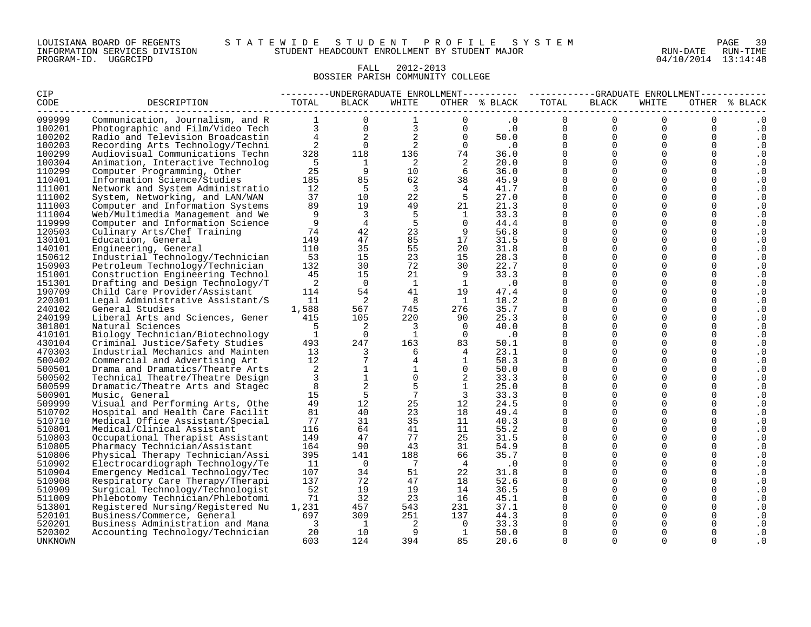#### LOUISIANA BOARD OF REGENTS S T A T E W I D E S T U D E N T P R O F I L E S Y S T E M PAGE 39 INFORMATION SERVICES DIVISION STUDENT HEADCOUNT ENROLLMENT BY STUDENT MAJOR RUN-DATE RUN-TIME

# FALL 2012-2013 BOSSIER PARISH COMMUNITY COLLEGE

| <b>CIP</b>       |                                                                                                                                                                                                                                      |                          |                            |                                  |                            | ---------UNDERGRADUATE ENROLLMENT---------- ----------GRADUATE ENROLLMENT----------- |                      |                                             |                |               |                  |
|------------------|--------------------------------------------------------------------------------------------------------------------------------------------------------------------------------------------------------------------------------------|--------------------------|----------------------------|----------------------------------|----------------------------|--------------------------------------------------------------------------------------|----------------------|---------------------------------------------|----------------|---------------|------------------|
| <b>CODE</b>      | DESCRIPTION                                                                                                                                                                                                                          | TOTAL                    | <b>BLACK</b>               | WHITE                            |                            | OTHER % BLACK                                                                        | TOTAL                | <b>BLACK</b>                                | WHITE          |               | OTHER % BLACK    |
| 099999           | Communication, Journalism, and R 1                                                                                                                                                                                                   |                          | $\Omega$                   |                                  | $\Omega$                   | .0                                                                                   | $\Omega$             | $\Omega$                                    | $\Omega$       | $\Omega$      | $\cdot$ 0        |
| 100201           | Communication, Journalism, and K<br>Photographic and Film/Video Tech and and Television Broadcastin<br>Recording Arts Technology/Techn and and and and the seconding Arts Technology/Techn and and and and and a<br>Recording Arts T |                          |                            |                                  |                            |                                                                                      | $\mathbf{0}$         | $\overline{0}$                              | $\overline{0}$ | $\mathbf 0$   | $\cdot$ 0        |
| 100202           |                                                                                                                                                                                                                                      |                          |                            |                                  |                            | 50.0                                                                                 | $\mathbf{0}$         | $\begin{bmatrix} 0 \\ 0 \\ 0 \end{bmatrix}$ | $\Omega$       | $\mathbf 0$   | . 0              |
| 100203           |                                                                                                                                                                                                                                      |                          |                            |                                  |                            |                                                                                      | $0 \qquad \qquad$    |                                             | $\Omega$       | $\mathbf 0$   | . 0              |
| 100299           |                                                                                                                                                                                                                                      |                          |                            |                                  |                            |                                                                                      | $\mathbf 0$          |                                             | $\Omega$       | $\mathbf 0$   | $\cdot$ 0        |
| 100304           | Animation, Interactive Technolog                                                                                                                                                                                                     | $-5$                     | $\overline{1}$             | $\overline{2}$                   | $\overline{\phantom{0}}^2$ | 20.0                                                                                 | $\Omega$             | $\Omega$                                    | $\mathbf{0}$   | $\mathbf 0$   | . 0              |
| 110299           | Computer Programming, Other                                                                                                                                                                                                          | 25                       | $\overline{9}$             | 10                               | 6                          | 36.0                                                                                 | $\Omega$             | $\Omega$                                    | $\Omega$       | $\mathbf 0$   | . 0              |
| 110401           | Information Science/Studies                                                                                                                                                                                                          | 185                      | 85                         | 62                               | 38                         | 45.9                                                                                 | $\mathbf 0$          | $\mathbf 0$                                 | $\mathbf 0$    | $\mathbf 0$   | . 0              |
| 111001           | Network and System Administratio                                                                                                                                                                                                     | 12                       | $-5$                       | $\overline{\mathbf{3}}$          | $\overline{4}$             | 41.7                                                                                 | $\Omega$             | $\Omega$                                    | $\mathbf 0$    | $\mathbf 0$   | . 0              |
| 111002           | System, Networking, and LAN/WAN                                                                                                                                                                                                      | 37                       | 10                         | 22                               | $5^{\circ}$                | 27.0                                                                                 | $\mathbf 0$          | $\mathbf 0$                                 | 0              | $\mathbf 0$   | $\cdot$ 0        |
| 111003           | Computer and Information Systems                                                                                                                                                                                                     | 89                       | 19                         | 49                               | 21                         | 21.3                                                                                 | $\Omega$             | $\Omega$                                    | $\Omega$       | $\mathbf 0$   | . 0              |
| 111004           | Web/Multimedia Management and We                                                                                                                                                                                                     | 9                        | $\overline{\mathbf{3}}$    | 5                                | $\overline{1}$             | 33.3                                                                                 | $\Omega$             | $\Omega$                                    | $\Omega$       | $\Omega$      | $\cdot$ 0        |
| 119999           | Computer and Information Science                                                                                                                                                                                                     | 9                        | $\overline{4}$             | 5                                | $\bigcap$                  | 44.4                                                                                 | $\Omega$             | $\Omega$                                    | $\Omega$       | $\mathbf 0$   | . 0              |
| 120503           | Culinary Arts/Chef Training                                                                                                                                                                                                          | 74                       | 42                         | 23                               | 9                          | 56.8                                                                                 | $\Omega$             | $\Omega$                                    | $\Omega$       | $\Omega$      | . 0              |
| 130101           | Education, General                                                                                                                                                                                                                   | 149                      | 47                         | 85                               | 17                         | 31.5                                                                                 | $\Omega$             | $\Omega$                                    | $\Omega$       | $\Omega$      | $\cdot$ 0        |
| 140101           | Engineering, General                                                                                                                                                                                                                 | 110                      | 35                         | 55                               | 20                         | 31.8                                                                                 | $\Omega$             | $\Omega$                                    | $\Omega$       | $\mathbf 0$   | . 0              |
| 150612           | Industrial Technology/Technician                                                                                                                                                                                                     | 53                       | 15                         | 23                               | 15                         | 28.3                                                                                 | $\Omega$             | $\Omega$                                    | $\Omega$       | $\Omega$      | . 0              |
| 150903           | Petroleum Technology/Technician                                                                                                                                                                                                      | 132                      | 30                         | 72                               | 30                         | 22.7                                                                                 | $\mathbf 0$          | $\mathbf 0$                                 | $\mathbf 0$    | $\mathbf 0$   | . 0              |
| 151001           | Construction Engineering Technol                                                                                                                                                                                                     | 45                       | 15                         | 21                               | 9                          | 33.3                                                                                 | $\Omega$             | $\Omega$                                    | $\Omega$       | $\Omega$      | . 0              |
| 151301           | Drafting and Design Technology/T                                                                                                                                                                                                     | $\overline{2}$           | $\overline{0}$             | $\mathbf{1}$                     | $\mathbf{1}$               | $\cdot$ 0                                                                            | $\mathbf 0$          | $\Omega$                                    | 0              | $\Omega$      | $\cdot$ 0        |
| 190709           | Child Care Provider/Assistant                                                                                                                                                                                                        | 114                      | 54                         | 41                               | 19                         | 47.4                                                                                 | $\Omega$             | $\mathbf 0$                                 | 0              | $\mathbf 0$   | . 0              |
| 220301           | Legal Administrative Assistant/S                                                                                                                                                                                                     | 11                       | $\overline{\phantom{0}}^2$ | - 8                              | $\overline{1}$             | 18.2                                                                                 | $\Omega$             | $\Omega$                                    | 0              | $\mathbf 0$   | $\cdot$ 0        |
| 240102           | General Studies                                                                                                                                                                                                                      | 1,588                    | 567                        | 745                              | 276                        | 35.7                                                                                 | $\Omega$<br>$\Omega$ | $\mathbf 0$<br>$\Omega$                     | 0<br>$\Omega$  | 0<br>$\Omega$ | . 0              |
| 240199           | Liberal Arts and Sciences, Gener                                                                                                                                                                                                     | 415<br>5                 | 105<br>$\overline{2}$      | 220                              | 90<br>$\overline{0}$       | 25.3                                                                                 | $\Omega$             | $\Omega$                                    | $\Omega$       | $\Omega$      | . 0              |
| 301801           | Natural Sciences                                                                                                                                                                                                                     | 1                        | $\overline{0}$             | $\overline{3}$<br>$\overline{1}$ | $\overline{0}$             | 40.0                                                                                 | $\Omega$             | $\Omega$                                    | $\Omega$       | $\mathbf 0$   | $\cdot$ 0        |
| 410101<br>430104 | Biology Technician/Biotechnology<br>Criminal Justice/Safety Studies                                                                                                                                                                  | 493                      | 247                        | 163                              | 83                         | $\cdot$ 0<br>50.1                                                                    | $\Omega$             | $\Omega$                                    | $\Omega$       | $\Omega$      | . 0<br>$\cdot$ 0 |
| 470303           | Industrial Mechanics and Mainten                                                                                                                                                                                                     | 13                       | $\overline{\mathbf{3}}$    | 6                                | 4                          | 23.1                                                                                 | $\Omega$             | $\Omega$                                    | $\overline{0}$ | $\mathbf 0$   |                  |
| 500402           | Commercial and Advertising Art                                                                                                                                                                                                       | 12                       | 7                          | $\overline{4}$                   | $\overline{1}$             | 58.3                                                                                 | $\Omega$             | $\Omega$                                    | $\Omega$       | $\Omega$      | . 0<br>. 0       |
| 500501           | Drama and Dramatics/Theatre Arts                                                                                                                                                                                                     | 2                        | $\mathbf{1}$               | $\mathbf{1}$                     | $\overline{0}$             | 50.0                                                                                 | $\Omega$             | $\Omega$                                    | $\Omega$       | $\Omega$      | . 0              |
| 500502           | Technical Theatre/Theatre Design                                                                                                                                                                                                     | $\mathbf{3}$             | $\mathbf{1}$               | $\Omega$                         | 2                          | 33.3                                                                                 | $\Omega$             | $\Omega$                                    | 0              | $\mathbf 0$   | . 0              |
| 500599           | Dramatic/Theatre Arts and Stagec                                                                                                                                                                                                     | 8                        |                            | 5                                | $\mathbf{1}$               | 25.0                                                                                 | $\Omega$             | $\Omega$                                    | $\Omega$       | $\mathbf 0$   | $\cdot$ 0        |
| 500901           | Music, General                                                                                                                                                                                                                       | 15                       | 5                          | $7\overline{ }$                  | $\overline{3}$             | 33.3                                                                                 | $\Omega$             | $\Omega$                                    | 0              | $\mathbf 0$   | . 0              |
| 509999           | Visual and Performing Arts, Othe                                                                                                                                                                                                     | 49                       | 12                         | 25                               | 12                         | 24.5                                                                                 | $\Omega$             | $\Omega$                                    | $\Omega$       | $\Omega$      | . 0              |
| 510702           | Hospital and Health Care Facilit                                                                                                                                                                                                     | 81                       | 40                         | 23                               | 18                         | 49.4                                                                                 | $\Omega$             | $\Omega$                                    | $\Omega$       | $\mathbf 0$   | . 0              |
| 510710           | Medical Office Assistant/Special                                                                                                                                                                                                     | 77                       | 31                         | 35                               | 11                         | 40.3                                                                                 | $\Omega$             | $\mathbf 0$                                 | 0              | $\mathbf 0$   | . 0              |
| 510801           | Medical/Clinical Assistant                                                                                                                                                                                                           | 116                      | 64                         | 41                               | 11                         | 55.2                                                                                 | $\Omega$             | $\Omega$                                    | 0              | $\mathbf 0$   | . 0              |
| 510803           | Occupational Therapist Assistant                                                                                                                                                                                                     | 149                      | 47                         | 77                               | 25                         | 31.5                                                                                 | $\Omega$             | $\Omega$                                    | $\Omega$       | $\mathbf 0$   | $\cdot$ 0        |
| 510805           | Pharmacy Technician/Assistant                                                                                                                                                                                                        | 164                      | 90                         | 43                               | 31                         | 54.9                                                                                 | $\Omega$             | $\Omega$                                    | $\Omega$       | $\Omega$      | $\cdot$ 0        |
| 510806           | Physical Therapy Technician/Assi                                                                                                                                                                                                     | 395                      | 141                        | 188                              | 66                         | 35.7                                                                                 | $\Omega$             | $\Omega$                                    | $\Omega$       | $\Omega$      | . 0              |
| 510902           | Electrocardiograph Technology/Te                                                                                                                                                                                                     | 11                       | $\bigcirc$                 | $7\overline{ }$                  | $\overline{4}$             | $\cdot$ 0                                                                            | $\Omega$             | $\Omega$                                    | $\Omega$       | $\Omega$      | $\cdot$ 0        |
| 510904           | Emergency Medical Technology/Tec                                                                                                                                                                                                     | 107                      | 34                         | 51                               | 22                         | 31.8                                                                                 | $\Omega$             | $\Omega$                                    | $\Omega$       | $\mathbf 0$   | $\cdot$ 0        |
| 510908           | Respiratory Care Therapy/Therapi                                                                                                                                                                                                     | 137                      | 72                         | 47                               | 18                         | 52.6                                                                                 | $\Omega$             | $\Omega$                                    | $\Omega$       | $\mathbf 0$   | . 0              |
| 510909           | Surgical Technology/Technologist                                                                                                                                                                                                     | 52                       | 19                         | 19                               | 14                         | 36.5                                                                                 | $\Omega$             | $\Omega$                                    | $\Omega$       | $\Omega$      | . 0              |
| 511009           | Phlebotomy Technician/Phlebotomi                                                                                                                                                                                                     | 71                       | 32                         | 23                               | 16                         | 45.1                                                                                 | $\Omega$             | $\Omega$                                    | $\Omega$       | $\mathbf 0$   | . 0              |
| 513801           | Registered Nursing/Registered Nu                                                                                                                                                                                                     | 1,231                    | 457                        | 543                              | 231                        | 37.1                                                                                 | $\Omega$             | $\Omega$                                    | $\mathbf 0$    | $\mathbf 0$   | . 0              |
| 520101           | Business/Commerce, General                                                                                                                                                                                                           | 697                      | 309                        | 251                              | 137                        | 44.3                                                                                 | $\Omega$             | $\Omega$                                    | $\Omega$       | $\mathbf 0$   | . 0              |
| 520201           | Business Administration and Mana                                                                                                                                                                                                     | $\overline{\phantom{a}}$ | $\overline{1}$             | $\overline{2}$                   | $\overline{0}$             | 33.3                                                                                 | $\Omega$             | $\Omega$                                    | $\Omega$       | $\mathbf 0$   | . 0              |
| 520302           | Accounting Technology/Technician                                                                                                                                                                                                     | 20                       | 10                         | - 9                              | $\overline{1}$             | 50.0                                                                                 | $\Omega$             | $\Omega$                                    | 0              | 0             | . 0              |
| <b>UNKNOWN</b>   |                                                                                                                                                                                                                                      | 603                      | 124                        | 394                              | 85                         | 20.6                                                                                 | $\Omega$             | $\Omega$                                    | $\Omega$       | $\mathbf 0$   | . 0              |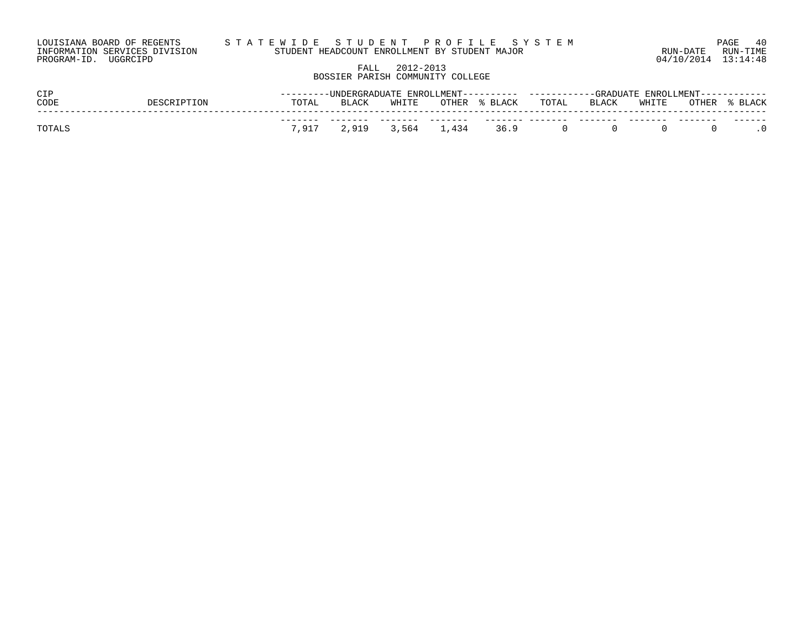| LOUISIANA BOARD OF REGENTS    | STATEWIDE STUDENT PROFILE SYSTEM              |                     | 40<br>PAGE |
|-------------------------------|-----------------------------------------------|---------------------|------------|
| INFORMATION SERVICES DIVISION | STUDENT HEADCOUNT ENROLLMENT BY STUDENT MAJOR | RUN-DATE            | RUN-TIME   |
| PROGRAM-ID. UGGRCIPD          |                                               | 04/10/2014 13:14:48 |            |

# FALL 2012-2013 BOSSIER PARISH COMMUNITY COLLEGE

| CIP    |             |       |       |       |                                | ---------UNDERGRADUATE ENROLLMENT--------- ----------GRADUATE ENROLLMENT----------- |       |                       |  |               |  |  |
|--------|-------------|-------|-------|-------|--------------------------------|-------------------------------------------------------------------------------------|-------|-----------------------|--|---------------|--|--|
| CODE   | DESCRIPTION | TOTAL | BLACK | WHITE | OTHER % BLACK       TOTAL      |                                                                                     | BLACK | WHITE                 |  | OTHER % BLACK |  |  |
|        |             |       |       |       |                                |                                                                                     |       |                       |  |               |  |  |
| TOTALS |             |       |       |       | 7,917 2,919 3,564 1,434 36.9 0 |                                                                                     |       | $\Omega$<br>$\bigcap$ |  |               |  |  |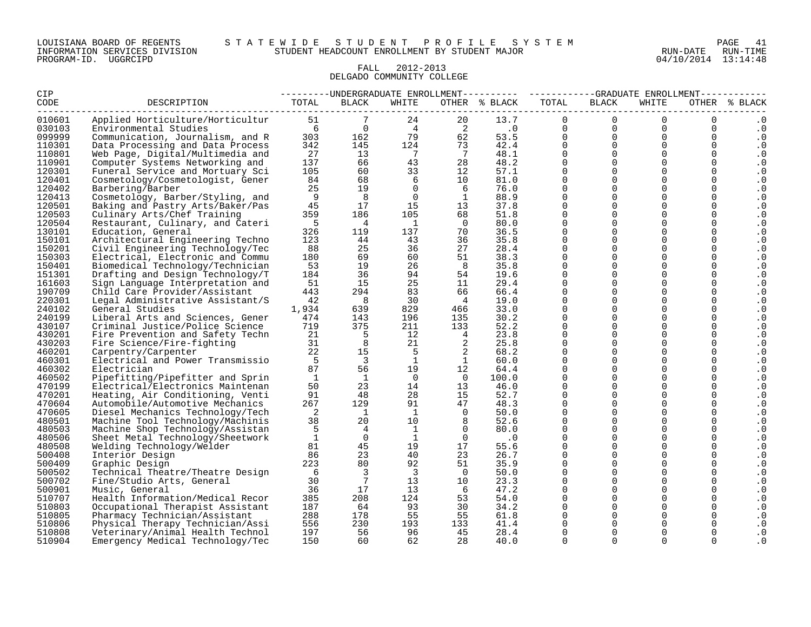#### LOUISIANA BOARD OF REGENTS S T A T E W I D E S T U D E N T P R O F I L E S Y S T E M PAGE 41 INFORMATION SERVICES DIVISION STUDENT HEADCOUNT ENROLLMENT BY STUDENT MAJOR RUN-DATE RUN-TIME

#### FALL 2012-2013 DELGADO COMMUNITY COLLEGE

| <b>CIP</b>       |                                                                      |              |                                              |                 |                            | ---------UNDERGRADUATE ENROLLMENT--------- ----------GRADUATE ENROLLMENT---------- |                         |                         |                      |                            |                  |
|------------------|----------------------------------------------------------------------|--------------|----------------------------------------------|-----------------|----------------------------|------------------------------------------------------------------------------------|-------------------------|-------------------------|----------------------|----------------------------|------------------|
| CODE             | DESCRIPTION                                                          | TOTAL        | <b>BLACK</b>                                 | WHITE           |                            | OTHER % BLACK                                                                      | TOTAL                   | BLACK                   | WHITE                |                            | OTHER % BLACK    |
| 010601           | Applied Horticulture/Horticultur                                     | 51           |                                              | 24              | 20                         | 13.7                                                                               | $\overline{0}$          | $\Omega$                | $\Omega$             | $\mathbf 0$                | . 0              |
| 030103           | Environmental Studies                                                |              | $\begin{matrix} 6 & 0 \\ 0 & 0 \end{matrix}$ | $4\overline{4}$ |                            | $\begin{array}{ccc} 2 & .0 \\ 62 & .53.5 \end{array}$                              | $0 \qquad \qquad$       | $\overline{0}$          | $\overline{0}$       | $\mathbf 0$                | . 0              |
| 099999           | Communication, Journalism, and R                                     | 303          | 162                                          | 79              |                            |                                                                                    | $0 \qquad \qquad$       | $\overline{0}$          | $\Omega$             | $\mathbf 0$                | . 0              |
| 110301           | Data Processing and Data Process                                     | 342          | 145                                          | 124             | 73                         | 42.4                                                                               | $\overline{0}$          | $\overline{0}$          | $\overline{0}$       | $\mathbf 0$                | . 0              |
| 110801           | Web Page, Digital/Multimedia and                                     | 27           | 13                                           | $7\phantom{0}$  | $\overline{7}$             | $\frac{48.1}{48.2}$                                                                | $\overline{0}$          | $\overline{0}$          | $\Omega$             | $\mathbf 0$                | $\cdot$ 0        |
| 110901           | Computer Systems Networking and                                      | 137          | 66                                           | 43              | 28                         | 48.2                                                                               | $\overline{0}$          | $\overline{0}$          | 0                    | 0                          | . 0              |
| 120301           | Funeral Service and Mortuary Sci                                     | 105          | 60                                           | 33              | 12                         | 57.1                                                                               | $\mathbf{0}$            | $\mathbf 0$             | $\Omega$             | $\mathbf 0$                | $\cdot$ 0        |
| 120401           | Cosmetology/Cosmetologist, Gener                                     | 84           | 68                                           | 6               | 10                         | 81.0                                                                               | $\mathbf 0$             | $\Omega$                | $\Omega$             | $\mathbf 0$                | . 0              |
| 120402           | Barbering/Barber                                                     | 25           | 19                                           | $\overline{0}$  | 6                          | 76.0                                                                               | $\Omega$                | $\Omega$                | $\Omega$             | $\Omega$                   | $\cdot$ 0        |
| 120413           | Cosmetology, Barber/Styling, and                                     | 9            | 8                                            | $\overline{0}$  | $\overline{1}$             | 88.9                                                                               | $\Omega$                | $\Omega$                | $\Omega$             | $\Omega$                   | $\cdot$ 0        |
| 120501           | Baking and Pastry Arts/Baker/Pas                                     | 45           | 17                                           | 15              | 13                         | 37.8                                                                               | $\Omega$                | $\Omega$<br>$\Omega$    | $\Omega$             | $\mathbf 0$                | . 0              |
| 120503           | Culinary Arts/Chef Training                                          | 359          | 186                                          | 105             | 68                         | 51.8                                                                               | $\Omega$                |                         | $\Omega$             | $\mathbf 0$                | $\cdot$ 0        |
| 120504<br>130101 | Restaurant, Culinary, and Cateri                                     | $-5$<br>326  | $\overline{4}$<br>119                        | $\overline{1}$  | $\overline{0}$             | 80.0                                                                               | $\mathbf 0$<br>$\Omega$ | $\mathbf 0$<br>$\Omega$ | $\Omega$<br>$\Omega$ | $\mathbf 0$<br>$\Omega$    | . 0              |
|                  | Education, General                                                   |              |                                              | 137             | 70                         | 36.5                                                                               |                         | $\Omega$                |                      |                            | . 0              |
| 150101           | Architectural Engineering Techno                                     | 123<br>88    | 44<br>25                                     | 43<br>36        | 36                         | 35.8                                                                               | $\mathbf 0$<br>$\Omega$ | $\Omega$                | $\Omega$<br>$\Omega$ | $\mathbf 0$<br>$\mathbf 0$ | $\cdot$ 0        |
| 150201<br>150303 | Civil Engineering Technology/Tec                                     | 180          | 69                                           | 60              | 27<br>51                   | 28.4<br>38.3                                                                       | $\mathbf 0$             | $\Omega$                | $\Omega$             | $\mathbf 0$                | . 0              |
| 150401           | Electrical, Electronic and Commu                                     | 53           | 19                                           | 26              |                            | 35.8                                                                               | $\mathsf{O}$            | $\mathbf 0$             | 0                    | 0                          | $\cdot$ 0        |
| 151301           | Biomedical Technology/Technician<br>Drafting and Design Technology/T | 184          | 36                                           | 94              | 8<br>54                    | 19.6                                                                               | $\Omega$                | $\Omega$                | $\Omega$             | $\Omega$                   | . 0<br>$\cdot$ 0 |
| 161603           | Sign Language Interpretation and                                     | 51           | 15                                           | 25              | 11                         | 29.4                                                                               | $\Omega$                | $\Omega$                | $\Omega$             | $\Omega$                   | $\cdot$ 0        |
| 190709           | Child Care Provider/Assistant                                        | 443          | 294                                          | 83              | 66                         | 66.4                                                                               | $\Omega$                | $\Omega$                | $\Omega$             | $\mathbf 0$                | . 0              |
| 220301           | Legal Administrative Assistant/S                                     | 42           | 8                                            | 30              | 4                          | 19.0                                                                               | $\Omega$                | $\Omega$                | $\Omega$             | $\Omega$                   | $\cdot$ 0        |
| 240102           | General Studies                                                      | 1,934        | 639                                          | 829             | 466                        | 33.0                                                                               | $\mathbf 0$             | $\Omega$                | 0                    | $\mathbf 0$                | . 0              |
| 240199           | Liberal Arts and Sciences, Gener                                     | 474          | 143                                          | 196             | 135                        | 30.2                                                                               | $\Omega$                | $\Omega$                | $\Omega$             | $\Omega$                   | . 0              |
| 430107           | Criminal Justice/Police Science                                      | 719          | 375                                          | 211             | 133                        | 52.2                                                                               | $\Omega$                | $\Omega$                | $\Omega$             | $\Omega$                   | . 0              |
| 430201           | Fire Prevention and Safety Techn                                     | 21           | - 5                                          | 12              | $4\overline{4}$            | 23.8                                                                               | $\Omega$                | $\mathbf 0$             | $\Omega$             | $\mathbf 0$                | . 0              |
| 430203           | Fire Science/Fire-fighting                                           | 31           | 8                                            | 21              | $\overline{\phantom{a}}$   | 25.8                                                                               | $\mathbf 0$             | $\Omega$                | $\Omega$             | $\mathbf 0$                | . 0              |
| 460201           | Carpentry/Carpenter                                                  | 22           | 15                                           | - 5             | $\overline{\phantom{0}}^2$ | 68.2                                                                               | $\mathbf 0$             | $\mathbf 0$             | 0                    | 0                          | . 0              |
| 460301           | Electrical and Power Transmissio                                     | $-5$         | $\overline{\phantom{a}}$                     | 1               | $\mathbf{1}$               | 60.0                                                                               | $\Omega$                | $\Omega$                | $\Omega$             | $\mathbf 0$                | $\cdot$ 0        |
| 460302           | Electrician                                                          | 87           | 56                                           | 19              | 12                         | 64.4                                                                               | $\Omega$                | $\Omega$                | $\Omega$             | $\Omega$                   | $\cdot$ 0        |
| 460502           | Pipefitting/Pipefitter and Sprin                                     | $\mathbf{1}$ | $\overline{1}$                               | $\Omega$        | $\overline{0}$             | 100.0                                                                              | $\Omega$                | $\Omega$                | $\Omega$             | $\mathbf 0$                | $\cdot$ 0        |
| 470199           | Electrical/Electronics Maintenan                                     | 50           | 23                                           | 14              | 13                         | 46.0                                                                               | $\Omega$                | $\Omega$                | $\Omega$             | $\mathbf 0$                | $\cdot$ 0        |
| 470201           | Heating, Air Conditioning, Venti                                     | 91           | 48                                           | 28              | 15                         | 52.7                                                                               | $\Omega$                | $\Omega$                | $\Omega$             | $\mathbf 0$                | . 0              |
| 470604           | Automobile/Automotive Mechanics                                      | 267          | 129                                          | 91              | 47                         | 48.3                                                                               | $\mathbf 0$             | $\Omega$                | $\Omega$             | $\Omega$                   | . 0              |
| 470605           | Diesel Mechanics Technology/Tech                                     | 2            | $\mathbf{1}$                                 | <sup>1</sup>    | $\overline{0}$             | 50.0                                                                               | $\Omega$                | $\Omega$                | $\Omega$             | $\mathbf 0$                | . 0              |
| 480501           | Machine Tool Technology/Machinis                                     | 38           | 20                                           | 10              | 8 <sup>8</sup>             | 52.6                                                                               | $\Omega$                | $\Omega$                | $\Omega$             | $\mathbf 0$                | . 0              |
| 480503           | Machine Shop Technology/Assistan                                     | 5            | $\overline{4}$                               | $\mathbf{1}$    | $\overline{0}$             | 80.0                                                                               | $\mathbf 0$             | $\mathbf 0$             | $\Omega$             | $\mathbf 0$                | . 0              |
| 480506           | Sheet Metal Technology/Sheetwork                                     | 1            | $\overline{0}$                               | <sup>1</sup>    | $\overline{0}$             | $\cdot$ 0                                                                          | $\mathbf 0$             | $\Omega$                | $\Omega$             | 0                          | . 0              |
| 480508           | Welding Technology/Welder                                            | 81           | 45                                           | 19              | 17                         | 55.6                                                                               | $\mathbf 0$             | $\mathbf 0$             | $\Omega$             | 0                          | $\cdot$ 0        |
| 500408           | Interior Design                                                      | 86           | 23                                           | 40              | 23                         | 26.7                                                                               | $\mathbf 0$             | $\Omega$                | $\Omega$             | $\mathbf 0$                | . 0              |
| 500409           | Graphic Design                                                       | 223          | 80                                           | 92              | 51                         | 35.9                                                                               | $\Omega$                | $\Omega$                | $\Omega$             | $\Omega$                   | . 0              |
| 500502           | Technical Theatre/Theatre Design                                     | 6            | $\overline{3}$                               | $\overline{3}$  | $\overline{0}$             | 50.0                                                                               | $\mathbf 0$             | $\Omega$                | $\Omega$             | $\mathbf 0$                | $\cdot$ 0        |
| 500702           | Fine/Studio Arts, General                                            | 30           | $7\phantom{.0}\phantom{.0}7$                 | 13              | 10                         | 23.3                                                                               | $\Omega$                | $\Omega$                | $\Omega$             | $\mathbf 0$                | . 0              |
| 500901           | Music, General                                                       | 36           | 17                                           | 13 <sup>°</sup> | 6                          | 47.2                                                                               | $\Omega$                | $\Omega$                | $\Omega$             | $\Omega$                   | . 0              |
| 510707           | Health Information/Medical Recor                                     | 385          | 208                                          | 124             | 53                         | 54.0                                                                               | $\mathbf 0$             | $\mathbf 0$             | $\Omega$             | $\mathbf 0$                | . 0              |
| 510803           | Occupational Therapist Assistant                                     | 187          | 64                                           | 93              | 30                         | 34.2                                                                               | $\Omega$                | $\Omega$                | $\Omega$             | $\Omega$                   | . 0              |
| 510805           | Pharmacy Technician/Assistant                                        | 288          | 178                                          | 55              | 55                         | 61.8                                                                               | $\mathbf{0}$            | $\mathbf 0$             | 0                    | 0                          | $\cdot$ 0        |
| 510806           | Physical Therapy Technician/Assi                                     | 556          | 230                                          | 193             | 133                        | 41.4                                                                               | $\Omega$                | $\Omega$                | 0                    | 0                          | . 0              |
| 510808           | Veterinary/Animal Health Technol                                     | 197          | - 56                                         | 96              | 45                         | 28.4                                                                               | 0                       | $\Omega$                |                      | 0                          | . 0              |
| 510904           | Emergency Medical Technology/Tec                                     | 150          | 60                                           | 62              | 28                         | 40.0                                                                               | 0                       | $\Omega$                | 0                    | 0                          | . 0              |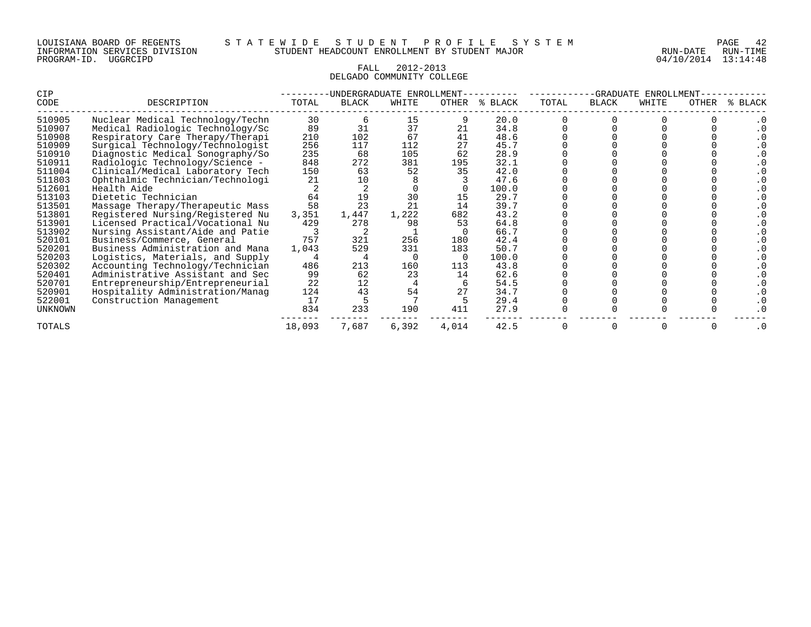#### FALL 2012-2013 DELGADO COMMUNITY COLLEGE

| CIP            |                                  |        |              | UNDERGRADUATE ENROLLMENT |       |         |       | <b>GRADUATE</b> | ENROLLMENT |       |              |
|----------------|----------------------------------|--------|--------------|--------------------------|-------|---------|-------|-----------------|------------|-------|--------------|
| CODE           | DESCRIPTION                      | TOTAL  | <b>BLACK</b> | WHITE                    | OTHER | % BLACK | TOTAL | <b>BLACK</b>    | WHITE      | OTHER | <b>BLACK</b> |
| 510905         | Nuclear Medical Technology/Techn | 30     |              | 15                       |       | 20.0    |       |                 |            |       |              |
| 510907         | Medical Radiologic Technology/Sc | 89     | 31           | 37                       | 21    | 34.8    |       |                 |            |       |              |
| 510908         | Respiratory Care Therapy/Therapi | 210    | 102          | 67                       |       | 48.6    |       |                 |            |       |              |
| 510909         | Surgical Technology/Technologist | 256    | 117          | 112                      | 27    | 45.7    |       |                 |            |       |              |
| 510910         | Diagnostic Medical Sonography/So | 235    | 68           | 105                      | 62    | 28.9    |       |                 |            |       |              |
| 510911         | Radiologic Technology/Science -  | 848    | 272          | 381                      | 195   | 32.1    |       |                 |            |       |              |
| 511004         | Clinical/Medical Laboratory Tech | 150    | 63           | 52                       | 35    | 42.0    |       |                 |            |       |              |
| 511803         | Ophthalmic Technician/Technologi | 21     | 10           |                          |       | 47.6    |       |                 |            |       |              |
| 512601         | Health Aide                      |        |              |                          |       | 100.0   |       |                 |            |       |              |
| 513103         | Dietetic Technician              | 64     | 19           | 30                       | 15    | 29.7    |       |                 |            |       |              |
| 513501         | Massage Therapy/Therapeutic Mass | 58     | 23           | 21                       | 14    | 39.7    |       |                 |            |       |              |
| 513801         | Registered Nursing/Registered Nu | 3,351  | 1,447        | 1,222                    | 682   | 43.2    |       |                 |            |       |              |
| 513901         | Licensed Practical/Vocational Nu | 429    | 278          | 98                       | 53    | 64.8    |       |                 |            |       |              |
| 513902         | Nursing Assistant/Aide and Patie |        |              |                          |       | 66.7    |       |                 |            |       |              |
| 520101         | Business/Commerce, General       | 757    | 321          | 256                      | 180   | 42.4    |       |                 |            |       |              |
| 520201         | Business Administration and Mana | 1,043  | 529          | 331                      | 183   | 50.7    |       |                 |            |       |              |
| 520203         | Logistics, Materials, and Supply |        |              |                          |       | 100.0   |       |                 |            |       |              |
| 520302         | Accounting Technology/Technician | 486    | 213          | 160                      | 113   | 43.8    |       |                 |            |       |              |
| 520401         | Administrative Assistant and Sec | 99     | 62           | 23                       | 14    | 62.6    |       |                 |            |       |              |
| 520701         | Entrepreneurship/Entrepreneurial | 22     | 12           |                          |       | 54.5    |       |                 |            |       |              |
| 520901         | Hospitality Administration/Manaq | 124    | 43           | 54                       | 27    | 34.7    |       |                 |            |       |              |
| 522001         | Construction Management          | 17     |              |                          |       | 29.4    |       |                 |            |       |              |
| <b>UNKNOWN</b> |                                  | 834    | 233          | 190                      | 411   | 27.9    |       |                 |            |       |              |
| <b>TOTALS</b>  |                                  | 18,093 | 7,687        | 6,392                    | 4,014 | 42.5    |       |                 |            |       | . 0          |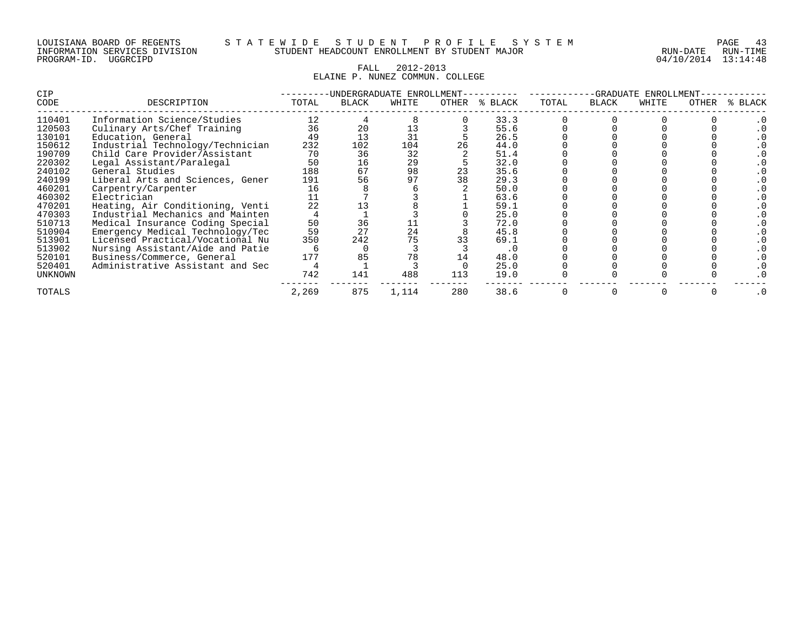#### LOUISIANA BOARD OF REGENTS S T A T E W I D E S T U D E N T P R O F I L E S Y S T E M PAGE 43 INFORMATION SERVICES DIVISION STUDENT HEADCOUNT ENROLLMENT BY STUDENT MAJOR RUN-DATE RUN-TIME

#### FALL 2012-2013 ELAINE P. NUNEZ COMMUN. COLLEGE

| CIP     |                                  |       | UNDERGRADUATE ENROLLMENT- |       |       |         |       | -GRADUATE    | ENROLLMENT |       |       |
|---------|----------------------------------|-------|---------------------------|-------|-------|---------|-------|--------------|------------|-------|-------|
| CODE    | DESCRIPTION                      | TOTAL | <b>BLACK</b>              | WHITE | OTHER | % BLACK | TOTAL | <b>BLACK</b> | WHITE      | OTHER | BLACK |
| 110401  | Information Science/Studies      | 12    |                           |       |       | 33.3    |       |              |            |       |       |
| 120503  | Culinary Arts/Chef Training      | 36    | 20                        | 13    |       | 55.6    |       |              |            |       |       |
| 130101  | Education, General               | 49    | 13                        | 31    |       | 26.5    |       |              |            |       |       |
| 150612  | Industrial Technology/Technician | 232   | 102                       | 104   |       | 44.0    |       |              |            |       |       |
| 190709  | Child Care Provider/Assistant    | 70    | 36                        | 32    |       | 51.4    |       |              |            |       |       |
| 220302  | Legal Assistant/Paralegal        | 50    | 16                        | 29    |       | 32.0    |       |              |            |       |       |
| 240102  | General Studies                  | 188   | 67                        | 98    | 23    | 35.6    |       |              |            |       |       |
| 240199  | Liberal Arts and Sciences, Gener | 191   | 56                        | 97    |       | 29.3    |       |              |            |       |       |
| 460201  | Carpentry/Carpenter              | 16    |                           |       |       | 50.0    |       |              |            |       |       |
| 460302  | Electrician                      |       |                           |       |       | 63.6    |       |              |            |       |       |
| 470201  | Heating, Air Conditioning, Venti | 22    |                           |       |       | 59.1    |       |              |            |       |       |
| 470303  | Industrial Mechanics and Mainten |       |                           |       |       | 25.0    |       |              |            |       |       |
| 510713  | Medical Insurance Coding Special | 50    | 36                        |       |       | 72.0    |       |              |            |       |       |
| 510904  | Emergency Medical Technology/Tec | 59    | 27                        | 24    |       | 45.8    |       |              |            |       |       |
| 513901  | Licensed Practical/Vocational Nu | 350   | 242                       | 75    |       | 69.1    |       |              |            |       |       |
| 513902  | Nursing Assistant/Aide and Patie |       |                           |       |       | . U     |       |              |            |       |       |
| 520101  | Business/Commerce, General       | 177   | 85                        | 78    |       | 48.0    |       |              |            |       |       |
| 520401  | Administrative Assistant and Sec |       |                           |       |       | 25.0    |       |              |            |       |       |
| UNKNOWN |                                  | 742   | 141                       | 488   | 113   | 19.0    |       |              |            |       |       |
| TOTALS  |                                  | 2,269 | 875                       | 1,114 | 280   | 38.6    |       |              |            |       |       |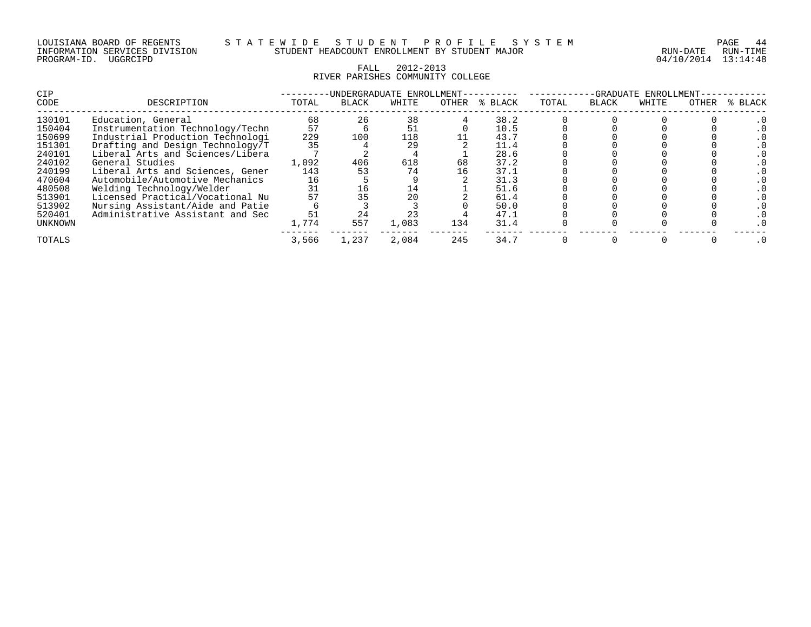| LOUISIANA BOARD OF REGENTS    |          |  |
|-------------------------------|----------|--|
| INFORMATION SERVICES DIVISION |          |  |
| PROGRAM-ID.                   | UGGRCIPD |  |

04/10/2014 13:14:48

# FALL 2012-2013 RIVER PARISHES COMMUNITY COLLEGE

| <b>CIP</b> |                                  |       |              | UNDERGRADUATE ENROLLMENT- |       |         | -GRADUATE<br>ENROLLMENT- |              |       |       |         |
|------------|----------------------------------|-------|--------------|---------------------------|-------|---------|--------------------------|--------------|-------|-------|---------|
| CODE       | DESCRIPTION                      | TOTAL | <b>BLACK</b> | WHITE                     | OTHER | % BLACK | TOTAL                    | <b>BLACK</b> | WHITE | OTHER | % BLACK |
| 130101     | Education, General               | 68    | 26           | 38                        |       | 38.2    |                          |              |       |       |         |
| 150404     | Instrumentation Technology/Techn | 57    |              | 51                        |       | 10.5    |                          |              |       |       |         |
| 150699     | Industrial Production Technologi | 229   | 100          | 118                       |       | 43.7    |                          |              |       |       |         |
| 151301     | Drafting and Design Technology/T | 35    |              | 29                        |       | 11.4    |                          |              |       |       |         |
| 240101     | Liberal Arts and Sciences/Libera |       |              |                           |       | 28.6    |                          |              |       |       |         |
| 240102     | General Studies                  | 1,092 | 406          | 618                       | 68    | 37.2    |                          |              |       |       |         |
| 240199     | Liberal Arts and Sciences, Gener | 143   |              | 74                        | 16    | 37.1    |                          |              |       |       |         |
| 470604     | Automobile/Automotive Mechanics  | 16    |              |                           |       | 31.3    |                          |              |       |       |         |
| 480508     | Welding Technology/Welder        | 31    | 16           | 14                        |       | 51.6    |                          |              |       |       |         |
| 513901     | Licensed Practical/Vocational Nu | 57    |              | 20                        |       | 61.4    |                          |              |       |       |         |
| 513902     | Nursing Assistant/Aide and Patie |       |              |                           |       | 50.0    |                          |              |       |       |         |
| 520401     | Administrative Assistant and Sec | 51    | 24           | 23                        |       | 47.1    |                          |              |       |       |         |
| UNKNOWN    |                                  | 1,774 | 557          | 1,083                     | 134   | 31.4    |                          |              |       |       |         |
| TOTALS     |                                  | 3,566 | 1,237        | 2,084                     | 245   | 34.7    |                          |              |       |       |         |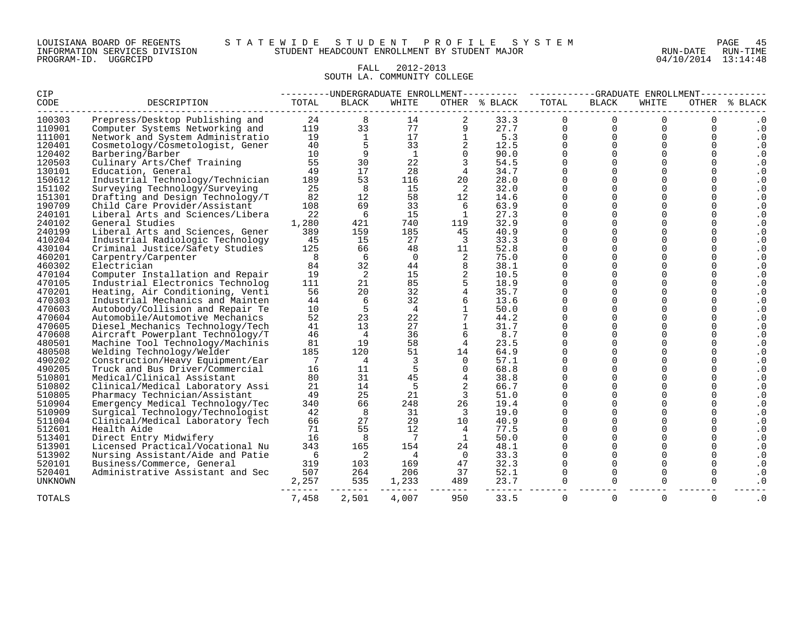### FALL 2012-2013 SOUTH LA. COMMUNITY COLLEGE

| <b>CIP</b>     |                                  |       |                | ---------UNDERGRADUATE ENROLLMENT---------- |                |               | -------  |              | --GRADUATE ENROLLMENT------ |             |               |  |
|----------------|----------------------------------|-------|----------------|---------------------------------------------|----------------|---------------|----------|--------------|-----------------------------|-------------|---------------|--|
| CODE           | DESCRIPTION                      | TOTAL | <b>BLACK</b>   | WHITE                                       |                | OTHER % BLACK | TOTAL    | <b>BLACK</b> | WHITE                       |             | OTHER % BLACK |  |
| 100303         | Prepress/Desktop Publishing and  | 24    |                | 14                                          |                | 33.3          |          | $\Omega$     | $\Omega$                    |             |               |  |
| 110901         | Computer Systems Networking and  | 119   | 33             | 77                                          |                | 27.7          | 0        | 0            | $\mathbf 0$                 | 0           | $\cdot$ 0     |  |
| 111001         | Network and System Administratio | 19    | 1              | 17                                          |                | 5.3           | $\Omega$ | $\Omega$     | $\Omega$                    | $\Omega$    | $\cdot$ 0     |  |
| 120401         | Cosmetology/Cosmetologist, Gener | 40    | 5              | 33                                          | 2              | 12.5          | $\Omega$ | $\mathbf 0$  | $\Omega$                    | $\Omega$    | $\cdot$ 0     |  |
| 120402         | Barbering/Barber                 | 10    | 9              | $\mathbf{1}$                                |                | 90.0          | $\Omega$ | $\Omega$     | $\Omega$                    | $\Omega$    | $\cdot$ 0     |  |
| 120503         | Culinary Arts/Chef Training      | 55    | 30             | 22                                          |                | 54.5          | $\Omega$ | $\Omega$     | $\cap$                      | $\Omega$    | . 0           |  |
| 130101         | Education, General               | 49    | 17             | 28                                          |                | 34.7          | $\Omega$ | $\Omega$     | $\Omega$                    | 0           | $\cdot$ 0     |  |
| 150612         | Industrial Technology/Technician | 189   | 53             | 116                                         | 20             | 28.0          | 0        | $\Omega$     | $\cap$                      | $\Omega$    | . 0           |  |
| 151102         | Surveying Technology/Surveying   | 25    | 8              | 15                                          | 2              | 32.0          | $\Omega$ | $\Omega$     | $\cap$                      | $\Omega$    | $\cdot$ 0     |  |
| 151301         | Drafting and Design Technology/T | 82    | 12             | 58                                          | 12             | 14.6          | U        | $\Omega$     | $\Omega$                    | $\Omega$    | $\cdot$ 0     |  |
| 190709         | Child Care Provider/Assistant    | 108   | 69             | 33                                          | 6              | 63.9          | $\Omega$ | $\mathbf 0$  | $\Omega$                    | 0           | $\cdot$ 0     |  |
| 240101         | Liberal Arts and Sciences/Libera | 22    | 6              | 15                                          | 1              | 27.3          | $\Omega$ | $\mathbf 0$  | $\Omega$                    | $\Omega$    | $\cdot$ 0     |  |
| 240102         | General Studies                  | 1,280 | 421            | 740                                         | 119            | 32.9          | $\Omega$ | $\mathbf 0$  | $\Omega$                    | $\Omega$    | $\cdot 0$     |  |
| 240199         | Liberal Arts and Sciences, Gener | 389   | 159            | 185                                         | 45             | 40.9          | $\Omega$ | $\Omega$     |                             | $\Omega$    | $\cdot$ 0     |  |
| 410204         | Industrial Radiologic Technology | 45    | 15             | 27                                          | -3             | 33.3          | $\Omega$ | $\Omega$     | $\cap$                      | $\Omega$    | . 0           |  |
| 430104         | Criminal Justice/Safety Studies  | 125   | 66             | 48                                          | 11             | 52.8          | $\Omega$ | $\Omega$     | $\Omega$                    | $\Omega$    | $\cdot$ 0     |  |
| 460201         | Carpentry/Carpenter              | 8     | 6              | $\Omega$                                    |                | 75.0          | $\Omega$ | $\Omega$     | $\Omega$                    | $\Omega$    | . 0           |  |
| 460302         | Electrician                      | 84    | 32             | 44                                          | 8              | 38.1          | 0        | $\Omega$     | $\Omega$                    | $\Omega$    | $\cdot$ 0     |  |
| 470104         | Computer Installation and Repair | 19    | 2              | 15                                          |                | 10.5          | U        | $\Omega$     | $\cap$                      | $\Omega$    | $\cdot$ 0     |  |
| 470105         | Industrial Electronics Technolog | 111   | 21             | 85                                          |                | 18.9          | $\Omega$ | $\mathbf 0$  | $\Omega$                    | $\Omega$    | $\cdot$ 0     |  |
| 470201         | Heating, Air Conditioning, Venti | 56    | 20             | 32                                          |                | 35.7          | $\Omega$ | $\Omega$     | $\cap$                      | $\Omega$    | $\cdot$ 0     |  |
| 470303         | Industrial Mechanics and Mainten | 44    | 6              | 32                                          | 6              | 13.6          | $\Omega$ | $\mathbf 0$  | $\Omega$                    | $\Omega$    | $\cdot$ 0     |  |
| 470603         | Autobody/Collision and Repair Te | 10    | 5              | $\overline{4}$                              |                | 50.0          |          | $\Omega$     |                             | $\Omega$    | $\cdot$ 0     |  |
| 470604         | Automobile/Automotive Mechanics  | 52    | 23             | 22                                          |                | 44.2          | $\Omega$ | $\Omega$     | $\Omega$                    | $\Omega$    | $\cdot$ 0     |  |
| 470605         | Diesel Mechanics Technology/Tech | 41    | 13             | 27                                          |                | 31.7          | $\Omega$ | $\Omega$     | $\Omega$                    | $\Omega$    | $\cdot$ 0     |  |
| 470608         | Aircraft Powerplant Technology/T | 46    | $\overline{4}$ | 36                                          | 6              | 8.7           | $\Omega$ | $\Omega$     | $\Omega$                    | $\Omega$    | $\cdot$ 0     |  |
| 480501         | Machine Tool Technology/Machinis | 81    | 19             | 58                                          |                | 23.5          | 0        | $\Omega$     |                             | $\Omega$    | $\cdot$ 0     |  |
| 480508         | Welding Technology/Welder        | 185   | 120            | 51                                          | 14             | 64.9          | 0        | $\Omega$     | $\cap$                      | $\Omega$    | $\cdot$ 0     |  |
| 490202         | Construction/Heavy Equipment/Ear | 7     | $\overline{4}$ | 3                                           | $\Omega$       | 57.1          | 0        | $\Omega$     | $\Omega$                    | $\Omega$    | $\cdot$ 0     |  |
| 490205         | Truck and Bus Driver/Commercial  | 16    | 11             | 5                                           |                | 68.8          | $\Omega$ | $\Omega$     | $\Omega$                    | $\Omega$    | $\cdot$ 0     |  |
| 510801         | Medical/Clinical Assistant       | 80    | 31             | 45                                          |                | 38.8          | 0        | $\mathbf 0$  | $\Omega$                    | 0           | $\cdot$ 0     |  |
| 510802         | Clinical/Medical Laboratory Assi | 21    | 14             | 5                                           |                | 66.7          | 0        | $\Omega$     |                             | 0           | $\cdot 0$     |  |
| 510805         | Pharmacy Technician/Assistant    | 49    | 25             | 21                                          | 3              | 51.0          | $\Omega$ | $\mathbf 0$  | $\Omega$                    | $\Omega$    | $\cdot$ 0     |  |
| 510904         | Emergency Medical Technology/Tec | 340   | 66             | 248                                         | 26             | 19.4          | $\Omega$ | $\Omega$     | $\Omega$                    | $\Omega$    | $\cdot$ 0     |  |
| 510909         | Surgical Technology/Technologist | 42    | 8              | 31                                          | $\overline{3}$ | 19.0          | $\Omega$ | $\Omega$     | $\cap$                      | $\Omega$    | $\cdot$ 0     |  |
| 511004         | Clinical/Medical Laboratory Tech | 66    | 27             | 29                                          | 10             | 40.9          | $\Omega$ | $\Omega$     |                             | $\Omega$    | $\cdot$ 0     |  |
| 512601         | Health Aide                      | 71    | 55             | 12                                          |                | 77.5          | 0        | $\Omega$     | $\cap$                      | $\Omega$    | . 0           |  |
| 513401         | Direct Entry Midwifery           | 16    | 8              | $7\phantom{.0}$                             | 1              | 50.0          | $\Omega$ | $\Omega$     | $\Omega$                    | $\Omega$    | $\cdot$ 0     |  |
| 513901         | Licensed Practical/Vocational Nu | 343   | 165            | 154                                         | 24             | 48.1          | 0        | $\Omega$     | $\Omega$                    | $\Omega$    | $\cdot$ 0     |  |
| 513902         | Nursing Assistant/Aide and Patie | 6     | 2              | 4                                           | $\overline{0}$ | 33.3          | $\Omega$ | $\mathbf 0$  |                             | 0           | $\cdot$ 0     |  |
| 520101         | Business/Commerce, General       | 319   | 103            | 169                                         | 47             | 32.3          | 0        | $\Omega$     |                             | 0           | $\cdot$ 0     |  |
| 520401         | Administrative Assistant and Sec | 507   | 264            | 206                                         | 37             | 52.1          | 0        | $\Omega$     | $\Omega$                    | $\Omega$    | . 0           |  |
| <b>UNKNOWN</b> |                                  | 2,257 | 535            | 1,233                                       | 489            | 23.7          | 0        | $\Omega$     |                             |             |               |  |
| TOTALS         |                                  | 7,458 | 2,501          | 4,007                                       | 950            | 33.5          | 0        | $\mathbf 0$  | $\mathbf 0$                 | $\mathbf 0$ | $\cdot$ 0     |  |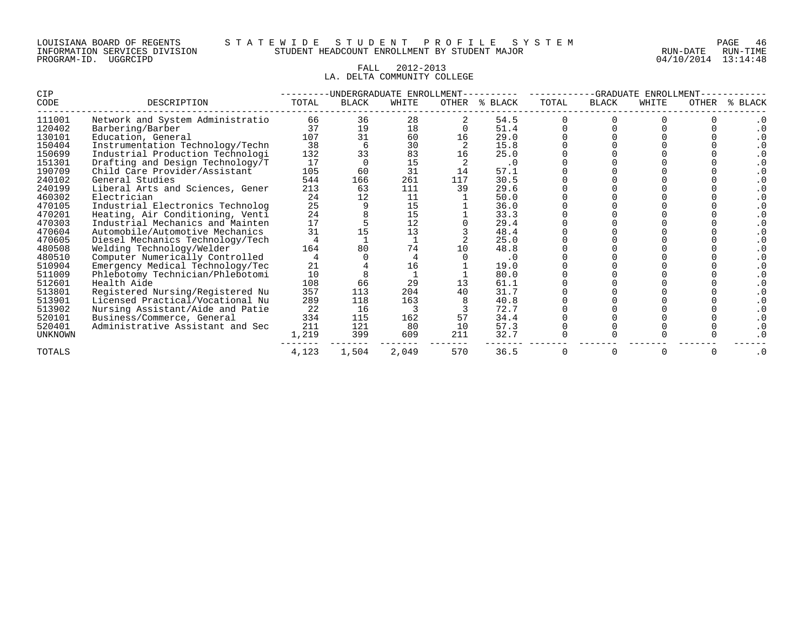#### FALL 2012-2013 LA. DELTA COMMUNITY COLLEGE

| CIP            |                                  |       | UNDERGRADUATE- | ENROLLMEN' |              | -GRADUATE<br>ENROLLMEN. |       |              |       |       |              |
|----------------|----------------------------------|-------|----------------|------------|--------------|-------------------------|-------|--------------|-------|-------|--------------|
| CODE           | DESCRIPTION                      | TOTAL | <b>BLACK</b>   | WHITE      | <b>OTHER</b> | % BLACK                 | TOTAL | <b>BLACK</b> | WHITE | OTHER | <b>BLACK</b> |
| 111001         | Network and System Administratio | 66    | 36             | 28         |              | 54.5                    |       |              |       |       |              |
| 120402         | Barbering/Barber                 | 37    | 19             | 18         |              | 51.4                    |       |              |       |       |              |
| 130101         | Education, General               | 107   | 31             | 60         |              | 29.0                    |       |              |       |       |              |
| 150404         | Instrumentation Technology/Techn | 38    |                | 30         |              | 15.8                    |       |              |       |       |              |
| 150699         | Industrial Production Technologi | 132   | 33             | 83         |              | 25.0                    |       |              |       |       |              |
| 151301         | Drafting and Design Technology/T | 17    |                | 15         |              | . 0                     |       |              |       |       |              |
| 190709         | Child Care Provider/Assistant    | 105   | 60             | 31         | 14           | 57.1                    |       |              |       |       |              |
| 240102         | General Studies                  | 544   | 166            | 261        | 117          | 30.5                    |       |              |       |       |              |
| 240199         | Liberal Arts and Sciences, Gener | 213   | 63             | 111        | 39           | 29.6                    |       |              |       |       |              |
| 460302         | Electrician                      | 24    | 12             | 11         |              | 50.0                    |       |              |       |       |              |
| 470105         | Industrial Electronics Technolog | 25    |                | 15         |              | 36.0                    |       |              |       |       |              |
| 470201         | Heating, Air Conditioning, Venti | 24    |                | 15         |              | 33.3                    |       |              |       |       |              |
| 470303         | Industrial Mechanics and Mainten | 17    |                | 12         |              | 29.4                    |       |              |       |       |              |
| 470604         | Automobile/Automotive Mechanics  | 31    |                | 13         |              | 48.4                    |       |              |       |       |              |
| 470605         | Diesel Mechanics Technology/Tech |       |                |            |              | 25.0                    |       |              |       |       |              |
| 480508         | Welding Technology/Welder        | 164   | 80             | 74         |              | 48.8                    |       |              |       |       |              |
| 480510         | Computer Numerically Controlled  |       |                |            |              | . 0                     |       |              |       |       |              |
| 510904         | Emergency Medical Technology/Tec | 21    |                | 16         |              | 19.0                    |       |              |       |       |              |
| 511009         | Phlebotomy Technician/Phlebotomi | 10    |                |            |              | 80.0                    |       |              |       |       |              |
| 512601         | Health Aide                      | 108   | 66             | 29         |              | 61.1                    |       |              |       |       |              |
| 513801         | Registered Nursing/Registered Nu | 357   | 113            | 204        | 40           | 31.7                    |       |              |       |       |              |
| 513901         | Licensed Practical/Vocational Nu | 289   | 118            | 163        |              | 40.8                    |       |              |       |       |              |
| 513902         | Nursing Assistant/Aide and Patie | 22    | 16             |            |              | 72.7                    |       |              |       |       |              |
| 520101         | Business/Commerce, General       | 334   | 115            | 162        | 57           | 34.4                    |       |              |       |       |              |
| 520401         | Administrative Assistant and Sec | 211   | 121            | 80         | 10           | 57.3                    |       |              |       |       |              |
| <b>UNKNOWN</b> |                                  | 1,219 | 399            | 609        | 211          | 32.7                    |       |              |       |       |              |
| TOTALS         |                                  | 4,123 | 1,504          | 2,049      | 570          | 36.5                    |       |              |       |       | . 0          |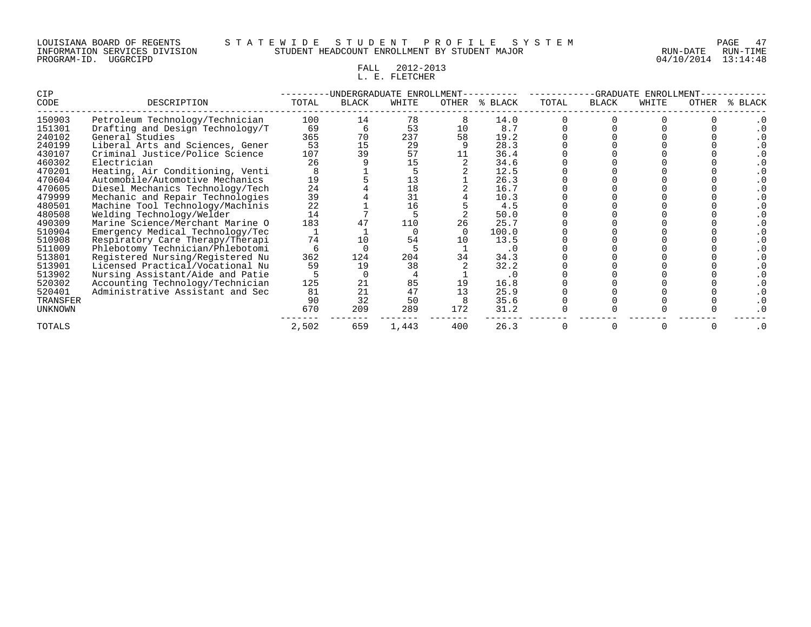#### LOUISIANA BOARD OF REGENTS S T A T E W I D E S T U D E N T P R O F I L E S Y S T E M PAGE 47 INFORMATION SERVICES DIVISION STUDENT HEADCOUNT ENROLLMENT BY STUDENT MAJOR RUN-DATE RUN-TIME

# FALL 2012-2013 L.L. E. FLETCHER

| CIP            |                                  |       |       | -UNDERGRADUATE ENROLLMENT | -GRADUATE<br>ENROLLMENT |         |       |              |       |       |              |
|----------------|----------------------------------|-------|-------|---------------------------|-------------------------|---------|-------|--------------|-------|-------|--------------|
| CODE           | DESCRIPTION                      | TOTAL | BLACK | WHITE                     | OTHER                   | % BLACK | TOTAL | <b>BLACK</b> | WHITE | OTHER | <b>BLACK</b> |
| 150903         | Petroleum Technology/Technician  | 100   | 14    | 78                        |                         | 14.0    |       |              |       |       |              |
| 151301         | Drafting and Design Technology/T | 69    |       | 53                        | 10                      | 8.7     |       |              |       |       |              |
| 240102         | General Studies                  | 365   | 70    | 237                       | 58                      | 19.2    |       |              |       |       |              |
| 240199         | Liberal Arts and Sciences, Gener | 53    | 15    | 29                        |                         | 28.3    |       |              |       |       |              |
| 430107         | Criminal Justice/Police Science  | 107   | 39    | 57                        |                         | 36.4    |       |              |       |       |              |
| 460302         | Electrician                      | 26    |       | 15                        |                         | 34.6    |       |              |       |       |              |
| 470201         | Heating, Air Conditioning, Venti |       |       |                           |                         | 12.5    |       |              |       |       |              |
| 470604         | Automobile/Automotive Mechanics  | 19    |       | 13                        |                         | 26.3    |       |              |       |       |              |
| 470605         | Diesel Mechanics Technology/Tech | 24    |       | 18                        |                         | 16.7    |       |              |       |       |              |
| 479999         | Mechanic and Repair Technologies | 39    |       | 31                        |                         | 10.3    |       |              |       |       |              |
| 480501         | Machine Tool Technology/Machinis | 22    |       | 16                        |                         | 4.5     |       |              |       |       |              |
| 480508         | Welding Technology/Welder        | 14    |       |                           |                         | 50.0    |       |              |       |       |              |
| 490309         | Marine Science/Merchant Marine O | 183   |       | 110                       | 26                      | 25.7    |       |              |       |       |              |
| 510904         | Emergency Medical Technology/Tec |       |       |                           |                         | 100.0   |       |              |       |       |              |
| 510908         | Respiratory Care Therapy/Therapi | 74    |       | 54                        |                         | 13.5    |       |              |       |       |              |
| 511009         | Phlebotomy Technician/Phlebotomi |       |       |                           |                         | . 0     |       |              |       |       |              |
| 513801         | Registered Nursing/Registered Nu | 362   | 124   | 204                       | 34                      | 34.3    |       |              |       |       |              |
| 513901         | Licensed Practical/Vocational Nu | 59    | 19    | 38                        |                         | 32.2    |       |              |       |       |              |
| 513902         | Nursing Assistant/Aide and Patie |       |       |                           |                         | . 0     |       |              |       |       |              |
| 520302         | Accounting Technology/Technician | 125   | 21    | 85                        | 19                      | 16.8    |       |              |       |       |              |
| 520401         | Administrative Assistant and Sec | 81    | 21    | 47                        |                         | 25.9    |       |              |       |       |              |
| TRANSFER       |                                  | 90    | 32    | 50                        |                         | 35.6    |       |              |       |       |              |
| <b>UNKNOWN</b> |                                  | 670   | 209   | 289                       | 172                     | 31.2    |       |              |       |       |              |
| <b>TOTALS</b>  |                                  | 2,502 | 659   | 1,443                     | 400                     | 26.3    |       |              |       |       |              |